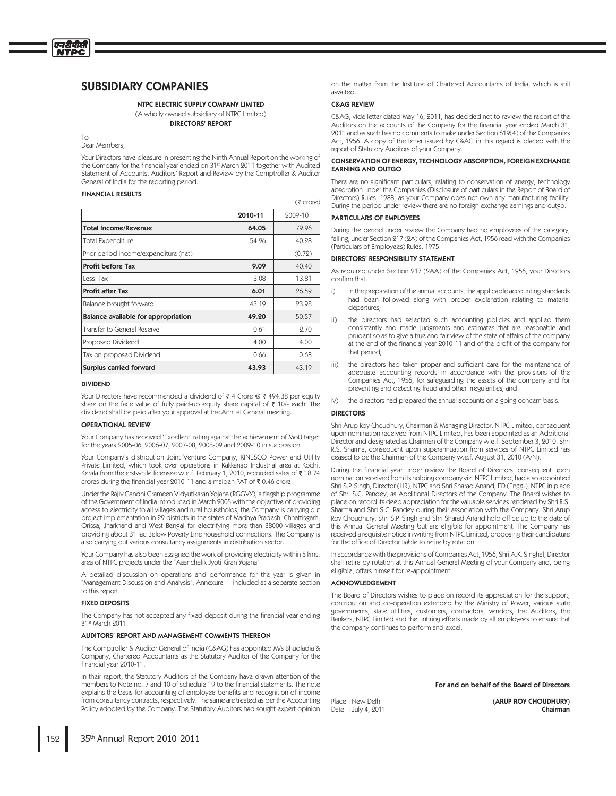# NTPC ELECTRIC SUPPLY COMPANY LIMITED

(A wholly owned subsidiary of NTPC Limited) DIRECTORS' REPORT

 $T<sub>O</sub>$ Dear Members.

एनटीपीसी **NTPC** 

> Your Directors have pleasure in presenting the Ninth Annual Report on the working of the Company for the financial year ended on 31<sup>st</sup> March 2011 together with Audited Statement of Accounts, Auditors' Report and Review by the Comptroller & Auditor General of India for the reporting period.

### FINANCIAL RESULTS

 $(3 \text{ core})$ 

|                                       | 2010-11 | 2009-10 |
|---------------------------------------|---------|---------|
| <b>Total Income/Revenue</b>           | 64.05   | 79.96   |
| <b>Total Expenditure</b>              | 54.96   | 40.28   |
| Prior period income/expenditure (net) |         | (0.72)  |
| Profit before Tax                     | 9.09    | 40.40   |
| Less: Tax                             | 3.08    | 13.81   |
| <b>Profit after Tax</b>               | 6.01    | 26.59   |
| Balance brought forward               | 43.19   | 23.98   |
| Balance available for appropriation   | 49.20   | 50.57   |
| Transfer to General Reserve           | 0.61    | 9.70    |
| Proposed Dividend                     | 4.00    | 4.00    |
| Tax on proposed Dividend              | 0.66    | 0.68    |
| Surplus carried forward               | 43.93   | 43.19   |

### DIVIDEND

Your Directors have recommended a dividend of  $\bar{\tau}$  4 Crore @  $\bar{\tau}$  494.38 per equity share on the face value of fully paid-up equity share capital of  $\bar{\tau}$  10/- each. The dividend shall be paid after your approval at the Annual General meeting.

### OPERATIONAL REVIEW

Your Company has received 'Excellent' rating against the achievement of MoU target for the years 2005-06, 2006-07, 2007-08, 2008-09 and 2009-10 in succession

Your Company's distribution Joint Venture Company, KINESCO Power and Utility Private Limited, which took over operations in Kakkanad Industrial area at Kochi Kerala from the erstwhile licensee w.e.f. February 1, 2010, recorded sales of ₹18.74 crores during the financial year 2010-11 and a maiden PAT of  $\bar{\tau}$  0.46 crore

Under the Rajiv Gandhi Grameen Vidyutikaran Yojana (RGGVY), a flagship programme of the Government of India introduced in March 2005 with the objective of providing access to electricity to all villages and rural households, the Company is carrying out project implementation in 29 districts in the states of Madhya Pradesh, Chhattisgarh, Orissa, Jharkhand and West Bengal for electrifying more than 38000 villages and providing about 31 lac Below Poverty Line household connections. The Company is also carrying out various consultancy assignments in distribution sector

Your Company has also been assigned the work of providing electricity within 5 kms. area of NTPC projects under the "Aaanchalik Jyoti Kiran Yojana

A detailed discussion on operations and performance for the year is given in "Management Discussion and Analysis", Annexure - I included as a separate section to this report.

### FIXED DEPOSITS

The Company has not accepted any fixed deposit during the financial year ending 31st March 2011.

### AUDITORS' REPORT AND MANAGEMENT COMMENTS THEREON

The Comptroller & Auditor General of India (C&AG) has appointed M/s Bhudladia & Company, Chartered Accountants as the Statutory Auditor of the Company for the financial year 9010-11.

In their report, the Statutory Auditors of the Company have drawn attention of the members to Note no. 7 and 10 of schedule 19 to the financial statements. The note explains the basis for accounting of employee benefits and recognition of income from consultancy contracts, respectively. The same are treated as per the Accounting Policy adopted by the Company. The Statutory Auditors had sought expert opinion on the matter from the Institute of Chartered Accountants of India, which is still awaited.

### C&AG REVIEW

C&AG, vide letter dated May 16, 2011, has decided not to review the report of the Auditors on the accounts of the Company for the financial year ended March 31, 2011 and as such has no comments to make under Section 619(4) of the Companies Act, 1956. A copy of the letter issued by C&AG in this regard is placed with the report of Statutory Auditors of your Company.

### CONSERVATION OF ENERGY, TECHNOLOGY ABSORPTION, FOREIGN EXCHANGE EARNING AND OUTGO

There are no significant particulars, relating to conservation of energy, technology absorption under the Companies (Disclosure of particulars in the Report of Board of Directors) Rules, 1988, as your Company does not own any manufacturing facility. During the period under review there are no foreign exchange earnings and outgo.

### PARTICULARS OF EMPLOYEES

During the period under review the Company had no employees of the category, falling, under Section 217 (2A) of the Companies Act, 1956 read with the Companies (Particulars of Employees) Rules, 1975.

### DIRECTORS' RESPONSIBILITY STATEMENT

As required under Section 217 (2AA) of the Companies Act, 1956, your Directors confirm that:

- i) in the preparation of the annual accounts, the applicable accounting standards had been followed along with proper explanation relating to material departures
- $\overline{ii}$ the directors had selected such accounting policies and applied them consistently and made judgments and estimates that are reasonable and prudent so as to give a true and fair view of the state of affairs of the company at the end of the financial year 2010-11 and of the profit of the company for that period:
- $\overline{\mathsf{iii}}$ the directors had taken proper and sufficient care for the maintenance of adequate accounting records in accordance with the provisions of the Companies Act, 1956, for safeguarding the assets of the company and for preventing and detecting fraud and other irregularities; and
- iv) the directors had prepared the annual accounts on a going concern basis.

### **DIRECTORS**

Shri Arup Roy Choudhury, Chairman & Managing Director, NTPC Limited, consequent upon nomination received from NTPC Limited, has been appointed as an Additional Director and designated as Chairman of the Company w.e.f. September 3, 2010. Shri R.S. Sharma, consequent upon superannuation from services of NTPC Limited has ceased to be the Chairman of the Company w.e.f. August 31, 2010 (A/N).

During the financial year under review the Board of Directors, consequent upon nomination received from its holding company viz. NTPC Limited, had also appointed Shri S.P. Singh, Director (HR), NTPC and Shri Sharad Anand, ED (Engg.), NTPC in place of Shri S.C. Pandey, as Additional Directors of the Company. The Board wishes to place on record its deep appreciation for the valuable services rendered by Shri R.S. Sharma and Shri S.C. Pandey during their association with the Company. Shri Arup Roy Choudhury, Shri S.P. Singh and Shri Sharad Anand hold office up to the date of this Annual General Meeting but are eligible for appointment. The Company has received a requisite notice in writing from NTPC Limited, proposing their candidature for the office of Director liable to retire by rotation.

In accordance with the provisions of Companies Act, 1956, Shri A.K. Singhal, Director shall retire by rotation at this Annual General Meeting of your Company and, being eligible, offers himself for re-appointment.

### ACKNOWLEDGEMENT

The Board of Directors wishes to place on record its appreciation for the support. contribution and co-operation extended by the Ministry of Power, various state governments, state utilities, customers, contractors, vendors, the Auditors, the Bankers, NTPC Limited and the untiring efforts made by all employees to ensure that the company continues to perform and excel.

For and on behalf of the Board of Directors

Place: New Delhi (ARUP ROY CHOUDHURY) Date : July 4, 2011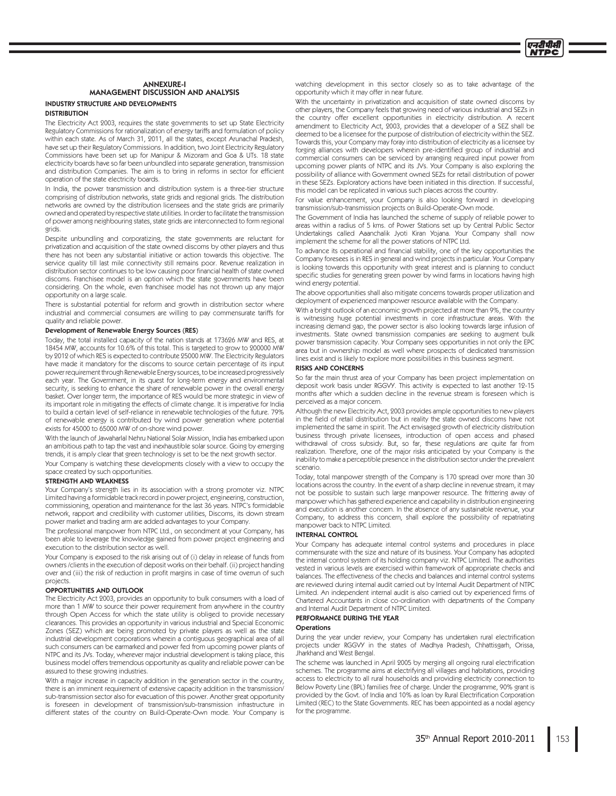# **ANNEXURE-I** MANAGEMENT DISCUSSION AND ANALYSIS **INDUSTRY STRUCTURE AND DEVELOPMENTS**

### **DISTRIBUTION**

The Electricity Act 2003, requires the state governments to set up State Electricity Regulatory Commissions for rationalization of energy tariffs and formulation of policy within each state. As of March 31, 2011, all the states, except Arunachal Pradesh, have set up their Regulatory Commissions. In addition, two Joint Electricity Regulatory Commissions have been set up for Manipur & Mizoram and Goa & UTs. 18 state electricity boards have so far been unbundled into separate generation, transmission and distribution Companies. The aim is to bring in reforms in sector for efficient operation of the state electricity boards.

In India, the power transmission and distribution system is a three-tier structure comprising of distribution networks, state grids and regional grids. The distribution networks are owned by the distribution licensees and the state grids are primarily owned and operated by respective state utilities. In order to facilitate the transmission of power among neighbouring states, state grids are interconnected to form regional grids

Despite unbundling and corporatizing, the state governments are reluctant for privatization and acquisition of the state owned discoms by other players and thus there has not been any substantial initiative or action towards this objective. The service quality till last mile connectivity still remains poor. Revenue realization in distribution sector continues to be low causing poor financial health of state owned discoms. Franchisee model is an option which the state governments have been considering. On the whole, even franchisee model has not thrown up any major opportunity on a large scale.

There is substantial potential for reform and growth in distribution sector where industrial and commercial consumers are willing to pay commensurate tariffs for quality and reliable power.

### Development of Renewable Energy Sources (RES)

Today, the total installed capacity of the nation stands at 173626 MW and RES, at 18454 MW, accounts for 10.6% of this total. This is targeted to grow to 200000 MW by 2012 of which RES is expected to contribute 25000 MW. The Electricity Regulators have made it mandatory for the discoms to source certain percentage of its input power requirement through Renewable Energy sources, to be increased progressively each year. The Government, in its quest for long-term energy and environmental security, is seeking to enhance the share of renewable power in the overall energy basket. Over longer term, the importance of RES would be more strategic in view of its important role in mitigating the effects of climate change. It is imperative for India to build a certain level of self-reliance in renewable technologies of the future. 79% of renewable energy is contributed by wind power generation where potential exists for 45000 to 65000 MW of on-shore wind power.

With the launch of Jawaharlal Nehru National Solar Mission, India has embarked upon an ambitious path to tap the vast and inexhaustible solar source. Going by emerging trends, it is amply clear that green technology is set to be the next growth sector.

Your Company is watching these developments closely with a view to occupy the space created by such opportunities.

### **STRENGTH AND WEAKNESS**

Your Company's strength lies in its association with a strong promoter viz. NTPC Limited having a formidable track record in power project, engineering, construction, commissioning, operation and maintenance for the last 36 years. NTPC's formidable network, rapport and credibility with customer utilities, Discoms, its down stream power market and trading arm are added advantages to your Company.

The professional manpower from NTPC Ltd., on secondment at your Company, has been able to leverage the knowledge gained from power project engineering and execution to the distribution sector as well.

Your Company is exposed to the risk arising out of (i) delay in release of funds from owners /clients in the execution of deposit works on their behalf. (ii) project handing over and (iii) the risk of reduction in profit margins in case of time overrun of such projects

### OPPORTUNITIES AND OUTLOOK

The Electricity Act 2003, provides an opportunity to bulk consumers with a load of more than 1 MW to source their power requirement from anywhere in the country through Open Access for which the state utility is obliged to provide necessary clearances. This provides an opportunity in various industrial and Special Economic Zones (SEZ) which are being promoted by private players as well as the state industrial development corporations wherein a contiguous geographical area of all such consumers can be earmarked and power fed from upcoming power plants of NTPC and its JVs. Today, wherever major industrial development is taking place, this business model offers tremendous opportunity as quality and reliable power can be assured to these growing industries.

With a major increase in capacity addition in the generation sector in the country, there is an imminent requirement of extensive capacity addition in the transmission/ sub-transmission sector also for evacuation of this power. Another great opportunity is foreseen in development of transmission/sub-transmission infrastructure in different states of the country on Build-Operate-Own mode. Your Company is watching development in this sector closely so as to take advantage of the opportunity which it may offer in near future.

प्रदर्शिक

With the uncertainty in privatization and acquisition of state owned discoms by other players, the Company feels that growing need of various industrial and SEZs in the country offer excellent opportunities in electricity distribution. A recent amendment to Electricity Act, 2003, provides that a developer of a SEZ shall be deemed to be a licensee for the purpose of distribution of electricity within the SEZ. Towards this, your Company may foray into distribution of electricity as a licensee by forging alliances with developers wherein pre-identified group of industrial and commercial consumers can be serviced by arranging required input power from upcoming power plants of NTPC and its JVs. Your Company is also exploring the possibility of alliance with Government owned SEZs for retail distribution of power in these SEZs. Exploratory actions have been initiated in this direction. If successful, this model can be replicated in various such places across the country

For value enhancement, your Company is also looking forward in developing transmission/sub-transmission projects on Build-Operate-Own mode.

The Government of India has launched the scheme of supply of reliable power to areas within a radius of 5 kms. of Power Stations set up by Central Public Sector Undertakings called Aaanchalik Jyoti Kiran Yojana. Your Company shall now implement the scheme for all the power stations of NTPC Ltd.

To advance its operational and financial stability, one of the key opportunities the Company foresees is in RES in general and wind projects in particular. Your Company is looking towards this opportunity with great interest and is planning to conduct specific studies for generating green power by wind farms in locations having high wind energy potential.

The above opportunities shall also mitigate concerns towards proper utilization and deployment of experienced manpower resource available with the Company.

With a bright outlook of an economic growth projected at more than 9%, the country is witnessing huge potential investments in core infrastructure areas. With the increasing demand gap, the power sector is also looking towards large infusion of investments. State owned transmission companies are seeking to augment bulk power transmission capacity. Your Company sees opportunities in not only the EPC area but in ownership model as well where prospects of dedicated transmission lines exist and is likely to explore more possibilities in this business segment.

### **RISKS AND CONCERNS**

So far the main thrust area of your Company has been project implementation on deposit work basis under RGGVY. This activity is expected to last another 12-15 months after which a sudden decline in the revenue stream is foreseen which is perceived as a maior concern.

Although the new Electricity Act, 2003 provides ample opportunities to new players in the field of retail distribution but in reality the state owned discoms have not implemented the same in spirit. The Act envisaged growth of electricity distribution business through private licensees, introduction of open access and phased withdrawal of cross subsidy. But, so far, these regulations are quite far from realization. Therefore, one of the major risks anticipated by your Company is the inability to make a perceptible presence in the distribution sector under the prevalent scenario.

Today, total manpower strength of the Company is 170 spread over more than 30 locations across the country. In the event of a sharp decline in revenue stream, it may not be possible to sustain such large manpower resource. The frittering away of manpower which has gathered experience and capability in distribution engineering and execution is another concern. In the absence of any sustainable revenue, your Company, to address this concern, shall explore the possibility of repatriating manpower back to NTPC Limited.

### **INTERNAL CONTROL**

Your Company has adequate internal control systems and procedures in place commensurate with the size and nature of its business. Your Company has adopted the internal control system of its holding company viz. NTPC Limited. The authorities vested in various levels are exercised within framework of appropriate checks and balances. The effectiveness of the checks and balances and internal control systems are reviewed during internal audit carried out by Internal Audit Department of NTPC Limited. An independent internal audit is also carried out by experienced firms of Chartered Accountants in close co-ordination with departments of the Company and Internal Audit Department of NTPC Limited.

### PERFORMANCE DURING THE YEAR

### **Operations**

During the year under review, your Company has undertaken rural electrification projects under RGGVY in the states of Madhya Pradesh, Chhattisgarh, Orissa, Jharkhand and West Bengal.

The scheme was launched in April 2005 by merging all ongoing rural electrification schemes. The programme aims at electrifying all villages and habitations, providing access to electricity to all rural households and providing electricity connection to Below Poverty Line (BPL) families free of charge. Under the programme, 90% grant is provided by the Govt. of India and 10% as loan by Rural Electrification Corporation Limited (REC) to the State Governments. REC has been appointed as a nodal agency for the programme.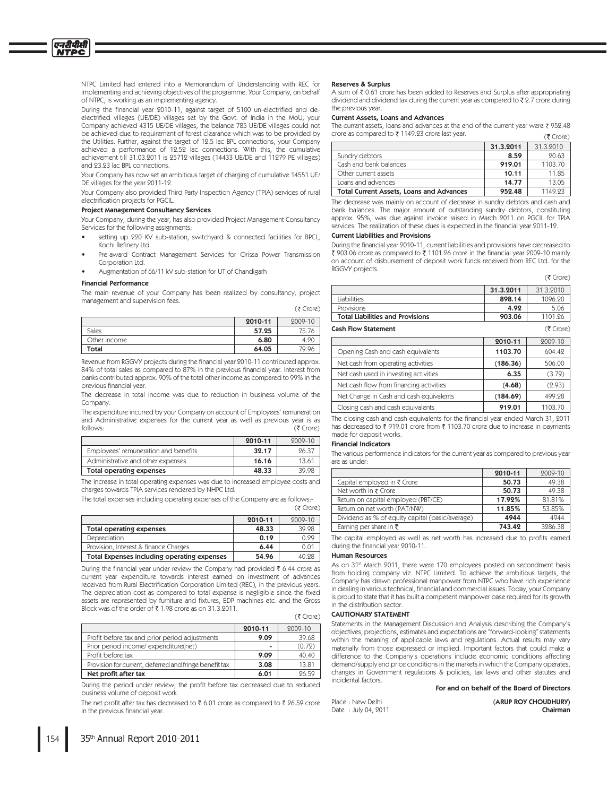NTPC Limited had entered into a Memorandum of Understanding with REC for implementing and achieving objectives of the programme. Your Company, on behalf of NTPC, is working as an implementing agency.

During the financial year 2010-11, against target of 5100 un-electrified and deelectrified villages (UE/DE) villages set by the Govt. of India in the MoU, your Company achieved 4315 UE/DE villages, the balance 785 UE/DE villages could not be achieved due to requirement of forest clearance which was to be provided by the Utilities. Further, against the target of 12.5 lac BPL connections, your Company achieved a performance of 19.52 lac connections. With this, the cumulative<br>achievement till 31.03.9011 is 95719 villages (14433 UE/DE and 11979 PE villages) and 23.23 lac BPL connections.

Your Company has now set an ambitious target of charging of cumulative 14551 UE/ DE villages for the year 2011-12.

Your Company also provided Third Party Inspection Agency (TPIA) services of rural electrification projects for PGCIL.

### **Project Management Consultancy Services**

Your Company, during the year, has also provided Project Management Consultancy Services for the following assignments:

- setting up 220 KV sub-station, switchyard & connected facilities for BPCL, Kochi Refinery Ltd.
- Pre-award Contract Management Services for Orissa Power Transmission Corporation Ltd.
- Augmentation of 66/11 kV sub-station for UT of Chandigarh

### **Financial Performance**

एनदीपीसी **NTPC** 

> The main revenue of your Company has been realized by consultancy, project management and supervision fees.  $(7$  Crore)

|              |         | $\sqrt{2}$ |
|--------------|---------|------------|
|              | 2010-11 | 2009-10    |
| Sales        | 57.25   | 75.76      |
| Other income | 6.80    | 4.20       |
| Total        | 64.05   | 79.96      |

Revenue from RGGVY projects during the financial year 2010-11 contributed approx. 84% of total sales as compared to 87% in the previous financial year. Interest from banks contributed approx. 90% of the total other income as compared to 99% in the previous financial year.

The decrease in total income was due to reduction in business volume of the Company.

The expenditure incurred by your Company on account of Employees' remuneration and Administrative expenses for the current year as well as previous year is as follows: (₹ Crore)

|                                      | 2010-11 | 2009-10 |
|--------------------------------------|---------|---------|
| Employees' remuneration and benefits | 32.17   | 96.37   |
| Administrative and other expenses    | 16.16   | 13.61   |
| Total operating expenses             | 48.33   | 39 98   |

The increase in total operating expenses was due to increased employee costs and charges towards TPIA services rendered by NHPC Ltd.

The total expenses including operating expenses of the Company are as follows:-

|                                             |         | UN CIVIL. |
|---------------------------------------------|---------|-----------|
|                                             | 2010-11 | 2009-10   |
| Total operating expenses                    | 48.33   | 39.98     |
| Depreciation                                | 0.19    | 0.99      |
| Provision, Interest & finance Charges       | 6.44    | 0.01      |
| Total Expenses including operating expenses | 54.96   | 40.98     |

During the financial year under review the Company had provided  $\bar{\tau}$  6.44 crore as current year expenditure towards interest earned on investment of advances received from Rural Electrification Corporation Limited (REC), in the previous years. The depreciation cost as compared to total expense is negligible since the fixed assets are represented by furniture and fixtures, EDP machines etc. and the Gross Block was of the order of ₹1.98 crore as on 31.3.2011.

|                                                        | 2010-11 | 2009-10 |
|--------------------------------------------------------|---------|---------|
| Profit before tax and prior period adjustments         | 9.09    | 39.68   |
| Prior period income/expenditure(net)                   | ۰       | (0.72)  |
| Profit before tax                                      | 9.09    | 40.40   |
| Provision for current, deferred and fringe benefit tax | 3.08    | 13.81   |
| Net profit after tax                                   | 6.01    | 96.59   |

During the period under review, the profit before tax decreased due to reduced business volume of deposit work.

The net profit after tax has decreased to ₹ 6.01 crore as compared to ₹ 26.59 crore in the previous financial year

### **Reserves & Surplus**

A sum of ₹ 0.61 crore has been added to Reserves and Surplus after appropriating dividend and dividend tax during the current year as compared to ₹2.7 crore during the previous year

### Current Assets, Loans and Advances

The current assets, loans and advances at the end of the current year were  $\bar{\tau}$  952.48 crore as compared to ₹1149.23 crore last year.  $(3$  Crore)

|                                                 | 31.3.2011 | 31.3.2010 |
|-------------------------------------------------|-----------|-----------|
| Sundry debtors                                  | 8.59      | 20.63     |
| Cash and bank balances                          | 919.01    | 1103.70   |
| Other current assets                            | 10.11     | 11.85     |
| Loans and advances                              | 14.77     | 13.05     |
| <b>Total Current Assets, Loans and Advances</b> | 952.48    | 1149.93   |

The decrease was mainly on account of decrease in sundry debtors and cash and bank balances. The major amount of outstanding sundry debtors, constituting approx. 95%, was due against invoice raised in March 2011 on PGCIL for TPIA services. The realization of these dues is expected in the financial year 2011-12.

### **Current Liabilities and Provisions**

During the financial year 2010-11, current liabilities and provisions have decreased to ₹ 903.06 crore as compared to ₹ 1101.26 crore in the financial year 2009-10 mainly on account of disbursement of deposit work funds received from REC Ltd. for the RGGVY projects.

 $(3$  Crore)

|                                         | 31.3.2011 | 31.3.2010   |
|-----------------------------------------|-----------|-------------|
| Liabilities                             | 898.14    | 1096.20     |
| Provisions                              | 4.92      | 5.06        |
| <b>Total Liabilities and Provisions</b> | 903.06    | 1101.26     |
| <b>Cash Flow Statement</b>              |           | $(5$ Crore) |
|                                         | 2010-11   | 2009-10     |
| Opening Cash and cash equivalents       | 1103.70   | 604.49      |
| Net cash from operating activities      | (186.36)  | 506.00      |
| Net cash used in investing activities   | 6.35      | (3.79)      |
| Net cash flow from financing activities | (4.68)    | (2.93)      |
| Net Change in Cash and cash equivalents | (184.69)  | 499.28      |
| Closing cash and cash equivalents       | 919.01    | 1103.70     |

The closing cash and cash equivalents for the financial year ended March 31, 2011 has decreased to ₹ 919.01 crore from ₹ 1103.70 crore due to increase in payments made for deposit works.

### **Financial Indicators**

The various performance indicators for the current year as compared to previous year are as under:

|                                                 | 2010-11 | 2009-10 |
|-------------------------------------------------|---------|---------|
| Capital employed in ₹ Crore                     | 50.73   | 49.38   |
| Net worth in ₹ Crore                            | 50.73   | 49.38   |
| Return on capital employed (PBT/CE)             | 17.92%  | 81.81%  |
| Return on net worth (PAT/NW)                    | 11.85%  | 53.85%  |
| Dividend as % of equity capital (basic/average) | 4944    | 4944    |
| Earning per share in $\bar{\tau}$               | 743.42  | 3286.38 |

The capital employed as well as net worth has increased due to profits earned during the financial year 2010-11.

### **Human Resources**

As on 31<sup>st</sup> March 2011, there were 170 employees posted on secondment basis from holding company viz. NTPC Limited. To achieve the ambitious targets, the Company has drawn professional manpower from NTPC who have rich experience in dealing in various technical, financial and commercial issues. Today, your Company is proud to state that it has built a competent manpower base required for its growth in the distribution sector.

### **CAUTIONARY STATEMENT**

 $(5$  Crore)

Statements in the Management Discussion and Analysis describing the Company's objectives, projections, estimates and expectations are "forward-looking" statements within the meaning of applicable laws and regulations. Actual results may vary materially from those expressed or implied. Important factors that could make a difference to the Company's operations include economic conditions affecting demand/supply and price conditions in the markets in which the Company operates. changes in Government regulations & policies, tax laws and other statutes and incidental factors.

### For and on behalf of the Board of Directors

Place : New Delhi Date: July 04, 2011 (ARUP ROY CHOUDHURY) Chairman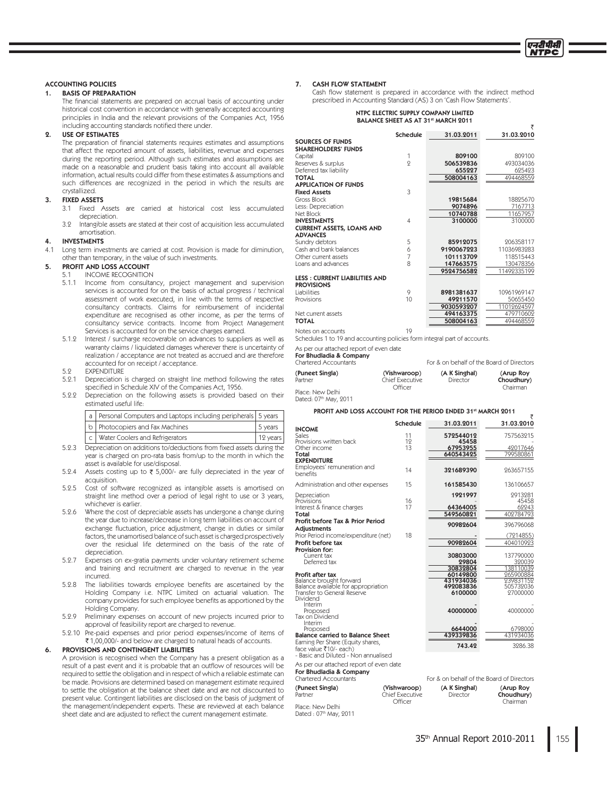₹

### **ACCOUNTING POLICIES**

### **BASIS OF PREPARATION**  $\mathbf 1$ .

The financial statements are prepared on accrual basis of accounting under historical cost convention in accordance with generally accepted accounting principles in India and the relevant provisions of the Companies Act, 1956 including accounting standards notified there under.

#### **USE OF ESTIMATES**  $\mathbf{Q}$

The preparation of financial statements requires estimates and assumptions that affect the reported amount of assets, liabilities, revenue and expenses during the reporting period. Although such estimates and assumptions are made on a reasonable and prudent basis taking into account all available information, actual results could differ from these estimates & assumptions and such differences are recognized in the period in which the results are crystallized.

#### **FIXED ASSETS**  $3<sub>1</sub>$

- Fixed Assets are carried at historical cost less accumulated  $3.1$ depreciation.
- 39 Intangible assets are stated at their cost of acquisition less accumulated amortisation.

### **INVESTMENTS**

 $4.1$ Long term investments are carried at cost. Provision is made for diminution, other than temporary, in the value of such investments.

#### **PROFIT AND LOSS ACCOUNT** 5.

#### **INCOME RECOGNITION**  $51$

- $5.1.1$ Income from consultancy, project management and supervision services is accounted for on the basis of actual progress / technical assessment of work executed, in line with the terms of respective consultancy contracts. Claims for reimbursement of incidental expenditure are recognised as other income, as per the terms of consultancy service contracts. Income from Project Management Services is accounted for on the service charges earned.
- 5.1.2 Interest / surcharge recoverable on advances to suppliers as well as warranty claims / liquidated damages wherever there is uncertainty of realization / acceptance are not treated as accrued and are therefore accounted for on receipt / acceptance.
- 5.2 **EXPENDITURE**
- $5.9.1$ Depreciation is charged on straight line method following the rates specified in Schedule XIV of the Companies Act, 1956.
- 5.2.2 Depreciation on the following assets is provided based on their estimated useful life:

|  | a   Personal Computers and Laptops including peripherals   5 years |            |
|--|--------------------------------------------------------------------|------------|
|  | b   Photocopiers and Fax Machines                                  | 5 years    |
|  | c   Water Coolers and Refrigerators                                | $12$ years |

- 5.2.3 Depreciation on additions to/deductions from fixed assets during the year is charged on pro-rata basis from/up to the month in which the asset is available for use/disposal.
- $5.9.4$ Assets costing up to  $\bar{\tau}$  5,000/- are fully depreciated in the year of acquisition.
- $5.2.5$ Cost of software recognized as intangible assets is amortised on straight line method over a period of legal right to use or 3 years, whichever is earlier.
- 5.2.6 Where the cost of depreciable assets has undergone a change during the year due to increase/decrease in long term liabilities on account of exchange fluctuation, price adjustment, change in duties or similar factors, the unamortised balance of such asset is charged prospectively over the residual life determined on the basis of the rate of depreciation.
- 5.2.7 Expenses on ex-gratia payments under voluntary retirement scheme and training and recruitment are charged to revenue in the year incurred.
- 5.2.8 The liabilities towards employee benefits are ascertained by the Holding Company i.e. NTPC Limited on actuarial valuation. The company provides for such employee benefits as apportioned by the Holding Company.
- 5.9.9 Preliminary expenses on account of new projects incurred prior to approval of feasibility report are charged to revenue.
- 5.2.10 Pre-paid expenses and prior period expenses/income of items of ₹1,00,000/- and below are charged to natural heads of accounts.

#### PROVISIONS AND CONTINGENT LIABILITIES 6.

A provision is recognised when the Company has a present obligation as a result of a past event and it is probable that an outflow of resources will be required to settle the obligation and in respect of which a reliable estimate can be made. Provisions are determined based on management estimate required to settle the obligation at the balance sheet date and are not discounted to present value. Contingent liabilities are disclosed on the basis of judgment of the management/independent experts. These are reviewed at each balance sheet date and are adjusted to reflect the current management estimate.

#### **CASH FLOW STATEMENT**  $\overline{7}$ .

Cash flow statement is prepared in accordance with the indirect method prescribed in Accounting Standard (AS) 3 on 'Cash Flow Statements'

### NTPC ELECTRIC SUPPLY COMPANY LIMITED BALANCE SHEET AS AT 31<sup>st</sup> MARCH 2011

|                                      | <b>Schedule</b> | 31.03.2011 | 31.03.2010  |
|--------------------------------------|-----------------|------------|-------------|
| <b>SOURCES OF FUNDS</b>              |                 |            |             |
| <b>SHAREHOLDERS' FUNDS</b>           |                 |            |             |
| Capital                              | 1               | 809100     | 809100      |
| Reserves & surplus                   | 9               | 506539836  | 493034036   |
| Deferred tax liability               |                 | 655227     | 625423      |
| <b>TOTAL</b>                         |                 | 508004163  | 494468559   |
| <b>APPLICATION OF FUNDS</b>          |                 |            |             |
| <b>Fixed Assets</b>                  | 3               |            |             |
| Gross Block                          |                 | 19815684   | 18825670    |
| Less: Depreciation                   |                 | 9074896    | 7167713     |
| Net Block                            |                 | 10740788   | 11657957    |
| <b>INVESTMENTS</b>                   | $\overline{4}$  | 3100000    | 3100000     |
| <b>CURRENT ASSETS, LOANS AND</b>     |                 |            |             |
| <b>ADVANCES</b>                      |                 |            |             |
| Sundry debtors                       | 5               | 85912075   | 206358117   |
| Cash and bank balances               | 6               | 9190067223 | 11036983283 |
| Other current assets                 | $\overline{7}$  | 101113709  | 118515443   |
| Loans and advances                   | 8               | 147663575  | 130478356   |
|                                      |                 | 9524756582 | 11492335199 |
| <b>LESS: CURRENT LIABILITIES AND</b> |                 |            |             |
| <b>PROVISIONS</b>                    |                 |            |             |
| Liabilities                          | 9               | 8981381637 | 10961969147 |
| Provisions                           | 10              | 49211570   | 50655450    |
|                                      |                 | 9030593207 | 11012624597 |
| Net current assets                   |                 | 494163375  | 479710602   |
| <b>TOTAL</b>                         |                 | 508004163  | 494468559   |
|                                      |                 |            |             |

Notes on accounts

Place: N

Schedules 1 to 19 and accounting policies form integral part of accounts.

As per our attached report of even date

For Bhudladia & Company

| <u>TUL DITUGHUGHU GʻILIDULIY</u><br>Chartered Accountants |                  | For & on behalf of the Board of Directors |            |
|-----------------------------------------------------------|------------------|-------------------------------------------|------------|
| (Puneet Singla)                                           | (Vishwaroop)     | (A K Singhal)                             | (Arup Roy  |
| Partner                                                   | Chief Executive. | Director                                  | Choudhury) |

| $\sim$    | Chief Executive | Director | Choudhur |
|-----------|-----------------|----------|----------|
|           | Officer         |          | Chairman |
| lew Delhi |                 |          |          |

Dated: 07th May, 2011

### PROFIT AND LOSS ACCOUNT FOR THE PERIOD ENDED 31st MARCH 2011

|                                                                    | Schedule | 31.03.2011           | 31.03.2010             |
|--------------------------------------------------------------------|----------|----------------------|------------------------|
| <b>INCOME</b><br>Sales                                             | 11       | 572544012            | 757563215              |
| Provisions written back<br>Other income                            | 19<br>13 | 45458<br>67953955    | 42017646               |
| Total<br><b>EXPENDITURE</b>                                        |          | 640543425            | 799580861              |
| Employees' remuneration and<br>benefits                            | 14       | 321689390            | 963657155              |
| Administration and other expenses                                  | 15       | 161585430            | 136106657              |
| Depreciation                                                       |          | 1921997              | 2913281                |
| Provisions<br>Interest & finance charges                           | 16<br>17 | 64364005             | 45458<br>62243         |
| Total                                                              |          | 549560821            | 402784793              |
| Profit before Tax & Prior Period<br>Adjustments                    |          | 90982604             | 396796068              |
| Prior Period income/expenditure (net)                              | 18       |                      | (7214855)              |
| Profit before tax                                                  |          | 90982604             | 404010923              |
| Provision for:<br>Current tax<br>Deferred tax                      |          | 30803000<br>29804    | 137790000<br>320039    |
| Profit after tax                                                   |          | 30832804<br>60149800 | 138110039<br>965900884 |
| Balance brought forward                                            |          | 431934036            | 239831152              |
| Balance available for appropriation<br>Transfer to General Reserve |          | 492083836<br>6100000 | 505732036<br>27000000  |
| Dividend                                                           |          |                      |                        |
| Interim<br>Proposed<br>Tax on Dividend                             |          | 40000000             | 40000000               |
| Interim                                                            |          |                      |                        |
| Proposed<br><b>Balance carried to Balance Sheet</b>                |          | 6644000<br>439339836 | 6798000<br>431934036   |
| Earning Per Share (Equity shares,                                  |          | 743.42               | 3286.38                |
| face value ₹10/- each)<br>- Rasic and Diluted - Non annualised     |          |                      |                        |

| For Bhudladia & Company<br>Chartered Accountants |                 | For & on behalf of the Board of Director |            |
|--------------------------------------------------|-----------------|------------------------------------------|------------|
| (Puneet Singla)                                  | (Vishwaroop)    | (A K Singhal)                            | (Arup Roy  |
| Partner                                          | Chief Executive | Director                                 | Choudhury) |
| Dlaca, Mau Dalbi,                                | Officer         |                                          | Chairman   |

Place: New Delhi<br>Dated : 07<sup>th</sup> May, 2011

As per our attached report of even date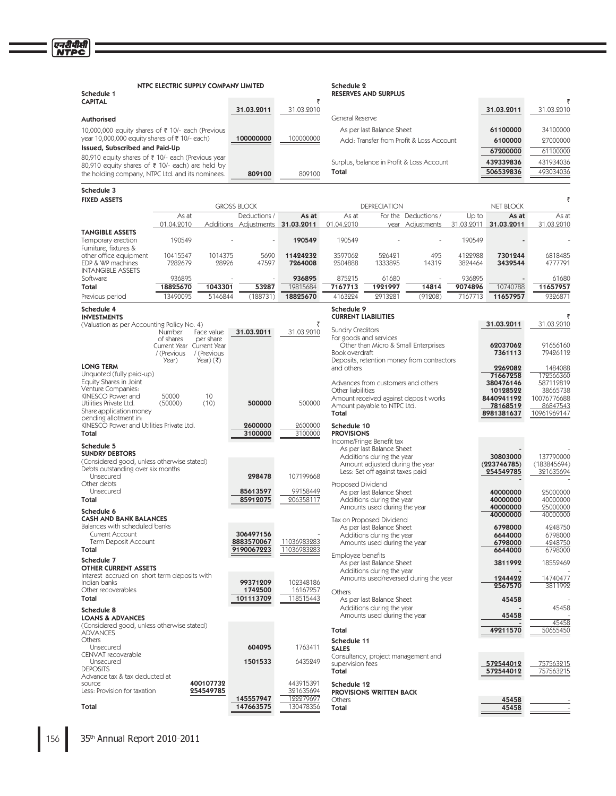| Schedule 1                                                                                           | NTPC ELECTRIC SUPPLY COMPANY LIMITED                                     |                                                               |                                  |                        | Schedule 2                               | <b>RESERVES AND SURPLUS</b>                                         |                                                                                    |                    |                          |                          |
|------------------------------------------------------------------------------------------------------|--------------------------------------------------------------------------|---------------------------------------------------------------|----------------------------------|------------------------|------------------------------------------|---------------------------------------------------------------------|------------------------------------------------------------------------------------|--------------------|--------------------------|--------------------------|
| <b>CAPITAL</b>                                                                                       |                                                                          |                                                               | 31.03.2011                       | ₹<br>31.03.2010        |                                          |                                                                     |                                                                                    |                    | 31.03.2011               | 31.03.2010               |
| Authorised                                                                                           |                                                                          |                                                               |                                  |                        | General Reserve                          |                                                                     |                                                                                    |                    |                          |                          |
| 10,000,000 equity shares of ₹ 10/- each (Previous                                                    |                                                                          |                                                               |                                  |                        |                                          | As per last Balance Sheet                                           |                                                                                    |                    | 61100000                 | 34100000                 |
| year 10,000,000 equity shares of ₹10/- each)                                                         |                                                                          |                                                               | 100000000                        | 100000000              |                                          |                                                                     | Add: Transfer from Profit & Loss Account                                           |                    | 6100000                  | 27000000                 |
| Issued, Subscribed and Paid-Up<br>80,910 equity shares of ₹ 10/- each (Previous year                 |                                                                          |                                                               |                                  |                        |                                          |                                                                     |                                                                                    |                    | 67200000                 | 61100000                 |
| 80,910 equity shares of ₹ 10/- each) are held by<br>the holding company, NTPC Ltd. and its nominees. |                                                                          |                                                               | 809100                           | 809100                 | Total                                    |                                                                     | Surplus, balance in Profit & Loss Account                                          |                    | 439339836<br>506539836   | 431934036<br>493034036   |
| Schedule 3                                                                                           |                                                                          |                                                               |                                  |                        |                                          |                                                                     |                                                                                    |                    |                          |                          |
| <b>FIXED ASSETS</b>                                                                                  |                                                                          |                                                               | <b>GROSS BLOCK</b>               |                        |                                          | <b>DEPRECIATION</b>                                                 |                                                                                    |                    | <b>NET BLOCK</b>         | ₹                        |
|                                                                                                      | As at                                                                    |                                                               | Deductions /                     | As at                  | As at                                    |                                                                     | For the Deductions /                                                               | Up to              | As at                    | As at                    |
| <b>TANGIBLE ASSETS</b>                                                                               | 01.04.2010                                                               |                                                               | Additions Adjustments 31.03.2011 |                        | 01.04.2010                               |                                                                     | year Adjustments                                                                   | 31.03.2011         | 31.03.2011               | 31.03.2010               |
| Temporary erection<br>Furniture, fixtures &                                                          | 190549                                                                   |                                                               |                                  | 190549                 | 190549                                   |                                                                     |                                                                                    | 190549             |                          |                          |
| other office equipment<br>EDP & WP machines<br><b>INTANGIBLE ASSETS</b>                              | 10415547<br>7282679                                                      | 1014375<br>28926                                              | 5690<br>47597                    | 11424232<br>7264008    | 3597062<br>2504888                       | 526421<br>1333895                                                   | 495<br>14319                                                                       | 4122988<br>3824464 | 7301244<br>3439544       | 6818485<br>4777791       |
| Software                                                                                             | 936895                                                                   |                                                               |                                  | 936895                 | 875215                                   | 61680                                                               |                                                                                    | 936895             |                          | 61680                    |
| Total<br>Previous period                                                                             | 18825670<br>13490095                                                     | 1043301<br>5146844                                            | 53287<br>(188731)                | 19815684<br>18825670   | 7167713<br>4163224                       | 1921997<br>2913281                                                  | 14814<br>(91208)                                                                   | 9074896<br>7167713 | 10740788<br>11657957     | 11657957<br>9326871      |
| Schedule 4<br><b>INVESTMENTS</b>                                                                     |                                                                          |                                                               |                                  |                        | Schedule 9<br><b>CURRENT LIABILITIES</b> |                                                                     |                                                                                    |                    |                          |                          |
| (Valuation as per Accounting Policy No. 4)                                                           |                                                                          |                                                               |                                  | ₹                      | <b>Sundry Creditors</b>                  |                                                                     |                                                                                    |                    | 31.03.2011               | 31.03.2010               |
|                                                                                                      | Number<br>of shares<br>Current Year Current Year<br>/ (Previous<br>Year) | Face value<br>per share<br>/ (Previous<br>$\text{Year}$ ) (₹) | 31.03.2011                       | 31.03.2010             | Book overdraft                           | For goods and services                                              | Other than Micro & Small Enterprises<br>Deposits, retention money from contractors |                    | 62037062<br>7361113      | 91656160<br>79426112     |
| <b>LONG TERM</b>                                                                                     |                                                                          |                                                               |                                  |                        | and others                               |                                                                     |                                                                                    |                    | 2269082                  | 1484088                  |
| Unquoted (fully paid-up)<br>Equity Shares in Joint                                                   |                                                                          |                                                               |                                  |                        |                                          | Advances from customers and others                                  |                                                                                    |                    | 71667258<br>380476146    | 172566360<br>587112819   |
| Venture Companies:<br>KINESCO Power and                                                              | 50000                                                                    | 10                                                            |                                  |                        | Other liabilities                        |                                                                     |                                                                                    |                    | 10128522<br>8440941192   | 38665738<br>10076776688  |
| Utilities Private Ltd.<br>Share application money                                                    | (50000)                                                                  | (10)                                                          | 500000                           | 500000                 | Total                                    | Amount payable to NTPC Ltd.                                         | Amount received against deposit works                                              |                    | 78168519<br>8981381637   | 86847543<br>10961969147  |
| pending allotment in:<br>KINESCO Power and Utilities Private Ltd.<br>Total                           |                                                                          |                                                               | 2600000<br>3100000               | 2600000<br>3100000     | Schedule 10<br><b>PROVISIONS</b>         |                                                                     |                                                                                    |                    |                          |                          |
| Schedule 5                                                                                           |                                                                          |                                                               |                                  |                        |                                          | Income/Fringe Benefit tax<br>As per last Balance Sheet              |                                                                                    |                    |                          |                          |
| <b>SUNDRY DEBTORS</b><br>(Considered good, unless otherwise stated)                                  |                                                                          |                                                               |                                  |                        |                                          | Additions during the year                                           |                                                                                    |                    | 30803000                 | 137790000                |
| Debts outstanding over six months                                                                    |                                                                          |                                                               |                                  |                        |                                          | Amount adjusted during the year<br>Less: Set off against taxes paid |                                                                                    |                    | (223746785)<br>254549785 | (183845694)<br>321635694 |
| Unsecured<br>Other debts                                                                             |                                                                          |                                                               | 298478                           | 107199668              | Proposed Dividend                        |                                                                     |                                                                                    |                    |                          |                          |
| Unsecured                                                                                            |                                                                          |                                                               | 85613597                         | 99158449               |                                          | As per last Balance Sheet                                           |                                                                                    |                    | 40000000                 | 25000000                 |
| Total                                                                                                |                                                                          |                                                               | 85912075                         | 206358117              |                                          | Additions during the year<br>Amounts used during the year           |                                                                                    |                    | 40000000<br>40000000     | 40000000<br>25000000     |
| Schedule 6<br><b>CASH AND BANK BALANCES</b>                                                          |                                                                          |                                                               |                                  |                        |                                          | Tax on Proposed Dividend                                            |                                                                                    |                    | 40000000                 | 40000000                 |
| Balances with scheduled banks<br>Current Account                                                     |                                                                          |                                                               | 306497156                        |                        |                                          | As per last Balance Sheet<br>Additions during the year              |                                                                                    |                    | 6798000<br>6644000       | 4248750<br>6798000       |
| Term Deposit Account                                                                                 |                                                                          |                                                               | 8883570067                       | 11036983283            |                                          | Amounts used during the year                                        |                                                                                    |                    | 6798000                  | 4248750                  |
| Total                                                                                                |                                                                          |                                                               | 9190067223                       | 11036983283            | Employee benefits                        |                                                                     |                                                                                    |                    | 6644000                  | 6798000                  |
| Schedule 7<br><b>OTHER CURRENT ASSETS</b>                                                            |                                                                          |                                                               |                                  |                        |                                          | As per last Balance Sheet<br>Additions during the year              |                                                                                    |                    | 3811992                  | 18552469                 |
| Interest accrued on short term deposits with<br>Indian banks<br>Other recoverables                   |                                                                          |                                                               | 99371209<br>1742500              | 102348186<br>16167257  |                                          |                                                                     | Amounts used/reversed during the year                                              |                    | 1244422<br>2567570       | 14740477<br>3811992      |
| Total                                                                                                |                                                                          |                                                               | 101113709                        | 118515443              | Others                                   | As per last Balance Sheet                                           |                                                                                    |                    | 45458                    |                          |
| Schedule 8<br><b>LOANS &amp; ADVANCES</b>                                                            |                                                                          |                                                               |                                  |                        |                                          | Additions during the year<br>Amounts used during the year           |                                                                                    |                    | 45458                    | 45458                    |
| (Considered good, unless otherwise stated)<br><b>ADVANCES</b>                                        |                                                                          |                                                               |                                  |                        | Total                                    |                                                                     |                                                                                    |                    | 49211570                 | 45458<br>50655450        |
| Others<br>Unsecured                                                                                  |                                                                          |                                                               | 604095                           | 1763411                | Schedule 11<br><b>SALES</b>              |                                                                     |                                                                                    |                    |                          |                          |
| CENVAT recoverable<br>Unsecured                                                                      |                                                                          |                                                               | 1501533                          | 6435249                | supervision fees                         | Consultancy, project management and                                 |                                                                                    |                    | 572544012                | 757563215                |
| <b>DEPOSITS</b><br>Advance tax & tax deducted at                                                     |                                                                          |                                                               |                                  |                        | Total                                    |                                                                     |                                                                                    |                    | 572544012                | 757563215                |
| source<br>Less: Provision for taxation                                                               |                                                                          | 400107732<br>254549785                                        |                                  | 443915391<br>321635694 | Schedule 12                              | PROVISIONS WRITTEN BACK                                             |                                                                                    |                    |                          |                          |
|                                                                                                      |                                                                          |                                                               | 145557947                        | 122279697              | Others                                   |                                                                     |                                                                                    |                    | 45458                    |                          |
| Total                                                                                                |                                                                          |                                                               | 147663575                        | 130478356              | Total                                    |                                                                     |                                                                                    |                    | 45458                    |                          |

एनटीपीसी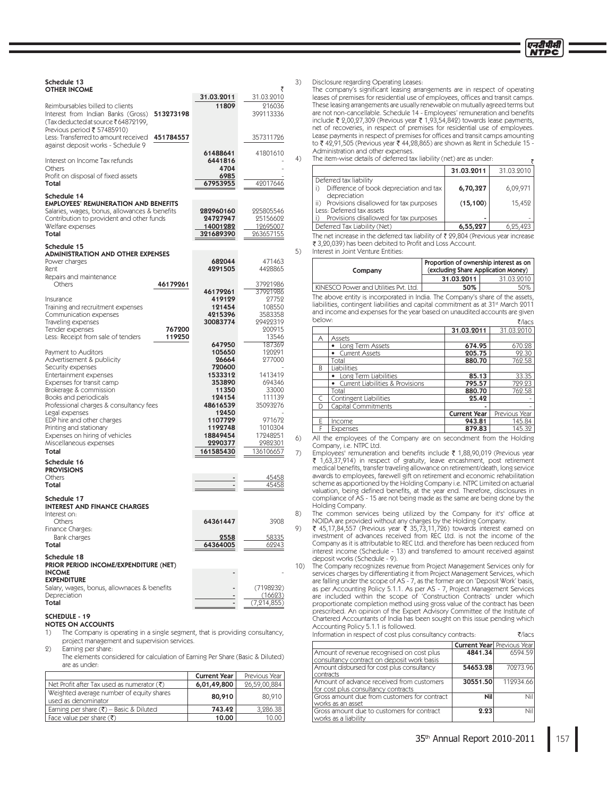

 $\overline{z}$ 

| Schedule 13<br><b>OTHER INCOME</b>                                                                                                                                                       | 31.03.2011                                                          | ₹<br>31.03.2010                                           | 3)       |
|------------------------------------------------------------------------------------------------------------------------------------------------------------------------------------------|---------------------------------------------------------------------|-----------------------------------------------------------|----------|
| Reimbursables billed to clients<br>Interest from Indian Banks (Gross)<br>513273198<br>(Tax deducted at source ₹64872199,<br>Previous period ₹ 57485910)                                  | 11809                                                               | 216036<br>399113336                                       |          |
| Less: Transferred to amount received<br>451784557<br>against deposit works - Schedule 9                                                                                                  |                                                                     | 357311726                                                 |          |
| Interest on Income Tax refunds<br>Others<br>Profit on disposal of fixed assets<br>Total                                                                                                  | 61488641<br>6441816<br>4704<br>6985<br>67953955                     | 41801610<br>42017646                                      | 4)       |
| Schedule 14<br><b>EMPLOYEES' REMUNERATION AND BENEFITS</b>                                                                                                                               |                                                                     |                                                           |          |
| Salaries, wages, bonus, allowances & benefits<br>Contribution to provident and other funds<br>Welfare expenses<br>Total                                                                  | 282960160<br>24727947<br>14001282<br>321689390                      | 225805546<br>25156602<br>12695007<br>263657155            |          |
| Schedule 15<br><b>ADMINISTRATION AND OTHER EXPENSES</b>                                                                                                                                  |                                                                     |                                                           | 5)       |
| Power charges<br>Rent<br>Repairs and maintenance                                                                                                                                         | 682044<br>4291505                                                   | 471463<br>4428865                                         |          |
| 46179261<br>Others                                                                                                                                                                       | 46179261                                                            | 37921986<br>37921986                                      |          |
| Insurance<br>Training and recruitment expenses<br>Communication expenses<br>Traveling expenses<br>Tender expenses<br>767200<br>Less: Receipt from sale of tenders<br>119250              | 419129<br>121454<br>4215396<br>30083774                             | 27752<br>108550<br>3583358<br>29422319<br>200915<br>13546 |          |
| Payment to Auditors<br>Advertisement & publicity                                                                                                                                         | 647950<br>105650<br>26664                                           | 187369<br>120291<br>277000                                |          |
| Security expenses<br>Entertainment expenses<br>Expenses for transit camp<br>Brokerage & commission<br>Books and periodicals<br>Professional charges & consultancy fees<br>Legal expenses | 720600<br>1533312<br>353890<br>11350<br>124154<br>48616539<br>12450 | 1413419<br>694346<br>33000<br>111139<br>35093276          |          |
| EDP hire and other charges<br>Printing and stationary<br>Expenses on hiring of vehicles                                                                                                  | 1107729<br>1192748<br>18849454                                      | 971672<br>1010304<br>17248251                             |          |
| Miscellaneous expenses<br>Total                                                                                                                                                          | 2290377<br>161585430                                                | 2982301<br>136106657                                      | 6)       |
| Schedule 16                                                                                                                                                                              |                                                                     |                                                           | 7)       |
| <b>PROVISIONS</b><br>Others<br>Total                                                                                                                                                     |                                                                     | 45458<br>45458                                            |          |
| Schedule 17<br><b>INTEREST AND FINANCE CHARGES</b>                                                                                                                                       |                                                                     |                                                           |          |
| Interest on:<br>Others                                                                                                                                                                   | 64361447                                                            | 3908                                                      | 8)<br>9) |
| Finance Charges:<br>Bank charges<br>Total                                                                                                                                                | 2558<br>64364005                                                    | 58335<br>62243                                            |          |
| Schedule 18<br>PRIOR PERIOD INCOME/EXPENDITURE (NET)<br><b>INCOME</b>                                                                                                                    |                                                                     |                                                           | 10)      |
| <b>EXPENDITURE</b><br>Salary, wages, bonus, allownaces & benefits<br>Depreciation<br>Total                                                                                               |                                                                     | (7198232)<br>(16623)<br>(7, 214, 855)                     |          |

# SCHEDULE - 19

NOTES ON ACCOUNTS

 $1)$ The Company is operating in a single segment, that is providing consultancy, project management and supervision services.

 $9)$ Earning per share:

The elements considered for calculation of Earning Per Share (Basic & Diluted) are as under:

|                                                                 | <b>Current Year</b> | Previous Year |
|-----------------------------------------------------------------|---------------------|---------------|
| । Net Profit after Tax used as numerator (₹)                    | 6,01,49,800         | 26,59,00,884  |
| Weighted average number of equity shares<br>used as denominator | 80,910              | 80,910        |
| Earning per share $(\overline{\zeta})$ – Basic & Diluted        | 743.42              | 3,286.38      |
| Face value per share $(\bar{\tau})$                             | 10.00               | 10.00         |

Disclosure regarding Operating Leases:

The company's significant leasing arrangements are in respect of operating leases of premises for residential use of employees, offices and transit camps. These leasing arrangements are usually renewable on mutually agreed terms but are not non-cancellable. Schedule 14 - Employees' remuneration and benefits<br>include ₹ 2,00,27,309 (Previous year ₹ 1,93,54,842) towards lease payments, net of recoveries, in respect of premises for residential use of employees. Lease payments in respect of premises for offices and transit camps amounting to ₹ 42,91,505 (Previous year ₹ 44,28,865) are shown as Rent in Schedule 15 -Administration and other expenses.

The item-wise details of deferred tax liability (net) are as under:

|                                                                                                                      | 31.03.2011 | 31.03.2010 |
|----------------------------------------------------------------------------------------------------------------------|------------|------------|
| Deferred tax liability<br>Difference of book depreciation and tax<br>depreciation                                    | 6,70,327   | 6,09,971   |
| Provisions disallowed for tax purposes<br>ii)<br>Less: Deferred tax assets<br>Provisions disallowed for tax purposes | (15, 100)  | 15,452     |
| Deferred Tax Liability (Net)                                                                                         | 6,55,227   | 0,25,423   |

The net increase in the deferred tax liability of  $\bar{\tau}$  29,804 (Previous year increase ₹ 3,20,039) has been debited to Profit and Loss Account.

Interest in Joint Venture Entities:

| Company                               | Proportion of ownership interest as on<br>(excluding Share Application Money) |            |  |
|---------------------------------------|-------------------------------------------------------------------------------|------------|--|
|                                       | 31.03.2011                                                                    | 31.03.2010 |  |
| KINESCO Power and Utilities Pvt. Ltd. | 50%                                                                           | 50%        |  |

The above entity is incorporated in India. The Company's share of the assets, liabilities, contingent liabilities and capital commitment as at 31<sup>st</sup> March 2011 and income and expenses for the year based on unaudited accounts are given below:  $\frac{3}{2}$ /lace

|   |                                               |                     | vid C         |
|---|-----------------------------------------------|---------------------|---------------|
|   |                                               | 31.03.2011          | 31.03.2010    |
| Α | Assets                                        |                     |               |
|   | • Long Term Assets                            | 674.95              | 670.28        |
|   | • Current Assets                              | 205.75              | 92.30         |
|   | Total                                         | 880.70              | 762.58        |
| R | Liabilities                                   |                     |               |
|   | • Long Term Liabilities                       | 85.13               | 33.35         |
|   | Current Liabilities & Provisions<br>$\bullet$ | 795.57              | 729.23        |
|   | Total                                         | 880.70              | 762.58        |
| C | Contingent Liabilities                        | 25.42               |               |
| D | Capital Commitments                           |                     |               |
|   |                                               | <b>Current Year</b> | Previous Year |
| E | Income                                        | 943.81              | 145.84        |
|   | Expenses                                      | 879.83              | 145.32        |

All the employees of the Company are on secondment from the Holding Company, i.e. NTPC Ltd.

Employees' remuneration and benefits include ₹ 1,88,90,019 (Previous year ₹ 1,63,37,914) in respect of gratuity, leave encashment, post retirement<br>medicalbenefits,transfertraveling allowance on retirement/death, long service<br>awards to employees, farewell gift on retirement and economic rehabili scheme as apportioned by the Holding Company i.e. NTPC Limited on actuarial valuation, being defined benefits, at the year end. Therefore, disclosures in compliance of AS - 15 are not being made as the same are being done by the Holding Company.

The common services being utilized by the Company for it's' office at<br>NOIDA are provided without any charges by the Holding Company.<br>₹ 45,17,84,557 (Previous year ₹ 35,73,11,726) towards interest earned on

investment of advances received from REC Ltd. is not the income of the Company as it is attributable to REC Ltd. and therefore has been reduced from interest income (Schedule - 13) and transferred to amount received against deposit works (Schedule - 9).

The Company recognizes revenue from Project Management Services only for The company reception of the main registrating simulation changes by differentiating it from Project Management Services, which are falling under the scope of AS - 7, as the former are on 'Deposit Work' basis, as per Accounting Policy 5.1.1. As per AS - 7, Project Management Services are included within the scope of 'Construction Contracts' under which proportionate completion method using gross value of the contract has been prescribed. An opinion of the Expert Advisory Committee of the Institute of Chartered Accountants of India has been sought on this issue pending which Accounting Policy 5.1.1 is followed.

Information in respect of cost plus consultancy contracts: ₹/lacs

|                                                                                         | <b>Current Year</b> Previous Year |           |
|-----------------------------------------------------------------------------------------|-----------------------------------|-----------|
| Amount of revenue recognised on cost plus<br>consultancy contract on deposit work basis | 4841.34                           | 6594.59   |
| Amount disbursed for cost plus consultancy<br>contracts                                 | 54653.28                          | 70973.96  |
| Amount of advance received from customers<br>for cost plus consultancy contracts        | 30551.50                          | 112934.66 |
| Gross amount due from customers for contract<br>works as an asset                       | Nil                               | Nil       |
| Gross amount due to customers for contract<br>works as a liability                      | 2.23                              | Nil       |
|                                                                                         |                                   |           |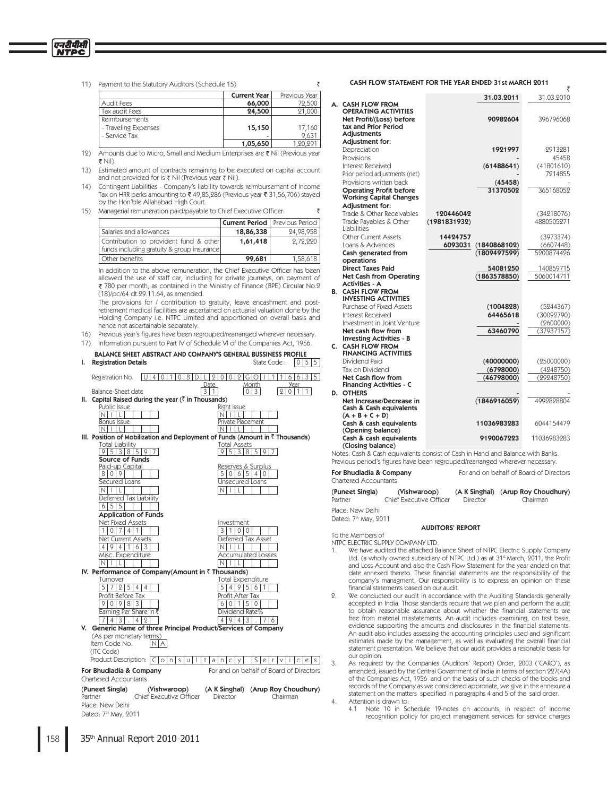11) Payment to the Statutory Auditors (Schedule 15)

एनदीपीसी **NTPC** 

|                      | <b>Current Year</b> | Previous Year |
|----------------------|---------------------|---------------|
| Audit Fees           | 66,000              | 72,500        |
| Tax audit Fees       | 24,500              | 21,000        |
| Reimbursements       |                     |               |
| - Traveling Expenses | 15,150              | 17,160        |
| - Service Tax        |                     | 9.631         |
|                      | 1 05 650            | 90.901        |

 $\overline{z}$ 

₹

 $12)$ Amounts due to Micro, Small and Medium Enterprises are ₹ Nil (Previous year ₹ Nil).

 $13)$ Estimated amount of contracts remaining to be executed on capital account and not provided for is ₹ Nil (Previous year ₹ Nil).

14) Contingent Liabilities - Company's liability towards reimbursement of Income<br>Tax on HRR perks amounting to ₹49,85,286 (Previous year ₹31,56,706) stayed by the Hon'ble Allahabad High Court.

15) Managerial remuneration paid/payable to Chief Executive Officer:

|                                                                                        |           | <b>Current Period</b>   Previous Period |
|----------------------------------------------------------------------------------------|-----------|-----------------------------------------|
| Salaries and allowances                                                                | 18,86,338 | 24.98.958                               |
| Contribution to provident fund & other<br>  funds including gratuity & group insurance | 1,61,418  | 2.72.220                                |
| Other benefits                                                                         | 99,681    | 1.58.618                                |

In addition to the above remuneration, the Chief Executive Officer has been allowed the use of staff car, including for private journeys, on payment of ₹ 780 per month, as contained in the Ministry of Finance (BPE) Circular No.2 (18)/pc/64 dt.29.11.64, as amended.

The provisions for / contribution to gratuity, leave encashment and postretirement medical facilities are ascertained on actuarial valuation done by the Holding Company i.e. NTPC Limited and apportioned on overall basis and hence not ascertainable separately.

16) Previous year's figures have been regrouped/rearranged wherever necessary.

17) Information pursuant to Part IV of Schedule VI of the Companies Act, 1956.

| ı. | <b>BALANCE SHEET ABSTRACT AND COMPANY'S GENERAL BUSSINESS PROFILE</b><br><b>Registration Details</b> | $ 0 5 5$<br>State Code:                               |
|----|------------------------------------------------------------------------------------------------------|-------------------------------------------------------|
|    |                                                                                                      |                                                       |
|    | 1 0 8 D <br>Registration No.<br>l U I<br>4 0                                                         | 21010121G1O<br>6 6 3 5                                |
|    | Date                                                                                                 | Month<br>Year                                         |
|    | Balance-Sheet date<br>3                                                                              | $\vert$ 1<br>9<br>3<br>0<br>$\Omega$<br>1.            |
| Ш. | Capital Raised during the year $(3 \text{ in}$ Thousands)                                            |                                                       |
|    | Public Issue                                                                                         | Right issue                                           |
|    | N                                                                                                    |                                                       |
|    | Bonus Issue                                                                                          | Private Placement                                     |
|    |                                                                                                      |                                                       |
|    | III. Position of Mobilization and Deployment of Funds (Amount in $\bar{\zeta}$ Thousands)            |                                                       |
|    | Total Liability                                                                                      | <b>Total Assets</b>                                   |
|    | 917<br>3                                                                                             | 8 5 9 7<br>3                                          |
|    | Source of Funds                                                                                      |                                                       |
|    | Paid-up Capital                                                                                      | Reserves & Surplus                                    |
|    | 019<br>8                                                                                             | 5<br>5<br>6<br>0<br>4<br>$^{()}$                      |
|    | Secured Loans                                                                                        | Unsecured Loans                                       |
|    | N                                                                                                    | N                                                     |
|    | Deferred Tax Liability                                                                               |                                                       |
|    | 515<br>6                                                                                             |                                                       |
|    | <b>Application of Funds</b>                                                                          |                                                       |
|    | <b>Net Fixed Assets</b>                                                                              | Investment                                            |
|    | $\overline{4}$                                                                                       | 3<br>0<br>0                                           |
|    | <b>Net Current Assets</b>                                                                            | Deferred Tax Asset                                    |
|    | 6 3<br>9 4 <br>$\cdot$ 1                                                                             |                                                       |
|    | Misc. Expenditure                                                                                    | <b>Accumulated Losses</b>                             |
|    | N                                                                                                    |                                                       |
|    | IV. Performance of Company(Amount in $\bar{z}$ Thousands)                                            |                                                       |
|    | Tumover                                                                                              | <b>Total Expenditure</b>                              |
|    | 9<br>5<br>4<br>4                                                                                     | 5<br>6<br>9<br>4                                      |
|    | Profit Before Tax                                                                                    | Profit After Tax                                      |
|    | 8 3<br>$0191$<br>9                                                                                   | $\mathbf{1}$<br>5<br>$\mathbf{0}$<br>$\mathbf 0$<br>6 |
|    |                                                                                                      |                                                       |

aming Per Share in # Dividend Rate<sup>®</sup>  $7|4|3|$ .  $|4|2|$  $19143.76$ V. Generic Name of three Principal Product/Services of Company (As per monetary terms) Item Code No.  $N$ A (ITC Code) Product Description:  $C$  |  $o$  |  $n$  |  $s$  |  $u$  |  $|t|$   $a$  |  $n$  |  $c$  |  $y$  |  $|s|$   $e$  |  $r$  |  $v$  |  $i$  |  $c$  |  $e$  |  $s$  | For and on behalf of Board of Directors

### For Bhudladia & Company Chartered Accountants

(Puneet Singla) (Vishwaroop)<br>Chief Executive Officer (A K Singhal) (Arup Roy Choudhury) Partner Director Chairman Place: New Delhi Dated: 7th May, 2011

CASH FLOW STATEMENT FOR THE YEAR ENDED 31st MARCH 2011

|    |                                                       | 31.03.2011              | 31.03.2010  |           |
|----|-------------------------------------------------------|-------------------------|-------------|-----------|
|    | A. CASH FLOW FROM                                     |                         |             |           |
|    | <b>OPERATING ACTIVITIES</b>                           |                         |             |           |
|    | Net Profit/(Loss) before<br>tax and Prior Period      | 90982604                | 396796068   |           |
|    | <b>Adiustments</b>                                    |                         |             |           |
|    | Adjustment for:                                       |                         |             |           |
|    | Depreciation                                          | 1921997                 |             | 2913281   |
|    | Provisions                                            |                         |             | 45458     |
|    | Interest Received                                     | (61488641)              | (41801610)  |           |
|    | Prior period adjustments (net)                        |                         |             | 7914855   |
|    | Provisions written back                               | (45458)                 |             |           |
|    | <b>Operating Profit before</b>                        | 31370502                | 365168059   |           |
|    | <b>Working Capital Changes</b>                        |                         |             |           |
|    | Adjustment for:                                       |                         |             |           |
|    | Trade & Other Receivables                             | 120446042               | (34218076)  |           |
|    | Trade Payables & Other<br><b>Liabilities</b>          | (1981831932)            | 4880505971  |           |
|    | Other Current Assets                                  | 14424757                |             | (3973374) |
|    | Loans & Advances                                      | 6093031<br>(1840868102) |             | (6607448) |
|    | Cash generated from                                   | (1809497599)            | 5900874496  |           |
|    | operations                                            |                         |             |           |
|    | <b>Direct Taxes Paid</b>                              | 54081250                | 140859715   |           |
|    | <b>Net Cash from Operating</b>                        | (1863578850)            | 5060014711  |           |
|    | <b>Activities - A</b>                                 |                         |             |           |
| В. | <b>CASH FLOW FROM</b><br><b>INVESTING ACTIVITIES</b>  |                         |             |           |
|    | Purchase of Fixed Assets                              | (1004828)               |             | (5244367) |
|    | Interest Received                                     | 64465618                | (30092790)  |           |
|    | Investment in Joint Venture                           |                         |             | (2600000) |
|    | Net cash flow from<br><b>Investing Activities - B</b> | 63460790                | (37937157)  |           |
|    | C. CASH FLOW FROM                                     |                         |             |           |
|    | <b>FINANCING ACTIVITIES</b>                           |                         |             |           |
|    | Dividend Paid                                         | (40000000)              | (25000000)  |           |
|    | Tax on Dividend                                       | (6798000)               |             | (4248750) |
|    | Net Cash flow from                                    | (46798000)              | (29248750)  |           |
|    | <b>Financing Activities - C</b>                       |                         |             |           |
|    | <b>D. OTHERS</b>                                      |                         |             |           |
|    | Net Increase/Decrease in<br>Cash & Cash equivalents   | (1846916059)            | 4992828804  |           |
|    | $(A + B + C + D)$                                     |                         |             |           |
|    | Cash & cash equivalents                               | 11036983283             | 6044154479  |           |
|    | (Opening balance)                                     |                         |             |           |
|    | Cash & cash equivalents                               | 9190067223              | 11036983983 |           |
|    | (Closing balance)                                     |                         |             |           |

Notes: Cash & Cash equivalents consist of Cash in Hand and Balance with Banks. Previous period's figures have been regrouped/rearranged wherever necessary.

For Bhudladia & Company For and on behalf of Board of Directors Chartered Accountants

(Puneet Singla) (Vishwaroop) (A K Singhal) (Arup Roy Choudhury) Chief Executive Officer Director Chairman Partner Place: New Delhi

Dated: 7th May, 2011

1.

### **AUDITORS' REPORT**

To the Members of NTPC ELECTRIC SUPPLY COMPANY LTD.

- We have audited the attached Balance Sheet of NTPC Electric Supply Company Ltd. (a wholly owned subsidiary of NTPC Ltd.) as at 31<sup>st</sup> March, 2011, the Profit<br>and Loss Account and also the Cash Flow Statement for the year ended on that date annexed thereto. These financial statements are the responsibility of the company's managment. Our responsibility is to express an opinion on these financial statements based on our audit.
- We conducted our audit in accordance with the Auditing Standards generally  $\circ$ accepted in India. Those standards require that we plan and perform the audit to obtain reasonable assurance about whether the financial statements are free from material misstatements. An audit includes examining, on test basis, evidence supporting the amounts and disclosures in the financial statements. An audit also includes assessing the accounting principles used and significant estimates made by the management, as well as evaluating the overall financial statement presentation. We believe that our audit provides a resonable basis for our opinion.

As required by the Companies (Auditors' Report) Order, 2003 ('CARO'), as amended, issued by the Central Government of India in terms of section 227(4A) of the Companies Act, 1956 and on the basis of such checks of the books and records of the Company as we considered approriate, we give in the annexure a statement on the matters specified in paragraphs 4 and 5 of the said order.  $\overline{4}$ . Attention is drawn to:

Note 10 in Schedule 19-notes on accounts, in respect of income  $4.1$ recognition policy for project management services for service charges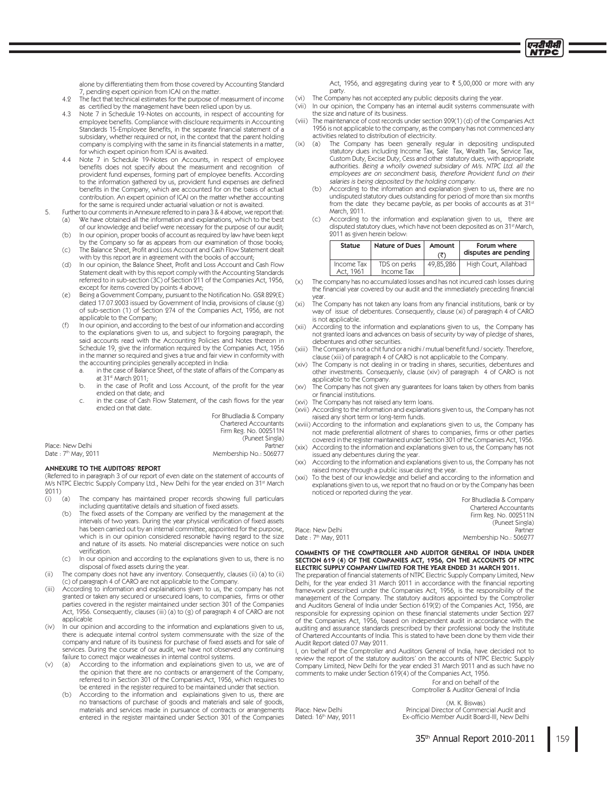

alone by differentiating them from those covered by Accounting Standard 7, pending expert opinion from ICAI on the matter.

- 49 The fact that technical estimates for the purpose of measurment of income as certified by the management have been relied upon by us.
- Note 7 in Schedule 19-Notes on accounts, in respect of accounting for 43 employee benefits. Compliance with discloure requirments in Accounting Standards 15-Employee Benefits, in the separate financial statement of a subsidary, whether required or not, in the context that the parent holding company is complying with the same in its financial statements in a matter, for which expert opinion from ICAI is awaited.
- Note 7 in Schedule 19-Notes on Accounts, in respect of employee  $44$ benefits does not specify about the measurment and recognition of provident fund expenses, forming part of employee benefits. According to the information gathered by us, provident fund expenses are defined benefits in the Company, which are accounted for on the basis of actual contribution. An expert opinion of ICAI on the matter whether accounting for the same is required under actuarial valuation or not is awaited.
- Further to our comments in Annexure referred to in para 3 & 4 above, we report that: 5. We have obtained all the information and explanations, which to the best  $(a)$ of our knowledge and belief were necessary for the purpose of our audit;
	- In our opinion, proper books of account as required by law have been kept  $(b)$
	- by the Company so far as appears from our examination of those books; The Balance Sheet, Profit and Loss Account and Cash Flow Statement dealt  $(C)$ with by this report are in agreement with the books of account;
	- $(d)$ In our opinion, the Balance Sheet, Profit and Loss Account and Cash Flow Statement dealt with by this report comply with the Accounting Standards referred to in sub-section (3C) of Section 211 of the Companies Act, 1956, except for items covered by points 4 above;
	- Being a Government Company, pursuant to the Notification No. GSR 829(E)  $(e)$ dated 17.07.2003 issued by Government of India, provisions of clause (9) of sub-section (1) of Section 274 of the Companies Act, 1956, are not applicable to the Company;
	- In our opinion, and according to the best of our information and according  $(f)$ to the explanations given to us, and subject to forgoing paragraph, the said accounts read with the Accounting Policies and Notes thereon in Schedule 19, give the information required by the Companies Act, 1956 in the manner so required and gives a true and fair view in conformity with the accounting principles generally accepted in India:
		- in the case of Balance Sheet, of the state of affairs of the Company as at 31st March 2011;
		- in the case of Profit and Loss Account, of the profit for the year  $\mathsf{h}$ ended on that date: and
		- in the case of Cash Flow Statement, of the cash flows for the year ended on that date.

For Bhudladia & Company Chartered Accountants Firm Reg No. 009511N

|                      | (Puneet Singla)        |
|----------------------|------------------------|
| Place: New Delhi     | Partner                |
| Date : 7th May, 2011 | Membership No.: 506277 |

### **ANNEXURE TO THE AUDITORS' REPORT**

(Referred to in paragraph 3 of our report of even date on the statement of accounts of M's NTPC Electric Supply Company Ltd., New Delhi for the year ended on 31st March 2011)

- $(a)$ The company has maintained proper records showing full particulars  $(i)$ including quantitative details and situation of fixed assets.
	- The fixed assets of the Company are verified by the management at the  $(b)$ intervals of two years. During the year physical verification of fixed assets has been carried out by an internal committee, appointed for the purpose. which is in our opinion considered resonable having regard to the size and nature of its assets. No material discrepancies were notice on such verification.
	- In our opinion and according to the explanations given to us, there is no  $(C)$ disposal of fixed assets during the year.
- $(i)$ The company does not have any inventory. Consequently, clauses (ii) (a) to (ii) (c) of paragraph 4 of CARO are not applicable to the Company.
- $(iii)$ According to information and explainations given to us, the company has not granted or taken any secured or unsecured loans, to companies, firms or other parties covered in the register maintained under section 301 of the Companies Act, 1956. Consequently, clauses (iii) (a) to (g) of paragraph 4 of CARO are not applicable
- $(iv)$ In our opinion and according to the information and explanations given to us, there is adequate internal control system commensurate with the size of the company and nature of its business for purchase of fixed assets and for sale of services. During the course of our audit, we have not observed any continuing failure to correct major weaknesses in internal control systems.
- $(v)$  $(a)$ According to the information and explainations given to us, we are of the opinion that there are no contracts or arrangement of the Company, referred to in Section 301 of the Companies Act, 1956, which requires to be entered in the register required to be maintained under that section.
	- According to the information and explainations given to us, there are no transactions of purchase of goods and materials and sale of goods, materials and services made in pursuance of contracts or arrangements entered in the register maintained under Section 301 of the Companies

Act, 1956, and aggregating during year to ₹ 5,00,000 or more with any party.

- The Company has not accepted any public deposits during the year.  $(vi)$
- $(vii)$ In our opinion, the Company has an internal audit systems commensurate with the size and nature of its business.
- The maintenance of cost records under section 209(1)(d) of the Companies Act (viii) 1956 is not applicable to the company, as the company has not commenced any activities related to distribution of electricity.  $(ix)$ 
	- The Company has been generally regular in depositing undisputed (a) statutory dues including Income Tax, Sale Tax, Wealth Tax, Service Tax, Custom Duty, Excise Duty, Cess and other statutory dues, with appropriate authorities. Being a wholly owened subsidary of M/s. NTPC Ltd. all the employees are on secondment basis, therefore Provident fund on their salaries is being deposited by the holding company.
	- According to the information and explanation given to us, there are no  $(b)$ undisputed statutory dues outstanding for period of more than six months from the date they became payble, as per books of accounts as at 31st March, 2011.
	- According to the information and explanation given to us, there are  $(c)$ disputed statutory dues, which have not been deposited as on 31<sup>st</sup> March, 2011 as given herein below:

| <b>Statue</b>           | Nature of Dues             | Amount<br>(₹) | Forum where<br>disputes are pending |
|-------------------------|----------------------------|---------------|-------------------------------------|
| Income Tax<br>Act, 1961 | TDS on perks<br>Income Tax | 49.85.286     | High Court, Allahbad                |

- The company has no accumulated losses and has not incurred cash losses during  $(x)$ the financial year covered by our audit and the immediately preceding financial year
- The Company has not taken any loans from any financial institutions, bank or by  $(x<sub>i</sub>)$ way of issue of debentures. Consequently, clause (xi) of paragraph 4 of CARO is not applicable.
- According to the information and explanations given to us, the Company has  $(xii)$ not granted loans and advances on basis of security by way of pledge of shares, debentures and other securities.
- The Company is not a chit fund or a nidhi / mutual benefit fund / society. Therefore,  $(xiii)$ clause (xiii) of paragraph 4 of CARO is not applicable to the Company.
- (xiv) The Company is not dealing in or trading in shares, securities, debentures and other investments. Consequenly, clause (xiv) of paragraph 4 of CARO is not applicable to the Company.
- The Company has not given any guarantees for loans taken by others from banks  $(xv)$ or financial institutions.
- (xvi) The Company has not raised any term loans.

Place: New Delhi

Place: New Delhi Dated: 16th May, 2011

Date: 7th May, 2011

- (xvii) According to the information and explanations given to us, the Company has not raised any short term or long-term funds.
- (xviii) According to the information and explanations given to us, the Company has not made preferential allotment of shares to companies, firms or other parties covered in the register maintained under Section 301 of the Companies Act, 1956. (xix) According to the information and explanations given to us, the Company has not
- issued any debentures during the year. According to the information and explanations given to us, the Company has not  $(xx)$
- raised money through a public issue during the year.
- (xxi) To the best of our knowledge and belief and according to the information and explanations given to us, we report that no fraud on or by the Company has been noticed or reported during the year.

| FOL BUILCHACHE & COUDOIDA    |
|------------------------------|
| <b>Chartered Accountants</b> |
| Firm Reg. No. 002511N        |
| (Puneet Singla)              |
| Partner                      |
| Membership No.: 506277       |
|                              |

COMMENTS OF THE COMPTROLLER AND AUDITOR GENERAL OF INDIA UNDER SECTION 619 (4) OF THE COMPANIES ACT, 1956, ON THE ACCOUNTS OF NTPC ELECTRIC SUPPLY COMPANY LIMITED FOR THE YEAR ENDED 31 MARCH 2011.

The preparation of financial statements of NTPC Electric Supply Company Limited, New Delhi, for the year ended 31 March 2011 in accordance with the financial reporting framework prescribed under the Companies Act, 1956, is the responsibility of the management of the Company. The statutory auditors appointed by the Comptroller and Auditors General of India under Section 619(9) of the Companies Act. 1956, are responsible for expressing opinion on these financial statements under Section 227 of the Companies Act, 1956, based on independent audit in accordance with the auditing and assurance standards prescribed by their professional body the Institute of Chartered Accountants of India. This is stated to have been done by them vide their Audit Report dated 07 May 2011.

I, on behalf of the Comptroller and Auditors General of India, have decided not to review the report of the statutory auditors' on the accounts of NTPC Electric Supply Company Limited, New Delhi for the year ended 31 March 2011 and as such have no comments to make under Section 619(4) of the Companies Act, 1956

For and on behalf of the Comptroller & Auditor General of India

(M. K. Biswas) Principal Director of Commercial Audit and<br>Ex-officio Member Audit Board-III, New Delhi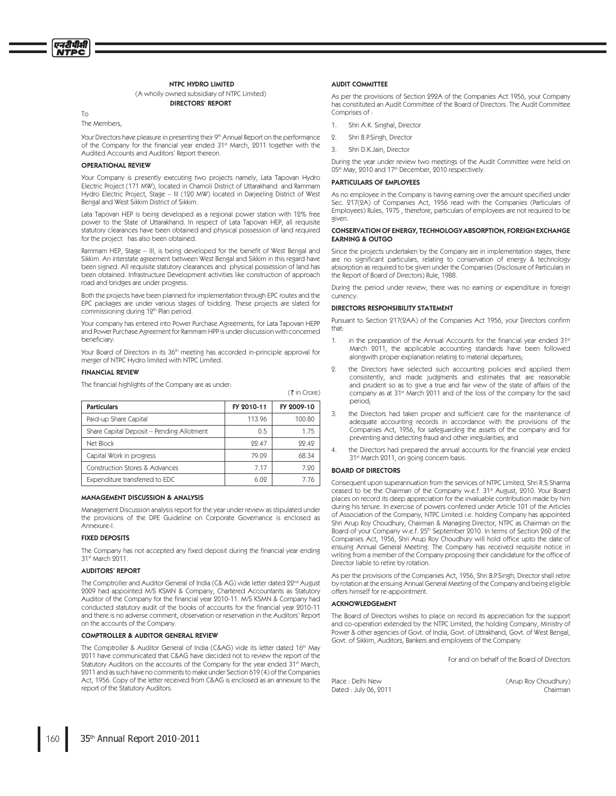### **NTPC HYDRO LIMITED**

### (A wholly owned subsidiary of NTPC Limited) **DIRECTORS' REPORT**

To

The Members.

Your Directors have pleasure in presenting their 9th Annual Report on the performance of the Company for the financial year ended 31<sup>st</sup> March, 2011 together with the Audited Accounts and Auditors' Report thereon.

### **OPERATIONAL REVIEW**

Your Company is presently executing two projects namely, Lata Tapovan Hydro Electric Project (171 MW), located in Chamoli District of Uttarakhand and Rammam Hydro Electric Project, Stage - III (120 MW) located in Darjeeling District of West Bengal and West Sikkim District of Sikkim.

Lata Tapovan HEP is being developed as a regional power station with 12% free power to the State of Uttarakhand. In respect of Lata Tapovan HEP, all requisite statutory clearances have been obtained and physical possession of land required for the project has also been obtained.

Rammam HEP, Stage - III, is being developed for the benefit of West Bengal and Sikkim. An interstate agreement between West Bengal and Sikkim in this regard have been signed. All requisite statutory clearances and physical possession of land has been obtained. Infrastructure Development activities like construction of approach road and bridges are under progress.

Both the projects have been planned for implementation through EPC routes and the EPC packages are under various stages of bidding. These projects are slated for commissioning during 12<sup>th</sup> Plan period.

Your company has entered into Power Purchase Agreements, for Lata Tapovan HEPP and Power Purchase Agreement for Rammam HPP is under discussion with concerned beneficiary.

Your Board of Directors in its 36<sup>th</sup> meeting has accorded in-principle approval for merger of NTPC Hydro limited with NTPC Limited.

### **FINANCIAL REVIEW**

The financial highlights of the Company are as under:

| <b>Particulars</b>                        | FY 2010-11 | FY 2009-10 |
|-------------------------------------------|------------|------------|
| Paid-up Share Capital                     | 113.96     | 100.80     |
| Share Capital Deposit - Pending Allotment | 0.5        | 1.75       |
| Net Block                                 | 99 47      | 99 49      |
| Capital Work in progress                  | 79.09      | 68.34      |
| Construction Stores & Advances            | 7 17       | 7.90       |
| Expenditure transferred to EDC            | 6.09       | 7 76       |

### MANAGEMENT DISCUSSION & ANALYSIS

Management Discussion analysis report for the year under review as stipulated under the provisions of the DPE Guideline on Corporate Governance is enclosed as Annexure-I.

### **FIXED DEPOSITS**

The Company has not accepted any fixed deposit during the financial year ending 31st March 9011.

### **AUDITORS' REPORT**

The Comptroller and Auditor General of India (C& AG) vide letter dated 22<sup>nd</sup> August 2009 had appointed M/S KSMN & Company, Chartered Accountants as Statutory Auditor of the Company for the financial year 2010-11. M/S KSMN & Company had conducted statutory audit of the books of accounts for the financial year 2010-11 and there is no adverse comment, observation or reservation in the Auditors' Report on the accounts of the Company.

### **COMPTROLLER & AUDITOR GENERAL REVIEW**

The Comptroller & Auditor General of India (C&AG) vide its letter dated 16th May 2011 have communicated that C&AG have decided not to review the report of the Statutory Auditors on the accounts of the Company for the year ended 31<sup>st</sup> March. 9011 and as such have no comments to make under Section 619(4) of the Companies Act, 1956. Copy of the letter received from C&AG is enclosed as an annexure to the report of the Statutory Auditors.

### **AUDIT COMMITTEE**

As per the provisions of Section 999A of the Companies Act 1956, your Company has constituted an Audit Committee of the Board of Directors. The Audit Committee Comprises of

- Shri A.K. Singhal, Director  $\mathbf{1}$
- $\overline{Q}$ Shri B.P.Singh, Director
- $\overline{3}$ . Shri D.K.Jain, Director

During the year under review two meetings of the Audit Committee were held on 05th May, 2010 and 17th December, 2010 respectively.

### **PARTICULARS OF EMPLOYEES**

As no employee in the Company is having earning over the amount specified under Sec. 217(2A) of Companies Act, 1956 read with the Companies (Particulars of Employees) Rules, 1975, therefore, particulars of employees are not required to be given.

### CONSERVATION OF ENERGY, TECHNOLOGY ABSORPTION, FOREIGN EXCHANGE **EARNING & OUTGO**

Since the projects undertaken by the Company are in implementation stages, there are no significant particulars, relating to conservation of energy & technology absorption as required to be given under the Companies (Disclosure of Particulars in the Report of Board of Directors) Rule, 1988.

During the period under review, there was no earning or expenditure in foreign currency

### DIRECTORS RESPONSIBILITY STATEMENT

Pursuant to Section 217(2AA) of the Companies Act 1956, your Directors confirm that:

- in the preparation of the Annual Accounts for the financial year ended 31st  $1$ March 2011, the applicable accounting standards have been followed alongwith proper explanation relating to material departures;
- $\circ$ the Directors have selected such accounting policies and applied them consistently, and made judgments and estimates that are reasonable and prudent so as to give a true and fair view of the state of affairs of the company as at 31<sup>st</sup> March 2011 and of the loss of the company for the said period:
- $3.$ the Directors had taken proper and sufficient care for the maintenance of adequate accounting records in accordance with the provisions of the Companies Act, 1956, for safeguarding the assets of the company and for preventing and detecting fraud and other irregularities; and
- $\overline{4}$ the Directors had prepared the annual accounts for the financial year ended 31st March 2011, on going concern basis.

### **BOARD OF DIRECTORS**

 $(3\overline{5})$  in Crore)

Consequent upon superannuation from the services of NTPC Limited, Shri R.S.Sharma ceased to be the Chairman of the Company w.e.f. 31<sup>st</sup> August, 2010. Your Board places on record its deep appreciation for the invaluable contribution made by him during his tenure. In exercise of powers conferred under Article 101 of the Articles of Association of the Company, NTPC Limited i.e. holding Company has appointed Shri Arup Roy Choudhury, Chairman & Managing Director, NTPC as Chairman on the Board of your Company w.e.f. 25<sup>th</sup> September 2010. In terms of Section 260 of the Companies Act, 1956, Shri Arup Roy Choudhury will hold office upto the date of ensuing Annual General Meeting. The Company has received requisite notice in writing from a member of the Company proposing their candidature for the office of Director liable to retire by rotation.

As per the provisions of the Companies Act, 1956, Shri B.P.Singh, Director shall retire by rotation at the ensuing Annual General Meeting of the Company and being eligible offers himself for re-appointment.

### **ACKNOWLEDGEMENT**

The Board of Directors wishes to place on record its appreciation for the support and co-operation extended by the NTPC Limited, the holding Company, Ministry of Power & other agencies of Govt, of India, Govt, of Uttrakhand, Govt, of West Bengal, Govt. of Sikkim, Auditors, Bankers and employees of the Company.

For and on behalf of the Board of Directors

Place : Delhi New Dated : July 06, 2011 (Arup Roy Choudhury) Chairman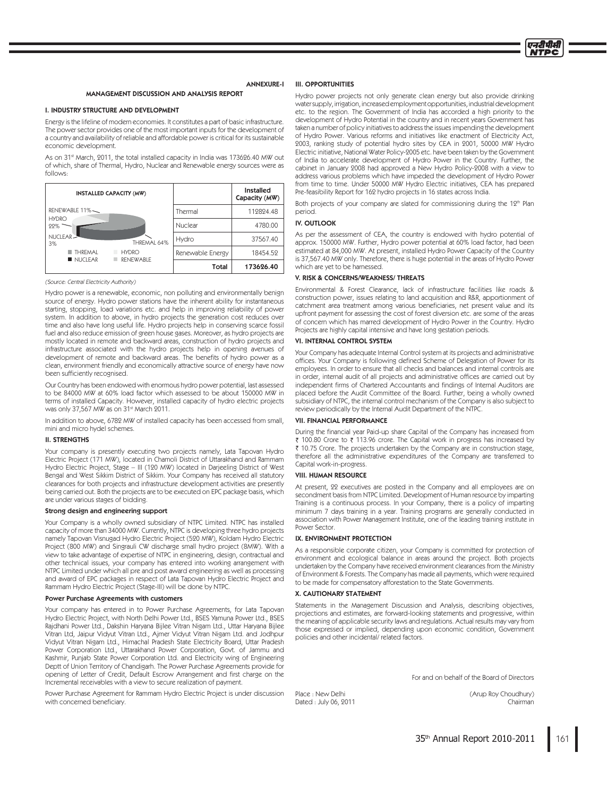

### **ANNEXURE-I**

### **MANAGEMENT DISCUSSION AND ANALYSIS REPORT**

### I. INDUSTRY STRUCTURE AND DEVELOPMENT

Energy is the lifeline of modern economies. It constitutes a part of basic infrastructure. The power sector provides one of the most important inputs for the development of a country and availability of reliable and affordable power is critical for its sustainable economic development.

As on 31<sup>st</sup> March, 2011, the total installed capacity in India was 173626.40 MW out of which, share of Thermal, Hydro, Nuclear and Renewable energy sources were as follows:

| INSTALLED CAPACITY (MW)                                |                  | <b>Installed</b><br>Capacity (MW) |
|--------------------------------------------------------|------------------|-----------------------------------|
| RENEWABLE 11%                                          | Thermal          | 112824.48                         |
| <b>HYDRO</b><br>22%                                    | Nuclear          | 4780.00                           |
| NUCLEAR-<br>THREMAL 64%<br>3%                          | Hydro            | 37567.40                          |
| <b>THRFMAI</b><br><b>HYDRO</b><br>NUCLEAR<br>RENEWABLE | Renewable Energy | 18454.52                          |
|                                                        | Total            | 173626.40                         |

### (Source: Central Electricity Authority)

Hydro power is a renewable, economic, non polluting and environmentally benign source of energy. Hydro power stations have the inherent ability for instantaneous starting, stopping, load variations etc. and help in improving reliability of power system. In addition to above, in hydro projects the generation cost reduces over time and also have long useful life. Hydro projects help in conserving scarce fossil fuel and also reduce emission of green house gases. Moreover, as hydro projects are mostly located in remote and backward areas, construction of hydro projects and infrastructure associated with the hydro projects help in opening avenues of development of remote and backward areas. The benefits of hydro power as a clean, environment friendly and economically attractive source of energy have now been sufficiently recognised.

Our Country has been endowed with enormous hydro power potential, last assessed to be 84000 MW at 60% load factor which assessed to be about 150000 MW in terms of installed Capacity. However, installed capacity of hydro electric projects was only 37,567 MW as on 31<sup>st</sup> March 2011.

In addition to above, 6782 MW of installed capacity has been accessed from small, mini and micro hydel schemes.

### **II. STRENGTHS**

Your company is presently executing two projects namely, Lata Tapovan Hydro Electric Project (171 MW), located in Chamoli District of Uttarakhand and Rammam Hydro Electric Project, Stage - III (120 MW) located in Darjeeling District of West Bengal and West Sikkim District of Sikkim. Your Company has received all statutory clearances for both projects and infrastructure development activities are presently being carried out. Both the projects are to be executed on EPC package basis, which are under various stages of bidding.

### Strong design and engineering support

Your Company is a wholly owned subsidiary of NTPC Limited. NTPC has installed capacity of more than 34000 MW. Currently, NTPC is developing three hydro projects namely Tapovan Visnugad Hydro Electric Project (520 MW), Koldam Hydro Electric Project (800 MW) and Singrauli CW discharge small hydro project (8MW). With a view to take advantage of expertise of NTPC in engineering, design, contractual and other technical issues, your company has entered into working arrangement with NTPC Limited under which all pre and post award engineering as well as processing and award of EPC packages in respect of Lata Tapovan Hydro Electric Project and Rammam Hydro Electric Project (Stage-III) will be done by NTPC.

### Power Purchase Agreements with customers

Your company has entered in to Power Purchase Agreements, for Lata Tapovan Hydro Electric Project, with North Delhi Power Ltd., BSES Yamuna Power Ltd., BSES Rajdhani Power Ltd., Dakshin Haryana Bijlee Vitran Nigam Ltd., Uttar Haryana Bijlee Vitran Ltd, Jaipur Vidyut Vitran Ltd., Ajmer Vidyut Vitran Nigam Ltd. and Jodhpur Vidyut Vitran Nigam Ltd., Himachal Pradesh State Electricity Board, Uttar Pradesh Power Corporation Ltd., Uttarakhand Power Corporation, Govt. of Jammu and Kashmir, Punjab State Power Corporation Ltd. and Electricity wing of Engineering Deptt of Union Territory of Chandigarh. The Power Purchase Agreements provide for opening of Letter of Credit, Default Escrow Arrangement and first charge on the Incremental receivables with a view to secure realization of payment.

Power Purchase Agreement for Rammam Hydro Electric Project is under discussion with concerned beneficiary.

### **III. OPPORTUNITIES**

Hydro power projects not only generate clean energy but also provide drinking water supply, irrigation, increased employment opportunities, industrial development etc. to the region. The Government of India has accorded a high priority to the development of Hydro Potential in the country and in recent years Government has taken a number of policy initiatives to address the issues impending the development of Hydro Power. Various reforms and initiatives like enactment of Electricity Act. 2003, ranking study of potential hydro sites by CEA in 2001, 50000 MW Hydro Electric initiative, National Water Policy-2005 etc. have been taken by the Government of India to accelerate development of Hydro Power in the Country. Further, the cabinet in January 2008 had approved a New Hydro Policy-2008 with a view to address various problems which have impeded the development of Hydro Power from time to time. Under 50000 MW Hydro Electric initiatives, CEA has prepared Pre-feasibility Report for 162 hydro projects in 16 states across India.

Both projects of your company are slated for commissioning during the 12<sup>th</sup> Plan period.

### **IV. OUTLOOK**

As per the assessment of CEA, the country is endowed with hydro potential of approx. 150000 MW. Further, Hydro power potential at 60% load factor, had been estimated at 84,000 MW. At present, installed Hydro Power Capacity of the Country is 37,567.40 MW only. Therefore, there is huge potential in the areas of Hydro Power which are yet to be harnessed.

### V. RISK & CONCERNS/WEAKNESS/ THREATS

Environmental & Forest Clearance, lack of infrastructure facilities like roads & construction power, issues relating to land acquisition and R&R, apportionment of catchment area treatment among various beneficiaries, net present value and its upfront payment for assessing the cost of forest diversion etc. are some of the areas of concern which has marred development of Hydro Power in the Country. Hydro Projects are highly capital intensive and have long gestation periods.

### **VI. INTERNAL CONTROL SYSTEM**

Your Company has adequate Internal Control system at its projects and administrative offices. Your Company is following defined Scheme of Delegation of Power for its employees. In order to ensure that all checks and balances and internal controls are in order, internal audit of all projects and administrative offices are carried out by independent firms of Chartered Accountants and findings of Internal Auditors are placed before the Audit Committee of the Board. Further, being a wholly owned subsidiary of NTPC, the internal control mechanism of the Company is also subject to review periodically by the Internal Audit Department of the NTPC.

### **VII. FINANCIAL PERFORMANCE**

During the financial year Paid-up share Capital of the Company has increased from ₹ 100.80 Crore to ₹ 113.96 crore. The Capital work in progress has increased by ₹ 10.75 Crore. The projects undertaken by the Company are in construction stage, therefore all the administrative expenditures of the Company are transferred to Capital work-in-progress.

### **VIII. HUMAN RESOURCE**

At present, 22 executives are posted in the Company and all employees are on secondment basis from NTPC Limited. Development of Human resource by imparting Training is a continuous process. In your Company, there is a policy of imparting minimum 7 days training in a year. Training programs are generally conducted in association with Power Management Institute, one of the leading training institute in Power Sector.

### IX. ENVIRONMENT PROTECTION

As a responsible corporate citizen, your Company is committed for protection of environment and ecological balance in areas around the project. Both projects undertaken by the Company have received environment clearances from the Ministry of Environment & Forests. The Company has made all payments, which were required to be made for compensatory afforestation to the State Governments.

### X. CAUTIONARY STATEMENT

Statements in the Management Discussion and Analysis, describing objectives, projections and estimates, are forward-looking statements and progressive, within the meaning of applicable security laws and regulations. Actual results may vary from those expressed or implied, depending upon economic condition, Government policies and other incidental/related factors

For and on behalf of the Board of Directors

Place : New Delhi Dated : July 06, 2011 (Arup Roy Choudhury) Chairman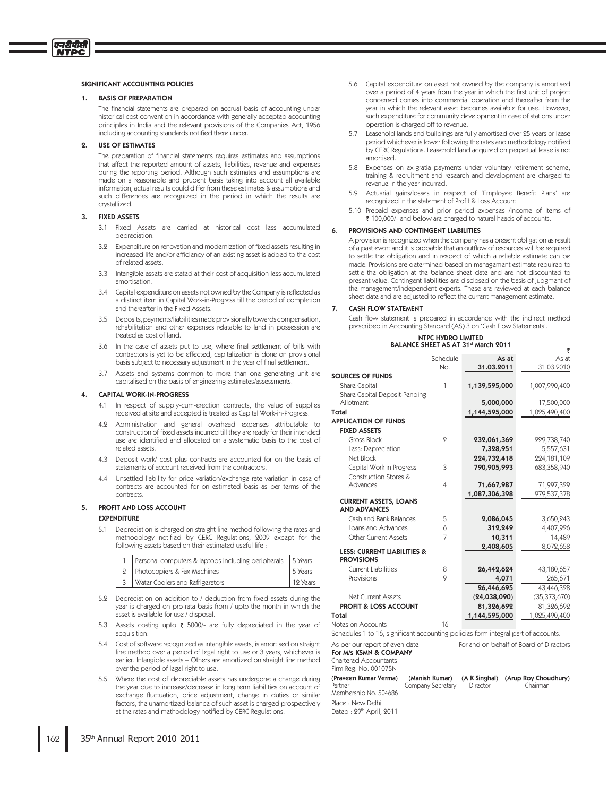### SIGNIFICANT ACCOUNTING POLICIES

### **BASIS OF PREPARATION**

एनदीपीसी **VTPC** 

> The financial statements are prepared on accrual basis of accounting under historical cost convention in accordance with generally accepted accounting principles in India and the relevant provisions of the Companies Act, 1956 including accounting standards notified there under.

### **USE OF ESTIMATES**

The preparation of financial statements requires estimates and assumptions that affect the reported amount of assets, liabilities, revenue and expenses during the reporting period. Although such estimates and assumptions are made on a reasonable and prudent basis taking into account all available information, actual results could differ from these estimates & assumptions and such differences are recognized in the period in which the results are crystallized

### **FIXED ASSETS**

- 3.1 Fixed Assets are carried at historical cost less accumulated depreciation.
- 3.2 Expenditure on renovation and modernization of fixed assets resulting in increased life and/or efficiency of an existing asset is added to the cost of related assets.
- 3.3 Intangible assets are stated at their cost of acquisition less accumulated amortisation.
- 3.4 Capital expenditure on assets not owned by the Company is reflected as a distinct item in Capital Work-in-Progress till the period of completion and thereafter in the Fixed Assets.
- 3.5 Deposits, payments/liabilities made provisionally towards compensation, rehabilitation and other expenses relatable to land in possession are treated as cost of land
- 3.6 In the case of assets put to use, where final settlement of bills with contractors is yet to be effected, capitalization is done on provisional basis subject to necessary adjustment in the year of final settlement.
- 3.7 Assets and systems common to more than one generating unit are capitalised on the basis of engineering estimates/assessments

### **CAPITAL WORK-IN-PROGRESS**

- 4.1 In respect of supply-cum-erection contracts, the value of supplies received at site and accepted is treated as Capital Work-in-Progress.
- 4.9 Administration and general overhead expenses attributable to construction of fixed assets incurred till they are ready for their intended use are identified and allocated on a systematic basis to the cost of related assets.
- 4.3 Deposit work/ cost plus contracts are accounted for on the basis of statements of account received from the contractors.
- 4.4 Unsettled liability for price variation/exchange rate variation in case of contracts are accounted for on estimated basis as per terms of the contracts.

### PROFIT AND LOSS ACCOUNT

### **EXPENDITURE**

 $5.1$ Depreciation is charged on straight line method following the rates and methodology notified by CERC Regulations, 2009 except for the following assets based on their estimated useful life

| Personal computers & laptops including peripherals 5 Years |          |
|------------------------------------------------------------|----------|
| 2   Photocopiers & Fax Machines                            | 5 Years  |
| 3   Water Coolers and Refrigerators                        | 12 Years |

- 5.2 Depreciation on addition to / deduction from fixed assets during the year is charged on pro-rata basis from / upto the month in which the asset is available for use / disposal.
- 5.3 Assets costing upto ₹ 5000/- are fully depreciated in the year of acquisition.
- 5.4 Cost of software recognized as intangible assets, is amortised on straight line method over a period of legal right to use or 3 years, whichever is earlier. Intangible assets - Others are amortized on straight line method over the period of legal right to use.
- 5.5 Where the cost of depreciable assets has undergone a change during the year due to increase/decrease in long term liabilities on account of exchange fluctuation, price adjustment, change in duties or similar factors, the unamortized balance of such asset is charged prospectively at the rates and methodology notified by CERC Regulations.
- 5.6 Capital expenditure on asset not owned by the company is amortised over a period of 4 years from the year in which the first unit of project concerned comes into commercial operation and thereafter from the year in which the relevant asset becomes available for use. However, such expenditure for community development in case of stations under operation is charged off to revenue.
- 5.7 Leasehold lands and buildings are fully amortised over 25 years or lease period whichever is lower following the rates and methodology notified by CERC Regulations. Leasehold land acquired on perpetual lease is not amortised.
- 5.8 Expenses on ex-gratia payments under voluntary retirement scheme, training & recruitment and research and development are charged to revenue in the year incurred.
- 5.9 Actuarial gains/losses in respect of 'Employee Benefit Plans' are recognized in the statement of Profit & Loss Account.
- 5.10 Prepaid expenses and prior period expenses /income of items of ₹ 100,000/- and below are charged to natural heads of accounts.

### PROVISIONS AND CONTINGENT LIABILITIES

A provision is recognized when the company has a present obligation as result of a past event and it is probable that an outflow of resources will be required to settle the obligation and in respect of which a reliable estimate can be made. Provisions are determined based on management estimate required to settle the obligation at the balance sheet date and are not discounted to present value. Contingent liabilities are disclosed on the basis of judgment of the management/independent experts. These are reviewed at each balance sheet date and are adjusted to reflect the current management estimate.

#### CASH FLOW STATEMENT  $7<sub>1</sub>$

Cash flow statement is prepared in accordance with the indirect method prescribed in Accounting Standard (AS) 3 on 'Cash Flow Statements'

₹

### NTPC HYDRO LIMITED BALANCE SHEET AS AT 31st March 2011

|                                                             | Schedule       | As at          | As at          |
|-------------------------------------------------------------|----------------|----------------|----------------|
|                                                             | No.            | 31.03.2011     | 31.03.2010     |
| <b>SOURCES OF FUNDS</b>                                     |                |                |                |
| Share Capital                                               | 1              | 1,139,595,000  | 1,007,990,400  |
| Share Capital Deposit-Pending                               |                |                |                |
| Allotment                                                   |                | 5,000,000      | 17,500,000     |
| <b>Total</b>                                                |                | 1,144,595,000  | 1,025,490,400  |
| <b>APPLICATION OF FUNDS</b>                                 |                |                |                |
| <b>FIXED ASSETS</b>                                         |                |                |                |
| <b>Gross Block</b>                                          | $\mathbf{Q}$   | 232,061,369    | 229,738,740    |
| Less: Depreciation                                          |                | 7,328,951      | 5,557,631      |
| Net Block                                                   |                | 224,732,418    | 224,181,109    |
| Capital Work in Progress                                    | 3              | 790,905,993    | 683,358,940    |
| Construction Stores &                                       |                |                |                |
| Advances                                                    | $\overline{4}$ | 71,667,987     | 71,997,329     |
|                                                             |                | 1,087,306,398  | 979,537,378    |
| <b>CURRENT ASSETS, LOANS</b><br><b>AND ADVANCES</b>         |                |                |                |
| Cash and Bank Balances                                      | 5              | 2,086,045      | 3,650,243      |
| Loans and Advances                                          | 6              | 312,249        | 4,407,926      |
| <b>Other Current Assets</b>                                 | 7              | 10,311         | 14,489         |
|                                                             |                | 2,408,605      | 8,072,658      |
| <b>LESS: CURRENT LIABILITIES &amp;</b><br><b>PROVISIONS</b> |                |                |                |
| <b>Current Liabilities</b>                                  | 8              | 26,442,624     | 43,180,657     |
| Provisions                                                  | 9              | 4,071          | 265,671        |
|                                                             |                | 26,446,695     | 43,446,328     |
| Net Current Assets                                          |                | (24, 038, 090) | (35, 373, 670) |
| PROFIT & LOSS ACCOUNT                                       |                | 81,326,692     | 81,326,692     |
| <b>Total</b>                                                |                | 1,144,595,000  | 1,025,490,400  |
| Jotes on Accounts                                           | 16             |                |                |

Schedules 1 to 16, significant accounting policies form integral part of accounts.

As per our report of even date For and on behalf of Board of Directors For M/s KSMN & COMPANY

# Chartered Accountants

Firm Reg. No. 001075N

| (Praveen Kumar Verma)    | (Manish Kumar)    | (A K Singhal) | (Arup Roy Choudhury) |
|--------------------------|-------------------|---------------|----------------------|
| Partner                  | Company Secretary | Director      | Chairman             |
| Membership No. 504686    |                   |               |                      |
| Place : New Delhi        |                   |               |                      |
| Dated : 29th April, 2011 |                   |               |                      |
|                          |                   |               |                      |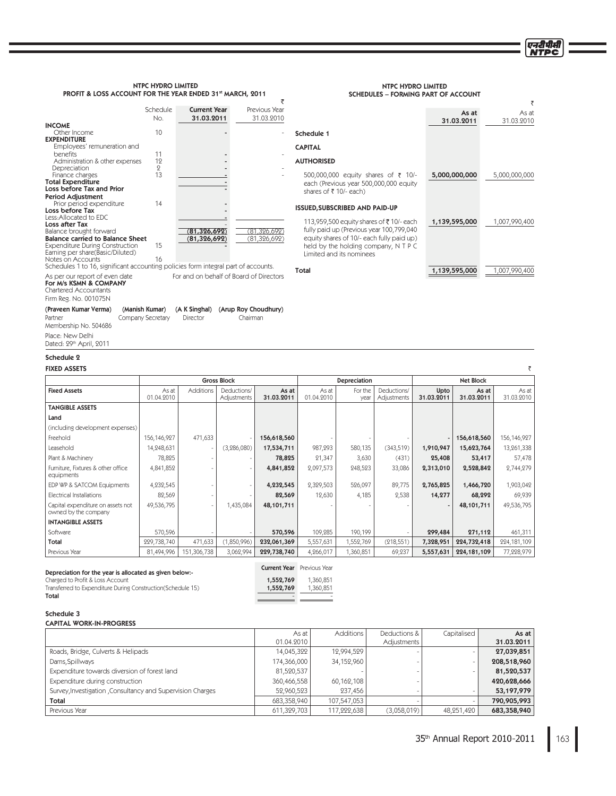एनटीपीसी **NTPC** 

₹

As at 31.03.2010

NTPC HYDRO LIMITED SCHEDULES – FORMING PART OF ACCOUNT

Total 1,139,595,000 1,007,990,400

As at 31.03.2011

5,000,000,000 5,000,000,000

1,139,595,000 1,007,990,400

| NTPC HYDRO LIMITED                                                   |  |  |  |  |  |
|----------------------------------------------------------------------|--|--|--|--|--|
| <b>PROFIT &amp; LOSS ACCOUNT FOR THE YEAR ENDED 31st MARCH, 2011</b> |  |  |  |  |  |
|                                                                      |  |  |  |  |  |

|                                                                            | Schedule<br>No. | <b>Current Year</b><br>31.03.2011 | Previous Year<br>31.03.2010 |
|----------------------------------------------------------------------------|-----------------|-----------------------------------|-----------------------------|
| <b>INCOME</b>                                                              |                 |                                   |                             |
| Other Income                                                               | 10              |                                   |                             |
| <b>EXPENDITURE</b>                                                         |                 |                                   |                             |
| Employees' remuneration and                                                |                 |                                   |                             |
| benefits                                                                   | 11              |                                   |                             |
| Administration & other expenses                                            | 12              |                                   |                             |
| Depreciation                                                               | 2               |                                   |                             |
| Finance charges                                                            | 13              |                                   |                             |
| <b>Total Expenditure</b>                                                   |                 |                                   |                             |
| Loss before Tax and Prior                                                  |                 |                                   |                             |
| <b>Period Adjustment</b>                                                   |                 |                                   |                             |
| Prior period expenditure                                                   | 14              |                                   |                             |
| Loss before Tax                                                            |                 |                                   |                             |
| Less: Allocated to EDC                                                     |                 |                                   |                             |
| <b>Loss after Tax</b>                                                      |                 |                                   |                             |
| Balance brought forward                                                    |                 | <u>81,326,692)</u>                | ΄81                         |
| <b>Balance carried to Balance Sheet</b>                                    |                 | (81, 326, 692)                    | (81,326,692)                |
| <b>Expenditure During Construction</b><br>Earning per share(Basic/Diluted) | 15              |                                   |                             |
| Notes on Accounts                                                          | 16              |                                   |                             |

Notes on Accounts<br>Schedules 1 to 16, significant accounting policies form integral part of accounts. For and on behalf of Board of Directors

**For M/s KSMN & COMPANY**<br>Chartered Accountants

Firm Reg. No. 001075N

| (Praveen Kumar Verma)   | (Manish Kumar)    |          | (A K Singhal) (Arup Roy Choudhury) |
|-------------------------|-------------------|----------|------------------------------------|
| Partner                 | Company Secretary | Director | Chairman                           |
| Membership No. 504686   |                   |          |                                    |
| Place: New Delhi        |                   |          |                                    |
| Dated: 29th April, 2011 |                   |          |                                    |

Schedule 2

| <b>FIXED ASSETS</b> |
|---------------------|
|                     |

| <b>FIXED ASSETS</b>                                       |                     |                  |                            |                     |                     |                 |                            |                          |                     |                     |
|-----------------------------------------------------------|---------------------|------------------|----------------------------|---------------------|---------------------|-----------------|----------------------------|--------------------------|---------------------|---------------------|
|                                                           |                     |                  | <b>Gross Block</b>         |                     |                     | Depreciation    |                            |                          | <b>Net Block</b>    |                     |
| <b>Fixed Assets</b>                                       | As at<br>01.04.2010 | <b>Additions</b> | Deductions/<br>Adjustments | As at<br>31.03.2011 | As at<br>01.04.2010 | For the<br>year | Deductions/<br>Adjustments | Upto<br>31.03.2011       | As at<br>31.03.2011 | As at<br>31.03.2010 |
| <b>TANGIBLE ASSETS</b>                                    |                     |                  |                            |                     |                     |                 |                            |                          |                     |                     |
| Land                                                      |                     |                  |                            |                     |                     |                 |                            |                          |                     |                     |
| (including development expenses)                          |                     |                  |                            |                     |                     |                 |                            |                          |                     |                     |
| Freehold                                                  | 156,146,927         | 471,633          |                            | 156,618,560         |                     |                 |                            | $\overline{\phantom{0}}$ | 156,618,560         | 156,146,927         |
| Leasehold                                                 | 14,248,631          |                  | (3, 286, 080)              | 17,534,711          | 987,293             | 580,135         | (343,519)                  | 1,910,947                | 15,623,764          | 13,261,338          |
| Plant & Machinery                                         | 78,825              |                  |                            | 78,825              | 21,347              | 3,630           | (431)                      | 25,408                   | 53,417              | 57,478              |
| Furniture, Fixtures & other office<br>equipments          | 4,841,852           |                  |                            | 4,841,852           | 2,097,573           | 248,523         | 33,086                     | 2,313,010                | 2,528,842           | 2,744,279           |
| EDP WP & SATCOM Equipments                                | 4,232,545           |                  |                            | 4,232,545           | 2,329,503           | 526,097         | 89,775                     | 2,765,825                | 1,466,720           | 1,903,042           |
| Electrical Installations                                  | 82,569              |                  |                            | 82,569              | 12,630              | 4,185           | 2,538                      | 14,277                   | 68,292              | 69,939              |
| Capital expenditure on assets not<br>owned by the company | 49,536,795          |                  | 1,435,084                  | 48,101,711          |                     |                 |                            |                          | 48,101,711          | 49,536,795          |
| <b>INTANGIBLE ASSETS</b>                                  |                     |                  |                            |                     |                     |                 |                            |                          |                     |                     |
| Software                                                  | 570,596             |                  |                            | 570,596             | 109,285             | 190,199         |                            | 299,484                  | 271,112             | 461,311             |
| Total                                                     | 229,738,740         | 471,633          | 1,850,996)                 | 232,061,369         | 5,557,631           | 1,552,769       | (218, 551)                 | 7,328,951                | 224,732,418         | 224, 181, 109       |
| Previous Year                                             | 81,494,996          | 151,306,738      | 3,062,994                  | 229,738,740         | 4,266,017           | 1,360,851       | 69,237                     | 5,557,631                | 224,181,109         | 77,228,979          |

 $\overline{\overline{\zeta}}$ 

Schedule 1 CAPITAL AUTHORISED

500,000,000 equity shares of ₹ 10/each (Previous year 500,000,000 equity

113,959,500 equity shares of ₹10/- each fully paid up (Previous year 100,799,040 equity shares of 10/- each fully paid up) held by the holding company, N T P C

shares of ₹10/- each)

Limited and its nominees

ISSUED,SUBSCRIBED AND PAID-UP

### Depreciation for the year is allocated as given below:-

**Charged to Profit & Loss Account** 2001 2001 2002 2004 2012 2013 2014 2015 2016 2017 2018 2019 2018 2019 2019 201

Transferred to Expenditure During Construction(Schedule 15)<br>Total Total and the contract of the contract of the contract of the contract of the contract of the contract of the contract of the contract of the contract of the contract of the contract of the contract of the contract of the

| <b>Current Year</b> Previous Year |  |
|-----------------------------------|--|
|                                   |  |

| 1,552,769 | 1,360,851 |
|-----------|-----------|
| 1,552,769 | 1,360,851 |

### Schedule 3 CAPITAL WORK-IN-PROGRESS

|                                                            | As at       | Additions   | Deductions & | Capitalised | As at       |
|------------------------------------------------------------|-------------|-------------|--------------|-------------|-------------|
|                                                            | 01.04.2010  |             | Adjustments  |             | 31.03.2011  |
| Roads, Bridge, Culverts & Helipads                         | 14,045,322  | 12,994,529  |              |             | 27,039,851  |
| Dams, Spillways                                            | 174,366,000 | 34,152,960  |              |             | 208,518,960 |
| Expenditure towards diversion of forest land               | 81,520,537  |             |              |             | 81,520,537  |
| Expenditure during construction                            | 360,466,558 | 60,162,108  |              |             | 420,628,666 |
| Survey, Investigation, Consultancy and Supervision Charges | 52,960,523  | 237,456     |              |             | 53,197,979  |
| Total                                                      | 683,358,940 | 107,547,053 |              |             | 790,905,993 |
| Previous Year                                              | 611,329,703 | 117,222,638 | (3,058,019)  | 48.251.420  | 683,358,940 |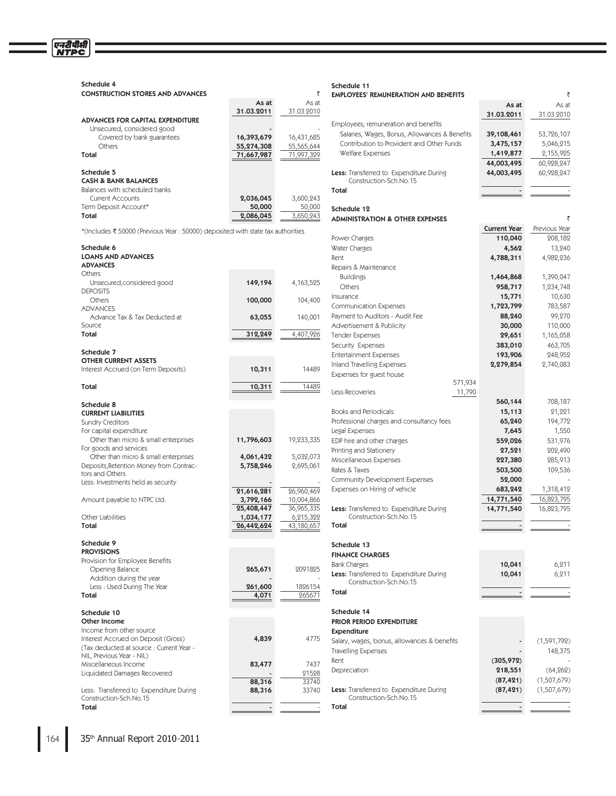| Schedule 4                                                                      |                     |             | Schedule 11                                                       |                     |               |
|---------------------------------------------------------------------------------|---------------------|-------------|-------------------------------------------------------------------|---------------------|---------------|
| <b>CONSTRUCTION STORES AND ADVANCES</b>                                         |                     | ₹<br>As at  | <b>EMPLOYEES' REMUNERATION AND BENEFITS</b>                       |                     |               |
|                                                                                 | As at<br>31.03.2011 | 31.03.2010  |                                                                   | As at               | As at         |
| ADVANCES FOR CAPITAL EXPENDITURE                                                |                     |             |                                                                   | 31.03.2011          | 31.03.2010    |
| Unsecured, considered good                                                      |                     |             | Employees; remuneration and benefits                              |                     |               |
| Covered by bank guarantees                                                      | 16,393,679          | 16,431,685  | Salaries, Wages, Bonus, Allowances & Benefits                     | 39,108,461          | 53,726,107    |
| Others                                                                          | 55,274,308          | 55,565,644  | Contribution to Provident and Other Funds                         | 3,475,157           | 5,046,215     |
| Total                                                                           | 71,667,987          | 71,997,329  | Welfare Expenses                                                  | 1,419,877           | 2,155,925     |
|                                                                                 |                     |             |                                                                   | 44,003,495          | 60,928,247    |
| Schedule 5<br><b>CASH &amp; BANK BALANCES</b>                                   |                     |             | Less: Transferred to Expenditure During<br>Construction-Sch.No.15 | 44,003,495          | 60,928,247    |
| Balances with scheduled banks                                                   |                     |             | Total                                                             |                     |               |
| <b>Current Accounts</b>                                                         | 2,036,045           | 3,600,243   |                                                                   |                     |               |
| Term Deposit Account*                                                           | 50,000              | 50,000      | Schedule 12                                                       |                     |               |
| Total                                                                           | 2,086,045           | 3,650,243   | <b>ADMINISTRATION &amp; OTHER EXPENSES</b>                        |                     |               |
|                                                                                 |                     |             |                                                                   | <b>Current Year</b> | Previous Year |
| *(Includes ₹ 50000 (Previous Year: 50000) deposited with state tax authorities  |                     |             | Power Charges                                                     | 110,040             | 208,182       |
| Schedule 6                                                                      |                     |             | Water Charges                                                     | 4,562               | 13,240        |
| <b>LOANS AND ADVANCES</b>                                                       |                     |             | Rent                                                              | 4,788,311           | 4,982,236     |
| <b>ADVANCES</b>                                                                 |                     |             | Repairs & Maintenance                                             |                     |               |
| Others                                                                          |                     |             | <b>Buildings</b>                                                  | 1,464,868           | 1,390,047     |
| Unsecured, considered good                                                      | 149,194             | 4, 163, 525 | Others                                                            | 958,717             | 1,234,748     |
| <b>DEPOSITS</b>                                                                 |                     |             | Insurance                                                         | 15,771              | 10,630        |
| Others                                                                          | 100,000             | 104,400     | <b>Communication Expenses</b>                                     | 1,723,799           | 783,587       |
| <b>ADVANCES</b><br>Advance Tax & Tax Deducted at                                |                     | 140,001     | Payment to Auditors - Audit Fee                                   | 88,240              | 99,270        |
| Source                                                                          | 63,055              |             | Advertisement & Publicity                                         | 30,000              | 110,000       |
| Total                                                                           | 312,249             | 4,407,926   | <b>Tender Expenses</b>                                            | 29,651              | 1,165,058     |
|                                                                                 |                     |             | Security Expenses                                                 | 383,010             | 463,705       |
| Schedule 7                                                                      |                     |             | <b>Entertainment Expenses</b>                                     | 193,906             | 248,952       |
| <b>OTHER CURRENT ASSETS</b>                                                     |                     |             | <b>Inland Travelling Expenses</b>                                 | 2,279,854           | 2,740,083     |
| Interest Accrued (on Term Deposits)                                             | 10,311              | 14489       | Expenses for guest house                                          |                     |               |
|                                                                                 |                     |             | 571,934                                                           |                     |               |
| Total                                                                           | 10,311              | 14489       | Less:Recoveries<br>11,790                                         |                     |               |
| Schedule 8                                                                      |                     |             |                                                                   | 560,144             | 708,187       |
| <b>CURRENT LIABILITIES</b>                                                      |                     |             | <b>Books and Periodicals</b>                                      | 15,113              | 21,221        |
| <b>Sundry Creditors</b>                                                         |                     |             | Professional charges and consultancy fees                         | 65,240              | 194,772       |
| For capital expenditure                                                         |                     |             | Legal Expenses                                                    | 7,645               | 1,550         |
| Other than micro & small enterprises                                            | 11,796,603          | 19,233,335  | EDP hire and other charges                                        | 559,026             | 531,976       |
| For goods and services                                                          |                     |             | Printing and Stationery                                           | 27,521              | 202,490       |
| Other than micro & small enterprises                                            | 4,061,432           | 5,032,073   | Miscellaneous Expenses                                            | 227,380             | 285,913       |
| Deposits, Retention Money from Contrac-                                         | 5,758,246           | 2,695,061   | Rates & Taxes                                                     | 503,500             | 109,536       |
| tors and Others<br>Less: Investments held as security                           |                     |             | <b>Community Development Expenses</b>                             | 52,000              |               |
|                                                                                 | 21,616,281          | 26,960,469  | Expenses on Hiring of vehicle                                     | 683,242             | 1,318,412     |
| Amount payable to NTPC Ltd.                                                     | 3,792,166           | 10,004,866  |                                                                   | 14,771,540          | 16,823,795    |
|                                                                                 | 25,408,447          | 36,965,335  | <b>Less:</b> Transferred to Expenditure During                    | 14,771,540          | 16,823,795    |
| Other Liabilities                                                               | 1,034,177           | 6,215,322   | Construction-Sch.No.15                                            |                     |               |
| Total                                                                           | 26,442,624          | 43,180,657  | Total                                                             |                     |               |
|                                                                                 |                     |             |                                                                   |                     |               |
| Schedule 9                                                                      |                     |             | Schedule 13                                                       |                     |               |
| <b>PROVISIONS</b>                                                               |                     |             | <b>FINANCE CHARGES</b>                                            |                     |               |
| Provision for Employee Benefits<br>Opening Balance                              | 265,671             | 2091825     | <b>Bank Charges</b>                                               | 10,041              | 6,211         |
| Addition during the year                                                        |                     |             | Less: Transferred to Expenditure During                           | 10,041              | 6,211         |
| Less : Used During The Year                                                     | 261,600             | 1826154     | Construction-Sch.No.15                                            |                     |               |
| Total                                                                           | 4,071               | 265671      | Total                                                             |                     |               |
|                                                                                 |                     |             |                                                                   |                     |               |
| Schedule 10                                                                     |                     |             | Schedule 14                                                       |                     |               |
| Other Income                                                                    |                     |             | PRIOR PERIOD EXPENDITURE                                          |                     |               |
| Income from other source                                                        |                     |             | <b>Expenditure</b>                                                |                     |               |
| Interest Accrued on Deposit (Gross)<br>(Tax deducted at source : Current Year - | 4,839               | 4775        | Salary, wages, bonus, allowances & benefits                       |                     | (1,591,792)   |
| NIL, Previous Year - NIL)                                                       |                     |             | <b>Travelling Expenses</b>                                        |                     | 148,375       |
| Miscellaneous Income                                                            | 83,477              | 7437        | Rent                                                              | (305, 972)          |               |
| Liquidated Damages Recovered                                                    |                     | 21528       | Depreciation                                                      | 218,551             | (64, 262)     |
|                                                                                 | 88,316              | 33740       |                                                                   | (87, 421)           | (1,507,679)   |
| Less: Transferred to Expenditure During                                         | 88,316              | 33740       | Less: Transferred to Expenditure During                           | (87, 421)           | (1,507,679)   |
| Construction-Sch.No.15                                                          |                     |             | Construction-Sch.No.15                                            |                     |               |
| Total                                                                           |                     |             | Total                                                             |                     |               |

एनरीपीसी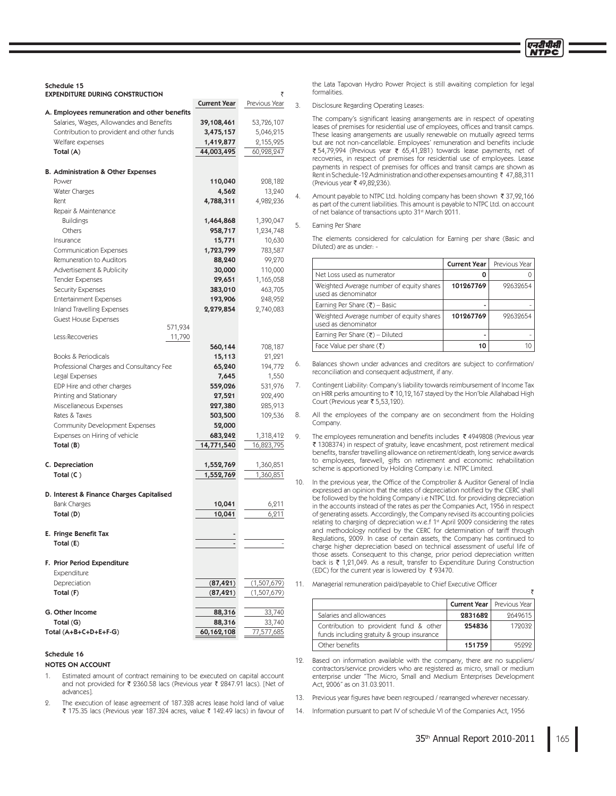Schedule 15 EXPENDITURE DURING CONSTRUCTION

| LAI LIVITUNL PUNINU                                             | <b>Current Year</b>  | Previous Year       |  |
|-----------------------------------------------------------------|----------------------|---------------------|--|
| A. Employees remuneration and other benefits                    |                      |                     |  |
| Salaries, Wages, Allowandes and Benefits                        | 39,108,461           | 53,726,107          |  |
| Contribution to provident and other funds                       | 3,475,157            | 5,046,215           |  |
| Welfare expenses                                                | 1,419,877            | 2,155,925           |  |
| Total (A)                                                       | 44,003,495           | 60,928,247          |  |
|                                                                 |                      |                     |  |
| <b>B. Administration &amp; Other Expenses</b>                   |                      |                     |  |
| Power                                                           | 110,040              | 208,182             |  |
| Water Charges                                                   | 4,562                | 13,240              |  |
| Rent                                                            | 4,788,311            | 4,982,236           |  |
| Repair & Maintenance                                            |                      |                     |  |
| <b>Buildings</b><br>Others                                      | 1,464,868<br>958,717 | 1,390,047           |  |
| Insurance                                                       | 15,771               | 1,234,748<br>10,630 |  |
| <b>Communication Expenses</b>                                   | 1,723,799            | 783,587             |  |
| Remuneration to Auditors                                        | 88,240               | 99,270              |  |
| Advertisement & Publicity                                       | 30,000               | 110,000             |  |
| <b>Tender Expenses</b>                                          | 29,651               | 1,165,058           |  |
| <b>Security Expenses</b>                                        | 383,010              | 463,705             |  |
| <b>Entertainment Expenses</b>                                   | 193,906              | 248,952             |  |
| Inland Travelling Expenses                                      | 2,279,854            | 2,740,083           |  |
| <b>Guest House Expenses</b>                                     |                      |                     |  |
| 571,934                                                         |                      |                     |  |
| Less:Recoveries<br>11,790                                       |                      |                     |  |
|                                                                 | 560,144              | 708,187             |  |
| Books & Periodicals<br>Professional Charges and Consultancy Fee | 15,113<br>65,240     | 21,221<br>194,772   |  |
| Legal Expenses                                                  | 7,645                | 1,550               |  |
| EDP Hire and other charges                                      | 559,026              | 531,976             |  |
| Printing and Stationary                                         | 27,521               | 202,490             |  |
| Miscellaneous Expenses                                          | 227,380              | 285,913             |  |
| Rates & Taxes                                                   | 503,500              | 109,536             |  |
| Community Development Expenses                                  | 52,000               |                     |  |
| Expenses on Hiring of vehicle                                   | 683,242              | 1,318,412           |  |
| Total (B)                                                       | 14,771,540           | 16,823,795          |  |
|                                                                 |                      |                     |  |
| C. Depreciation                                                 | 1,552,769            | 1,360,851           |  |
| Total $(C)$                                                     | 1,552,769            | 1,360,851           |  |
| D. Interest & Finance Charges Capitalised                       |                      |                     |  |
| <b>Bank Charges</b>                                             | 10,041               | 6,211               |  |
| Total (D)                                                       | 10,041               | 6,211               |  |
|                                                                 |                      |                     |  |
| E. Fringe Benefit Tax                                           |                      |                     |  |
| Total (E)                                                       |                      |                     |  |
|                                                                 |                      |                     |  |
| F. Prior Period Expenditure                                     |                      |                     |  |
| Expenditure                                                     |                      |                     |  |
| Depreciation                                                    | (87, 421)            | (1,507,679)         |  |
| Total (F)                                                       | (87, 421)            | (1,507,679)         |  |
| G. Other Income                                                 | 88,316               | 33,740              |  |
| Total (G)                                                       | 88,316               | 33,740              |  |
| Total (A+B+C+D+E+F-G)                                           | 60,162,108           | 77,577,685          |  |
|                                                                 |                      |                     |  |

### Schedule 16

### NOTES ON ACCOUNT

- 1. Estimated amount of contract remaining to be executed on capital account and not provided for ₹ 2360.58 lacs (Previous year ₹ 2847.91 lacs). [Net of advances].
- 2. The execution of lease agreement of 187.328 acres lease hold land of value ₹ 175.35 lacs (Previous year 187.324 acres, value ₹ 142.49 lacs) in favour of

the Lata Tapovan Hydro Power Project is still awaiting completion for legal formalities.

### 3. Disclosure Regarding Operating Leases:

The company's significant leasing arrangements are in respect of operating leases of premises for residential use of employees, offices and transit camps. These leasing arrangements are usually renewable on mutually agreed terms but are not non-cancellable. Employees' remuneration and benefits include ₹ 54,79,994 (Previous year ₹ 65,41,281) towards lease payments, net of recoveries, in respect of premises for residential use of employees. Lease payments in respect of premises for offices and transit camps are shown as Rent in Schedule-12 Administration and other expenses amounting ₹ 47,88,311 (Previous year ₹ 49,82,236).

Amount payable to NTPC Ltd. holding company has been shown ₹37,92,166 as part of the current liabilities. This amount is payable to NTPC Ltd. on account of net balance of transactions upto 31st March 2011.

### Earning Per Share

The elements considered for calculation for Earning per share (Basic and Diluted) are as under: -

|                                                                 | <b>Current Year</b> | Previous Year |
|-----------------------------------------------------------------|---------------------|---------------|
| Net Loss used as numerator                                      |                     |               |
| Weighted Average number of equity shares<br>used as denominator | 101267769           | 99639654      |
| Earning Per Share $(\overline{\tau})$ – Basic                   |                     |               |
| Weighted Average number of equity shares<br>used as denominator | 101267769           | 99639654      |
| Earning Per Share $(\overline{\xi})$ - Diluted                  |                     |               |
| Face Value per share $(\bar{\zeta})$                            |                     |               |

Balances shown under advances and creditors are subject to confirmation/ reconciliation and consequent adjustment, if any.

- 7. Contingent Liability: Company's liability towards reimbursement of Income Tax on HRR perks amounting to  $\bar{\tau}$  10,12,167 stayed by the Hon'ble Allahabad High Court (Previous year ₹ 5,53,120).
- 8. All the employees of the company are on secondment from the Holding Company.
- 9. The employees remuneration and benefits includes  $\bar{\tau}$  4949808 (Previous year ₹ 1308374) in respect of gratuity, leave encashment, post retirement medical benefits, transfer travelling allowance on retirement/death, long service awards to employees, farewell, gifts on retirement and economic rehabilitation scheme is apportioned by Holding Company i.e. NTPC Limited.

10. In the previous year, the Office of the Comptroller & Auditor General of India expressed an opinion that the rates of depreciation notified by the CERC shall be followed by the holding Company i.e NTPC Ltd. for providing depreciation in the accounts instead of the rates as per the Companies Act, 1956 in respect of generating assets. Accordingly, the Company revised its accounting policies relating to charging of depreciation w.e.f 1<sup>st</sup> April 2009 considering the rates and methodology notified by the CERC for determination of tariff through Regulations, 2009. In case of certain assets, the Company has continued to charge higher depreciation based on technical assessment of useful life of those assets. Consequent to this change, prior period depreciation written back is  $\bar{\tau}$  1,21,049. As a result, transfer to Expenditure During Construction (EDC) for the current year is lowered by ₹93470.

11. Managerial remuneration paid/payable to Chief Executive Officer

|                                                                                      |         | <b>Current Year</b>   Previous Year |
|--------------------------------------------------------------------------------------|---------|-------------------------------------|
| Salaries and allowances                                                              | 2831682 | 9649615                             |
| Contribution to provident fund & other<br>funds including gratuity & group insurance | 254836  | 179039                              |
| Other benefits                                                                       | 151759  |                                     |

12. Based on information available with the company, there are no suppliers/ contractors/service providers who are registered as micro, small or medium enterprise under "The Micro, Small and Medium Enterprises Development Act, 2006" as on 31.03.2011

13. Previous year figures have been regrouped / rearranged wherever necessary.

14. Information pursuant to part IV of schedule VI of the Companies Act, 1956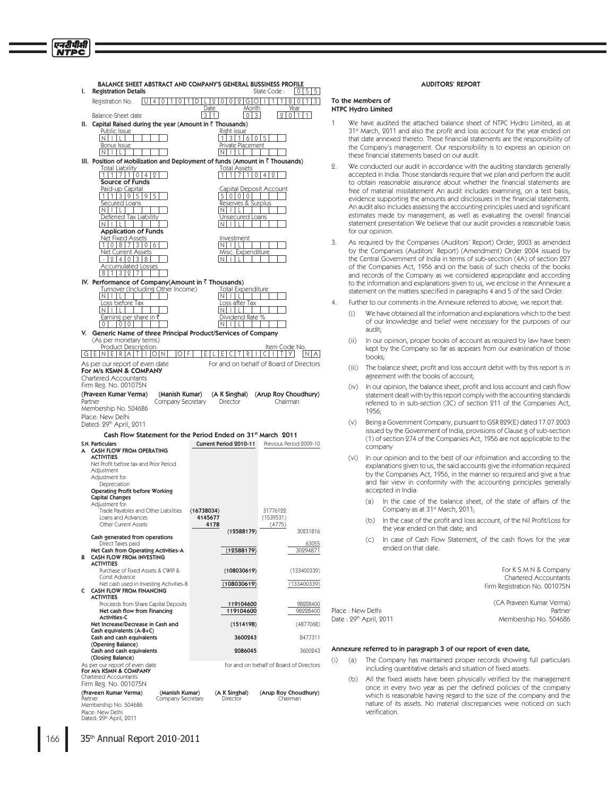| BALANCE SHEET ABSTRACT AND COMPANY'S GENERAL BUSSINESS PROFILE<br>ı.<br><b>Registration Details</b>                                                                                                                                                       |                                                  | 0 5<br>  5  <br>State Code:                                                                                                                                    |
|-----------------------------------------------------------------------------------------------------------------------------------------------------------------------------------------------------------------------------------------------------------|--------------------------------------------------|----------------------------------------------------------------------------------------------------------------------------------------------------------------|
| $\circ$  <br>Registration No.<br>  U   4   0  <br>1                                                                                                                                                                                                       | 1<br>ID I<br> 2 0 0 2 G 0                        | 801<br>3 <sup>1</sup><br>T.<br>1<br>1                                                                                                                          |
| Balance-Sheet date                                                                                                                                                                                                                                        | Date<br>Month<br>311<br>  0   3                  | Year<br> 2 <br>0 1<br>1                                                                                                                                        |
| Capital Raised during the year (Amount in $\bar{z}$ Thousands)<br>н.                                                                                                                                                                                      |                                                  |                                                                                                                                                                |
| Public Issue                                                                                                                                                                                                                                              | Right issue                                      |                                                                                                                                                                |
| Intill                                                                                                                                                                                                                                                    | 1 3 1 6 0 5                                      |                                                                                                                                                                |
| <b>Bonus Issue</b><br>  N       L                                                                                                                                                                                                                         | Private Placement<br>$N$ iil                     |                                                                                                                                                                |
| III. Position of Mobilization and Deployment of funds (Amount in ₹ Thousands)                                                                                                                                                                             |                                                  |                                                                                                                                                                |
| <b>Total Liability</b>                                                                                                                                                                                                                                    | <b>Total Assets</b>                              |                                                                                                                                                                |
| 1 7 1 0 4 <br>9<br>1                                                                                                                                                                                                                                      | 1 7 1 0<br>1                                     | 4 <sup>1</sup><br>$\mathbf{Q}$                                                                                                                                 |
| Source of Funds<br>Paid-up Capital                                                                                                                                                                                                                        | <u>Capital Deposit Account</u>                   |                                                                                                                                                                |
| 11139595                                                                                                                                                                                                                                                  | 5 0 0 0                                          |                                                                                                                                                                |
| Secured Loans                                                                                                                                                                                                                                             | Reserves & Surplus                               |                                                                                                                                                                |
| $N$ illi                                                                                                                                                                                                                                                  | $N$ $ $ $ $ $ $ $ $ $ $                          |                                                                                                                                                                |
| Deferred Tax Liability<br>$N$ illi                                                                                                                                                                                                                        | Unsecured Loans<br>$  \   \ L  $<br>IN I         |                                                                                                                                                                |
| <b>Application of Funds</b>                                                                                                                                                                                                                               |                                                  |                                                                                                                                                                |
| <u>Net Fixed Assets</u>                                                                                                                                                                                                                                   | Investment                                       |                                                                                                                                                                |
| 1 0 8 7 3 0 6<br>Net Current Assets                                                                                                                                                                                                                       | $N$ $ $ $ $ $ $ $ $<br>Misc. Expenditure         |                                                                                                                                                                |
| $-214101318$                                                                                                                                                                                                                                              | $N$ $ $ $ $ $ $ $ $ $ $                          |                                                                                                                                                                |
| <b>Accumulated Losses</b>                                                                                                                                                                                                                                 |                                                  |                                                                                                                                                                |
| 8 1 3 2 7                                                                                                                                                                                                                                                 |                                                  |                                                                                                                                                                |
| IV. Performance of Company(Amount in ₹ Thousands)                                                                                                                                                                                                         |                                                  |                                                                                                                                                                |
| Turnover (Including Other Income)<br>$N$   $ $   $ $                                                                                                                                                                                                      | <u> Total Expenditure</u><br>$N$ $ $ $ $ $ $ $ $ |                                                                                                                                                                |
| Loss before Tax                                                                                                                                                                                                                                           | Loss after Tax                                   |                                                                                                                                                                |
| $\lfloor N \rfloor + \lfloor L \rfloor$                                                                                                                                                                                                                   | $N$ $ $ $ $ $ $ $ $ $ $ $ $                      |                                                                                                                                                                |
| Earning per share in ₹<br>101.10101                                                                                                                                                                                                                       | Dividend Rate %<br>Intilli                       |                                                                                                                                                                |
| V. Generic Name of three Principal Product/Services of Company                                                                                                                                                                                            |                                                  |                                                                                                                                                                |
| (As per monetary terms)                                                                                                                                                                                                                                   |                                                  |                                                                                                                                                                |
| Product Description:                                                                                                                                                                                                                                      |                                                  | Item Code No.                                                                                                                                                  |
| GE[NERATION<br>O F                                                                                                                                                                                                                                        | l E I<br>IEICI<br>TIRI                           | NAT<br>CIIITIYI                                                                                                                                                |
| As per our report of even date<br>For M/s KSMN & COMPANY                                                                                                                                                                                                  |                                                  | For and on behalf of Board of Directors                                                                                                                        |
| Chartered Accountants                                                                                                                                                                                                                                     |                                                  |                                                                                                                                                                |
| Firm Reg. No. 001075N                                                                                                                                                                                                                                     |                                                  |                                                                                                                                                                |
| (Praveen Kumar Verma)<br>(Manish Kumar)                                                                                                                                                                                                                   | (A K Singhal)                                    |                                                                                                                                                                |
|                                                                                                                                                                                                                                                           |                                                  |                                                                                                                                                                |
| Company Secretary                                                                                                                                                                                                                                         | Director                                         | Chairman                                                                                                                                                       |
|                                                                                                                                                                                                                                                           |                                                  |                                                                                                                                                                |
|                                                                                                                                                                                                                                                           |                                                  |                                                                                                                                                                |
| Cash Flow Statement for the Period Ended on 31st March 2011                                                                                                                                                                                               |                                                  |                                                                                                                                                                |
|                                                                                                                                                                                                                                                           | Current Period 2010-11                           |                                                                                                                                                                |
|                                                                                                                                                                                                                                                           |                                                  |                                                                                                                                                                |
| <b>ACTIVITIES</b><br>Net Profit before tax and Prior Period                                                                                                                                                                                               |                                                  |                                                                                                                                                                |
| Adjustment                                                                                                                                                                                                                                                |                                                  |                                                                                                                                                                |
| Adjustment for:                                                                                                                                                                                                                                           |                                                  |                                                                                                                                                                |
| Depreciation<br><b>Operating Profit before Working</b>                                                                                                                                                                                                    |                                                  |                                                                                                                                                                |
| <b>Capital Changes</b>                                                                                                                                                                                                                                    |                                                  |                                                                                                                                                                |
| Adjustment for:                                                                                                                                                                                                                                           |                                                  |                                                                                                                                                                |
| Trade Payables and Other Liabilities<br>Loans and Advances                                                                                                                                                                                                | (16738034)<br>4145677                            | 31776122<br>(1539531)                                                                                                                                          |
| Other Current Assets                                                                                                                                                                                                                                      | 4178                                             | (4775)                                                                                                                                                         |
|                                                                                                                                                                                                                                                           | (12588179)                                       |                                                                                                                                                                |
| Cash generated from operations<br>Direct Taxes paid                                                                                                                                                                                                       |                                                  |                                                                                                                                                                |
| Net Cash from Operating Activities-A                                                                                                                                                                                                                      | (12588179)                                       |                                                                                                                                                                |
| <b>CASH FLOW FROM INVESTING</b>                                                                                                                                                                                                                           |                                                  |                                                                                                                                                                |
| <b>ACTIVITIES</b><br>Purchase of Fixed Assets & CWIP &                                                                                                                                                                                                    | (108030619)                                      |                                                                                                                                                                |
| Const Advance                                                                                                                                                                                                                                             |                                                  |                                                                                                                                                                |
| Net cash used in Investing Activities-B                                                                                                                                                                                                                   | (108030619)                                      |                                                                                                                                                                |
| <b>CASH FLOW FROM FINANCING</b>                                                                                                                                                                                                                           |                                                  |                                                                                                                                                                |
| <b>ACTIVITIES</b><br>Proceeds from Share Capital Deposits                                                                                                                                                                                                 | 119104600                                        |                                                                                                                                                                |
| Net cash flow from Financing                                                                                                                                                                                                                              | 119104600                                        |                                                                                                                                                                |
| <b>Activities-C</b>                                                                                                                                                                                                                                       |                                                  |                                                                                                                                                                |
| Net Increase/Decrease in Cash and<br>Cash equivalents (A-B+C)                                                                                                                                                                                             | (1514198)                                        |                                                                                                                                                                |
| Cash and cash equivalents                                                                                                                                                                                                                                 | 3600243                                          |                                                                                                                                                                |
| (Opening Balance)                                                                                                                                                                                                                                         |                                                  | (Arup Roy Choudhury)<br>Previous Period 2009-10<br>30231816<br>63055<br>30294871<br>(133400339)<br>(133400339)<br>98228400<br>98228400<br>(4877068)<br>8477311 |
| Cash and cash equivalents<br>(Closing Balance)                                                                                                                                                                                                            | 2086045                                          | 3600243                                                                                                                                                        |
|                                                                                                                                                                                                                                                           |                                                  |                                                                                                                                                                |
|                                                                                                                                                                                                                                                           |                                                  |                                                                                                                                                                |
| Partner<br>Membership No. 504686<br>Place: New Delhi<br>Dated: 29th April, 2011<br>S.N. Particulars<br>A CASH FLOW FROM OPERATING<br>В<br>c<br>As per our report of even date<br>For M/s KSMN & COMPANY<br>Chartered Accountants<br>Firm Reg. No. 001075N |                                                  | For and on behalf of Board of Directors                                                                                                                        |

# AUDITORS' REPORT

To the Members of NTPC Hydro Limited

 $(i)$ 

Chairman

- We have audited the attached balance sheet of NTPC Hydro Limited, as at 31<sup>st</sup> March. 2011 and also the profit and loss account for the year ended on that date annexed thereto. These financial statements are the responsibility of the Company's management. Our responsibility is to express an opinion on these financial statements based on our audit.
- 2. We conducted our audit in accordance with the auditing standards generally accepted in India. Those standards require that we plan and perform the audit to obtain reasonable assurance about whether the financial statements are free of material misstatement An audit includes examining, on a test basis, evidence supporting the amounts and disclosures in the financial statements. An audit also includes assessing the accounting principles used and significant estimates made by management, as well as evaluating the overall financial statement presentation We believe that our audit provides a reasonable basis for our opinion.
- 3. As required by the Companies (Auditors' Report) Order, 2003 as amended by the Companies (Auditors' Report) (Amendment) Order 2004 issued by the Central Government of India in terms of sub-secction (4A) of section 227 of the Companies Act, 1956 and on the basis of such checks of the books and records of the Company as we considered appropdate and according to the information and explanations given to us, we enclose in the Annexure a statement on the matters specified in paragraphs 4 and 5 of the said Order.
- Further to our comments in the Annexure referred to above, we report that
	- $(i)$ We have obtained all the information and explanations which to the best of our knowledge and belief were necessary for the purposes of our audit:
	- $(i)$ In our opinion, proper books of account as required by law have been kept by the Company so far as appears from our exaniination of those books:
	- (iii) The balance sheet, profit and loss account debit with by this report is in agreement with the books of account;
	- (iv) In our opinion, the balance sheet, profit and loss account and cash flow statement dealt with by this report comply with the accounting standards referred to in sub-section (3C) of section 211 of the Companies Act, 1956:
	- $(v)$ Being a Government Company, pursuant to GSR 829(E) dated 17.07.2003 issued by the Government of India, provisions of Clause g of sub-section (1) of section 274 of the Companies Act, 1956 are not applicable to the company
	- (vi) In our opinion and to the best of our infoimation and according to the explanations given to us, the said accounts give the information required by the Companies Act, 1956, in the manner so required and give a true and fair view in conformity with the accounting principles generally accepted in India:
		- $(a)$ In the case of the balance sheet, of the state of affairs of the Company as at 31<sup>st</sup> March, 2011;
		- $(b)$ In the case of the profit and loss account, of the Nil Profit/Loss for the year ended on that date; and
		- $\Gamma$ In case of Cash Flow Statement, of the cash flows for the year ended on that date

|                        | For K S M N & Company<br><b>Chartered Accountants</b><br>Firm Registration No. 001075N |
|------------------------|----------------------------------------------------------------------------------------|
| Place : New Delhi      | (CA Praveen Kumar Verma)<br>Partner                                                    |
| Date: 29th April, 2011 | Membership No. 504686                                                                  |

### Annexure referred to in paragraph 3 of our report of even date,

- (a) The Company has maintained proper records showing full particulars including quantitative details and situation of fixed assets.
- (b) All the fixed assets have been physically verified by the management once in every two year as per the defined policies of the company which is reasonable having regard to the size of the company and the nature of its assets. No material discrepancies were noticed on such verification.

Company Secretary

Directo

Membership No. 504686

Place: New Delhi<br>Dated: 29th April, 2011

Partner

एनदीपीसी **NTPC**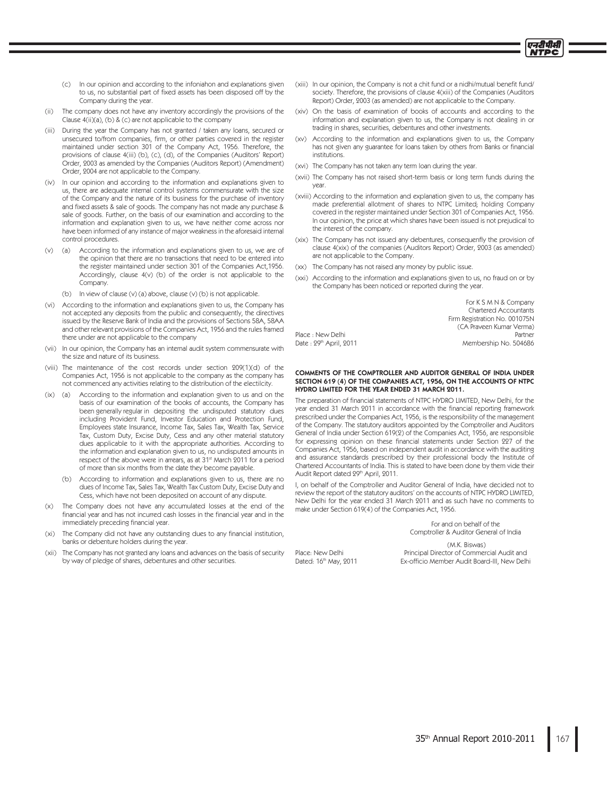- In our opinion and according to the infoniahon and explanations given  $(c)$ to us, no substantial part of fixed assets has been disposed off by the Company during the year
- $(ii)$ The company does not have any inventory accordingly the provisions of the Clause 4(ii)(a), (b) & (c) are not applicable to the company
- (iii) During the year the Company has not granted / taken any loans, secured or unsecured to/from companies, firm, or other parties covered in the register maintained under section 301 of the Company Act, 1956. Therefore, the provisions of clause 4(iii) (b), (c), (d), of the Companies (Auditors' Report) Order, 2003 as amended by the Companies (Auditors Report) (Amendment) Order, 2004 are not applicable to the Company.
- In our opinion and according to the information and explanations given to  $(iv)$ us, there are adequate internal control systems commensurate with the size of the Company and the nature of its business for the purchase of inventory and fixed assets & sale of goods. The company has not made any purchase & sale of goods. Further, on the basis of our examination and according to the information and explanation given to us, we have neither come across nor have been informed of any instance of major weakness in the aforesaid internal control procedures.
- According to the information and explanations given to us, we are of  $(v)$  $(a)$ the opinion that there are no transactions that need to be entered into the register maintained under section 301 of the Companies Act, 1956. Accordingly, clause 4(v) (b) of the order is not applicable to the Company.
	- (b) In view of clause (v) (a) above, clause (v) (b) is not applicable.
- According to the information and explanations given to us, the Company has  $(vi)$ not accepted any deposits from the public and consequently, the directives issued by the Reserve Bank of India and the provisions of Sections 58A, 58AA and other relevant provisions of the Companies Act, 1956 and the rules framed there under are not applicable to the company
- (vii) In our opinion, the Company has an internal audit system commensurate with the size and nature of its business.
- (viii) The maintenance of the cost records under section 209(1)(d) of the Companies Act, 1956 is not applicable to the company as the company has not commenced any activities relating to the distribution of the electilcity.
- According to the information and explanation given to us and on the  $(ix)$  $(a)$ basis of our examination of the books of accounts, the Company has been generally regular in depositing the undisputed statutory dues including Provident Fund, Investor Education and Protection Fund, Employees state Insurance, Income Tax, Sales Tax, Wealth Tax, Service Tax, Custom Duty, Excise Duty, Cess and any other material statutory dues applicable to it with the appropriate authorities. According to the information and explanation given to us, no undisputed amounts in respect of the above were in arrears, as at 31<sup>st</sup> March 2011 for a period of more than six months from the date they become payable.
	- (b) According to information and explanations given to us, there are no dues of Income Tax, Sales Tax, Wealth Tax Custom Duty, Excise Duty and Cess, which have not been deposited on account of any dispute.
- The Company does not have any accumulated losses at the end of the  $(x)$ financial year and has not incurred cash losses in the financial year and in the immediately preceding financial year.
- $(x<sub>i</sub>)$ The Company did not have any outstanding dues to any financial institution, banks or debenture holders during the year
- The Company has not granted any loans and advances on the basis of security  $(xii)$ by way of pledge of shares, debentures and other securities.
- (xiii) In our opinion, the Company is not a chit fund or a nidhi/mutual benefit fund/ society. Therefore, the provisions of clause 4(xiii) of the Companies (Auditors Report) Order, 2003 (as amended) are not applicable to the Company.
- (xiv) On the basis of examination of books of accounts and according to the information and explanation given to us, the Company is not dealing in or trading in shares, securities, debentures and other investments
- (xv) According to the information and explanations given to us, the Company has not given any guarantee for loans taken by others from Banks or financial institutions.
- (xvi) The Company has not taken any term loan during the year.
- (xvii) The Company has not raised short-term basis or long term funds during the
- (xviii) According to the information and explanation given to us, the company has made preferential allotment of shares to NTPC Limited, holding Company covered in the register maintained under Section 301 of Companies Act, 1956. In our opinion, the price at which shares have been issued is not prejudical to the interest of the company.
- (xix) The Company has not issued any debentures, consequenfly the provision of clause 4(xix) of the companies (Auditors Report) Order, 2003 (as amended) are not applicable to the Company.
- (xx) The Company has not raised any money by public issue.
- (xxi) According to the information and explanations given to us, no fraud on or by the Company has been noticed or reported during the year

For K S M N & Company Chartered Accountants Firm Registration No. 001075N (CA Praveen Kumar Verma) Partner Membership No. 504686

प्तदीपीरी

Place : New Delhi Date: 29th April, 2011

Place: New Delhi

Dated: 16th May, 2011

### COMMENTS OF THE COMPTROLLER AND ALIDITOR GENERAL OF INDIA LINDER SECTION 619 (4) OF THE COMPANIES ACT, 1956, ON THE ACCOUNTS OF NTPC HYDRO LIMITED FOR THE YEAR ENDED 31 MARCH 2011.

The preparation of financial statements of NTPC HYDRO LIMITED, New Delhi, for the year ended 31 March 2011 in accordance with the financial reporting framework prescribed under the Companies Act, 1956, is the responsibility of the management of the Company. The statutory auditors appointed by the Comptroller and Auditors General of India under Section 619(2) of the Companies Act, 1956, are responsible for expressing opinion on these financial statements under Section 227 of the Companies Act. 1956, based on independent audit in accordance with the auditing and assurance standards prescribed by their professional body the Institute of Chartered Accountants of India. This is stated to have been done by them vide their Audit Report dated 29th April, 2011.

I, on behalf of the Comptroller and Auditor General of India, have decided not to review the report of the statutory auditors' on the accounts of NTPC HYDRO LIMITED, New Delhi for the year ended 31 March 2011 and as such have no comments to make under Section 619(4) of the Companies Act, 1956.

> For and on behalf of the Comptroller & Auditor General of India

(M.K. Biswas) Principal Director of Commercial Audit and Ex-officio Member Audit Board-III, New Delhi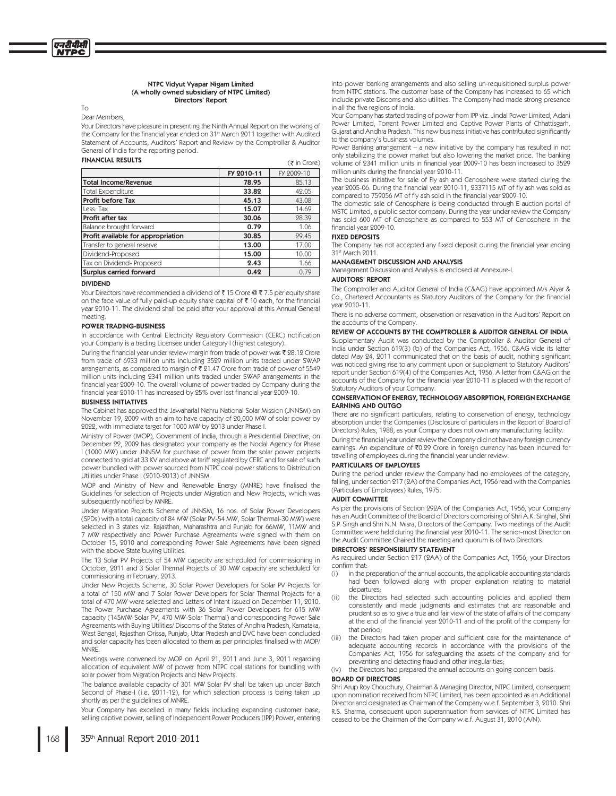### NTPC Vidyut Vyapar Nigam Limited (A wholly owned subsidiary of NTPC Limited) Directors' Report

To

Dear Members,

Your Directors have pleasure in presenting the Ninth Annual Report on the working of the Company for the financial year ended on 31st March 2011 together with Audited Statement of Accounts, Auditors' Report and Review by the Comptroller & Auditor General of India for the reporting period.

### FINANCIAL RESULTS  $(\bar{z} \text{ in } \text{Core})$

|                                    | FY 2010-11 | FY 2009-10 |
|------------------------------------|------------|------------|
| <b>Total Income/Revenue</b>        | 78.95      | 85.13      |
| <b>Total Expenditure</b>           | 33.82      | 42.05      |
| Profit before Tax                  | 45.13      | 43.08      |
| Less: Tax                          | 15.07      | 14.69      |
| Profit after tax                   | 30.06      | 28.39      |
| Balance brought forward            | 0.79       | 1.06       |
| Profit available for appropriation | 30.85      | 29.45      |
| Transfer to general reserve        | 13.00      | 17.00      |
| Dividend-Proposed                  | 15.00      | 10.00      |
| Tax on Dividend-Proposed           | 2.43       | 1.66       |
| Surplus carried forward            | 0.42       | 0.79       |
|                                    |            |            |

### DIVIDEND

Your Directors have recommended a dividend of  $\bar{\tau}$  15 Crore @  $\bar{\tau}$  7.5 per equity share on the face value of fully paid-up equity share capital of  $\bar{\tau}$  10 each, for the financial year 2010-11. The dividend shall be paid after your approval at this Annual General meeting.

### POWER TRADING-BUSINESS

In accordance with Central Electricity Regulatory Commission (CERC) notification your Company is a trading Licensee under Category I (highest category) .

During the financial year under review margin from trade of power was  $\bar{\tau}$  28.12 Crore from trade of 6933 million units including 3529 million units traded under SWAP arrangements, as compared to margin of  $\bar{\bar{\mathfrak{c}}}$  21.47 Crore from trade of power of 5549 million units including 2341 million units traded under SWAP arrangements in the financial year 2009-10. The overall volume of power traded by Company during the financial year 2010-11 has increased by 25% over last financial year 2009-10.

### BUSINESS INITIATIVES

The Cabinet has approved the Jawaharlal Nehru National Solar Mission (JNNSM) on November 19, 2009 with an aim to have capacity of 20,000 MW of solar power by 2022, with immediate target for 1000 MW by 2013 under Phase I.

Ministry of Power (MOP), Government of India, through a Presidential Directive, on December 22, 2009 has designated your company as the Nodal Agency for Phase I (1000 MW) under JNNSM for purchase of power from the solar power projects connected to grid at 33 KV and above at tariff regulated by CERC and for sale of such power bundled with power sourced from NTPC coal power stations to Distribution Utilities under Phase I (2010-2013) of JNNSM.

MOP and Ministry of New and Renewable Energy (MNRE) have finalised the Guidelines for selection of Projects under Migration and New Projects, which was subsequently notified by MNRE.

Under Migration Projects Scheme of JNNSM, 16 nos. of Solar Power Developers (SPDs) with a total capacity of 84 MW (Solar PV-54 MW, Solar Thermal-30 MW) were selected in 3 states viz. Rajasthan, Maharashtra and Punjab for 66MW, 11MW and 7 MW respectively and Power Purchase Agreements were signed with them on October 15, 2010 and corresponding Power Sale Agreements have been signed with the above State buying Utilities.

The 13 Solar PV Projects of 54 MW capacity are scheduled for commissioning in October, 2011 and 3 Solar Thermal Projects of 30 MW capacity are scheduled for commissioning in February, 2013.

Under New Projects Scheme, 30 Solar Power Developers for Solar PV Projects for a total of 150 MW and 7 Solar Power Developers for Solar Thermal Projects for a total of 470 MW were selected and Letters of Intent issued on December 11, 2010. The Power Purchase Agreements with 36 Solar Power Developers for 615 MW capacity (145MW-Solar PV, 470 MW-Solar Thermal) and corresponding Power Sale Agreements with Buying Utilities/ Discoms of the States of Andhra Pradesh, Karnataka, West Bengal, Rajasthan Orissa, Punjab, Uttar Pradesh and DVC have been concluded and solar capacity has been allocated to them as per principles finalised with MOP/ MNRE.

Meetings were convened by MOP on April 21, 2011 and June 3, 2011 regarding allocation of equivalent MW of power from NTPC coal stations for bundling with solar power from Migration Projects and New Projects.

The balance available capacity of 301 MW Solar PV shall be taken up under Batch Second of Phase-I (i.e. 2011-12), for which selection process is being taken up shortly as per the guidelines of MNRE.

Your Company has excelled in many fields including expanding customer base, selling captive power, selling of Independent Power Producers (IPP) Power, entering

into power banking arrangements and also selling un-requisitioned surplus power from NTPC stations. The customer base of the Company has increased to 65 which include private Discoms and also utilities. The Company had made strong presence in all the five regions of India.

Your Company has started trading of power from IPP viz. Jindal Power Limited, Adani Power Limited, Torrent Power Limited and Captive Power Plants of Chhattisgarh, Gujarat and Andhra Pradesh. This new business initiative has contributed significantly to the company's business volumes.

Power Banking arrangement - a new initiative by the company has resulted in not only stabilizing the power market but also lowering the market price. The banking volume of 2341 million units in financial year 2009-10 has been increased to 3529 million units during the financial year 2010-11.

The business initiative for sale of Fly ash and Cenosphere were started during the year 2005-06. During the financial year 2010-11, 2337115 MT of fly ash was sold as compared to 759056 MT of fly ash sold in the financial year 2009-10.

The domestic sale of Cenosphere is being conducted through E-auction portal of MSTC Limited, a public sector company. During the year under review the Company has sold 600 MT of Cenosphere as compared to 553 MT of Cenosphere in the financial year 2009-10.

### FIXED DEPOSITS

The Company has not accepted any fixed deposit during the financial year ending 31<sup>st</sup> March 9011.

### MANAGEMENT DISCUSSION AND ANALYSIS

Management Discussion and Analysis is enclosed at Annexure-I.

### AUDITORS' REPORT

The Comptroller and Auditor General of India (C&AG) have appointed M/s Aiyar & Co., Chartered Accountants as Statutory Auditors of the Company for the financial vear 2010-11.

There is no adverse comment, observation or reservation in the Auditors' Report on the accounts of the Company

### REVIEW OF ACCOUNTS BY THE COMPTROLLER & AUDITOR GENERAL OF INDIA

Supplementary Audit was conducted by the Comptroller & Auditor General of India under Section 619(3) (b) of the Companies Act, 1956. C&AG vide its letter dated May 24, 2011 communicated that on the basis of audit, nothing significant was noticed giving rise to any comment upon or supplement to Statutory Auditors' report under Section 619(4) of the Companies Act, 1956. A letter from C&AG on the accounts of the Company for the financial year 2010-11 is placed with the report of Statutory Auditors of your Company

### CONSERVATION OF ENERGY, TECHNOLOGY ABSORPTION, FOREIGN EXCHANGE EARNING AND OUTGO

There are no significant particulars, relating to conservation of energy, technology absorption under the Companies (Disclosure of particulars in the Report of Board of Directors) Rules, 1988, as your Company does not own any manufacturing facility.

During the financial year under review the Company did not have any foreign currency earnings. An expenditure of ₹0.29 Crore in foreign currency has been incurred for travelling of employees during the financial year under review.

### PARTICULARS OF EMPLOYEES

During the period under review the Company had no employees of the category, falling, under section 217 (2A) of the Companies Act, 1956 read with the Companies (Particulars of Employees) Rules, 1975.

### AUDIT COMMITTEE

As per the provisions of Section 292A of the Companies Act, 1956, your Company has an Audit Committee of the Board of Directors comprising of Shri A.K. Singhal, Shri S.P. Singh and Shri N.N. Misra, Directors of the Company. Two meetings of the Audit Committee were held during the financial year 2010-11. The senior-most Director on the Audit Committee Chaired the meeting and quorum is of two Directors.

### DIRECTORS' RESPONSIBILITY STATEMENT

As required under Section 217 (2AA) of the Companies Act, 1956, your Directors confirm that:

- $(i)$ in the preparation of the annual accounts, the applicable accounting standards had been followed along with proper explanation relating to material departures:
- $(ii)$ the Directors had selected such accounting policies and applied them consistently and made judgments and estimates that are reasonable and prudent so as to give a true and fair view of the state of affairs of the company at the end of the financial year 2010-11 and of the profit of the company for that period;
- $(iii)$ the Directors had taken proper and sufficient care for the maintenance of adequate accounting records in accordance with the provisions of the Companies Act, 1956 for safeguarding the assets of the company and for preventing and detecting fraud and other irregularities;
- $(iv)$ the Directors had prepared the annual accounts on going concern basis.

### BOARD OF DIRECTORS

Shri Arup Roy Choudhury, Chairman & Managing Director, NTPC Limited, consequent upon nomination received from NTPC Limited, has been appointed as an Additional Director and designated as Chairman of the Company w.e.f. September 3, 2010. Shri R.S. Sharma, consequent upon superannuation from services of NTPC Limited has ceased to be the Chairman of the Company w.e.f. August 31, 2010 (A/N).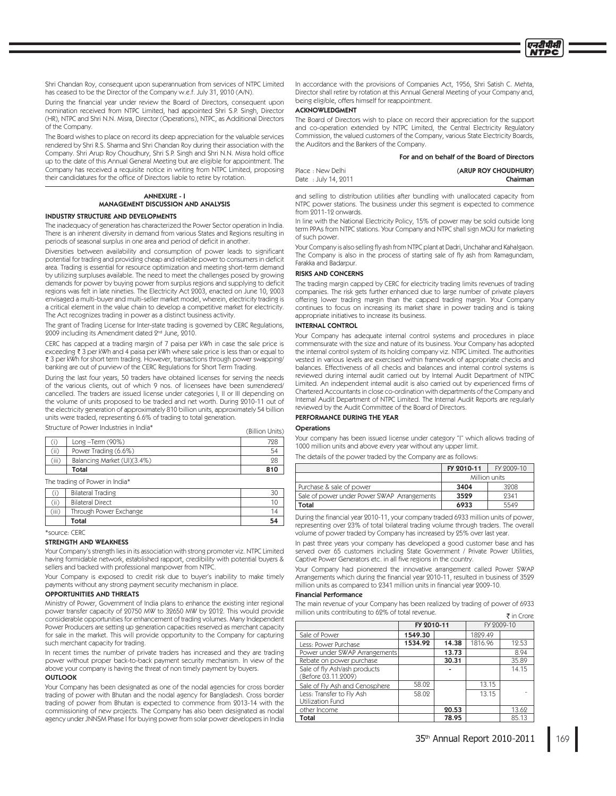Shri Chandan Roy, consequent upon superannuation from services of NTPC Limited has ceased to be the Director of the Company w.e.f. July 31, 2010 (A/N).

During the financial year under review the Board of Directors, consequent upon nomination received from NTPC Limited, had appointed Shri S.P. Singh, Director (HR), NTPC and Shri N.N. Misra, Director (Operations), NTPC, as Additional Directors of the Company

The Board wishes to place on record its deep appreciation for the valuable services rendered by Shri R.S. Sharma and Shri Chandan Roy during their association with the Company. Shri Arup Roy Choudhury, Shri S.P. Singh and Shri N.N. Misra hold office up to the date of this Annual General Meeting but are eligible for appointment. The Company has received a requisite notice in writing from NTPC Limited, proposing their candidatures for the office of Directors liable to retire by rotation.

### **ANNEXIIRE - I** MANAGEMENT DISCUSSION AND ANALYSIS

### **INDUSTRY STRUCTURE AND DEVELOPMENTS**

The inadequacy of generation has characterized the Power Sector operation in India. There is an inherent diversity in demand from various States and Regions resulting in periods of seasonal surplus in one area and period of deficit in another.

Diversities between availability and consumption of power leads to significant potential for trading and providing cheap and reliable power to consumers in deficit area. Trading is essential for resource optimization and meeting short-term demand by utilizing surpluses available. The need to meet the challenges posed by growing demands for power by buying power from surplus regions and supplying to deficit regions was felt in late nineties. The Electricity Act 2003, enacted on June 10, 2003 envisaged a multi-buyer and multi-seller market model, wherein, electricity trading is a critical element in the value chain to develop a competitive market for electricity. The Act recognizes trading in power as a distinct business activity.

The grant of Trading License for Inter-state trading is governed by CERC Regulations, 2009 including its Amendment dated 2nd June, 2010.

CERC has capped at a trading margin of 7 paisa per kWh in case the sale price is exceeding ₹ 3 per kWh and 4 paisa per kWh where sale price is less than or equal to ₹ 3 per kWh for short term trading. However, transactions through power swapping/ banking are out of purview of the CERC Regulations for Short Term Trading.

During the last four years, 50 traders have obtained licenses for serving the needs of the various clients, out of which 9 nos. of licensees have been surrendered/ cancelled. The traders are issued license under categories I, II or III depending on the volume of units proposed to be traded and net worth. During 2010-11 out of the electricity generation of approximately 810 billion units, approximately 54 billion units were traded, representing 6.6% of trading to total generation.

Structure of Power Industries in India\*

|       | Structure of Power Industries in India* | (Billion Units) |
|-------|-----------------------------------------|-----------------|
|       | $Long -Term(90%)$                       | 728             |
| (ii)  | Power Trading (6.6%)                    | 54              |
| (iii) | Balancing Market (UI)(3.4%)             | 98              |
|       | Total                                   | 810             |

The trading of Power in India\*

|       | Total                    | 54 |
|-------|--------------------------|----|
| 'iii) | Through Power Exchange   |    |
| .     | <b>Bilateral Direct</b>  |    |
|       | <b>Bilateral Trading</b> |    |

\*source: CERC

### **STRENGTH AND WEAKNESS**

Your Company's strength lies in its association with strong promoter viz. NTPC Limited having formidable network, established rapport, credibility with potential buyers & sellers and backed with professional manpower from NTPC

Your Company is exposed to credit risk due to buyer's inability to make timely payments without any strong payment security mechanism in place.

### **OPPORTUNITIES AND THREATS**

Ministry of Power, Government of India plans to enhance the existing inter regional power transfer capacity of 20750 MW to 32650 MW by 2012. This would provide considerable opportunities for enhancement of trading volumes. Many Independent Power Producers are setting up generation capacities reserved as merchant capacity for sale in the market. This will provide opportunity to the Company for capturing such merchant capacity for trading.

In recent times the number of private traders has increased and they are trading power without proper back-to-back payment security mechanism. In view of the above your company is having the threat of non timely payment by buyers. **OUTLOOK** 

### Your Company has been designated as one of the nodal agencies for cross border trading of power with Bhutan and the nodal agency for Bangladesh. Cross border trading of power from Bhutan is expected to commence from 2013-14 with the commissioning of new projects. The Company has also been designated as nodal agency under JNNSM Phase I for buying power from solar power developers in India

In accordance with the provisions of Companies Act, 1956, Shri Satish C. Mehta, Director shall retire by rotation at this Annual General Meeting of your Company and, being eligible, offers himself for reappointment.

### **ACKNOWLEDGMENT**

The Board of Directors wish to place on record their appreciation for the support and co-operation extended by NTPC Limited, the Central Electricity Regulatory Commission, the valued customers of the Company, various State Electricity Boards, the Auditors and the Bankers of the Company.

### For and on behalf of the Board of Directors

प्रदर्शिक

| Place: New Delhi    | (ARUP ROY CHOUDHURY) |
|---------------------|----------------------|
| Date: July 14, 2011 | Chairman             |

and selling to distribution utilities after bundling with unallocated capacity from NTPC power stations. The business under this segment is expected to commence from 2011-12 onwards

In line with the National Electricity Policy, 15% of power may be sold outside long term PPAs from NTPC stations. Your Company and NTPC shall sign MOU for marketing of such power.

Your Company is also selling fly ash from NTPC plant at Dadri, Unchahar and Kahalgaon. The Company is also in the process of starting sale of fly ash from Ramagundam, Farakka and Badarour.

### **RISKS AND CONCERNS**

The trading margin capped by CERC for electricity trading limits revenues of trading companies. The risk gets further enhanced due to large number of private players offering lower trading margin than the capped trading margin. Your Company continues to focus on increasing its market share in power trading and is taking appropriate initiatives to increase its business.

### **INTERNAL CONTROL**

Your Company has adequate internal control systems and procedures in place commensurate with the size and nature of its business. Your Company has adopted the internal control system of its holding company viz. NTPC Limited. The authorities vested in various levels are exercised within framework of appropriate checks and balances. Effectiveness of all checks and balances and internal control systems is reviewed during internal audit carried out by Internal Audit Department of NTPC Limited. An independent internal audit is also carried out by experienced firms of Chartered Accountants in close co-ordination with departments of the Company and Internal Audit Department of NTPC Limited. The Internal Audit Reports are regularly reviewed by the Audit Committee of the Board of Directors

# PERFORMANCE DURING THE YEAR

Operations

Your company has been issued license under category "I" which allows trading of 1000 million units and above every year without any upper limit.

The details of the power traded by the Company are as follows:

|                                             | FY 2010-11 | FY 2009-10    |
|---------------------------------------------|------------|---------------|
|                                             |            | Million units |
| Purchase & sale of power                    | 3404       | 3208          |
| Sale of power under Power SWAP Arrangements | 3529       | 9341          |
| Total                                       | 6933       | 5549          |

During the financial year 2010-11, your company traded 6933 million units of power, representing over 23% of total bilateral trading volume through traders. The overall volume of power traded by Company has increased by 25% over last year.

In past three years your company has developed a good customer base and has served over 65 customers including State Government / Private Power Utilities, Captive Power Generators etc. in all five regions in the country.

Your Company had pioneered the innovative arrangement called Power SWAP Arrangements which during the financial year 2010-11, resulted in business of 3529 million units as compared to 2341 million units in financial year 2009-10.

### **Financial Performance**

The main revenue of your Company has been realized by trading of power of 6933 million units contributing to 62% of total revenue. ₹ in Crore

|                                                     | FY 2010-11 |       |         | FY 2009-10 |
|-----------------------------------------------------|------------|-------|---------|------------|
| Sale of Power                                       | 1549.30    |       | 1829.49 |            |
| Less: Power Purchase                                | 1534.92    | 14.38 | 1816.96 | 12.53      |
| Power under SWAP Arrangements                       |            | 13.73 |         | 8.94       |
| Rebate on power purchase                            |            | 30.31 |         | 35.89      |
| Sale of fly Ash/ash products<br>(Before 03.11.2009) |            |       |         | 14.15      |
| Sale of Fly Ash and Cenosphere                      | 58.02      |       | 13.15   |            |
| Less: Transfer to Fly Ash<br>Utilization Fund       | 58.02      |       | 13.15   |            |
| other Income                                        |            | 20.53 |         | 13.62      |
| Total                                               |            | 78.95 |         | 85.13      |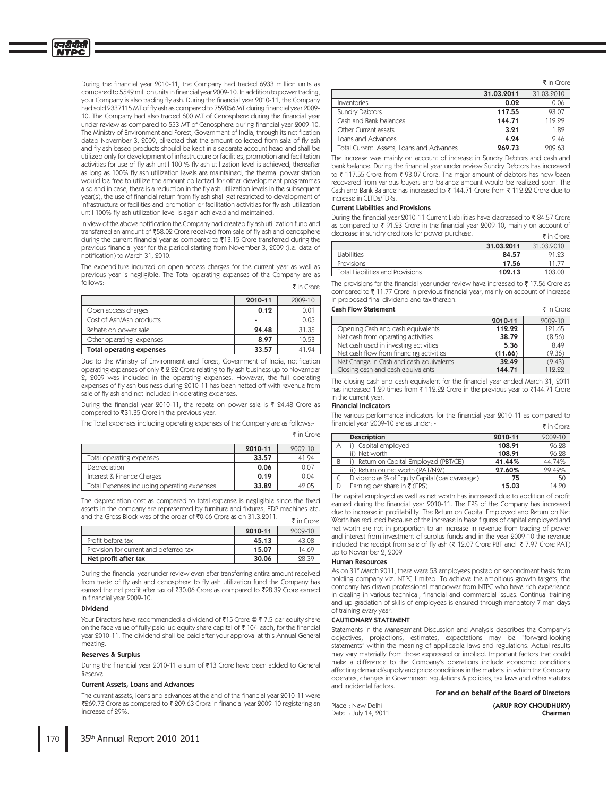During the financial year 2010-11, the Company had traded 6933 million units as compared to 5549 million units in financial year 2009-10. In addition to power trading, your Company is also trading fly ash. During the financial year 2010-11, the Company had sold 2337115 MT of fly ash as compared to 759056 MT during financial year 2009-10. The Company had also traded 600 MT of Cenosphere during the financial year under review as compared to 553 MT of Cenosphere during financial year 2009-10. The Ministry of Environment and Forest, Government of India, through its notification dated November 3, 2009, directed that the amount collected from sale of fly ash and fly ash based products should be kept in a separate account head and shall be utilized only for development of infrastructure or facilities, promotion and facilitation activities for use of fly ash until 100 % fly ash utilization level is achieved; thereafter as long as 100% fly ash utilization levels are maintained, the thermal power station would be free to utilize the amount collected for other development programmes also and in case, there is a reduction in the fly ash utilization levels in the subsequent year(s), the use of financial return from fly ash shall get restricted to development of infrastructure or facilities and promotion or facilitation activities for fly ash utilization until 100% fly ash utilization level is again achieved and maintained

In view of the above notification the Company had created fly ash utilization fund and transferred an amount of ₹58.02 Crore received from sale of fly ash and cenosphere during the current financial year as compared to ₹13.15 Crore transferred during the previous financial year for the period starting from November 3, 2009 (i.e. date of notification) to March 31, 2010.

The expenditure incurred on open access charges for the current year as well as previous year is negligible. The Total operating expenses of the Company are as follows:- $\bar{z}$  in Crore

|                                 | 2010-11 | 2009-10 |
|---------------------------------|---------|---------|
| Open access charges             | 0.12    | 0.Oʻ    |
| Cost of Ash/Ash products        | ۰       | 0.05    |
| Rebate on power sale            | 24.48   | 31.35   |
| Other operating expenses        | 8.97    | 10.53   |
| <b>Total operating expenses</b> | 33.57   | 41 94   |

Due to the Ministry of Environment and Forest. Government of India, notification operating expenses of only ₹ 2.22 Crore relating to fly ash business up to November 2, 2009 was included in the operating expenses. However, the full operating expenses of fly ash business during 2010-11 has been netted off with revenue from sale of fly ash and not included in operating expenses.

During the financial year 2010-11, the rebate on power sale is ₹ 24.48 Crore as compared to ₹31.35 Crore in the previous year.

The Total expenses including operating expenses of the Company are as follows:-

|                                             | 2010-11 | $9009 - 10$ |
|---------------------------------------------|---------|-------------|
| Total operating expenses                    | 33.57   | 41.94       |
| Depreciation                                | 0.06    | 0.07        |
| Interest & Finance Charges                  | 0.19    | 0.04        |
| Total Expenses including operating expenses | 33.82   | 42.05       |

The depreciation cost as compared to total expense is negligible since the fixed assets in the company are represented by furniture and fixtures, EDP machines etc. and the Gross Block was of the order of ₹0.66 Crore as on 31.3.2011. ₹ in Crore

|                                        | 2010-11 | $9009 - 10$ |
|----------------------------------------|---------|-------------|
| Profit before tax                      | 45.13   | 43.08       |
| Provision for current and deferred tax | 15.07   | 14.69       |
| Net profit after tax                   | 30.06   | 98.39       |

During the financial year under review even after transferring entire amount received from trade of fly ash and cenosphere to fly ash utilization fund the Company has earned the net profit after tax of ₹30.06 Crore as compared to ₹28.39 Crore earned in financial year 2009-10.

### **Dividend**

Your Directors have recommended a dividend of ₹15 Crore @ ₹7.5 per equity share on the face value of fully paid-up equity share capital of ₹10/- each, for the financial year 2010-11. The dividend shall be paid after your approval at this Annual General meeting.

### **Reserves & Surplus**

During the financial year 2010-11 a sum of ₹13 Crore have been added to General Reserve.

### Current Assets, Loans and Advances

The current assets, loans and advances at the end of the financial year 2010-11 were ₹269.73 Crore as compared to ₹ 209.63 Crore in financial year 2009-10 registering an increase of 99%

|                                          |            | $\bar{\tau}$ in Crore. |
|------------------------------------------|------------|------------------------|
|                                          | 31.03.2011 | 31.03.2010             |
| Inventories                              | 0.02       | 0.06                   |
| <b>Sundry Debtors</b>                    | 117.55     | 93.07                  |
| Cash and Bank balances                   | 144.71     | 119.99                 |
| Other Current assets                     | 3.21       | 1.82                   |
| Loans and Advances                       | 4.24       | 2.46                   |
| Total Current Assets, Loans and Advances | 269.73     | 209.63                 |

The increase was mainly on account of increase in Sundry Debtors and cash and bank balance. During the financial year under review Sundry Debtors has increased to ₹117.55 Crore from ₹93.07 Crore. The major amount of debtors has now been recovered from various buyers and balance amount would be realized soon. The Cash and Bank Balance has increased to ₹ 144.71 Crore from ₹ 112.22 Crore due to increase in CLTDs/FDRs

### **Current Liabilities and Provisions**

During the financial year 2010-11 Current Liabilities have decreased to ₹84.57 Crore as compared to ₹ 91.23 Crore in the financial year 2009-10, mainly on account of decrease in sundry creditors for power purchase. ₹ in Crore

|                                         |            | .          |
|-----------------------------------------|------------|------------|
|                                         | 31.03.2011 | 31.03.9010 |
| <b>Liabilities</b>                      | 84.57      | 91.93      |
| Provisions                              | 17.56      |            |
| <b>Total Liabilities and Provisions</b> | 102.13     | 103.00     |

The provisions for the financial year under review have increased to  $\bar{\tau}$  17.56 Crore as compared to ₹11.77 Crore in previous financial year, mainly on account of increase in proposed final dividend and tax thereon.

### **Cash Flow Statement**

|                                         | 2010-11 | 2009-10 |
|-----------------------------------------|---------|---------|
| Opening Cash and cash equivalents       | 112.22  | 121.65  |
| Net cash from operating activities      | 38.79   | (8.56)  |
| Net cash used in investing activities   | 5.36    | 8.49    |
| Net cash flow from financing activities | (11.66) | (9.36)  |
| Net Change in Cash and cash equivalents | 32.49   | (9.43)  |
| Closing cash and cash equivalents       | 144.71  | 119 99  |

The closing cash and cash equivalent for the financial year ended March 31, 2011 has increased 1.29 times from ₹ 112.22 Crore in the previous year to ₹144.71 Crore in the current year

### **Financial Indicators**

₹ in Crore

The various performance indicators for the financial year 2010-11 as compared to financial year 2009-10 are as under: -₹ in Crore

|   | <b>Description</b>                              | 2010-11 | 2009-10 |
|---|-------------------------------------------------|---------|---------|
| Α | Capital employed                                | 108.91  | 96.28   |
|   | ii) Net worth                                   | 108.91  | 96.28   |
| B | Return on Capital Employed (PBT/CE)             | 41.44%  | 44.74%  |
|   | ii) Return on net worth (PAT/NW)                | 27.60%  | 29.49%  |
|   | Dividend as % of Equity Capital (basic/average) | 75      | 50      |
| D | Earning per share in $\bar{\tau}$ (EPS)         | 15.03   | 14.90   |

The capital employed as well as net worth has increased due to addition of profit earned during the financial year 2010-11. The EPS of the Company has increased due to increase in profitability. The Return on Capital Employed and Return on Net Worth has reduced because of the increase in base figures of capital employed and net worth are not in proportion to an increase in revenue from trading of power and interest from investment of surplus funds and in the year 2009-10 the revenue included the receipt from sale of fly ash (₹ 12.07 Crore PBT and ₹ 7.97 Crore PAT) up to November 2, 2009

### **Human Resources**

As on 31<sup>st</sup> March 2011, there were 53 employees posted on secondment basis from holding company viz. NTPC Limited. To achieve the ambitious growth targets, the company has drawn professional manpower from NTPC who have rich experience in dealing in various technical, financial and commercial issues. Continual training and up-gradation of skills of employees is ensured through mandatory 7 man days of training every year

### **CAUTIONARY STATEMENT**

Statements in the Management Discussion and Analysis describes the Company's objectives, projections, estimates, expectations may be "forward-looking statements" within the meaning of applicable laws and regulations. Actual results may vary materially from those expressed or implied. Important factors that could make a difference to the Company's operations include economic conditions affecting demand/supply and price conditions in the markets in which the Company operates, changes in Government regulations & policies, tax laws and other statutes and incidental factors.

For and on behalf of the Board of Directors

Place : New Delhi Date: July 14, 2011 (ARUP ROY CHOUDHURY) Chairman

₹ in Crore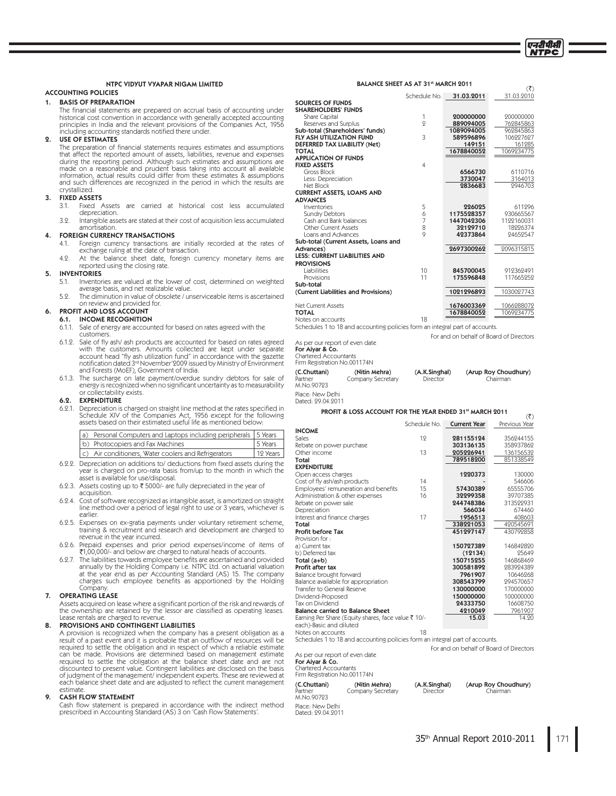$(3)$ 

 $(3)$ 

# NTPC VIDYUT VYAPAR NIGAM LIMITED

# **ACCOUNTING POLICIES**

### 1. BASIS OF PREPARATION

The financial statements are prepared on accrual basis of accounting under historical cost convention in accordance with generally accepted accounting principles in India and the relevant provisions of the Companies Act, 1 including accounting standards notified there under.

#### **USE OF ESTIMATES**  $\overline{Q}$

The preparation of financial statements requires estimates and assumptions that affect the reported amount of assets, liabilities, revenue and expenses during the reporting period. Although such estimates and assumptions are made on a reasonable and prudent basis taking into account all available information, actual results could differ from these estimates & assumptions and such differences are recognized in the period in which the results are crystallized.

#### $\mathbf{R}$ **FIXED ASSETS**

- $3.1.$ Fixed Assets are carried at historical cost less accumulated depreciation.
- Intangible assets are stated at their cost of acquisition less accumulated 39 amortisation

#### 4. **FOREIGN CURRENCY TRANSACTIONS**

- $4.1.$ Foreign currency transactions are initially recorded at the rates of exchange ruling at the date of transaction.
- 49 At the balance sheet date, foreign currency monetary items are reported using the closing rate.

#### 5. **INVENTORIES**

6.

- $5.1.$ Inventories are valued at the lower of cost, determined on weighted average basis, and net realizable value.
- 5.9. The diminution in value of obsolete / unserviceable items is ascertained on review and provided for.

## PROFIT AND LOSS ACCOUNT

## **6.1. INCOME RECOGNITION**

- 6.1.1. Sale of energy are accounted for based on rates agreed with the customers.
- 6.1.2. Sale of fly ash/ ash products are accounted for based on rates agreed with the customers. Amounts collected are kept under separate<br>account head "fly ash utilization fund" in accordance with the gazette notification dated 3<sup>rd</sup> November' 2009 issued by Ministry of Environment and Forests (MoEF), Government of India.
- 6.1.3. The surcharge on late payment/overdue sundry debtors for sale of energy is recognized when no significant uncertainty as to measurability lectability exists. or co

#### $6.2.$ **EXPENDITURE**

Depreciation is charged on straight line method at the rates specified in  $6.2.1.$ Schedule XIV of the Companies Act, 1956 except for the following<br>assets based on their estimated useful life as mentioned below:

| $\alpha$ | Personal Computers and Laptops including peripherals 5 Years |                     |
|----------|--------------------------------------------------------------|---------------------|
|          | b) Photocopiers and Fax Machines                             | 5 Years             |
|          | c) Air conditioners, Water coolers and Refrigerators         | $ 12 \text{ Years}$ |
|          |                                                              |                     |

- 6.2.2. Depreciation on additions to/ deductions from fixed assets during the year is charged on pro-rata basis from/up to the month in which the asset is available for use/disposal.
- 6.2.3. Assets costing up to ₹5000/- are fully depreciated in the year of acquisition.
- Cost of software recognized as intangible asset, is amortized on straight  $6.2.4.$ line method over a period of legal right to use or 3 years, whichever is earlier
- 6.2.5. Expenses on ex-gratia payments under voluntary retirement scheme, training & recruitment and research and development are charged to revenue in the year incurred.
- 6.2.6. Prepaid expenses and prior period expenses/income of items of ₹1,00,000/- and below are charged to natural heads of accounts.
- 6.2.7. The liabilities towards employee benefits are ascertained and provided annually by the Holding Company i.e. NTPC Ltd. on actuarial valuation anitative year end as per Accounting Standard (AS) 15. The company<br>charges such employee benefits as apportioned by the Holding  $Commonanv$

#### $\mathbf{z}$ **OPERATING LEASE**

Assets acquired on lease where a significant portion of the risk and rewards of the ownership are retained by the lessor are classified as operating leases. Lease rentals are charged to revenue

### PROVISIONS AND CONTINGENT LIABILITIES

A provision is recognized when the company has a present obligation as a result of a past event and it is probable that an outflow of resources will be required to settle the obligation and in respect of which a reliable estimate Figure 1 and the made. Provisions are determined based on management estimate required to settle the obligation at the balance sheet date and are not discounted to present value. Contingent liabilities are disclosed on the of judgment of the management/ independent experts. These are reviewed at each balance sheet date and are adjusted to reflect the current management estimate

#### $\circ$ **CASH FLOW STATEMENT**

Cash flow statement is prepared in accordance with the indirect method prescribed in Accounting Standard (AS) 3 on 'Cash Flow Statements'.

|                                                                             | Schedule No.   | 31.03.2011          | 31.03.2010           |
|-----------------------------------------------------------------------------|----------------|---------------------|----------------------|
| <b>SOURCES OF FUNDS</b>                                                     |                |                     |                      |
| <b>SHAREHOLDERS' FUNDS</b>                                                  |                |                     |                      |
| Share Capital                                                               | 1              | 200000000           | 200000000            |
| Reserves and Surplus                                                        | 9              | 889094005           | 762845863            |
| Sub-total (Shareholders' funds)<br><b>FLY ASH UTILIZATION FUND</b>          | 3              | 1089094005          | 962845863            |
|                                                                             |                | 589596896<br>149151 | 106227627            |
| <b>DEFERRED TAX LIABILITY (Net)</b><br><b>TOTAL</b>                         |                | 1678840052          | 161285<br>1069234775 |
| <b>APPLICATION OF FUNDS</b>                                                 |                |                     |                      |
| <b>FIXED ASSETS</b>                                                         | 4              |                     |                      |
| Gross Block                                                                 |                | 6566730             | 6110716              |
| Less: Depreciation                                                          |                | 3730047             | 3164013              |
| Net Block                                                                   |                | 2836683             | 9946703              |
| <b>CURRENT ASSETS, LOANS AND</b>                                            |                |                     |                      |
| <b>ADVANCES</b>                                                             |                |                     |                      |
| Inventories                                                                 | 5              | 226025              | 611996               |
| <b>Sundry Debtors</b>                                                       | 6              | 1175528357          | 930665567            |
| Cash and Bank balances                                                      | 7              | 1447042306          | 1122160031           |
| Other Current Assets                                                        | 8              | 32129710            | 18226374             |
| Loans and Advances                                                          | $\overline{Q}$ | 42373864            | 94659547             |
| Sub-total (Current Assets, Loans and                                        |                |                     |                      |
| Advances)                                                                   |                | 2697300262          | 2096315815           |
| <b>LESS: CURRENT LIABILITIES AND</b>                                        |                |                     |                      |
| <b>PROVISIONS</b>                                                           |                |                     |                      |
| Liabilities                                                                 | 10             | 845700045           | 912362491            |
| Provisions                                                                  | 11             | 175596848           | 117665252            |
| Sub-total                                                                   |                |                     |                      |
| (Current Liabilities and Provisions)                                        |                | 1021296893          | 1030027743           |
| <b>Net Current Assets</b>                                                   |                | 1676003369          | 1066288072           |
| <b>TOTAL</b>                                                                |                | 1678840052          | 1069234775           |
| Notes on accounts                                                           | 18             |                     |                      |
| Schedules 1 to 18 and accounting policies form an integral part of accounts |                |                     |                      |

BALANCE SHEET AS AT 31st MARCH 2011

For and on behalf of Board of Directors

As per our report of even date For Aiyar & Co.<br>Chartered Accountants

Firm Registration No.001174N (C.Chuttani) (Nitin Mehra) (A.K.Singhal) (Arup Roy Choudhury) Partner<br>M.No.90723 Company Secretary Director Chairman

Place · New Delhi Dated: 99.04.9011

### PROFIT & LOSS ACCOUNT FOR THE YEAR ENDED 31st MARCH 2011

|                                                                                | Schedule No. | <b>Current Year</b> | Previous Year |
|--------------------------------------------------------------------------------|--------------|---------------------|---------------|
| <b>INCOME</b>                                                                  |              |                     |               |
| Sales                                                                          | 19           | 281155124           | 356244155     |
| Rebate on power purchase                                                       |              | 303136135           | 358937862     |
| Other income                                                                   | 13           | 205226941           | 136156532     |
| Total                                                                          |              | 789518200           | 851338549     |
| <b>EXPENDITURE</b>                                                             |              |                     |               |
| Open access charges                                                            |              | 1220373             | 130000        |
| Cost of fly ash/ash products                                                   | 14           |                     | 546606        |
| Employees' remuneration and benefits                                           | 15           | 57430389            | 65555706      |
| Administration & other expenses                                                | 16           | 32299358            | 39707385      |
| Rebate on power sale                                                           |              | 244748386           | 313522931     |
| Depreciation                                                                   |              | 566034              | 674460        |
| Interest and finance charges                                                   | 17           | 1956513             | 408603        |
| Total                                                                          |              | 338221053           | 420545691     |
| Profit before Tax                                                              |              | 451297147           | 430799858     |
| Provision for:                                                                 |              |                     |               |
| a) Current tax                                                                 |              | 150727389           | 146849890     |
| b) Deferred tax                                                                |              | (12134)             | 25649         |
| Total (a+b)                                                                    |              | 150715255           | 146868469     |
| Profit after tax                                                               |              | 300581892           | 283924389     |
| Balance brought forward                                                        |              | 7961907             | 10646268      |
| Balance available for appropriation                                            |              | 308543799           | 294570657     |
| Transfer to General Reserve                                                    |              | 130000000           | 170000000     |
| Dividend-Proposed                                                              |              | 150000000           | 100000000     |
| Tax on Dividend                                                                |              | 24333750            | 16608750      |
| <b>Balance carried to Balance Sheet</b>                                        |              | 4210049             | 7961907       |
| Earning Per Share (Equity shares, face value ₹ 10/-<br>each)-Basic and diluted |              | 15.03               | 14.90         |

Notes on accounts 18 Schedules 1 to 18 and accounting policies form an integral part of accounts. For and on behalf of Board of Directors As per our report of even date

# For Aiyar & Co.<br>Chartered Accountants<br>Firm Registration No.001174N

M.No.90723

Place: New Delhi Dated: 29.04.2011

(C.Chuttani) (Nitin Mehra) Partner

Company Secretary

(A.K.Singhal) Director

(Arup Roy Choudhury) Chairman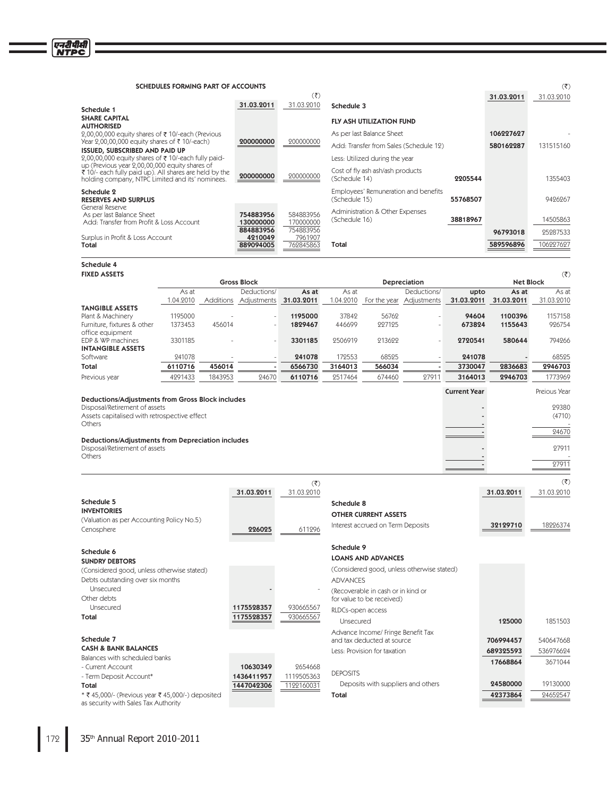Schedule 4

| SCHEDULES FORMING PART OF ACCOUNTS                                                                         |                        |                        |                                                       |          |            | (3)        |
|------------------------------------------------------------------------------------------------------------|------------------------|------------------------|-------------------------------------------------------|----------|------------|------------|
|                                                                                                            |                        | $(\overline{\zeta})$   |                                                       |          | 31.03.2011 | 31.03.2010 |
| Schedule 1                                                                                                 | 31.03.2011             | 31.03.2010             | Schedule 3                                            |          |            |            |
| <b>SHARE CAPITAL</b><br><b>AUTHORISED</b>                                                                  |                        |                        | <b>FLY ASH UTILIZATION FUND</b>                       |          |            |            |
| 2,00,00,000 equity shares of ₹10/-each (Previous                                                           |                        |                        | As per last Balance Sheet                             |          | 106227627  |            |
| Year 2,00,00,000 equity shares of ₹ 10/-each)<br><b>ISSUED, SUBSCRIBED AND PAID UP</b>                     | 200000000              | 200000000              | Add: Transfer from Sales (Schedule 12)                |          | 580162287  | 131515160  |
| 2,00,00,000 equity shares of ₹10/-each fully paid-<br>up (Previous year 2,00,00,000 equity shares of       |                        |                        | Less: Utilized during the year                        |          |            |            |
| ₹ 10/- each fully paid up). All shares are held by the<br>holding company, NTPC Limited and its' nominees. | 200000000              | 200000000              | Cost of fly ash ash/ash products<br>(Schedule 14)     | 2205544  |            | 1355403    |
| Schedule 2<br><b>RESERVES AND SURPLUS</b>                                                                  |                        |                        | Employees' Remuneration and benefits<br>(Schedule 15) | 55768507 |            | 9426267    |
| General Reserve<br>As per last Balance Sheet<br>Add: Transfer from Profit & Loss Account                   | 754883956<br>130000000 | 584883956<br>170000000 | Administration & Other Expenses<br>(Schedule 16)      | 38818967 |            | 14505863   |
| Surplus in Profit & Loss Account                                                                           | 884883956<br>4210049   | 754883956<br>7961907   |                                                       |          | 96793018   | 25287533   |
| Total                                                                                                      | 889094005              | 762845863              | Total                                                 |          | 589596896  | 106227627  |

**FIXED ASSETS**  $(\overline{\overline{\zeta}})$ **Gross Block Net Block** Depreciation As at<br>31.03.2010 Deductions/ Deductions/ As at  $As$  at As at As at upto 1.04.2010 Additions 31.03.2011 1.04.2010 For the year 31.03.2011 31.03.2011 Adjustments Adjustments **TANGIBLE ASSETS** Plant & Machinery 1195000 1195000 37842 56762 94604 1100396 1157158 Furniture, fixtures & other 446699 1373453 456014 1829467 227125 673824 1155643 926754 office equipment 2506919 213622 EDP & WP machines 3301185 794266 3301185 2720541 580644 **INTANGIBLE ASSETS** 172553 Software 241078 241078 68595 241078 68525 Total 6110716 456014 6566730 3164013 566034 3730047 2836683 2946703 Previous year 4291433 1843953 24670 6110716 2517464 674460 27911 3164013 2946703 1773969 **Current Year** Preious Year **Deductions/Adjustments from Gross Block includes** 29380 Disposal/Retirement of assets Assets capitalised with retrospective effect  $\overline{a}$  $(4710)$ Others 24670 Deductions/Adjustments from Depreciation includes Disposal/Retirement of assets 27911 Others  $27911$ 

|                                                   |                        | $(\overline{\zeta})$  |                                            |            | (3)        |
|---------------------------------------------------|------------------------|-----------------------|--------------------------------------------|------------|------------|
|                                                   | 31.03.2011             | 31.03.2010            |                                            | 31.03.2011 | 31.03.2010 |
| Schedule 5                                        |                        |                       | Schedule 8                                 |            |            |
| <b>INVENTORIES</b>                                |                        |                       | <b>OTHER CURRENT ASSETS</b>                |            |            |
| (Valuation as per Accounting Policy No.5)         |                        |                       | Interest accrued on Term Deposits          | 32129710   | 18226374   |
| Cenosphere                                        | 226025                 | 611296                |                                            |            |            |
| Schedule 6                                        |                        |                       | Schedule 9                                 |            |            |
| <b>SUNDRY DEBTORS</b>                             |                        |                       | <b>LOANS AND ADVANCES</b>                  |            |            |
| (Considered good, unless otherwise stated)        |                        |                       | (Considered good, unless otherwise stated) |            |            |
| Debts outstanding over six months                 |                        |                       | <b>ADVANCES</b>                            |            |            |
| Unsecured                                         |                        |                       | (Recoverable in cash or in kind or         |            |            |
| Other debts                                       |                        |                       | for value to be received)                  |            |            |
| Unsecured                                         | 1175528357             | 930665567             | RLDCs-open access                          |            |            |
| Total                                             | 1175528357             | 930665567             | Unsecured                                  | 125000     | 1851503    |
|                                                   |                        |                       | Advance Income/ Fringe Benefit Tax         |            |            |
| Schedule 7                                        |                        |                       | and tax deducted at source                 | 706994457  | 540647668  |
| <b>CASH &amp; BANK BALANCES</b>                   |                        |                       | Less: Provision for taxation               | 689325593  | 536976624  |
| Balances with scheduled banks                     |                        |                       |                                            | 17668864   | 3671044    |
| - Current Account<br>- Term Deposit Account*      | 10630349<br>1436411957 | 2654668<br>1119505363 | <b>DEPOSITS</b>                            |            |            |
| Total                                             | 1447042306             | 1122160031            | Deposits with suppliers and others         | 24580000   | 19130000   |
| * ₹ 45,000/- (Previous year ₹ 45,000/-) deposited |                        |                       | Total                                      | 42373864   | 24652547   |
| as security with Sales Tax Authority              |                        |                       |                                            |            |            |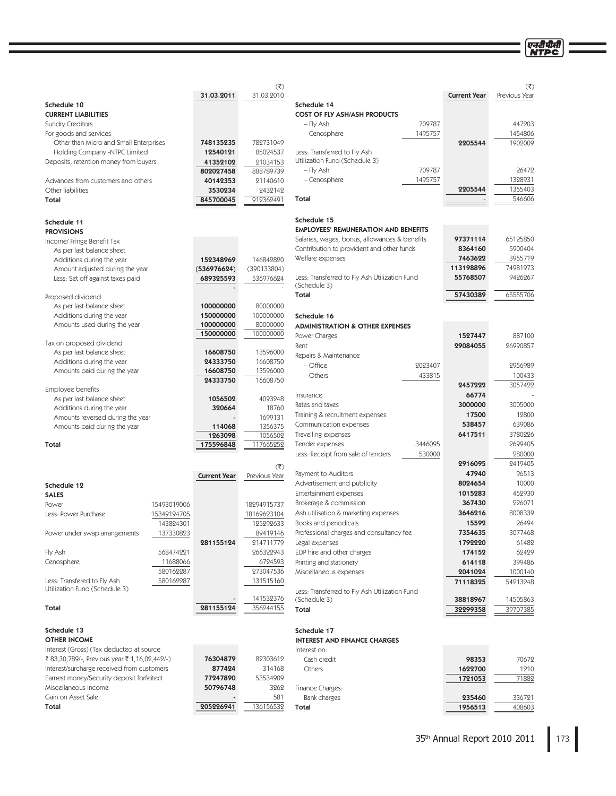एनटीपीसी  $(\overline{\overline{\varsigma}})$ <u>Vear</u> 203

|                                               |             | 31.03.2011          | 31.03.2010           |                                                               |         | <b>Current Year</b> | Previous Year |
|-----------------------------------------------|-------------|---------------------|----------------------|---------------------------------------------------------------|---------|---------------------|---------------|
| Schedule 10                                   |             |                     |                      | Schedule 14                                                   |         |                     |               |
| <b>CURRENT LIABILITIES</b>                    |             |                     |                      | <b>COST OF FLY ASH/ASH PRODUCTS</b>                           |         |                     |               |
| <b>Sundry Creditors</b>                       |             |                     |                      | - Fly Ash                                                     | 709787  |                     | 447203        |
| For goods and services                        |             |                     |                      | - Cenosphere                                                  | 1495757 |                     | 1454806       |
| Other than Micro and Small Enterprises        |             | 748135235           | 782731049            |                                                               |         | 2205544             | 1902009       |
| Holding Company -NTPC Limited                 |             | 12540121            | 85024537             | Less: Transferred to Fly Ash                                  |         |                     |               |
| Deposits, retention money from buyers         |             | 41352102            | 21034153             | Utilization Fund (Schedule 3)                                 |         |                     |               |
|                                               |             | 802027458           | 888789739            | - Fly Ash                                                     | 709787  |                     | 26472         |
| Advances from customers and others            |             | 40142353            | 21140610             | - Cenosphere                                                  | 1495757 |                     | 1328931       |
| Other liabilities                             |             | 3530234             | 2432142              |                                                               |         | 2205544             | 1355403       |
| Total                                         |             | 845700045           | 912362491            | Total                                                         |         |                     | 546606        |
|                                               |             |                     |                      |                                                               |         |                     |               |
|                                               |             |                     |                      | Schedule 15                                                   |         |                     |               |
| Schedule 11                                   |             |                     |                      | <b>EMPLOYEES' REMUNERATION AND BENEFITS</b>                   |         |                     |               |
| <b>PROVISIONS</b>                             |             |                     |                      | Salaries, wages, bonus, allowances & benefits                 |         | 97371114            | 65125850      |
| Income/ Fringe Benefit Tax                    |             |                     |                      | Contribution to provident and other funds                     |         | 8364160             | 5900404       |
| As per last balance sheet                     |             |                     |                      | Welfare expenses                                              |         | 7463622             | 3955719       |
| Additions during the year                     |             | 152348969           | 146842820            |                                                               |         | 113198896           | 74981973      |
| Amount adjusted during the year               |             | (536976624)         | (390133804)          |                                                               |         |                     |               |
| Less: Set off against taxes paid              |             | 689325593           | 536976624            | Less: Transferred to Fly Ash Utilization Fund<br>(Schedule 3) |         | 55768507            | 9426267       |
|                                               |             |                     |                      | Total                                                         |         | 57430389            | 65555706      |
| Proposed dividend                             |             |                     |                      |                                                               |         |                     |               |
| As per last balance sheet                     |             | 100000000           | 80000000             |                                                               |         |                     |               |
| Additions during the year                     |             | 150000000           | 100000000            | Schedule 16                                                   |         |                     |               |
| Amounts used during the year                  |             | 100000000           | 80000000             | <b>ADMINISTRATION &amp; OTHER EXPENSES</b>                    |         |                     |               |
|                                               |             | 150000000           | 100000000            | Power Charges                                                 |         | 1527447             | 887100        |
| Tax on proposed dividend                      |             |                     |                      | Rent                                                          |         | 29084055            | 26990857      |
| As per last balance sheet                     |             | 16608750            | 13596000             | Repairs & Maintenance                                         |         |                     |               |
| Additions during the year                     |             | 24333750            | 16608750             | - Office                                                      | 2023407 |                     | 2956989       |
| Amounts paid during the year                  |             | 16608750            | 13596000             | - Others                                                      | 433815  |                     | 100433        |
|                                               |             | 24333750            | 16608750             |                                                               |         | 2457222             | 3057422       |
| Employee benefits                             |             |                     |                      | Insurance                                                     |         | 66774               |               |
| As per last balance sheet                     |             | 1056502             | 4093248              | Rates and taxes                                               |         | 3000000             | 3005000       |
| Additions during the year                     |             | 320664              | 18760                |                                                               |         | 17500               | 12800         |
| Amounts reversed during the year              |             |                     | 1699131              | Training & recruitment expenses                               |         |                     |               |
| Amounts paid during the year                  |             | 114068              | 1356375              | Communication expenses                                        |         | 538457              | 639086        |
|                                               |             | 1263098             | 1056502              | Travelling expenses                                           |         | 6417511             | 3780226       |
| Total                                         |             | 175596848           | 117665252            | Tender expenses                                               | 3446095 |                     | 2699405       |
|                                               |             |                     |                      | Less: Receipt from sale of tenders                            | 530000  |                     | 280000        |
|                                               |             |                     | $(\overline{\zeta})$ |                                                               |         | 2916095             | 2419405       |
|                                               |             | <b>Current Year</b> | Previous Year        | Payment to Auditors                                           |         | 47940               | 96513         |
| Schedule 12                                   |             |                     |                      | Advertisement and publicity                                   |         | 8024654             | 10000         |
| <b>SALES</b>                                  |             |                     |                      | Entertainment expenses                                        |         | 1015283             | 452930        |
| Power                                         | 15493019006 |                     | 18294915737          | Brokerage & commission                                        |         | 367430              | 226071        |
| Less: Power Purchase                          | 15349194705 |                     | 18169623104          | Ash utilisation & marketing expenses                          |         | 3646216             | 8008339       |
|                                               | 143824301   |                     | 125292633            | Books and periodicals                                         |         | 15592               | 26494         |
| Power under swap arrangements                 | 137330823   |                     | 89419146             | Professional charges and consultancy fee                      |         | 7354635             | 3077468       |
|                                               |             | 281155124           | 214711779            | Legal expenses                                                |         | 1792220             | 61482         |
| Fly Ash                                       | 568474221   |                     | 266322943            | EDP hire and other charges                                    |         | 174152              | 62429         |
| Cenosphere                                    | 11688066    |                     | 6724593              | Printing and stationery                                       |         | 614118              | 399486        |
|                                               | 580162287   |                     | 273047536            | Miscellaneous expenses                                        |         | 2041024             | 1000140       |
| Less: Transfered to Fly Ash                   | 580162287   |                     | 131515160            |                                                               |         |                     |               |
| Utilization Fund (Schedule 3)                 |             |                     |                      |                                                               |         | 71118325            | 54213248      |
|                                               |             |                     | 141532376            | Less: Transferred to Fly Ash Utilization Fund<br>(Schedule 3) |         | 38818967            | 14505863      |
| Total                                         |             | 281155124           | 356244155            | Total                                                         |         | 32299358            | 39707385      |
|                                               |             |                     |                      |                                                               |         |                     |               |
|                                               |             |                     |                      |                                                               |         |                     |               |
| Schedule 13                                   |             |                     |                      | Schedule 17                                                   |         |                     |               |
| <b>OTHER INCOME</b>                           |             |                     |                      | <b>INTEREST AND FINANCE CHARGES</b>                           |         |                     |               |
| Interest (Gross) (Tax deducted at source      |             |                     |                      | Interest on:                                                  |         |                     |               |
| ₹ 83,30,789/-, Previous year ₹ 1,16,02,442/-) |             | 76304879            | 82303612             | Cash credit                                                   |         | 98353               | 70672         |
| Interest/surcharge received from customers    |             | 877424              | 314168               | Others                                                        |         | 1622700             | 1210          |
| Earnest money/Security deposit forfeited      |             | 77247890            | 53534909             |                                                               |         | 1721053             | 71882         |
| Miscellaneous income                          |             | 50796748            | 3262                 | Finance Charges:                                              |         |                     |               |
| Gain on Asset Sale                            |             |                     | 581                  | Bank charges                                                  |         | 235460              | 336721        |

 $205226941$ 

136156532

 $\overline{a}$ 

Total

 $(\overline{\overline{\xi}})$ 

Total

1956513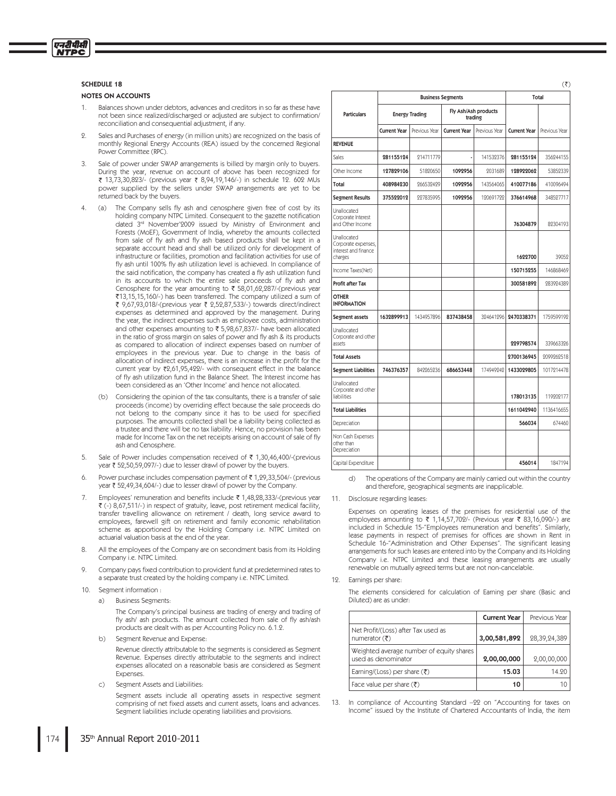### **SCHEDULE 18**

एनदीपीसी **NTPC** 

### **NOTES ON ACCOUNTS**

- $\mathbf{1}$ Balances shown under debtors, advances and creditors in so far as these have not been since realized/discharged or adjusted are subject to confirmation/ reconciliation and consequential adjustment, if any.
- Sales and Purchases of energy (in million units) are recognized on the basis of monthly Regional Energy Accounts (REA) issued by the concerned Regional Power Committee (RPC).
- Sale of power under SWAP arrangements is billed by margin only to buyers. During the year, revenue on account of above has been recognized for ₹ 13,73,30,823/- (previous year ₹ 8,94,19,146/-) in schedule 12. 602 MUs power supplied by the sellers under SWAP arrangements are yet to be returned back by the buyers
- The Company sells fly ash and cenosphere given free of cost by its  $\overline{4}$  $(a)$ holding company NTPC Limited. Consequent to the gazette notification dated 3rd November'2009 issued by Ministry of Environment and Forests (MoEF), Government of India, whereby the amounts collected from sale of fly ash and fly ash based products shall be kept in a separate account head and shall be utilized only for development of infrastructure or facilities, promotion and facilitation activities for use of fly ash until 100% fly ash utilization level is achieved. In compliance of the said notification, the company has created a fly ash utilization fund in its accounts to which the entire sale proceeds of fly ash and Cenosphere for the year amounting to ₹ 58,01,62,287/-(previous year ₹13,15,15,160/-) has been transferred. The company utilized a sum of ₹ 9,67,93,018/-(previous year ₹ 2,52,87,533/-) towards direct/indirect expenses as determined and approved by the management. During the year, the indirect expenses such as employee costs, administration and other expenses amounting to ₹ 5,98,67,837/- have been allocated in the ratio of gross margin on sales of power and fly ash & its products as compared to allocation of indirect expenses based on number of employees in the previous year. Due to change in the basis of allocation of indirect expenses, there is an increase in the profit for the current year by ₹2,61,95,422/- with consequent effect in the balance of fly ash utilization fund in the Balance Sheet. The Interest income has been considered as an 'Other Income' and hence not allocated
	- (b) Considering the opinion of the tax consultants, there is a transfer of sale proceeds (income) by overriding effect because the sale proceeds do not belong to the company since it has to be used for specified purposes. The amounts collected shall be a liability being collected as a trustee and there will be no tax liability. Hence, no provision has been made for Income Tax on the net receipts arising on account of sale of fly ash and Cenosphere
- Sale of Power includes compensation received of ₹1,30,46,400/-(previous  $5^{\circ}$ year ₹52,50,59,097/-) due to lesser drawl of power by the buyers
- Power purchase includes compensation payment of ₹1,29,33,504/- (previous 6. year ₹ 52,49,34,604/-) due to lesser drawl of power by the Company.
- Employees' remuneration and benefits include ₹ 1,48,28,333/-(previous year  $\overline{7}$ ₹ (-) 8,67,511/-) in respect of gratuity, leave, post retirement medical facility, transfer travelling allowance on retirement / death, long service award to employees, farewell gift on retirement and family economic rehabilitation scheme as apportioned by the Holding Company i.e. NTPC Limited on actuarial valuation basis at the end of the year.
- 8. All the employees of the Company are on secondment basis from its Holding Company i.e. NTPC Limited.
- Company pays fixed contribution to provident fund at predetermined rates to  $\circ$ a separate trust created by the holding company i.e. NTPC Limited.
- 10. Segment information:
	- a) Business Segments
		- The Company's principal business are trading of energy and trading of fly ash/ ash products. The amount collected from sale of fly ash/ash products are dealt with as per Accounting Policy no. 6.1.2.
	- b) Segment Revenue and Expense:

Revenue directly attributable to the segments is considered as Segment Revenue. Expenses directly attributable to the segments and indirect expenses allocated on a reasonable basis are considered as Segment Expenses.

Segment Assets and Liabilities:  $\mathcal{L}$ )

> Segment assets include all operating assets in respective segment comprising of net fixed assets and current assets, loans and advances. Segment liabilities include operating liabilities and provisions.

|                                                                       |                     | <b>Business Segments</b> | Total               |                                 |                     |               |
|-----------------------------------------------------------------------|---------------------|--------------------------|---------------------|---------------------------------|---------------------|---------------|
| <b>Particulars</b>                                                    |                     | <b>Energy Trading</b>    |                     | Fly Ash/Ash products<br>trading |                     |               |
|                                                                       | <b>Current Year</b> | Previous Year            | <b>Current Year</b> | Previous Year                   | <b>Current Year</b> | Previous Year |
| <b>REVENUE</b>                                                        |                     |                          |                     |                                 |                     |               |
| Sales                                                                 | 281155124           | 214711779                |                     | 141532376                       | 281155124           | 356244155     |
| Other Income                                                          | 127829106           | 51820650                 | 1092956             | 2031689                         | 128922062           | 53852339      |
| Total                                                                 | 408984230           | 266532429                | 1092956             | 143564065                       | 410077186           | 410096494     |
| <b>Segment Results</b>                                                | 375522012           | 227835995                | 1092956             | 120691722                       | 376614968           | 348527717     |
| Unallocated<br>Corporate Interest<br>and Other Income                 |                     |                          |                     |                                 | 76304879            | 82304193      |
| Unallocated<br>Corporate expenses,<br>interest and finance<br>charges |                     |                          |                     |                                 | 1622700             | 39052         |
| Income Taxes(Net)                                                     |                     |                          |                     |                                 | 150715255           | 146868469     |
| Profit after Tax                                                      |                     |                          |                     |                                 | 300581892           | 283924389     |
| <b>OTHER</b><br><b>INFORMATION</b>                                    |                     |                          |                     |                                 |                     |               |
| Segment assets                                                        | 1632899913          | 1434957896               | 837438458           | 394641996                       | 2470338371          | 1759599192    |
| Unallocated<br>Corporate and other<br>assets                          |                     |                          |                     |                                 | 229798574           | 339663326     |
| <b>Total Assets</b>                                                   |                     |                          |                     |                                 | 2700136945          | 2099262518    |
| <b>Segment Liabilities</b>                                            | 746376357           | 842265236                | 686653448           | 174949242                       | 1433029805          | 1017214478    |
| Unallocated<br>Corporate and other<br>liabilities                     |                     |                          |                     |                                 | 178013135           | 119202177     |
| <b>Total Liabilities</b>                                              |                     |                          |                     |                                 | 1611042940          | 1136416655    |
| Depreciation                                                          |                     |                          |                     |                                 | 566034              | 674460        |
| Non Cash Expenses<br>other than<br>Depreciation                       |                     |                          |                     |                                 |                     |               |
| Capital Expenditure                                                   |                     |                          |                     |                                 | 456014              | 1847194       |

The operations of the Company are mainly carried out within the country  $d)$ and therefore, geographical segments are inapplicable.

Disclosure regarding leases:  $11.$ 

> Expenses on operating leases of the premises for residential use of the employees amounting to ₹ 1,14,57,702/- (Previous year ₹ 83,16,090/-) are included in Schedule 15-"Employees remuneration and benefits". Similarly, lease payments in respect of premises for offices are shown in Rent in Schedule 16-"Administration and Other Expenses". The significant leasing arrangements for such leases are entered into by the Company and its Holding Company i.e. NTPC Limited and these leasing arrangements are usually renewable on mutually agreed terms but are not non-cancelable.

12. Earnings per share:

> The elements considered for calculation of Earning per share (Basic and Diluted) are as under:

|                                                                  | <b>Current Year</b> | Previous Year |
|------------------------------------------------------------------|---------------------|---------------|
| Net Profit/(Loss) after Tax used as<br>numerator $(\bar{\zeta})$ | 3,00,581,892        | 28,39,24,389  |
| Weighted average number of equity shares<br>used as denominator  | 2,00,00,000         | 2,00,00,000   |
| Earning/(Loss) per share $(\bar{\tau})$                          | 15.03               | 14.90         |
| Face value per share $(\bar{\tau})$                              | 10                  |               |

In compliance of Accounting Standard -22 on "Accounting for taxes on  $13$ Income" issued by the Institute of Chartered Accountants of India, the item

35th Annual Report 2010-2011

 $(7)$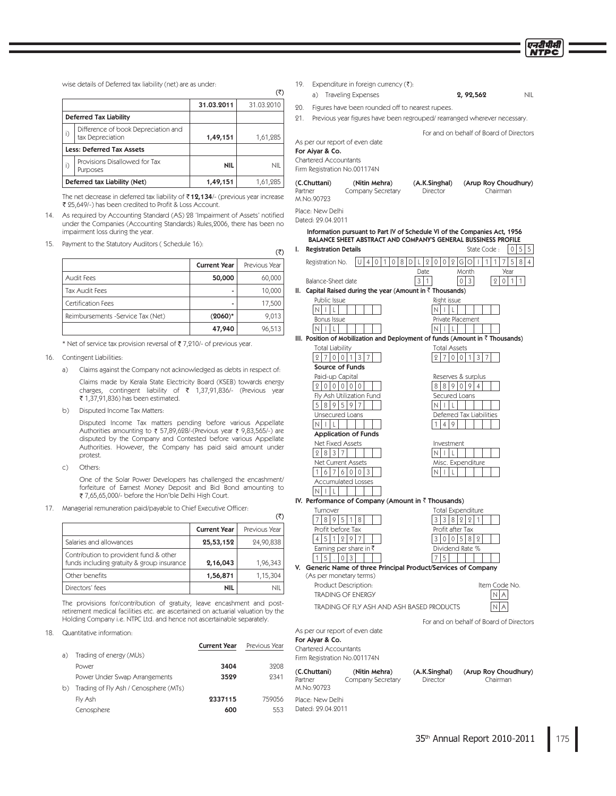For and on behalf of Board of Directors

wise details of Deferred tax liability (net) are as under:

|         |                                                         | 31.03.2011 | 31.03.2010 |
|---------|---------------------------------------------------------|------------|------------|
|         | <b>Deferred Tax Liability</b>                           |            |            |
| i)      | Difference of book Depreciation and<br>tax Depreciation | 1,49,151   | 1,61,285   |
|         | <b>Less: Deferred Tax Assets</b>                        |            |            |
| $\vert$ | Provisions Disallowed for Tax<br>Purposes               | NIL        | NIL        |
|         | Deferred tax Liability (Net)                            | 1,49,151   | 1,61,285   |

The net decrease in deferred tax liability of  $\bar{\tau}$  12,134/- (previous year increase ₹ 25,649/-) has been credited to Profit & Loss Account.

- 14. As required by Accounting Standard (AS) 28 'Impairment of Assets' notified under the Companies (Accounting Standards) Rules,2006, there has been no impairment loss during the year.
- 15. Payment to the Statutory Auditors (Schedule 16):

# Current Year | Previous Year Audit Fees **50,000** 60,000 5BY"VEJU'FFT - Certification Fees
and the set of the set of the set of the set of the set of the set of the set of the set of the set of the set of the set of the set of the set of the set of the set of the set of the set of the set of t Reimbursements -Service Tax (Net)  $(2060)^*$  9,013  $47,940$  96,513

\* Net of service tax provision reversal of ₹7,210/- of previous year.

### 16. Contingent Liabilities:

a) Claims against the Company not acknowledged as debts in respect of: Claims made by Kerala State Electricity Board (KSEB) towards energy charges, contingent liability of  $\bar{x}$  1,37,91,836/- (Previous year ₹ 1,37,91,836) has been estimated.

b) Disputed Income Tax Matters:

Disputed Income Tax matters pending before various Appellate Authorities amounting to ₹ 57,89,628/-(Previous year ₹ 9,83,565/-) are disputed by the Company and Contested before various Appellate Authorities. However, the Company has paid said amount under protest.

 $\mathsf{C}$ ) Others:

> One of the Solar Power Developers has challenged the encashment/ forfeiture of Earnest Money Deposit and Bid Bond amounting to ₹ 7,65,65,000/- before the Hon'ble Delhi High Court.

17. Managerial remuneration paid/payable to Chief Executive Officer:

|                                                                                      | <b>Current Year</b> | Previous Year |
|--------------------------------------------------------------------------------------|---------------------|---------------|
| Salaries and allowances                                                              | 25,53,152           | 24,90,838     |
| Contribution to provident fund & other<br>funds including gratuity & group insurance | 2,16,043            | 1,96,343      |
| Other benefits                                                                       | 1,56,871            | 1,15,304      |
| Directors' fees                                                                      | nil                 | NII           |

The provisions for/contribution of gratuity, leave encashment and postretirement medical facilities etc. are ascertained on actuarial valuation by the Holding Company i.e. NTPC Ltd. and hence not ascertainable separately.

### 18. Quantitative information:

|    |                                       | <b>Current Year</b> | Previous Year |
|----|---------------------------------------|---------------------|---------------|
| a) | Trading of energy (MUs)               |                     |               |
|    | Power                                 | 3404                | 3908          |
|    | Power Under Swap Arrangements         | 3529                | 9341          |
| b) | Trading of Fly Ash / Cenosphere (MTs) |                     |               |
|    | Fly Ash                               | 2337115             | 759056        |
|    | Cenosphere                            | 600                 | 553           |

- 19. Expenditure in foreign currency (₹):
- a) Traveling Expenses **1988 18 PMB** 2, 92,562 MIL 20. Figures have been rounded off to nearest rupees.
- 21. Previous year figures have been regrouped/ rearranged wherever necessary.

 $($ ₹)

 $($ ₹ $)$ 

 $( \overline{\overline{z}} )$ 

M.No.90723 Place: New Delhi Dated: 29.04.2011

As per our report of even date For Aiyar & Co. Chartered Accountants

Firm Registration No.001174N

(C.Chuttani) (Nitin Mehra) (A.K.Singhal) (Arup Roy Choudhury) Partner Company Secretary Director Chairman M.No.90723

Place: New Delhi

Dated: 29.04.2011

|     |                                                                   | Information pursuant to Part IV of Schedule VI of the Companies Act, 1956<br>BALANCE SHEET ABSTRACT AND COMPANY'S GENERAL BUSSINESS PROFILE |                                       |
|-----|-------------------------------------------------------------------|---------------------------------------------------------------------------------------------------------------------------------------------|---------------------------------------|
| ı.  | <b>Registration Details</b>                                       | State Code:                                                                                                                                 | 0<br>5 <sup>1</sup><br>5              |
|     | 10181<br>4 <sup>1</sup><br>$\circ$<br>1<br>Registration No.<br>UI | 2 <sup>1</sup><br>0 0 2 G 0 <br>1<br>DIL<br>$\mathbf{I}$<br>1<br>7                                                                          | 5<br>8 <sup>1</sup><br>$\overline{4}$ |
|     |                                                                   | Date<br>Month                                                                                                                               | Year                                  |
|     | Balance-Sheet date                                                | 3<br>$\mathbf{1}$<br>0 3 <br>$\overline{2}$                                                                                                 | 0 <sup>11</sup><br>1                  |
| II. | Capital Raised during the year (Amount in ₹ Thousands)            |                                                                                                                                             |                                       |
|     | Public Issue                                                      | Right issue                                                                                                                                 |                                       |
|     | $\overline{N}$<br>l L<br>$\mathbf{I}$                             | N.<br>L<br>-1                                                                                                                               |                                       |
|     | Bonus Issue                                                       | Private Placement                                                                                                                           |                                       |
|     | NIILI                                                             | NI I<br>$\perp$                                                                                                                             |                                       |
|     |                                                                   | III. Position of Mobilization and Deployment of funds (Amount in $\bar{\tau}$ Thousands)                                                    |                                       |
|     | <b>Total Liability</b>                                            | <b>Total Assets</b>                                                                                                                         |                                       |
|     | 3<br>$\overline{2}$<br>700<br>7<br>1                              | 9<br>$\Omega$<br>3<br>7<br>7<br>$\Omega$<br>1                                                                                               |                                       |
|     | <b>Source of Funds</b>                                            |                                                                                                                                             |                                       |
|     | Paid-up Capital                                                   | Reserves & surplus                                                                                                                          |                                       |
|     | 2 0 0 0 0 0                                                       | 88909<br>$\overline{4}$                                                                                                                     |                                       |
|     | Fly Ash Utilization Fund                                          | Secured Loans                                                                                                                               |                                       |
|     | 5 8 9 5 9<br>7                                                    | ΝI<br>$\overline{\phantom{a}}$<br>L                                                                                                         |                                       |
|     | Unsecured Loans                                                   | Deferred Tax Liabilities                                                                                                                    |                                       |
|     | N<br>$  \  $ L                                                    | $\overline{4}$<br>9<br>1                                                                                                                    |                                       |
|     | <b>Application of Funds</b>                                       |                                                                                                                                             |                                       |
|     | Net Fixed Assets<br>2 8 3 7                                       | Investment<br>N<br>$\perp$<br>-1.                                                                                                           |                                       |
|     | <b>Net Current Assets</b>                                         | Misc. Expenditure                                                                                                                           |                                       |
|     | 6 7 6 0 0 1 3<br>1                                                | N.<br>I<br>L                                                                                                                                |                                       |
|     | <b>Accumulated Losses</b>                                         |                                                                                                                                             |                                       |
|     | $\mathsf{N}$<br>$\mathbf{I}$<br>L                                 |                                                                                                                                             |                                       |
|     | IV. Performance of Company (Amount in ₹ Thousands)                |                                                                                                                                             |                                       |
|     | Turnover                                                          | Total Expenditure                                                                                                                           |                                       |
|     | 895<br>7 <sup>1</sup><br>$\mathbf{1}$<br>8                        | 3 3 8 2 2 <br>$\mathbf{1}$                                                                                                                  |                                       |
|     | Profit before Tax                                                 | Profit after Tax                                                                                                                            |                                       |
|     | 4 5 1 2 9 7                                                       | 3 I<br>0<br>$\overline{0}$<br>5 8 2                                                                                                         |                                       |
|     | Earning per share in ₹                                            | Dividend Rate %                                                                                                                             |                                       |
|     | 5<br>3<br>10                                                      | 5                                                                                                                                           |                                       |
| V.  |                                                                   | Generic Name of three Principal Product/Services of Company                                                                                 |                                       |
|     | (As per monetary terms)                                           |                                                                                                                                             |                                       |
|     | Product Description:                                              | Item Code No.                                                                                                                               |                                       |
|     | <b>TRADING OF ENERGY</b>                                          | N<br>A                                                                                                                                      |                                       |
|     | TRADING OF FLY ASH AND ASH BASED PRODUCTS                         |                                                                                                                                             |                                       |
|     |                                                                   | For and on behalf of Board of Directors                                                                                                     |                                       |
|     | As per our report of even date                                    |                                                                                                                                             |                                       |
|     | For Aiyar & Co.                                                   |                                                                                                                                             |                                       |
|     | <b>Chartered Accountants</b>                                      |                                                                                                                                             |                                       |
|     | Firm Registration No.001174N                                      |                                                                                                                                             |                                       |
|     |                                                                   |                                                                                                                                             |                                       |
|     | (C.Chuttani)<br>(Nitin Mehra)                                     | (A.K.Singhal)<br>(Arup Roy Choudhury)                                                                                                       |                                       |

Partner Company Secretary Director Chairman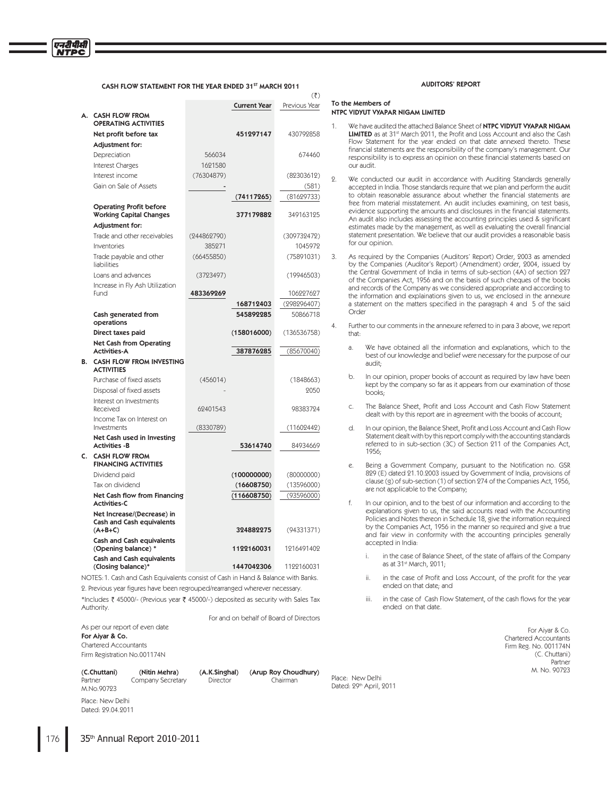### CASH FLOW STATEMENT FOR THE YEAR ENDED 31ST MARCH 2011

|    |                                                                                                                                                                                                                                                                                                                                                                                      |             | Current Year     | Previous Year                          |
|----|--------------------------------------------------------------------------------------------------------------------------------------------------------------------------------------------------------------------------------------------------------------------------------------------------------------------------------------------------------------------------------------|-------------|------------------|----------------------------------------|
| А. | <b>CASH FLOW FROM</b><br><b>OPERATING ACTIVITIES</b>                                                                                                                                                                                                                                                                                                                                 |             |                  |                                        |
|    | Net profit before tax                                                                                                                                                                                                                                                                                                                                                                |             | 451297147        | 430792858                              |
|    | Adjustment for:                                                                                                                                                                                                                                                                                                                                                                      |             |                  |                                        |
|    | Depreciation                                                                                                                                                                                                                                                                                                                                                                         | 566034      |                  | 674460                                 |
|    | Interest Charges                                                                                                                                                                                                                                                                                                                                                                     | 1621580     |                  |                                        |
|    | Interest income                                                                                                                                                                                                                                                                                                                                                                      | (76304879)  |                  | (82303612)                             |
|    | Gain on Sale of Assets                                                                                                                                                                                                                                                                                                                                                               |             |                  | (581)                                  |
|    |                                                                                                                                                                                                                                                                                                                                                                                      |             | (74117265)       | (81629733)                             |
|    | <b>Operating Profit before</b><br><b>Working Capital Changes</b>                                                                                                                                                                                                                                                                                                                     |             | 377179882        | 349163125                              |
|    | Adjustment for:                                                                                                                                                                                                                                                                                                                                                                      |             |                  |                                        |
|    | Trade and other receivables                                                                                                                                                                                                                                                                                                                                                          | (244862790) |                  | (309732472)                            |
|    | Inventories                                                                                                                                                                                                                                                                                                                                                                          | 385271      |                  | 1045972                                |
|    | Trade payable and other<br>liabilities                                                                                                                                                                                                                                                                                                                                               | (66455850)  |                  | (75891031)                             |
|    | Loans and advances                                                                                                                                                                                                                                                                                                                                                                   | (3723497)   |                  | (19946503)                             |
|    | Increase in Fly Ash Utilization<br>Fund                                                                                                                                                                                                                                                                                                                                              | 483369269   |                  | 106227627                              |
|    |                                                                                                                                                                                                                                                                                                                                                                                      |             | 168712403        | (298296407)                            |
|    | Cash generated from<br>operations                                                                                                                                                                                                                                                                                                                                                    |             | 545892285        | 50866718                               |
|    | Direct taxes paid                                                                                                                                                                                                                                                                                                                                                                    |             | (158016000)      | (136536758)                            |
|    | <b>Net Cash from Operating</b><br><b>Activities-A</b>                                                                                                                                                                                                                                                                                                                                |             | 387876285        | (85670040)                             |
| В. | <b>CASH FLOW FROM INVESTING</b><br><b>ACTIVITIES</b>                                                                                                                                                                                                                                                                                                                                 |             |                  |                                        |
|    | Purchase of fixed assets                                                                                                                                                                                                                                                                                                                                                             | (456014)    |                  | (1848663)                              |
|    | Disposal of fixed assets                                                                                                                                                                                                                                                                                                                                                             |             |                  | 2050                                   |
|    | Interest on Investments<br>Received                                                                                                                                                                                                                                                                                                                                                  | 62401543    |                  | 98383724                               |
|    | Income Tax on Interest on                                                                                                                                                                                                                                                                                                                                                            |             |                  |                                        |
|    | Investments                                                                                                                                                                                                                                                                                                                                                                          | (8330789)   |                  | (11602442)                             |
|    | Net Cash used in Investing<br><b>Activities -B</b>                                                                                                                                                                                                                                                                                                                                   |             | 53614740         | 84934669                               |
| C. | <b>CASH FLOW FROM</b><br><b>FINANCING ACTIVITIES</b>                                                                                                                                                                                                                                                                                                                                 |             |                  |                                        |
|    | Dividend paid                                                                                                                                                                                                                                                                                                                                                                        |             | (100000000)      | (80000000)                             |
|    | Tax on dividend                                                                                                                                                                                                                                                                                                                                                                      |             | (16608750)       | (13596000)                             |
|    | Net Cash flow from Financing<br><b>Activities-C</b>                                                                                                                                                                                                                                                                                                                                  |             | (116608750)      | (93596000)                             |
|    | Net Increase/(Decrease) in<br>Cash and Cash equivalents<br>$(A+B+C)$                                                                                                                                                                                                                                                                                                                 |             | 324882275        | (94331371)                             |
|    | <b>Cash and Cash equivalents</b><br>(Opening balance) *                                                                                                                                                                                                                                                                                                                              |             | 1122160031       | 1216491402                             |
|    | <b>Cash and Cash equivalents</b><br>(Closing balance)*                                                                                                                                                                                                                                                                                                                               |             | 1447042306       | 1122160031                             |
|    | $\overline{O}$ $\overline{O}$ $\overline{O}$ $\overline{O}$ $\overline{O}$ $\overline{O}$ $\overline{O}$ $\overline{O}$ $\overline{O}$ $\overline{O}$ $\overline{O}$ $\overline{O}$ $\overline{O}$ $\overline{O}$ $\overline{O}$ $\overline{O}$ $\overline{O}$ $\overline{O}$ $\overline{O}$ $\overline{O}$ $\overline{O}$ $\overline{O}$ $\overline{O}$ $\overline{O}$ $\overline{$ |             | $11 - 100 - 100$ | $\sim$ 444 $\sim$ $\sim$ $\sim$ $\sim$ |

NOTES: 1. Cash and Cash Equivalents consist of Cash in Hand & Balance with Banks.

2. Previous year figures have been regrouped/rearranged wherever necessary.

\*Includes ₹ 45000/- (Previous year ₹ 45000/-) deposited as security with Sales Tax Authority.

For and on behalf of Board of Directors

### As per our report of even date For Aiyar & Co. Chartered Accountants Firm Registration No.001174N

(C.Chuttani) (Nitin Mehra) (A.K.Singhal) (Arup Roy Choudhury)

Place: New Delhi Dated: 29.04.2011

M No 90793

1BSUOFS \$PNQBOZ4FDSFUBSZ %JSFDUPS \$IBJSNBO

Place: New Delhi

Dated: 29th April, 2011

### AUDITORS' REPORT

### To the Members of NTPC VIDYUT VYAPAR NIGAM LIMITED

 $\sqrt{4}$ 

- We have audited the attached Balance Sheet of NTPC VIDVIIT VYAPAR NIGAM LIMITED as at 31st March 2011, the Profit and Loss Account and also the Cash Flow Statement for the year ended on that date annexed thereto. These financial statements are the responsibility of the company's management. Our responsibility is to express an opinion on these financial statements based on our audit.
- 2. We conducted our audit in accordance with Auditing Standards generally accepted in India. Those standards require that we plan and perform the audit to obtain reasonable assurance about whether the financial statements are free from material misstatement. An audit includes examining, on test basis, evidence supporting the amounts and disclosures in the financial statements. An audit also includes assessing the accounting principles used & significant estimates made by the management, as well as evaluating the overall financial statement presentation. We believe that our audit provides a reasonable basis for our opinion.
- 3. As required by the Companies (Auditors' Report) Order, 2003 as amended by the Companies (Auditor's Report) (Amendment) order, 2004, issued by the Central Government of India in terms of sub-section (4A) of section 227 of the Companies Act, 1956 and on the basis of such cheques of the books and records of the Company as we considered appropriate and according to the information and explainations given to us, we enclosed in the annexure a statement on the matters specified in the paragraph 4 and 5 of the said Order
- 4. Further to our comments in the annexure referred to in para 3 above, we report that:
	- a. We have obtained all the information and explanations, which to the best of our knowledge and belief were necessary for the purpose of our audit:
	- b. In our opinion, proper books of account as required by law have been kept by the company so far as it appears from our examination of those books:
	- c. The Balance Sheet, Profit and Loss Account and Cash Flow Statement dealt with by this report are in agreement with the books of account:
	- d. In our opinion, the Balance Sheet, Profit and Loss Account and Cash Flow Statement dealt with by this report comply with the accounting standards referred to in sub-section (3C) of Section 211 of the Companies Act, 1956
	- e. Being a Government Company, pursuant to the Notification no. GSR 829 (E) dated 21.10.2003 issued by Government of India, provisions of clause (g) of sub-section (1) of section 274 of the Companies Act, 1956, are not applicable to the Company:
	- f. In our opinion, and to the best of our information and according to the explanations given to us, the said accounts read with the Accounting Policies and Notes thereon in Schedule 18, give the information required by the Companies Act, 1956 in the manner so required and give a true and fair view in conformity with the accounting principles generally accepted in India:
		- in the case of Balance Sheet, of the state of affairs of the Company as at 31st March, 2011;
		- in the case of Profit and Loss Account, of the profit for the year ended on that date; and
		- iii. in the case of Cash Flow Statement, of the cash flows for the year ended on that date

For Aiyar & Co. Chartered Accountants Firm Reg. No. 001174N (C. Chuttani)<br>Partner 1988 - Partner Maria Barbara (1988) - Partner Maria Barbara (1988) - Partner M. No. 90793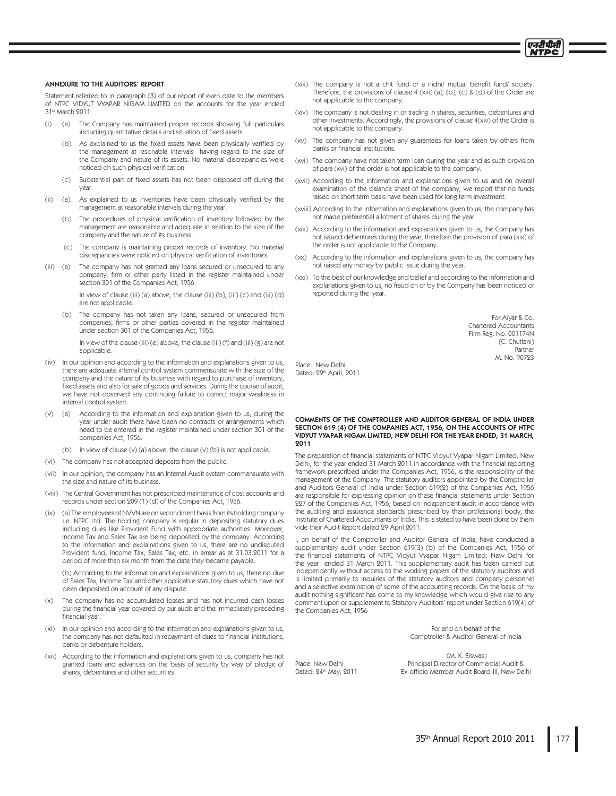### **ANNEXURE TO THE AUDITORS' REPORT**

Statement referred to in paragraph (3) of our report of even date to the members of NTPC VIDYUT VYAPAR NIGAM LIMITED on the accounts for the year ended 31st March 2011.

- (a) The Company has maintained proper records showing full particulars  $(i)$ including quantitative details and situation of fixed assets.
	- As explained to us the fixed assets have been physically verified by  $(h)$ the management at resonable intervals having regard to the size of the Company and nature of its assets. No material discrepancies were noticed on such physical verification.
	- $(c)$ Substantial part of fixed assets has not been disposed off during the year.
- (ii) (a) As explained to us inventories have been physically verified by the management at reasonable intervals during the year.
	- (b) The procedures of physical verification of inventory followed by the management are reasonable and adequate in relation to the size of the company and the nature of its business.
	- (c) The company is maintaining proper records of inventory. No material discrepancies were noticed on physical verification of inventories.
- The company has not granted any loans secured or unsecured to any  $(iii)$  (a) company, firm or other party listed in the register maintained under section 301 of the Companies Act, 1956.

In view of clause (iii) (a) above, the clause (iii) (b), (iii) (c) and (iii) (d) are not applicable.

(b) The company has not taken any loans, secured or unsecured from companies, firms or other parties covered in the register maintained under section 301 of the Companies Act, 1956.

In view of the clause (iii) (e) above, the clause (iii) (f) and (iii) (g) are not applicable

- (iv) In our opinion and according to the information and explanations given to us, there are adequate internal control system commensurate with the size of the company and the nature of its business with regard to purchase of inventory, fixed assets and also for sale of goods and services. During the course of audit, we have not observed any continuing failure to correct major weakness in internal control system.
- According to the information and explanation given to us, during the  $(v)$  $(a)$ year under audit there have been no contracts or arrangements which need to be entered in the register maintained under section 301 of the companies Act, 1956.
	- (b) In view of clause (v) (a) above, the clause (v) (b) is not applicable.
- (vi) The company has not accepted deposits from the public.
- (vii) In our opinion, the company has an Internal Audit system commensurate with the size and nature of its business
- (viii) The Central Government has not prescribed maintenance of cost accounts and records under section 209 (1) (d) of the Companies Act, 1956.
- (a) The employees of NVVN are on secondment basis from its holding company  $(ix)$ i.e. NTPC Ltd. The holding company is regular in depositing statutory dues including dues like Provident Fund with appropriate authorities. Moreover. Income Tax and Sales Tax are being deposited by the company. According to the information and explainations given to us, there are no undisputed Provident fund, Income Tax, Sales Tax, etc. in arrear as at 31.03.2011 for a period of more than six month from the date they became payable

(b) According to the information and explainations given to us, there no due of Sales Tax, Income Tax and other applicable statutory dues which have not been deposited on account of any dispute

- The company has no accumulated losses and has not incurred cash losses  $(x)$ during the financial year covered by our audit and the immediately preceding financial year.
- $(xi)$ In our opinion and according to the information and explanations given to us, the company has not defaulted in repayment of dues to financial institutions, banks or debenture holders.
- (xii) According to the information and explanations given to us, company has not granted loans and advances on the basis of security by way of pledge of shares debentures and other securities
- (xiii) The company is not a chit fund or a nidhi/ mutual benefit fund/ society. Therefore, the provisions of clause 4 (xiii) (a), (b), (c) & (d) of the Order are not applicable to the company
- (xiv) The company is not dealing in or trading in shares, securities, debentures and other investments. Accordingly, the provisions of clause 4(xiv) of the Order is not applicable to the company.
- (xv) The company has not given any guarantees for loans taken by others from banks or financial institutions.
- (xvi) The company have not taken term loan during the year and as such provision of para (xvi) of the order is not applicable to the company.
- (xvii) According to the information and explanations given to us and on overall examination of the balance sheet of the company, we report that no funds raised on short term basis have been used for long term investment.
- (xviii) According to the information and explanations given to us, the company has not made preferential allotment of shares during the year.
- (xix) According to the information and explanations given to us, the Company has not issued debentures during the year, therefore the provision of para (xix) of the order is not applicable to the Company.
- (xx) According to the information and explanations given to us, the company has not raised any money by public issue during the year.
- (xxi) To the best of our knowledge and belief and according to the information and explanations given to us, no fraud on or by the Company has been noticed or reported during the year.

For Aiyar & Co. **Chartered Accountants** Firm Reg. No. 001174N (C. Chuttani) Partner M No 90793

प्रदर्शिक ITPC

Place: New Delhi Dated: 99th April, 2011

Place: New Delhi

Dated: 24th May, 2011

### COMMENTS OF THE COMPTROLLER AND AUDITOR GENERAL OF INDIA UNDER SECTION 619 (4) OF THE COMPANIES ACT, 1956, ON THE ACCOUNTS OF NTPC VIDYUT VYAPAR NIGAM LIMITED, NEW DELHI FOR THE YEAR ENDED, 31 MARCH, 2011

The preparation of financial statements of NTPC Vidyut Vyapar Nigam Limited, New Delhi, for the year ended 31 March 2011 in accordance with the financial reporting framework prescribed under the Companies Act, 1956, is the responsibility of the management of the Company. The statutory auditors appointed by the Comptroller and Auditors General of India under Section 619(2) of the Companies Act, 1956 are responsible for expressing opinion on these financial statements under Section 227 of the Companies Act, 1956, based on independent audit in accordance with the auditing and assurance standards prescribed by their professional body, the Institute of Chartered Accountants of India. This is stated to have been done by them vide their Audit Report dated 29 April 2011.

L on behalf of the Comptroller and Auditor General of India, have conducted a supplementary audit under Section 619(3) (b) of the Companies Act, 1956 of the financial statements of NTPC Vidyut Vyapar Nigam Limited, New Delhi for the year ended 31 March 2011. This supplementary audit has been carried out independently without access to the working papers of the statutory auditors and is limited primarily to inquiries of the statutory auditors and company personnel and a selective examination of some of the accounting records. On the basis of my audit nothing significant has come to my knowledge which would give rise to any comment upon or supplement to Statutory Auditors' report under Section 619(4) of the Companies Act, 1956

> For and on behalf of the Comptroller & Auditor General of India

(M. K. Biswas) Principal Director of Commercial Audit & Ex-officio Member Audit Board-III, New Delhi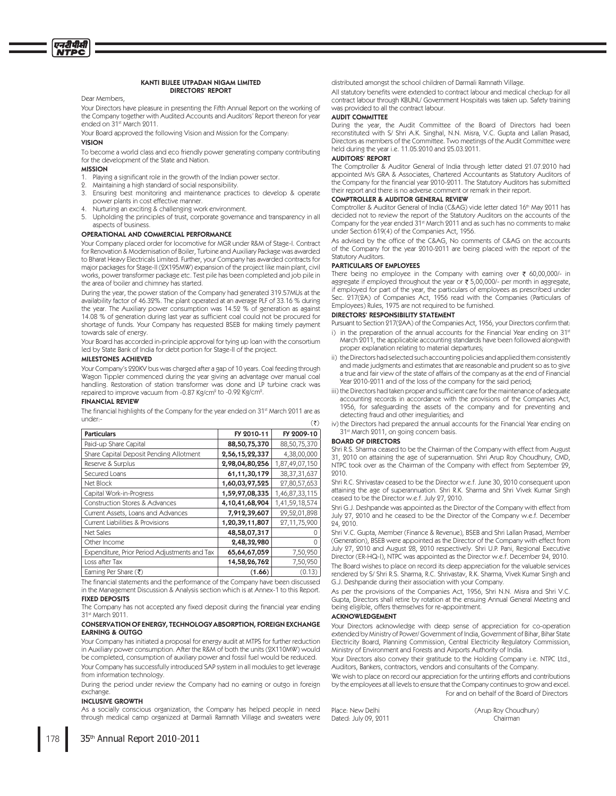### KANTI BIJLEE UTPADAN NIGAM LIMITED **DIRECTORS' REPORT**

Dear Members.

Your Directors have pleasure in presenting the Fifth Annual Report on the working of the Company together with Audited Accounts and Auditors' Report thereon for year ended on 31st March 2011.

Your Board approved the following Vision and Mission for the Company:

### **VISION**

एनटीपीसी

To become a world class and eco friendly power generating company contributing for the development of the State and Nation.

### **MISSION**

- 1. Playing a significant role in the growth of the Indian power sector.
- Maintaining a high standard of social responsibility  $\circ$
- $3.$ Ensuring best monitoring and maintenance practices to develop & operate power plants in cost effective manner.
- Nurturing an exciting & challenging work environment.
- $\overline{b}$ Upholding the principles of trust, corporate governance and transparency in all aspects of business

### **OPERATIONAL AND COMMERCIAL PERFORMANCE**

Your Company placed order for locomotive for MGR under R&M of Stage-I. Contract for Renovation & Modernisation of Boiler, Turbine and Auxiliary Package was awarded to Bharat Heavy Electricals Limited. Further, your Company has awarded contracts for major packages for Stage-II (2X195MW) expansion of the project like main plant, civil works, power transformer package etc. Test pile has been completed and job pile in the area of boiler and chimney has started.

During the year, the power station of the Company had generated 319.57MUs at the availability factor of 46.32%. The plant operated at an average PLF of 33.16 % during the year. The Auxiliary power consumption was 14.52 % of generation as against 14.08 % of generation during last year as sufficient coal could not be procured for shortage of funds. Your Company has requested BSEB for making timely payment towards sale of energy.

Your Board has accorded in-principle approval for tying up loan with the consortium led by State Bank of India for debt portion for Stage-II of the project.

### MILESTONES ACHIEVED

Your Company's 220KV bus was charged after a gap of 10 years. Coal feeding through Wagon Tippler commenced during the year giving an advantage over manual coal handling. Restoration of station transformer was done and LP turbine crack was repaired to improve vacuum from -0.87 Kg/cm<sup>2</sup> to -0.92 Kg/cm<sup>2</sup>.

### **FINANCIAL REVIEW**

The financial highlights of the Company for the year ended on 31<sup>st</sup> March 2011 are as under:- $(3)$ 

| <b>Particulars</b>                            | FY 2010-11     | FY 2009-10      |
|-----------------------------------------------|----------------|-----------------|
| Paid-up Share Capital                         | 88,50,75,370   | 88,50,75,370    |
| Share Capital Deposit Pending Allotment       | 2,56,15,22,337 | 4,38,00,000     |
| Reserve & Surplus                             | 2,98,04,80,256 | 1,87,49,07,150  |
| Secured Loans                                 | 61,11,30,179   | 38, 37, 31, 637 |
| Net Block                                     | 1,60,03,97,525 | 27,80,57,653    |
| Capital Work-in-Progress                      | 1,59,97,08,335 | 1,46,87,33,115  |
| <b>Construction Stores &amp; Advances</b>     | 4,10,41,68,904 | 1,41,59,18,574  |
| Current Assets, Loans and Advances            | 7,912,39,607   | 29,52,01,898    |
| Current Liabilities & Provisions              | 1,20,39,11,807 | 27,11,75,900    |
| <b>Net Sales</b>                              | 48,58,07,317   |                 |
| Other Income                                  | 2,48,32,980    | 0               |
| Expenditure, Prior Period Adjustments and Tax | 65,64,67,059   | 7,50,950        |
| Loss after Tax                                | 14,58,26,762   | 7,50,950        |
| Earning Per Share $(\bar{\zeta})$             | (1.66)         | (0.13)          |

The financial statements and the performance of the Company have been discussed in the Management Discussion & Analysis section which is at Annex-1 to this Report. **FIXED DEPOSITS** 

The Company has not accepted any fixed deposit during the financial year ending 31st March 2011.

### CONSERVATION OF ENERGY, TECHNOLOGY ABSORPTION, FOREIGN EXCHANGE **EARNING & OUTGO**

Your Company has initiated a proposal for energy audit at MTPS for further reduction in Auxiliary power consumption. After the R&M of both the units (2X110MW) would be completed, consumption of auxiliary power and fossil fuel would be reduced. Your Company has successfully introduced SAP system in all modules to get leverage from information technology.

During the period under review the Company had no earning or outgo in foreign exchange.

### **INCLUSIVE GROWTH**

As a socially conscious organization, the Company has helped people in need through medical camp organized at Darmali Ramnath Village and sweaters were distributed amongst the school children of Darmali Ramnath Village.

All statutory benefits were extended to contract labour and medical checkup for all contract labour through KBUNL/ Government Hospitals was taken up. Safety training was provided to all the contract labour.

### **AUDIT COMMITTEE**

During the year, the Audit Committee of the Board of Directors had been Diamond with S/Shri A.K. Singhal, N.N. Misra, V.C. Gupta and Lallan Prasad,<br>Directors as members of the Committee. Two meetings of the Audit Committee were held during the year i.e. 11.05.2010 and 25.03.2011.

### **AUDITORS' REPORT**

The Comptroller & Auditor General of India through letter dated 21.07.2010 had appointed M/s GRA & Associates, Chartered Accountants as Statutory Auditors of the Company for the financial year 2010-2011. The Statutory Auditors has submitted their report and there is no adverse comment or remark in their report.

### **COMPTROLLER & AUDITOR GENERAL REVIEW**

Comptroller & Auditor General of India (C&AG) vide letter dated 16<sup>th</sup> May 9011 has decided not to review the report of the Statutory Auditors on the accounts of the Company for the year ended 31<sup>st</sup> March 2011 and as such has no comments to make under Section 619(4) of the Companies Act, 1956.

As advised by the office of the C&AG, No comments of C&AG on the accounts of the Company for the year 2010-2011 are being placed with the report of the Statutory Auditors.

### PARTICULARS OF EMPLOYEES

There being no employee in the Company with earning over  $\bar{\tau}$  60,00,000/- in aggregate if employed throughout the year or ₹ 5,00,000/- per month in aggregate, if employed for part of the year, the particulars of employees as prescribed under Sec. 217(2A) of Companies Act, 1956 read with the Companies (Particulars of Employees) Rules, 1975 are not required to be furnished.

### DIRECTORS' RESPONSIBILITY STATEMENT

Pursuant to Section 217(2AA) of the Companies Act, 1956, your Directors confirm that: i) in the preparation of the annual accounts for the Financial Year ending on 31<sup>st</sup>

- March 2011, the applicable accounting standards have been followed alongwith proper explanation relating to material departures;
- ii) the Directors had selected such accounting policies and applied them consistently and made judgments and estimates that are reasonable and prudent so as to give a true and fair view of the state of affairs of the company as at the end of Financial Year 2010-2011 and of the loss of the company for the said period;
- iii) the Directors had taken proper and sufficient care for the maintenance of adequate accounting records in accordance with the provisions of the Companies Act, 1956, for safeguarding the assets of the company and for preventing and detecting fraud and other irregularities; and
- iv) the Directors had prepared the annual accounts for the Financial Year ending on 31<sup>st</sup> March 2011, on going concern basis.

### **BOARD OF DIRECTORS**

Shri R.S. Sharma ceased to be the Chairman of the Company with effect from August 31, 2010 on attaining the age of superannuation. Shri Arup Roy Choudhury, CMD, NTPC took over as the Chairman of the Company with effect from September 29, 9010

Shri R.C. Shrivastav ceased to be the Director w.e.f. June 30, 2010 consequent upon attaining the age of superannuation. Shri R.K. Sharma and Shri Vivek Kumar Singh ceased to be the Director w.e.f. July 27, 2010.

Shri G.J. Deshpande was appointed as the Director of the Company with effect from July 27, 2010 and he ceased to be the Director of the Company w.e.f. December 94 9010

Shri V.C. Gupta, Member (Finance & Revenue), BSEB and Shri Lallan Prasad, Member (Generation), BSEB were appointed as the Director of the Company with effect from July 27, 2010 and August 28, 2010 respectively. Shri U.P. Pani, Regional Executive Director (ER-HQ-I), NTPC was appointed as the Director w.e.f. December 24, 2010. The Board wishes to place on record its deep appreciation for the valuable services rendered by S/ Shri R.S. Sharma, R.C. Shrivastav, R.K. Sharma, Vivek Kumar Singh and G.J. Deshpande during their association with your Company.

As per the provisions of the Companies Act, 1956, Shri N.N. Misra and Shri V.C. Gupta, Directors shall retire by rotation at the ensuing Annual General Meeting and being eligible, offers themselves for re-appointment.

### **ACKNOWLEDGEMENT**

Your Directors acknowledge with deep sense of appreciation for co-operation extended by Ministry of Power/ Government of India, Government of Bihar, Bihar State Electricity Board, Planning Commission, Central Electricity Regulatory Commission, Ministry of Environment and Forests and Airports Authority of India.

Your Directors also convey their gratitude to the Holding Company i.e. NTPC Ltd., Auditors, Bankers, contractors, vendors and consultants of the Company

We wish to place on record our appreciation for the untiring efforts and contributions by the employees at all levels to ensure that the Company continues to grow and excel. For and on behalf of the Board of Directors

Place: New Delhi Dated: July 09, 2011 (Arup Roy Choudhury) Chairman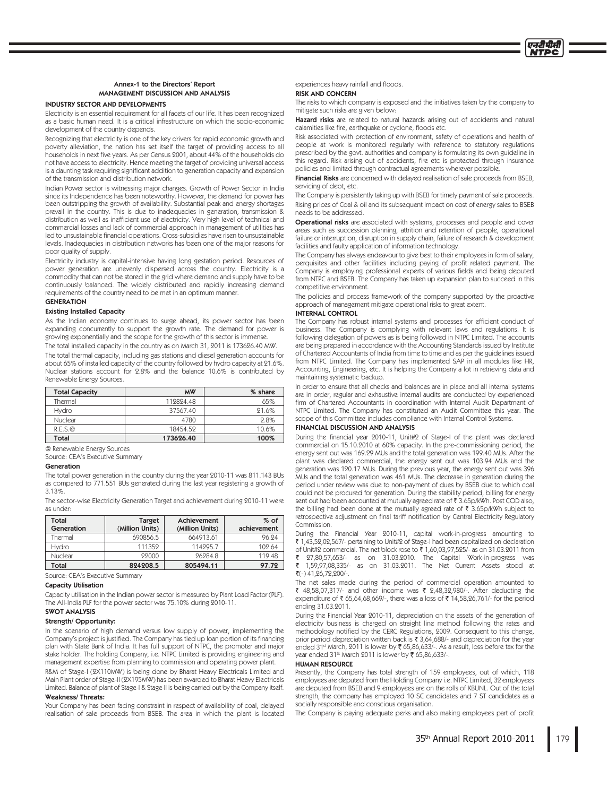

# Annex-1 to the Directors' Report MANAGEMENT DISCUSSION AND ANALYSIS

### **INDUSTRY SECTOR AND DEVELOPMENTS**

Electricity is an essential requirement for all facets of our life. It has been recognized as a basic human need. It is a critical infrastructure on which the socio-economic development of the country depends.

Recognizing that electricity is one of the key drivers for rapid economic growth and poverty alleviation, the nation has set itself the target of providing access to all households in next five years. As per Census 2001, about 44% of the households do not have access to electricity. Hence meeting the target of providing universal access is a daunting task requiring significant addition to generation capacity and expansion of the transmission and distribution network.

Indian Power sector is witnessing major changes. Growth of Power Sector in India since its Independence has been noteworthy. However, the demand for power has been outstripping the growth of availability. Substantial peak and energy shortages prevail in the country. This is due to inadequacies in generation, transmission & distribution as well as inefficient use of electricity. Very high level of technical and commercial losses and lack of commercial approach in management of utilities has led to unsustainable financial operations. Cross-subsidies have risen to unsustainable levels. Inadequacies in distribution networks has been one of the major reasons for poor quality of supply.

Electricity industry is capital-intensive having long gestation period. Resources of power generation are unevenly dispersed across the country. Electricity is a commodity that can not be stored in the grid where demand and supply have to be continuously balanced. The widely distributed and rapidly increasing demand requirements of the country need to be met in an optimum manner.

# **GENERATION**

### **Existing Installed Capacity**

As the Indian economy continues to surge ahead, its power sector has been expanding concurrently to support the growth rate. The demand for power is growing exponentially and the scope for the growth of this sector is immense. The total installed capacity in the country as on March 31, 2011 is 173626.40 MW.

The total thermal capacity, including gas stations and diesel generation accounts for about 65% of installed capacity of the country followed by hydro capacity at 21.6%. Nuclear stations account for 2.8% and the balance 10.6% is contributed by Renewable Energy Sources.

| <b>Total Capacity</b> | <b>MW</b> | % share |
|-----------------------|-----------|---------|
| Thermal               | 119894.48 | 65%     |
| Hydro                 | 37567.40  | 21.6%   |
| <b>Nuclear</b>        | 4780      | 2.8%    |
| R.E.S.@               | 18454.59  | 10.6%   |
| Total                 | 173626.40 | 100%    |

@ Renewable Energy Sources

Source: CEA's Executive Summary

### Generation

The total power generation in the country during the year 2010-11 was 811.143 BUs as compared to 771.551 BUs generated during the last year registering a growth of  $313%$ 

The sector-wise Electricity Generation Target and achievement during 2010-11 were as under

| Total<br>Generation | <b>Target</b><br>(Million Units) | <b>Achievement</b><br>(Million Units) | $%$ of<br>achievement |
|---------------------|----------------------------------|---------------------------------------|-----------------------|
| Thermal             | 690856.5                         | 664913.61                             | 96.94                 |
| <b>Hydro</b>        | 111359                           | 114995.7                              | 109.64                |
| <b>Nuclear</b>      | 99000                            | 96984.8                               | 119.48                |
| Total               | 824208.5                         | 805494.11                             | 97.72                 |

Source: CEA's Executive Summary

### **Capacity Utilisation**

Capacity utilisation in the Indian power sector is measured by Plant Load Factor (PLF). The All-India PLF for the power sector was 75.10% during 2010-11.

# **SWOT ANALYSIS**

# Strength/ Opportunity:

In the scenario of high demand versus low supply of power, implementing the Company's project is justified. The Company has tied up loan portion of its financing plan with State Bank of India. It has full support of NTPC, the promoter and major stake holder. The holding Company, i.e. NTPC Limited is providing engineering and management expertise from planning to commission and operating power plant. R&M of Stage-I (2X110MW) is being done by Bharat Heavy Electricals Limited and Main Plant order of Stage-II (2X195MW) has been awarded to Bharat Heavy Electricals Limited. Balance of plant of Stage-I & Stage-II is being carried out by the Company itself.

### **Weakness/Threats:**

Your Company has been facing constraint in respect of availability of coal, delayed realisation of sale proceeds from BSEB. The area in which the plant is located

# experiences heavy rainfall and floods.

**RISK AND CONCERN** 

The risks to which company is exposed and the initiatives taken by the company to mitigate such risks are given below:

Hazard risks are related to natural hazards arising out of accidents and natural calamities like fire, earthquake or cyclone, floods etc

Risk associated with protection of environment, safety of operations and health of people at work is monitored regularly with reference to statutory regulations prescribed by the govt. authorities and company is formulating its own guideline in this regard. Risk arising out of accidents, fire etc is protected through insurance policies and limited through contractual agreements wherever possible.

Financial Risks are concerned with delayed realisation of sale proceeds from BSEB, servicing of debt, etc

The Company is persistently taking up with BSEB for timely payment of sale proceeds. Rising prices of Coal & oil and its subsequent impact on cost of energy sales to BSEB needs to be addressed.

Operational risks are associated with systems, processes and people and cover areas such as succession planning, attrition and retention of people, operational failure or interruption, disruption in supply chain, failure of research & development facilities and faulty application of information technology.

The Company has always endeavour to give best to their employees in form of salary. perquisites and other facilities including paying of profit related payment. The .<br>Company is employing professional experts of various fields and being deputed from NTPC and BSEB. The Company has taken up expansion plan to succeed in this competitive environment.

The policies and process framework of the company supported by the proactive approach of management mitigate operational risks to great extent.

### **INTERNAL CONTROL**

The Company has robust internal systems and processes for efficient conduct of business. The Company is complying with relevant laws and regulations. It is following delegation of powers as is being followed in NTPC Limited. The accounts are being prepared in accordance with the Accounting Standards issued by Institute of Chartered Accountants of India from time to time and as per the guidelines issued from NTPC Limited. The Company has implemented SAP in all modules like HR, Accounting, Engineering, etc. It is helping the Company a lot in retrieving data and maintaining systematic backup.

In order to ensure that all checks and balances are in place and all internal systems are in order, regular and exhaustive internal audits are conducted by experienced firm of Chartered Accountants in coordination with Internal Audit Department of NTPC Limited. The Company has constituted an Audit Committee this year. The scope of this Committee includes compliance with Internal Control Systems.

### **FINANCIAL DISCUSSION AND ANALYSIS**

During the financial year 2010-11, Unit#2 of Stage-I of the plant was declared commercial on 15.10.2010 at 60% capacity. In the pre-commissioning period, the energy sent out was 169.29 MUs and the total generation was 199.40 MUs. After the plant was declared commercial, the energy sent out was 103.94 MUs and the .<br>generation was 120.17 MUs. During the previous year, the energy sent out was 396 MUs and the total generation was 461 MUs. The decrease in generation during the period under review was due to non-payment of dues by BSEB due to which coal could not be procured for generation. During the stability period, billing for energy sent out had been accounted at mutually agreed rate of ₹3.65p/kWh. Post COD also, the billing had been done at the mutually agreed rate of ₹ 3.65p/kWh subject to retrospective adjustment on final tariff notification by Central Electricity Regulatory Commission.

During the Financial Year 2010-11, capital work-in-progress amounting to ₹ 1,43,52,02,567/- pertaining to Unit#2 of Stage-I had been capitalized on declaration of Unit#2 commercial. The net block rose to ₹1,60,03,97,525/- as on 31.03.2011 from 27,80,57,653/- as on 31.03.2010. The Capital Work-in-progress was

1,59,97,08,335/- as on 31.03.2011. The Net Current Assets stood at  $\overline{3}(-)$  41, 26, 72, 200/-.

The net sales made during the period of commercial operation amounted to ₹ 48,58,07,317/- and other income was ₹ 2,48,32,980/-. After deducting the expenditure of ₹ 65,64,68,669/-, there was a loss of ₹ 14,58,26,761/- for the period ending 31.03.2011.

During the Financial Year 2010-11, depreciation on the assets of the generation of electricity business is charged on straight line method following the rates and methodology notified by the CERC Regulations, 2009. Consequent to this change, prior period depreciation written back is ₹ 3,64,688/- and depreciation for the year ended 31<sup>st</sup> March, 2011 is lower by ₹ 65,86,633/-. As a result, loss before tax for the year ended 31<sup>st</sup> March 2011 is lower by ₹ 65,86,633/-

### **HUMAN RESOURCE**

Presently, the Company has total strength of 159 employees, out of which, 118 employees are deputed from the Holding Company i.e. NTPC Limited, 32 employees are deputed from BSEB and 9 employees are on the rolls of KBUNL. Out of the total strength, the company has employed 10 SC candidates and 7 ST candidates as a socially responsible and conscious organisation.

The Company is paying adequate perks and also making employees part of profit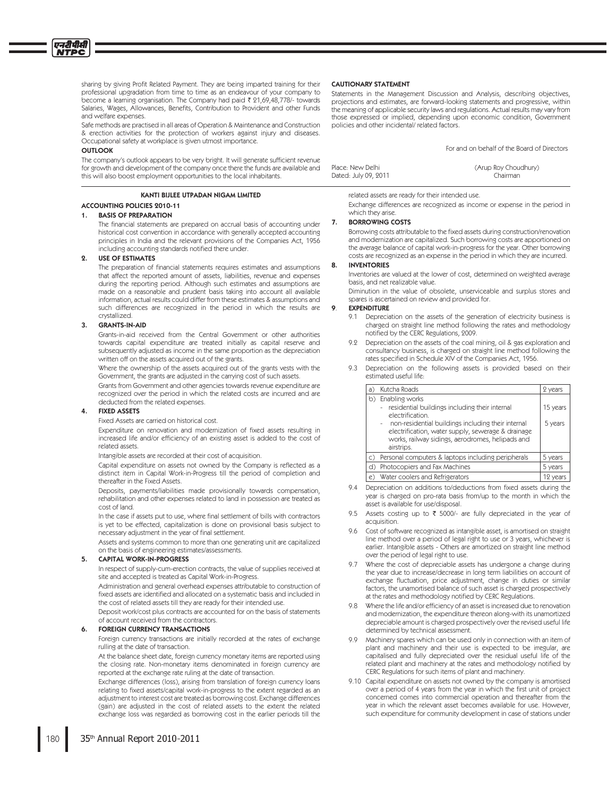sharing by giving Profit Related Payment. They are being imparted training for their professional upgradation from time to time as an endeavour of your company to become a learning organisation. The Company had paid  $\bar{\tau}$  21,69,48,778/- towards Salaries, Wages, Allowances, Benefits, Contribution to Provident and other Funds and welfare expenses.

Safe methods are practised in all areas of Operation & Maintenance and Construction & erection activities for the protection of workers against injury and diseases. Occupational safety at workplace is given utmost importance.

### **OUTLOOK**

The company's outlook appears to be very bright. It will generate sufficient revenue for growth and development of the company once there the funds are available and this will also boost employment opportunities to the local inhabitants.

### **KANTI BULFE UTPADAN NIGAM LIMITED**

# **ACCOUNTING POLICIES 2010-11**

#### **BASIS OF PREPARATION** 1.

The financial statements are prepared on accrual basis of accounting under historical cost convention in accordance with generally accepted accounting principles in India and the relevant provisions of the Companies Act, 1956 including accounting standards notified there under.

#### **USE OF ESTIMATES**  $\circ$

The preparation of financial statements requires estimates and assumptions that affect the reported amount of assets, liabilities, revenue and expenses during the reporting period. Although such estimates and assumptions are made on a reasonable and prudent basis taking into account all available information, actual results could differ from these estimates & assumptions and such differences are recognized in the period in which the results are crystallized.

#### **GRANTS-IN-AID**  $\overline{3}$ .

Grants-in-aid received from the Central Government or other authorities towards capital expenditure are treated initially as capital reserve and subsequently adjusted as income in the same proportion as the depreciation written off on the assets acquired out of the grants.

Where the ownership of the assets acquired out of the grants vests with the Government, the grants are adjusted in the carrying cost of such assets.

Grants from Government and other agencies towards revenue expenditure are recognized over the period in which the related costs are incurred and are deducted from the related expenses.

### **FIXED ASSETS**

Fixed Assets are carried on historical cost.

Expenditure on renovation and modernization of fixed assets resulting in increased life and/or efficiency of an existing asset is added to the cost of related assets.

Intangible assets are recorded at their cost of acquisition.

Capital expenditure on assets not owned by the Company is reflected as a distinct item in Capital Work-in-Progress till the period of completion and thereafter in the Fixed Assets.

Deposits, payments/liabilities made provisionally towards compensation, rehabilitation and other expenses related to land in possession are treated as cost of land

In the case if assets put to use, where final settlement of bills with contractors is yet to be effected, capitalization is done on provisional basis subject to necessary adjustment in the year of final settlement.

Assets and systems common to more than one generating unit are capitalized on the basis of engineering estimates/assessments.

### **CAPITAL WORK-IN-PROGRESS**

In respect of supply-cum-erection contracts, the value of supplies received at site and accepted is treated as Capital Work-in-Progress.

Administration and general overhead expenses attributable to construction of fixed assets are identified and allocated on a systematic basis and included in the cost of related assets till they are ready for their intended use.

Deposit work/cost plus contracts are accounted for on the basis of statements of account received from the contractors.

# **FOREIGN CURRENCY TRANSACTIONS**

Foreign currency transactions are initially recorded at the rates of exchange rulling at the date of transaction.

At the balance sheet date, foreign currency monetary items are reported using the closing rate. Non-monetary items denominated in foreign currency are reported at the exchange rate ruling at the date of transaction.

Exchange differences (loss), arising from translation of foreign currency loans relating to fixed assets/capital work-in-progress to the extent regarded as an adjustment to interest cost are treated as borrowing cost. Exchange differences (gain) are adjusted in the cost of related assets to the extent the related exchange loss was regarded as borrowing cost in the earlier periods till the

### **CAUTIONARY STATEMENT**

Statements in the Management Discussion and Analysis, describing objectives, projections and estimates, are forward-looking statements and progressive, within the meaning of applicable security laws and regulations. Actual results may vary from those expressed or implied, depending upon economic condition, Government policies and other incidental/related factors.

For and on behalf of the Board of Directors

| Place: New Delhi     | (Arup Roy Choudhury) |
|----------------------|----------------------|
| Dated: July 09, 2011 | Chairman             |

related assets are ready for their intended use.

Exchange differences are recognized as income or expense in the period in which they arise.

#### **BORROWING COSTS** 7.

Borrowing costs attributable to the fixed assets during construction/renovation and modernization are capitalized. Such borrowing costs are apportioned on the average balance of capital work-in-progress for the year. Other borrowing costs are recognized as an expense in the period in which they are incurred.

#### 8. **INVENTORIES**

Inventories are valued at the lower of cost, determined on weighted average basis, and net realizable value.

Diminution in the value of obsolete, unserviceable and surplus stores and spares is ascertained on review and provided for.

### **EXPENDITURE**

- Depreciation on the assets of the generation of electricity business is 91 charged on straight line method following the rates and methodology notified by the CERC Regulations, 2009.
- 9.2 Depreciation on the assets of the coal mining, oil & gas exploration and consultancy business, is charged on straight line method following the rates specified in Schedule XIV of the Companies Act, 1956.
- Depreciation on the following assets is provided based on their estimated useful life:

| a)           | Kutcha Roads                                                                                                                                                                                                                                                            | 2 years             |
|--------------|-------------------------------------------------------------------------------------------------------------------------------------------------------------------------------------------------------------------------------------------------------------------------|---------------------|
|              | b) Enabling works<br>- residential buildings including their internal<br>electrification.<br>non-residential buildings including their internal<br>electrification, water supply, sewerage & drainage<br>works, railway sidings, aerodromes, helipads and<br>airstrips. | 15 years<br>5 years |
| $\mathsf{C}$ | Personal computers & laptops including peripherals                                                                                                                                                                                                                      | 5 years             |
|              | Photocopiers and Fax Machines                                                                                                                                                                                                                                           | 5 years             |
| e)           | Water coolers and Refrigerators                                                                                                                                                                                                                                         | 12 years            |

- 9.4 Depreciation on additions to/deductions from fixed assets during the year is charged on pro-rata basis from/up to the month in which the asset is available for use/disposal.
- 9.5 Assets costing up to ₹ 5000/- are fully depreciated in the year of acquisition.
- 9.6 Cost of software recognized as intangible asset, is amortised on straight line method over a period of legal right to use or 3 years, whichever is earlier. Intangible assets - Others are amortized on straight line method over the period of legal right to use.
- 9.7 Where the cost of depreciable assets has undergone a change during the year due to increase/decrease in long term liabilities on account of exchange fluctuation, price adjustment, change in duties or similar factors, the unamortised balance of such asset is charged prospectively at the rates and methodology notified by CERC Regulations.
- 9.8 Where the life and/or efficiency of an asset is increased due to renovation and modernization, the expenditure thereon along-with its unamortized depreciable amount is charged prospectively over the revised useful life determined by technical assessment.
- 9.9 Machinery spares which can be used only in connection with an item of plant and machinery and their use is expected to be irregular, are capitalised and fully depreciated over the residual useful life of the related plant and machinery at the rates and methodology notified by CERC Regulations for such items of plant and machinery.
- 9.10 Capital expenditure on assets not owned by the company is amortised over a period of 4 years from the year in which the first unit of project concerned comes into commercial operation and thereafter from the year in which the relevant asset becomes available for use. However, such expenditure for community development in case of stations under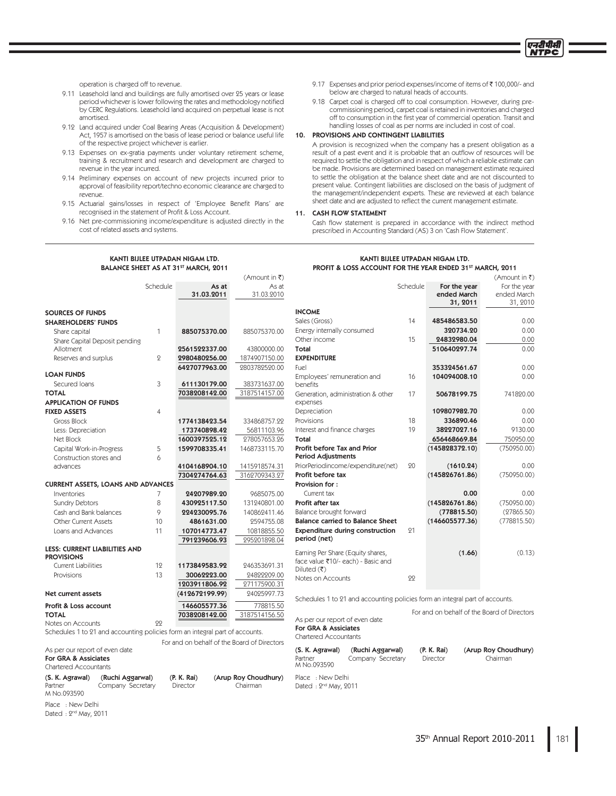एनटीपीर्स **İTPC** 

(Amount in ₹)

operation is charged off to revenue.

- 9.11 Leasehold land and buildings are fully amortised over 25 years or lease period whichever is lower following the rates and methodology notified by CERC Regulations. Leasehold land acquired on perpetual lease is not amortised.
- 9.12 Land acquired under Coal Bearing Areas (Acquisition & Development) Act, 1957 is amortised on the basis of lease period or balance useful life of the respective project whichever is earlier
	- 9.13 Expenses on ex-gratia payments under voluntary retirement scheme, training & recruitment and research and development are charged to revenue in the year incurred.
	- 9.14 Preliminary expenses on account of new projects incurred prior to approval of feasibility report/techno economic clearance are charged to revenue.
	- 9.15 Actuarial gains/losses in respect of 'Employee Benefit Plans' are recognised in the statement of Profit & Loss Account.
	- 9.16 Net pre-commissioning income/expenditure is adjusted directly in the cost of related assets and systems.
- 9.17 Expenses and prior period expenses/income of items of ₹100,000/- and below are charged to natural heads of accounts.
- 9.18 Carpet coal is charged off to coal consumption. However, during precommissioning period, carpet coal is retained in inventories and charged off to consumption in the first year of commercial operation. Transit and handling losses of coal as per norms are included in cost of coal.

10. PROVISIONS AND CONTINGENT LIABILITIES

A provision is recognized when the company has a present obligation as a result of a past event and it is probable that an outflow of resources will be required to settle the obligation and in respect of which a reliable estimate can be made. Provisions are determined based on management estimate required to settle the obligation at the balance sheet date and are not discounted to present value. Contingent liabilities are disclosed on the basis of judgment of the management/independent experts. These are reviewed at each balance sheet date and are adjusted to reflect the current management estimate.

### 11. CASH FLOW STATEMENT

Cash flow statement is prepared in accordance with the indirect method prescribed in Accounting Standard (AS) 3 on 'Cash Flow Statement'.

### KANTI BIJLEE UTPADAN NIGAM LTD. BALANCE SHEET AS AT 31<sup>ST</sup> MARCH, 2011

# KANTI BIJLEE UTPADAN NIGAM LTD. PROFIT & LOSS ACCOUNT FOR THE YEAR ENDED 31<sup>ST</sup> MARCH, 2011

|                                           |                               | Schedule       | As at                                                                        | As at                |                                                                              | Schedule | For the year                                | For the year         |
|-------------------------------------------|-------------------------------|----------------|------------------------------------------------------------------------------|----------------------|------------------------------------------------------------------------------|----------|---------------------------------------------|----------------------|
|                                           |                               |                | 31.03.2011                                                                   | 31.03.2010           |                                                                              |          | ended March                                 | ended March          |
|                                           |                               |                |                                                                              |                      |                                                                              |          | 31, 2011                                    | 31, 2010             |
| <b>SOURCES OF FUNDS</b>                   |                               |                |                                                                              |                      | <b>INCOME</b>                                                                |          |                                             |                      |
| <b>SHAREHOLDERS' FUNDS</b>                |                               |                |                                                                              |                      | Sales (Gross)                                                                | 14       | 485486583.50                                | 0.00                 |
| Share capital                             |                               | 1              | 885075370.00                                                                 | 885075370.00         | Energy internally consumed                                                   |          | 320734.20                                   | 0.00                 |
|                                           | Share Capital Deposit pending |                |                                                                              |                      | Other income                                                                 | 15       | 24832980.04                                 | 0.00                 |
| Allotment                                 |                               |                | 2561522337.00                                                                | 43800000.00          | <b>Total</b>                                                                 |          | 510640297.74                                | 0.00                 |
| Reserves and surplus                      |                               | $\overline{2}$ | 2980480256.00                                                                | 1874907150.00        | <b>EXPENDITURE</b>                                                           |          |                                             |                      |
|                                           |                               |                | 6427077963.00                                                                | 2803782520.00        | Fuel                                                                         |          | 353324561.67                                | 0.00                 |
| <b>LOAN FUNDS</b>                         |                               |                |                                                                              |                      | Employees' remuneration and                                                  | 16       | 104094008.10                                | 0.00                 |
| Secured Ioans                             |                               | 3              | 611130179.00                                                                 | 383731637.00         | benefits                                                                     |          |                                             |                      |
| <b>TOTAL</b>                              |                               |                | 7038208142.00                                                                | 3187514157.00        | Generation, administration & other                                           | 17       | 50678199.75                                 | 741820.00            |
| <b>APPLICATION OF FUNDS</b>               |                               |                |                                                                              |                      | expenses                                                                     |          |                                             |                      |
| <b>FIXED ASSETS</b>                       |                               | $\overline{4}$ |                                                                              |                      | Depreciation                                                                 |          | 109807982.70                                | 0.00                 |
| Gross Block                               |                               |                | 1774138423.54                                                                | 334868757.22         | Provisions                                                                   | 18       | 336890.46                                   | 0.00                 |
| Less: Depreciation                        |                               |                | 173740898.42                                                                 | 56811103.96          | Interest and finance charges                                                 | 19       | 38227027.16                                 | 9130.00              |
| Net Block                                 |                               |                | 1600397525.12                                                                | 278057653.26         | Total                                                                        |          | 656468669.84                                | 750950.00            |
| Capital Work-in-Progress                  |                               | 5              | 1599708335.41                                                                | 1468733115.70        | Profit before Tax and Prior                                                  |          | (145828372.10)                              | (750950.00)          |
| Construction stores and                   |                               | 6              |                                                                              |                      | <b>Period Adjustments</b>                                                    |          |                                             |                      |
| advances                                  |                               |                | 4104168904.10                                                                | 1415918574.31        | PriorPeriodincome/expenditure(net)                                           | 20       | (1610.24)                                   | 0.00                 |
|                                           |                               |                | 7304274764.63                                                                | 3162709343.27        | Profit before tax                                                            |          | (145826761.86)                              | (750950.00)          |
| <b>CURRENT ASSETS, LOANS AND ADVANCES</b> |                               |                |                                                                              |                      | Provision for:                                                               |          |                                             |                      |
| Inventories                               |                               | 7              | 24207989.20                                                                  | 9685075.00           | Current tax                                                                  |          | 0.00                                        | 0.00                 |
| <b>Sundry Debtors</b>                     |                               | 8              | 430925117.50                                                                 | 131240801.00         | Profit after tax                                                             |          | (145826761.86)                              | (750950.00)          |
| Cash and Bank balances                    |                               | 9              | 224230095.76                                                                 | 140862411.46         | Balance brought forward                                                      |          | (778815.50)                                 | (27865.50)           |
| Other Current Assets                      |                               | 10             | 4861631.00                                                                   | 2594755.08           | <b>Balance carried to Balance Sheet</b>                                      |          | (146605577.36)                              | (778815.50)          |
| Loans and Advances                        |                               | 11             | 107014773.47                                                                 | 10818855.50          | <b>Expenditure during construction</b>                                       | 91       |                                             |                      |
|                                           |                               |                | 791239606.93                                                                 | 295201898.04         | period (net)                                                                 |          |                                             |                      |
| <b>LESS: CURRENT LIABILITIES AND</b>      |                               |                |                                                                              |                      | Earning Per Share (Equity shares,                                            |          | (1.66)                                      | (0.13)               |
| <b>PROVISIONS</b>                         |                               |                |                                                                              |                      | face value ₹10/- each) - Basic and                                           |          |                                             |                      |
| <b>Current Liabilities</b>                |                               | 12             | 1173849583.92                                                                | 246353691.31         | Diluted $(\overline{\mathfrak{k}})$                                          |          |                                             |                      |
| Provisions                                |                               | 13             | 30062223.00                                                                  | 24822209.00          | Notes on Accounts                                                            | 22       |                                             |                      |
|                                           |                               |                | 1203911806.92                                                                | 271175900.31         |                                                                              |          |                                             |                      |
| <b>Net current assets</b>                 |                               |                | (412672199.99)                                                               | 24025997.73          | Schedules 1 to 21 and accounting policies form an integral part of accounts. |          |                                             |                      |
| Profit & Loss account                     |                               |                | 146605577.36                                                                 | 778815.50            |                                                                              |          |                                             |                      |
| <b>TOTAL</b>                              |                               |                | 7038208142.00                                                                | 3187514156.50        |                                                                              |          | For and on behalf of the Board of Directors |                      |
| Notes on Accounts                         |                               | 22             |                                                                              |                      | As per our report of even date                                               |          |                                             |                      |
|                                           |                               |                | Schedules 1 to 21 and accounting policies form an integral part of accounts. |                      | For GRA & Assiciates                                                         |          |                                             |                      |
|                                           |                               |                | For and on behalf of the Board of Directors                                  |                      | <b>Chartered Accountants</b>                                                 |          |                                             |                      |
| As per our report of even date            |                               |                |                                                                              |                      | (Ruchi Aggarwal)<br>(S. K. Agrawal)                                          |          | (P. K. Rai)                                 | (Arup Roy Choudhury) |
| For GRA & Assiciates                      |                               |                |                                                                              |                      | Partner<br>Company Secretary                                                 |          | Director                                    | Chairman             |
| <b>Chartered Accountants</b>              |                               |                |                                                                              |                      | M No.093590                                                                  |          |                                             |                      |
| (S. K. Agrawal)                           | (Ruchi Aggarwal)              |                | (P. K. Rai)                                                                  | (Arup Roy Choudhury) | Place : New Delhi                                                            |          |                                             |                      |
| Partner                                   | Company Secretary             |                | Director                                                                     | Chairman             | Dated: 2 <sup>nd</sup> May, 2011                                             |          |                                             |                      |
| M No.093590                               |                               |                |                                                                              |                      |                                                                              |          |                                             |                      |

 $(Am$ ount in  $\bar{z}$ )

Place : New Delhi

Dated: 2<sup>nd</sup> May, 2011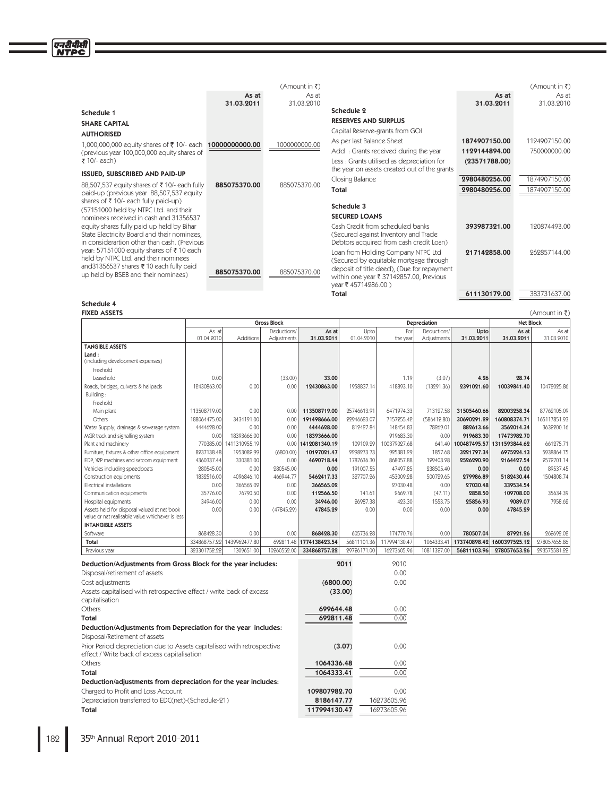|                                                                                                                                                                    |                     | (Amount in ₹)       |                                                                                                                                                                                              |                     | $(Am$ ount in ₹)    |
|--------------------------------------------------------------------------------------------------------------------------------------------------------------------|---------------------|---------------------|----------------------------------------------------------------------------------------------------------------------------------------------------------------------------------------------|---------------------|---------------------|
|                                                                                                                                                                    | As at<br>31.03.2011 | As at<br>31.03.2010 |                                                                                                                                                                                              | As at<br>31.03.2011 | As at<br>31.03.2010 |
| Schedule 1                                                                                                                                                         |                     |                     | Schedule 2                                                                                                                                                                                   |                     |                     |
| <b>SHARE CAPITAL</b>                                                                                                                                               |                     |                     | <b>RESERVES AND SURPLUS</b>                                                                                                                                                                  |                     |                     |
| <b>AUTHORISED</b>                                                                                                                                                  |                     |                     | Capital Reserve-grants from GOI                                                                                                                                                              |                     |                     |
| 1,000,000,000 equity shares of ₹10/- each <b>10000000000.00</b>                                                                                                    |                     | 1000000000.00       | As per last Balance Sheet                                                                                                                                                                    | 1874907150.00       | 1194907150.00       |
| (previous year 100,000,000 equity shares of                                                                                                                        |                     |                     | Add: Grants received during the year                                                                                                                                                         | 1129144894.00       | 750000000.00        |
| ₹ 10/- each)                                                                                                                                                       |                     |                     | Less: Grants utilised as depreciation for<br>the year on assets created out of the grants                                                                                                    | (23571788.00)       |                     |
| ISSUED, SUBSCRIBED AND PAID-UP                                                                                                                                     |                     |                     | Closing Balance                                                                                                                                                                              | 2980480256.00       | 1874907150.00       |
| 88,507,537 equity shares of ₹10/- each fully<br>paid-up (previous year 88,507,537 equity                                                                           | 885075370.00        | 885075370.00        | Total                                                                                                                                                                                        | 2980480256.00       | 1874907150.00       |
| shares of ₹10/- each fully paid-up)                                                                                                                                |                     |                     | Schedule 3                                                                                                                                                                                   |                     |                     |
| (57151000 held by NTPC Ltd. and their<br>nominees received in cash and 31356537                                                                                    |                     |                     | <b>SECURED LOANS</b>                                                                                                                                                                         |                     |                     |
| equity shares fully paid up held by Bihar<br>State Electricity Board and their nominees,<br>in considerartion other than cash. (Previous                           |                     |                     | Cash Credit from scheduled banks<br>(Secured against Inventory and Trade<br>Debtors acquired from cash credit Loan)                                                                          | 393987321.00        | 120874493.00        |
| year: 57151000 equity shares of ₹10 each<br>held by NTPC Ltd. and their nominees<br>and31356537 shares ₹ 10 each fully paid<br>up held by BSEB and their nominees) | 885075370.00        | 885075370.00        | Loan from Holding Company NTPC Ltd<br>(Secured by equitable mortgage through<br>deposit of title deed), (Due for repayment<br>within one year ₹ 37142857.00, Previous<br>year ₹ 45714286.00) | 217142858.00        | 262857144.00        |
|                                                                                                                                                                    |                     |                     | Total                                                                                                                                                                                        | 611130179.00        | 383731637.00        |

# Schedule 4 and 2008 and 2008 and 2008 and 2008 and 2008 and 2008 and 2008 and 2008 and 2008 and 2008 and 2008

| <b>FIXED ASSETS</b>                                                                            | (Amount in ₹)                 |               |                            |                         |                    |                 |                            |                    |                     |                     |  |
|------------------------------------------------------------------------------------------------|-------------------------------|---------------|----------------------------|-------------------------|--------------------|-----------------|----------------------------|--------------------|---------------------|---------------------|--|
|                                                                                                |                               |               | <b>Gross Block</b>         |                         |                    |                 | Depreciation               |                    |                     | <b>Net Block</b>    |  |
|                                                                                                | As at<br>01.04.2010           | Additions     | Deductions/<br>Adjustments | As at<br>31.03.2011     | Upto<br>01.04.2010 | For<br>the year | Deductions/<br>Adjustments | Upto<br>31.03.2011 | As at<br>31.03.2011 | As at<br>31.03.2010 |  |
| <b>TANGIBLE ASSETS</b>                                                                         |                               |               |                            |                         |                    |                 |                            |                    |                     |                     |  |
| Land:<br>(including development expenses)                                                      |                               |               |                            |                         |                    |                 |                            |                    |                     |                     |  |
| Freehold                                                                                       |                               |               |                            |                         |                    |                 |                            |                    |                     |                     |  |
| Leasehold                                                                                      | 0.00                          |               | (33.00)                    | 33.00                   |                    | 1.19            | (3.07)                     | 4.26               | 28.74               |                     |  |
| Roads, bridges, culverts & helipads                                                            | 12430863.00                   | 0.00          | 0.00                       | 12430863.00             | 1958837.14         | 418893.10       | (13291.36)                 | 2391021.60         | 10039841.40         | 10472025.86         |  |
| Building:                                                                                      |                               |               |                            |                         |                    |                 |                            |                    |                     |                     |  |
| Freehold                                                                                       |                               |               |                            |                         |                    |                 |                            |                    |                     |                     |  |
| Main plant                                                                                     | 113508719.00                  | 0.00          | 0.00                       | 113508719.00            | 25746613.91        | 6471974.33      | 713127.58                  | 31505460.66        | 82003258.34         | 87762105.09         |  |
| Others                                                                                         | 188064475.00                  | 3434191.00    | 0.00                       | 191498666.00            | 22946623.07        | 7157255.42      | (586412.80)                | 30690291.29        | 160808374.71        | 165117851.93        |  |
| Water Supply, drainage & sewerage system                                                       | 4444628.00                    | 0.00          | 0.00                       | 4444628.00              | 812427.84          | 148454.83       | 78269.01                   | 882613.66          | 3562014.34          | 3632200.16          |  |
| MGR track and signalling system                                                                | 0.00                          | 18393666.00   | 0.00                       | 18393666.00             |                    | 919683.30       | 0.00                       | 919683.30          | 17473982.70         |                     |  |
| Plant and machinery                                                                            | 770385.00                     | 1411310955.19 | 0.00                       | 1412081340.19           | 109109.29          | 100379027.68    | 641.40                     | 100487495.57       | 1311593844.62       | 661275.71           |  |
| Furniture, fixtures & other office equipment                                                   | 8237138.48                    | 1953082.99    | (6800.00)                  | 10197021.47             | 2298273.73         | 925381.29       | 1857.68                    | 3221797.34         | 6975224.13          | 5938864.75          |  |
| EDP, WP machines and satcom equipment                                                          | 4360337.44                    | 330381.00     | 0.00                       | 4690718.44              | 1787636.30         | 868057.88       | 129403.28                  | 2526290.90         | 2164427.54          | 2572701.14          |  |
| Vehicles including speedboats                                                                  | 280545.00                     | 0.00          | 280545.00                  | 0.00                    | 191007.55          | 47497.85        | 238505.40                  | 0.00               | 0.00                | 89537.45            |  |
| Construction equipments                                                                        | 1832516.00                    | 4096846.10    | 466944.77                  | 5462417.33              | 327707.26          | 453009.28       | 500729.65                  | 279986.89          | 5182430.44          | 1504808.74          |  |
| <b>Electrical installations</b>                                                                | 0.00                          | 366565.02     | 0.00                       | 366565.02               |                    | 27030.48        | 0.00                       | 27030.48           | 339534.54           |                     |  |
| Communication equipments                                                                       | 35776.00                      | 76790.50      | 0.00                       | 112566.50               | 141.61             | 2669.78         | (47.11)                    | 2858.50            | 109708.00           | 35634.39            |  |
| Hospital equipments                                                                            | 34946.00                      | 0.00          | 0.00                       | 34946.00                | 26987.38           | 423.30          | 1553.75                    | 25856.93           | 9089.07             | 7958.62             |  |
| Assets held for disposal valued at net book<br>value or net realisable value whichever is less | 0.00                          | 0.00          | (47845.29)                 | 47845.29                | 0.00               | 0.00            | 0.00                       | 0.00               | 47845.29            |                     |  |
| <b>INTANGIBLE ASSETS</b>                                                                       |                               |               |                            |                         |                    |                 |                            |                    |                     |                     |  |
| Software                                                                                       | 868428.30                     | 0.00          | 0.00                       | 868428.30               | 605736.28          | 174770.76       | 0.00                       | 780507.04          | 87921.26            | 262692.02           |  |
| Total                                                                                          | 334868757.22                  | 1439962477.80 |                            | 692811.48 1774138423.54 | 56811101.36        | 117994130.47    | 1064333.41                 | 173740898.42       | 1600397525.12       | 278057655.86        |  |
| Previous year                                                                                  | 323301752.22                  | 1309651.00    | 10260552.00                | 334868757.22            | 29726171.00        | 16273605.96     | 10811327.00                | 56811103.96        | 278057653.26        | 293575581.22        |  |
|                                                                                                |                               |               |                            |                         |                    |                 |                            |                    |                     |                     |  |
| Deduction/Adjustments from Gross Block for the year includes:                                  |                               |               |                            |                         | 2011               | 2010            |                            |                    |                     |                     |  |
|                                                                                                | Disposal/retirement of assets |               |                            |                         |                    | 0.00            |                            |                    |                     |                     |  |
| Cost adjustments                                                                               |                               |               | (6800.00)                  |                         | 0.00               |                 |                            |                    |                     |                     |  |
| Assets capitalised with retrospective effect / write back of excess<br>capitalisation          |                               |               |                            |                         | (33.00)            |                 |                            |                    |                     |                     |  |
| Others                                                                                         |                               |               |                            | 699644.48               |                    | 0.00            |                            |                    |                     |                     |  |
| Total                                                                                          |                               |               |                            | 692811.48               |                    | 0.00            |                            |                    |                     |                     |  |
| Deduction/Adjustments from Depreciation for the year includes:                                 |                               |               |                            |                         |                    |                 |                            |                    |                     |                     |  |

| Disposal/Retirement of assets                                                                                          |              |             |
|------------------------------------------------------------------------------------------------------------------------|--------------|-------------|
| Prior Period depreciation due to Assets capitalised with retrospective<br>effect / Write back of excess capitalisation | (3.07)       | 0.00        |
| <b>Others</b>                                                                                                          | 1064336.48   | 0.00        |
| Total                                                                                                                  | 1064333.41   | 0.00        |
| Deduction/adjustments from depreciation for the year includes:                                                         |              |             |
| Charged to Profit and Loss Account                                                                                     | 109807982.70 | 0.00        |
| Depreciation transferred to EDC(net)-(Schedule-21)                                                                     | 8186147.77   | 16273605.96 |
| Total                                                                                                                  | 117994130.47 | 16273605.96 |
|                                                                                                                        |              |             |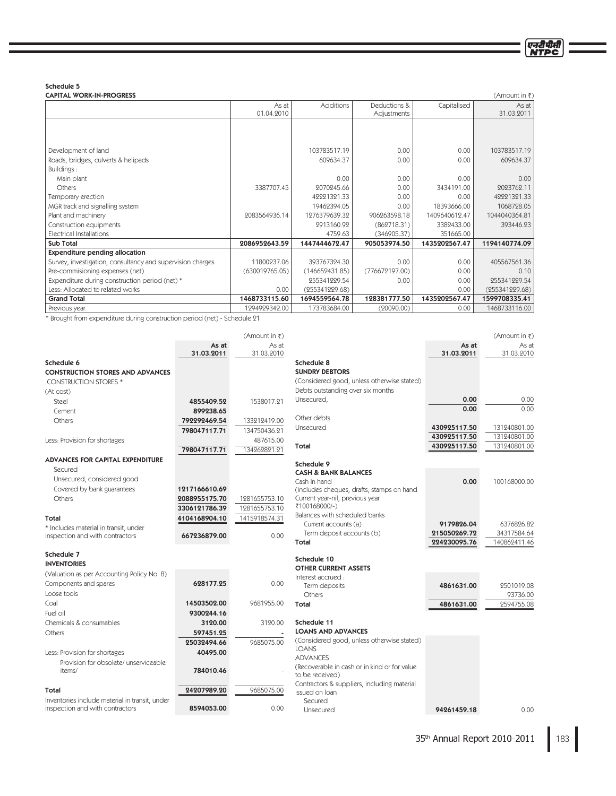एनटीपीसी

Schedule 5<br>CAPITAL WORK-IN-PROGRESS

| <b>CAPITAL WORK-IN-PROGRESS</b><br>$(Am$ ount in ₹)        |                |                  |                |               |                |  |  |
|------------------------------------------------------------|----------------|------------------|----------------|---------------|----------------|--|--|
|                                                            | As at          | <b>Additions</b> | Deductions &   | Capitalised   | As at          |  |  |
|                                                            | 01.04.2010     |                  | Adjustments    |               | 31.03.2011     |  |  |
|                                                            |                |                  |                |               |                |  |  |
|                                                            |                |                  |                |               |                |  |  |
|                                                            |                |                  |                |               |                |  |  |
| Development of land                                        |                | 103783517.19     | 0.00           | 0.00          | 103783517.19   |  |  |
| Roads, bridges, culverts & helipads                        |                | 609634.37        | 0.00           | 0.00          | 609634.37      |  |  |
| Buildings:                                                 |                |                  |                |               |                |  |  |
| Main plant                                                 |                | 0.00             | 0.00           | 0.00          | 0.00           |  |  |
| Others                                                     | 3387707.45     | 2070245.66       | 0.00           | 3434191.00    | 2023762.11     |  |  |
| Temporary erection                                         |                | 42221321.33      | 0.00           | 0.00          | 42221321.33    |  |  |
| MGR track and signalling system                            |                | 19462394.05      | 0.00           | 18393666.00   | 1068728.05     |  |  |
| Plant and machinery                                        | 2083564936.14  | 1276379639.32    | 906263598.18   | 1409640612.47 | 1044040364.81  |  |  |
| Construction equipments                                    |                | 2913160.92       | (862718.31)    | 3382433.00    | 393446.23      |  |  |
| <b>Electrical Installations</b>                            |                | 4759.63          | (346905.37)    | 351665.00     |                |  |  |
| <b>Sub Total</b>                                           | 2086952643.59  | 1447444672.47    | 905053974.50   | 1435202567.47 | 1194140774.09  |  |  |
| <b>Expenditure pending allocation</b>                      |                |                  |                |               |                |  |  |
| Survey, investigation, consultancy and supervision charges | 11800237.06    | 393767324.30     | 0.00           | 0.00          | 405567561.36   |  |  |
| Pre-commisioning expenses (net)                            | (630019765.05) | (146652431.85)   | (776672197.00) | 0.00          | 0.10           |  |  |
| Expenditure during construction period (net) *             |                | 255341229.54     | 0.00           | 0.00          | 255341229.54   |  |  |
| Less: Allocated to related works                           | 0.00           | (255341229.68)   |                | 0.00          | (255341229.68) |  |  |
| <b>Grand Total</b>                                         | 1468733115.60  | 1694559564.78    | 128381777.50   | 1435202567.47 | 1599708335.41  |  |  |
| Previous year                                              | 1294929342.00  | 173783684.00     | (20090.00)     | 0.00          | 1468733116.00  |  |  |

\* Brought from expenditure during construction period (net) - Schedule 21

|                                                |               | (Amount in $\overline{\xi}$ ) |                                                               |                              | (Amount in $\bar{z}$ )       |
|------------------------------------------------|---------------|-------------------------------|---------------------------------------------------------------|------------------------------|------------------------------|
|                                                | As at         | As at                         |                                                               | As at                        | As at                        |
|                                                | 31.03.2011    | 31.03.2010                    |                                                               | 31.03.2011                   | 31.03.2010                   |
| Schedule 6                                     |               |                               | Schedule 8                                                    |                              |                              |
| <b>CONSTRUCTION STORES AND ADVANCES</b>        |               |                               | <b>SUNDRY DEBTORS</b>                                         |                              |                              |
| <b>CONSTRUCTION STORES *</b>                   |               |                               | (Considered good, unless otherwise stated)                    |                              |                              |
| (At cost)                                      |               |                               | Debts outstanding over six months                             |                              |                              |
| <b>Steel</b>                                   | 4855409.52    | 1538017.91                    | Unsecured,                                                    | 0.00                         | 0.00                         |
| Cement                                         | 899238.65     |                               |                                                               | 0.00                         | 0.00                         |
| Others                                         | 792292469.54  | 133212419.00                  | Other debts                                                   |                              |                              |
|                                                | 798047117.71  | 134750436.21                  | Unsecured                                                     | 430925117.50<br>430925117.50 | 131240801.00<br>131240801.00 |
| Less: Provision for shortages                  |               | 487615.00                     | Total                                                         | 430925117.50                 | 131240801.00                 |
|                                                | 798047117.71  | 134262821.21                  |                                                               |                              |                              |
| <b>ADVANCES FOR CAPITAL EXPENDITURE</b>        |               |                               | Schedule 9                                                    |                              |                              |
| Secured                                        |               |                               | <b>CASH &amp; BANK BALANCES</b>                               |                              |                              |
| Unsecured, considered good                     |               |                               | Cash In hand                                                  | 0.00                         | 100168000.00                 |
| Covered by bank guarantees                     | 1217166610.69 |                               | (includes cheques, drafts, stamps on hand                     |                              |                              |
| Others                                         | 2088955175.70 | 1281655753.10                 | Current year-nil, previous year                               |                              |                              |
|                                                | 3306121786.39 | 1281655753.10                 | ₹100168000/-)                                                 |                              |                              |
| Total                                          | 4104168904.10 | 1415918574.31                 | Balances with scheduled banks                                 |                              |                              |
| * Includes material in transit, under          |               |                               | Current accounts (a)                                          | 9179826.04                   | 6376826.82                   |
| inspection and with contractors                | 667236879.00  | 0.00                          | Term deposit accounts (b)                                     | 215050269.72                 | 34317584.64                  |
|                                                |               |                               | Total                                                         | 224230095.76                 | 140862411.46                 |
| Schedule 7                                     |               |                               | Schedule 10                                                   |                              |                              |
| <b>INVENTORIES</b>                             |               |                               | <b>OTHER CURRENT ASSETS</b>                                   |                              |                              |
| (Valuation as per Accounting Policy No. 8)     |               |                               | Interest accrued:                                             |                              |                              |
| Components and spares                          | 628177.25     | 0.00                          | Term deposits                                                 | 4861631.00                   | 2501019.08                   |
| Loose tools                                    |               |                               | Others                                                        |                              | 93736.00                     |
| Coal                                           | 14503502.00   | 9681955.00                    | Total                                                         | 4861631.00                   | 2594755.08                   |
| Fuel oil                                       | 9300244.16    |                               |                                                               |                              |                              |
| Chemicals & consumables                        | 3120.00       | 3120.00                       | Schedule 11                                                   |                              |                              |
| Others                                         | 597451.25     |                               | <b>LOANS AND ADVANCES</b>                                     |                              |                              |
|                                                | 25032494.66   | 9685075.00                    | (Considered good, unless otherwise stated)                    |                              |                              |
| Less: Provision for shortages                  | 40495.00      |                               | <b>LOANS</b>                                                  |                              |                              |
| Provision for obsolete/ unserviceable          |               |                               | <b>ADVANCES</b>                                               |                              |                              |
| items/                                         | 784010.46     |                               | (Recoverable in cash or in kind or for value)                 |                              |                              |
|                                                |               |                               | to be received)                                               |                              |                              |
| Total                                          | 24207989.20   | 9685075.00                    | Contractors & suppliers, including material<br>issued on loan |                              |                              |
| Inventories include material in transit, under |               |                               | Secured                                                       |                              |                              |
| inspection and with contractors                | 8594053.00    | 0.00                          | Unsecured                                                     | 94961459.18                  | 0.00                         |

183 35<sup>th</sup> Annual Report 2010-2011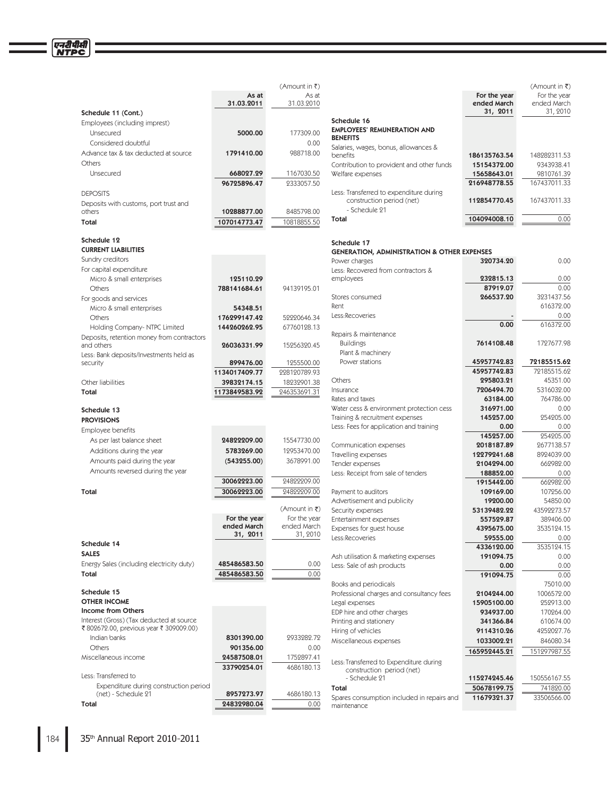|                                                     |                     | (Amount in ₹)       |                                                                      |                             | (Amount in ₹)               |
|-----------------------------------------------------|---------------------|---------------------|----------------------------------------------------------------------|-----------------------------|-----------------------------|
|                                                     | As at<br>31.03.2011 | As at<br>31.03.2010 |                                                                      | For the year<br>ended March | For the year<br>ended March |
| Schedule 11 (Cont.)                                 |                     |                     |                                                                      | 31, 2011                    | 31, 2010                    |
| Employees (including imprest)                       |                     |                     | Schedule 16                                                          |                             |                             |
| Unsecured                                           | 5000.00             | 177309.00           | <b>EMPLOYEES' REMUNERATION AND</b>                                   |                             |                             |
| Considered doubtful                                 |                     | 0.00                | <b>BENEFITS</b>                                                      |                             |                             |
|                                                     |                     |                     | Salaries, wages, bonus, allowances &                                 |                             |                             |
| Advance tax & tax deducted at source                | 1791410.00          | 988718.00           | benefits                                                             | 186135763.54                | 148282311.53                |
| Others                                              |                     |                     | Contribution to provident and other funds                            | 15154372.00                 | 9343938.41                  |
| Unsecured                                           | 668027.29           | 1167030.50          | Welfare expenses                                                     | 15658643.01                 | 9810761.39                  |
|                                                     | 96725896.47         | 9333057.50          |                                                                      | 216948778.55                | 167437011.33                |
| <b>DEPOSITS</b>                                     |                     |                     | Less: Transferred to expenditure during                              |                             |                             |
| Deposits with customs, port trust and               |                     |                     | construction period (net)                                            | 112854770.45                | 167437011.33                |
| others                                              | 10288877.00         | 8485798.00          | - Schedule 21                                                        |                             |                             |
| Total                                               | 107014773.47        | 10818855.50         | Total                                                                | 104094008.10                | 0.00                        |
| Schedule 12                                         |                     |                     |                                                                      |                             |                             |
| <b>CURRENT LIABILITIES</b>                          |                     |                     | Schedule 17                                                          |                             |                             |
| Sundry creditors                                    |                     |                     | <b>GENERATION, ADMINISTRATION &amp; OTHER EXPENSES</b>               |                             |                             |
| For capital expenditure                             |                     |                     | Power charges                                                        | 320734.20                   | 0.00                        |
|                                                     | 125110.29           |                     | Less: Recovered from contractors &<br>employees                      | 232815.13                   | 0.00                        |
| Micro & small enterprises<br>Others                 |                     | 94139195.01         |                                                                      | 87919.07                    | 0.00                        |
|                                                     | 788141684.61        |                     | Stores consumed                                                      | 266537.20                   | 3231437.56                  |
| For goods and services                              |                     |                     | Rent                                                                 |                             | 616372.00                   |
| Micro & small enterprises                           | 54348.51            |                     | Less:Recoveries                                                      |                             | 0.00                        |
| Others                                              | 176299147.42        | 59990646.34         |                                                                      | 0.00                        | 616372.00                   |
| Holding Company-NTPC Limited                        | 144260262.95        | 67760128.13         | Repairs & maintenance                                                |                             |                             |
| Deposits, retention money from contractors          |                     |                     | <b>Buildings</b>                                                     | 7614108.48                  | 1727677.98                  |
| and others                                          | 26036331.99         | 15256320.45         | Plant & machinery                                                    |                             |                             |
| Less: Bank deposits/Investments held as<br>security | 899476.00           | 1255500.00          | Power stations                                                       | 45957742.83                 | 72185515.62                 |
|                                                     | 1134017409.77       | 228120789.93        |                                                                      | 45957742.83                 | 72185515.62                 |
| Other liabilities                                   | 39832174.15         | 18232901.38         | Others                                                               | 295803.21                   | 45351.00                    |
| Total                                               |                     |                     | Insurance                                                            | 7206494.70                  | 5316032.00                  |
|                                                     | 1173849583.92       | 246353691.31        | Rates and taxes                                                      | 63184.00                    | 764786.00                   |
| Schedule 13                                         |                     |                     | Water cess & environment protection cess                             | 316971.00                   | 0.00                        |
| <b>PROVISIONS</b>                                   |                     |                     | Training & recruitment expenses                                      | 145257.00                   | 254205.00                   |
|                                                     |                     |                     | Less: Fees for application and training                              | 0.00                        | 0.00                        |
| Employee benefits                                   |                     |                     |                                                                      | 145257.00                   | 254205.00                   |
| As per last balance sheet                           | 24822209.00         | 15547730.00         | Communication expenses                                               | 2018187.89                  | 2677138.57                  |
| Additions during the year                           | 5783269.00          | 12953470.00         | Travelling expenses                                                  | 12279241.68                 | 8924039.00                  |
| Amounts paid during the year                        | (543255.00)         | 3678991.00          | Tender expenses                                                      | 2104294.00                  | 662982.00                   |
| Amounts reversed during the year                    |                     |                     | Less: Receipt from sale of tenders                                   | 188852.00                   | 0.00                        |
|                                                     | 30062223.00         | 24822209.00         |                                                                      | 1915442.00                  | 662982.00                   |
| Total                                               | 30062223.00         | 24822209.00         | Payment to auditors                                                  | 109169.00                   | 107256.00                   |
|                                                     |                     |                     | Advertisement and publicity                                          | 19200.00                    | 54850.00                    |
|                                                     |                     | (Amount in ₹)       | Security expenses                                                    | 53139482.22                 | 43592273.57                 |
|                                                     | For the year        | For the year        | Entertainment expenses                                               | 557529.87                   | 389406.00                   |
|                                                     | ended March         | ended March         | Expenses for guest house                                             | 4395675.00                  | 3535124.15                  |
|                                                     | 31, 2011            | 31, 2010            | Less:Recoveries                                                      | 59555.00                    | 0.00                        |
| Schedule 14                                         |                     |                     |                                                                      | 4336120.00                  | 3535124.15                  |
| <b>SALES</b>                                        |                     |                     | Ash utilisation & marketing expenses                                 | 191094.75                   | 0.00                        |
| Energy Sales (including electricity duty)           | 485486583.50        | 0.00                | Less: Sale of ash products                                           | 0.00                        | 0.00                        |
| Total                                               | 485486583.50        | 0.00                |                                                                      | 191094.75                   | 0.00                        |
|                                                     |                     |                     | Books and periodicals                                                |                             | 75010.00                    |
| Schedule 15                                         |                     |                     | Professional charges and consultancy fees                            | 2104244.00                  | 1006572.00                  |
| <b>OTHER INCOME</b>                                 |                     |                     | Legal expenses                                                       | 15905100.00                 | 252913.00                   |
| Income from Others                                  |                     |                     | EDP hire and other charges                                           | 934937.00                   | 170264.00                   |
| Interest (Gross) (Tax deducted at source            |                     |                     | Printing and stationery                                              | 341366.84                   | 610674.00                   |
| ₹ 802672.00, previous year ₹ 309009.00)             |                     |                     | Hiring of vehicles                                                   | 9114310.26                  | 4252027.76                  |
| Indian banks                                        | 8301390.00          | 2933282.72          | Miscellaneous expenses                                               | 1033002.21                  | 846080.34                   |
| Others                                              | 901356.00           | 0.00                |                                                                      | 165952445.21                | 151297987.55                |
| Miscellaneous income                                | 24587508.01         | 1752897.41          |                                                                      |                             |                             |
|                                                     | 33790254.01         | 4686180.13          | Less: Transferred to Expenditure during<br>construction period (net) |                             |                             |
| Less: Transferred to                                |                     |                     | - Schedule 21                                                        | 115274245.46                | 150556167.55                |
| Expenditure during construction period              |                     |                     | Total                                                                | 50678199.75                 | 741820.00                   |
| (net) - Schedule 21                                 | 8957273.97          | 4686180.13          |                                                                      | 1147020127                  | 22504546.00                 |

50678199.75 Spares consumption included in repairs and maintenance 11679321.37 33506566.00

Total 24832980.04 2000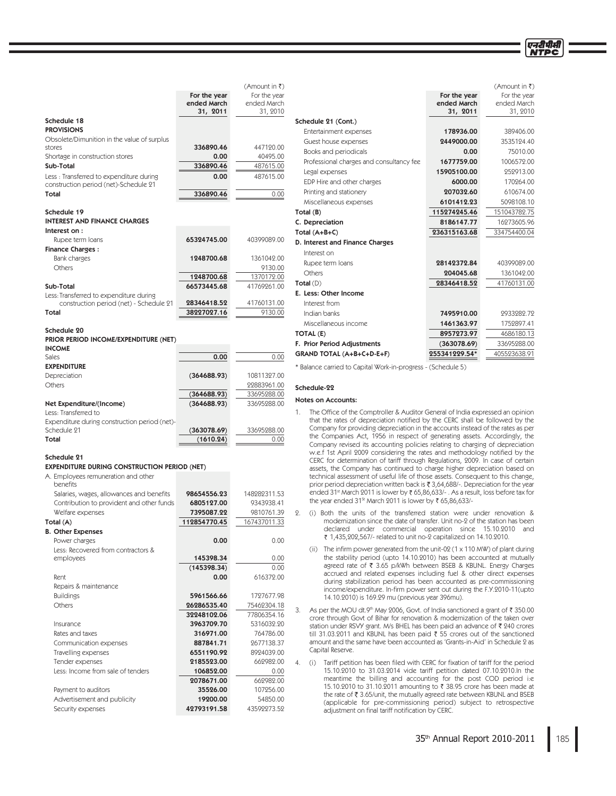एनटीपीसी

|                                                              |                          | (Amount in ₹) |                                                                                                                                                                     |               | (Amount in ₹) |
|--------------------------------------------------------------|--------------------------|---------------|---------------------------------------------------------------------------------------------------------------------------------------------------------------------|---------------|---------------|
|                                                              | For the year             | For the year  |                                                                                                                                                                     | For the year  | For the year  |
|                                                              | ended March              | ended March   |                                                                                                                                                                     | ended March   | ended March   |
|                                                              | 31, 2011                 | 31, 2010      |                                                                                                                                                                     | 31, 2011      | 31, 2010      |
| Schedule 18                                                  |                          |               | Schedule 21 (Cont.)                                                                                                                                                 |               |               |
| <b>PROVISIONS</b>                                            |                          |               | Entertainment expenses                                                                                                                                              | 178936.00     | 389406.00     |
| Obsolete/Dimunition in the value of surplus                  |                          |               | Guest house expenses                                                                                                                                                | 2449000.00    | 3535124.40    |
| stores                                                       | 336890.46                | 447120.00     | Books and periodicals                                                                                                                                               | 0.00          | 75010.00      |
| Shortage in construction stores                              | 0.00                     | 40495.00      | Professional charges and consultancy fee                                                                                                                            | 1677759.00    | 1006572.00    |
| Sub-Total                                                    | 336890.46                | 487615.00     | Legal expenses                                                                                                                                                      | 15905100.00   | 252913.00     |
| Less: Transferred to expenditure during                      | 0.00                     | 487615.00     | EDP Hire and other charges                                                                                                                                          | 6000.00       | 170264.00     |
| construction period (net)-Schedule 21                        |                          |               | Printing and stationery                                                                                                                                             | 207032.60     | 610674.00     |
| Total                                                        | 336890.46                | 0.00          | Miscellaneous expenses                                                                                                                                              | 6101412.23    | 5098108.10    |
| Schedule 19                                                  |                          |               |                                                                                                                                                                     |               |               |
| <b>INTEREST AND FINANCE CHARGES</b>                          |                          |               | Total (B)                                                                                                                                                           | 115274245.46  | 151043782.75  |
| Interest on:                                                 |                          |               | C. Depreciation                                                                                                                                                     | 8186147.77    | 16273605.96   |
| Rupee term loans                                             | 65324745.00              | 40399089.00   | Total $(A+B+C)$                                                                                                                                                     | 236315163.68  | 334754400.04  |
| <b>Finance Charges:</b>                                      |                          |               | D. Interest and Finance Charges                                                                                                                                     |               |               |
| Bank charges                                                 | 1248700.68               | 1361042.00    | Interest on                                                                                                                                                         |               |               |
| <b>Others</b>                                                |                          | 9130.00       | Rupee term loans                                                                                                                                                    | 28142372.84   | 40399089.00   |
|                                                              | 1248700.68               | 1370172.00    | Others                                                                                                                                                              | 204045.68     | 1361042.00    |
| Sub-Total                                                    | 66573445.68              | 41769261.00   | Total(D)                                                                                                                                                            | 28346418.52   | 41760131.00   |
| Less: Transferred to expenditure during                      |                          |               | E. Less: Other Income                                                                                                                                               |               |               |
| construction period (net) - Schedule 21                      | 28346418.52              | 41760131.00   | Interest from                                                                                                                                                       |               |               |
| Total                                                        | 38227027.16              | 9130.00       | Indian banks                                                                                                                                                        | 7495910.00    | 2933282.72    |
|                                                              |                          |               | Miscellaneous income                                                                                                                                                | 1461363.97    | 1752897.41    |
| Schedule 20                                                  |                          |               | TOTAL (E)                                                                                                                                                           | 8957273.97    | 4686180.13    |
| PRIOR PERIOD INCOME/EXPENDITURE (NET)                        |                          |               | F. Prior Period Adjustments                                                                                                                                         | (363078.69)   | 33695288.00   |
| <b>INCOME</b>                                                |                          |               |                                                                                                                                                                     | 255341229.54* | 405523638.91  |
| <b>Sales</b>                                                 | 0.00                     | 0.00          | GRAND TOTAL (A+B+C+D-E+F)                                                                                                                                           |               |               |
| <b>EXPENDITURE</b>                                           |                          |               | * Balance carried to Capital Work-in-progress - (Schedule 5)                                                                                                        |               |               |
| Depreciation                                                 | (364688.93)              | 10811327.00   |                                                                                                                                                                     |               |               |
| Others                                                       |                          | 22883961.00   | Schedule-22                                                                                                                                                         |               |               |
|                                                              | (364688.93)              | 33695288.00   | <b>Notes on Accounts:</b>                                                                                                                                           |               |               |
| Net Expenditure/(Income)                                     | (364688.93)              | 33695288.00   |                                                                                                                                                                     |               |               |
| Less: Transferred to                                         |                          |               | The Office of the Comptroller & Auditor General of India expressed an opinion<br>1.<br>that the rates of depreciation notified by the CERC shall be followed by the |               |               |
| Expenditure during construction period (net)-<br>Schedule 21 |                          | 33695288.00   | Company for providing depreciation in the accounts instead of the rates as per                                                                                      |               |               |
| Total                                                        | (363078.69)<br>(1610.24) | 0.00          | the Companies Act, 1956 in respect of generating assets. Accordingly, the                                                                                           |               |               |
|                                                              |                          |               | Company revised its accounting policies relating to charging of depreciation                                                                                        |               |               |
| Schedule 21                                                  |                          |               | w.e.f 1st April 2009 considering the rates and methodology notified by the                                                                                          |               |               |
| <b>EXPENDITURE DURING CONSTRUCTION PERIOD (NET)</b>          |                          |               | CERC for determination of tariff through Regulations, 2009. In case of certain                                                                                      |               |               |
| A. Employees remuneration and other                          |                          |               | assets, the Company has continued to charge higher depreciation based on<br>technical assessment of useful life of those assets. Consequent to this change,         |               |               |
| benefits                                                     |                          |               | prior period depreciation written back is ₹ 3,64,688/-. Depreciation for the year                                                                                   |               |               |
| Salaries, wages, allowances and benefits                     | 98654556.23              | 148282311.53  | ended 31 <sup>st</sup> March 2011 is lower by ₹ 65,86,633/- . As a result, loss before tax for                                                                      |               |               |
| Contribution to provident and other funds                    | 6805127.00               | 9343938.41    | the year ended 31 <sup>st</sup> March 2011 is lower by ₹ 65,86,633/-                                                                                                |               |               |
| Welfare expenses                                             | 7395087.22               | 9810761.39    | (i) Both the units of the transferred station were under renovation &<br>2.                                                                                         |               |               |
| Total (A)                                                    | 112854770.45             | 167437011.33  | modernization since the date of transfer. Unit no-2 of the station has been                                                                                         |               |               |
| <b>B. Other Expenses</b>                                     |                          |               | declared under commercial operation since 15.10.2010 and                                                                                                            |               |               |
| Power charges                                                | 0.00                     | 0.00          | ₹ 1,435,202,567/- related to unit no-2 capitalized on 14.10.2010.                                                                                                   |               |               |
| Less: Recovered from contractors &                           |                          |               | The infirm power generated from the unit-02 $(1 \times 110 \text{ MW})$ of plant during<br>(ii)                                                                     |               |               |
| employees                                                    | 145398.34                | 0.00          | the stability period (upto 14.10.2010) has been accounted at mutually                                                                                               |               |               |
|                                                              | (145398.34)              | 0.00          | agreed rate of ₹ 3.65 p/kWh between BSEB & KBUNL. Energy Charges                                                                                                    |               |               |

Rent **0.00** 616372.00

Buildings **5961566.66** 1727677.98 Others 26286535.40 75462304.18

Insurance **3963709.70** 5316032.20 Rates and taxes **316971.00** 764786.00 Communication expenses **887841.71** 2677138.37 Travelling expenses **6551190.92** 8924039.00 Fender expenses **185523.00** 2185523.00 662982.00 Less: Income from sale of tenders **106852.00** 0.00

Advertisement and publicity **19200.00** 54850.00 Security expenses **42793191.58** 43592273.52

Payment to auditors and the set of the set of the set of the set of the set of the set of the set of the set of the set of the set of the set of the set of the set of the set of the set of the set of the set of the set of

32248102.06

**2078671.00** 662982.00<br>**35526.00** 107256.00

Repairs & maintenance

mutually<br>Charges accrued and related expenses including fuel & other direct expenses during stabilization period has been accounted as pre-commissioning income/expenditure. In-firm power sent out during the F.Y.2010-11(upto 14.10.2010) is 169.29 mu (previous year 396mu). 3. As per the MOU dt.9<sup>th</sup> May 2006, Govt. of India sanctioned a grant of ₹350.00 crore through Govt of Bihar for renovation & modernization of the taken over

station under RSVY grant. M/s BHEL has been paid an advance of ₹ 240 crores till 31.03.2011 and KBUNL has been paid  $\overline{\xi}$  55 crores out of the sanctioned amount and the same have been accounted as 'Grants-in-Aid' in Schedule 2 as Capital Reserve.

4. (i) Tariff petition has been filed with CERC for fixation of tariff for the period 15.10.2010 to 31.03.2014 vide tariff petition dated 07.10.2010.In the meantime the billing and accounting for the post COD period i.e 15.10.2010 to 31.10.2011 amounting to ₹ 38.95 crore has been made at the rate of ₹3.65/unit, the mutually agreed rate between KBUNL and BSEB (applicable for pre-commissioning period) subject to retrospective adjustment on final tariff notification by CERC.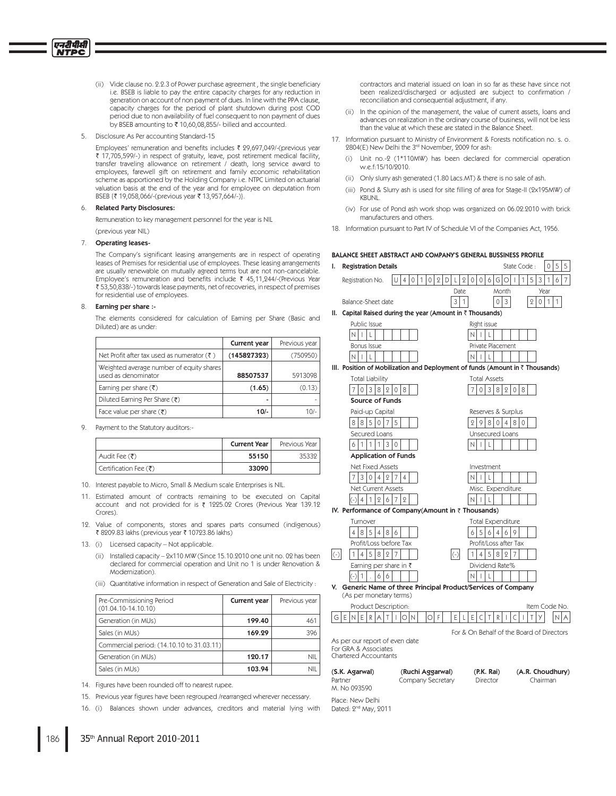- (ii) Vide clause no. 2.2.3 of Power purchase agreement, the single beneficiary i.e. BSEB is liable to pay the entire capacity charges for any reduction in generation on account of non payment of dues. In line with the PPA clause, capacity charges for the period of plant shutdown during post COD period due to non availability of fuel consequent to non payment of dues by BSEB amounting to ₹ 10,60,08,855/- billed and accounted.
- Disclosure As Per accounting Standard-15  $5^{\circ}$

Employees' remuneration and benefits includes ₹ 29,697,049/-(previous year ₹ 17,705,599/-) in respect of gratuity, leave, post retirement medical facility, transfer traveling allowance on retirement / death, long service award to employees, farewell gift on retirement and family economic rehabilitation scheme as apportioned by the Holding Company i.e. NTPC Limited on actuarial valuation basis at the end of the year and for employee on deputation from BSEB {₹ 19,058,066/-(previous year ₹ 13,957,664/-)}.

#### **Related Party Disclosures:** 6

Remuneration to key management personnel for the year is NIL (previous year NIL)

### $7.$ **Operating leases-**

The Company's significant leasing arrangements are in respect of operating leases of Premises for residential use of employees. These leasing arrangements are usually renewable on mutually agreed terms but are not non-cancelable. Employee's remuneration and benefits include  $\bar{\xi}$  45,11,244/-(Previous Year ₹ 53,50,838/-) towards lease payments, net of recoveries, in respect of premises for residential use of employees.

#### 8. Earning per share :-

The elements considered for calculation of Earning per Share (Basic and Diluted) are as under:

|                                                                 | <b>Current year</b> | Previous year |
|-----------------------------------------------------------------|---------------------|---------------|
| Net Profit after tax used as numerator $(\bar{\tau})$           | (145827323)         | (750950)      |
| Weighted average number of equity shares<br>used as denominator | 88507537            | 5913098       |
| Earning per share $(\bar{\tau})$                                | (1.65)              | (0.13)        |
| Diluted Earning Per Share (₹)                                   |                     |               |
| Face value per share $(\bar{\zeta})$                            | $10/-$              | 10/-          |

9. Payment to the Statutory auditors:-

|                       | <b>Current Year</b> | Previous Year |
|-----------------------|---------------------|---------------|
| Audit Fee (₹)         | 55150               | 35332         |
| Certification Fee (₹) | 33090               |               |

10. Interest payable to Micro, Small & Medium scale Enterprises is NIL.

11. Estimated amount of contracts remaining to be executed on Capital account and not provided for is ₹ 1225.02 Crores (Previous Year 139.12 Crores).

12. Value of components, stores and spares parts consumed (indigenous) ₹ 8209.83 lakhs (previous year ₹ 10723.86 lakhs)

- 13. (i) Licensed capacity Not applicable.
	- (ii) Installed capacity 2x110 MW (Since 15.10.2010 one unit no. 02 has been declared for commercial operation and Unit no 1 is under Renovation & Modernization)
	- (iii) Quantitative information in respect of Generation and Sale of Electricity :

| Pre-Commissioning Period<br>$(01.04.10-14.10.10)$ | Current year | Previous year |
|---------------------------------------------------|--------------|---------------|
| Generation (in MUs)                               | 199.40       | 461           |
| Sales (in MUs)                                    | 169.29       | 396           |
| Commercial period: (14.10.10 to 31.03.11)         |              |               |
| Generation (in MUs)                               | 120.17       | ΝIΙ           |
| Sales (in MUs)                                    | 103.94       | ΝIΙ           |

14. Figures have been rounded off to nearest rupee.

16. (i) Balances shown under advances, creditors and material lying with

contractors and material issued on loan in so far as these have since not been realized/discharged or adjusted are subject to confirmation / reconciliation and consequential adjustment, if any

- (ii) In the opinion of the management, the value of current assets, loans and advances on realization in the ordinary course of business, will not be less than the value at which these are stated in the Balance Sheet.
- 17. Information pursuant to Ministry of Environment & Forests notification no. s. o. 2804(E) New Delhi the 3rd November, 2009 for ash:
	- (i) Unit no.-2 (1\*110MW) has been declared for commercial operation w.e.f:15/10/2010.
	- (ii) Only slurry ash generated (1.80 Lacs.MT) & there is no sale of ash.
	- (iii) Pond & Slurry ash is used for site filling of area for Stage-II (2x195MW) of **KBUNL**
	- (iv) For use of Pond ash work shop was organized on 06.02.2010 with brick manufacturers and others.
- 18. Information pursuant to Part IV of Schedule VI of the Companies Act, 1956.

### BALANCE SHEET ABSTRACT AND COMPANY'S GENERAL BUSSINESS PROFILE **Registration Details** State Code:  $\mathbf{L}$ 1015 Registration No.  $|U|$  4 0 1 0 2 D L 2 0 0 6 6 0 1 Date Month  $3|1$ Balance-Sheet date 03  $2|0|1$ II. Capital Raised during the year (Amount in ₹ Thousands) Public Issue Right issue  $N$   $|$   $|$   $|$   $|$  $N$   $|$   $|$   $|$   $|$ **Bonus Issue** Private Placement  $N|I|L|$  $N$   $L$   $L$ III. Position of Mobilization and Deployment of funds (Amount in ₹ Thousands) **Total Liability Total Assets**  $7038208$  $7038208$ Source of Funds Reserves & Surplus Paid-up Capita  $885075$  $2980480$ Secured Loans Unsecured Loans  $611130$  $N$ ||L| **Application of Funds** Net Fixed Assets Investment  $7|3|0|4|2|7|4$  $N|I|L|$ Net Current Assets Misc. Expenditure  $\left| \left( -\right) \right| 4 \left| 1 \right| 2 \left| 6 \right| 7 \left| 2 \right|$  $N|I|L$ IV. Performance of Company(Amount in ₹ Thousands) Turnover **Total Expenditure**  $485486$  $656469$ Profit/Loss before Tax Profit/Loss after Tax  $145827$  $1|4|5|8|2|7$ Earning per share in ₹ Dividend Rate%  $\begin{bmatrix} 6 & 6 \end{bmatrix}$  $N$   $|$   $|$   $|$   $|$ V. Generic Name of three Principal Product/Services of Company (As per monetary terms) Product Description Item Code No |G|E|N|E|R|A|T|I|O|N lol f  $E[L]E[C|T|R|L[C|L|T|Y]$  $NA$ For & On Behalf of the Board of Directors

As per our report of even date

For GRA & Associates Chartered Accountants

| (S.K. Agarwal) | (Ruchi Aggarwal)  |
|----------------|-------------------|
| Partner        | Company Secretary |
| M. No 093590   |                   |

 $(P.K.$  Rai) (A.R. Choudhury) Director Chairman

Place: New Delhi Dated: 2<sup>nd</sup> May, 2011

<sup>15.</sup> Previous year figures have been regrouped /rearranged wherever necessary.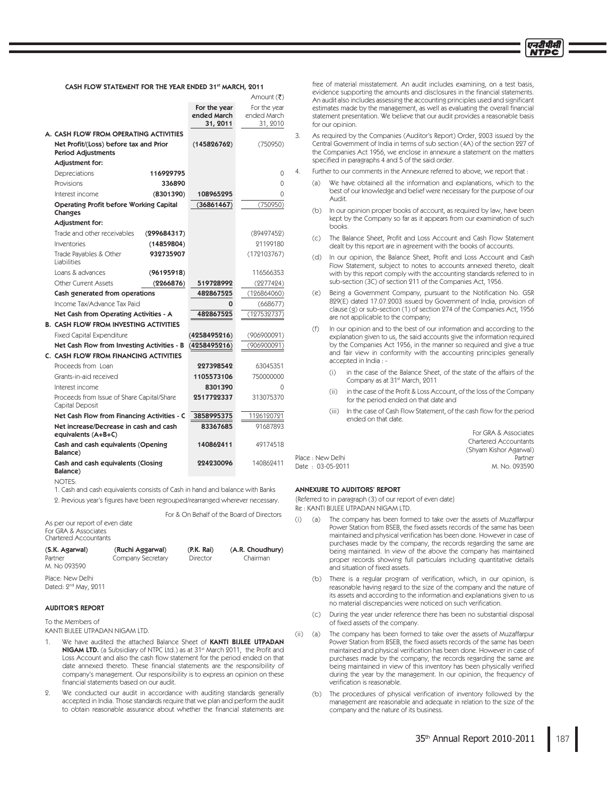

### CASH FLOW STATEMENT FOR THE YEAR ENDED 31st MARCH, 2011

| Amount (₹)                                                          |              |              |  |
|---------------------------------------------------------------------|--------------|--------------|--|
|                                                                     | For the year | For the year |  |
|                                                                     | ended March  | ended March  |  |
|                                                                     | 31, 2011     | 31, 2010     |  |
| A. CASH FLOW FROM OPERATING ACTIVITIES                              |              |              |  |
| Net Profit/(Loss) before tax and Prior<br><b>Period Adjustments</b> | (145826762)  | (750950)     |  |
| Adjustment for:                                                     |              |              |  |
| Depreciations<br>116929795                                          |              | 0            |  |
| Provisions<br>336890                                                |              | 0            |  |
| Interest income<br>(8301390)                                        | 108965295    | $\Omega$     |  |
| <b>Operating Profit before Working Capital</b><br>Changes           | (36861467)   | (750950)     |  |
| Adjustment for:                                                     |              |              |  |
| Trade and other receivables<br>(299684317)                          |              | (89497452)   |  |
| Inventories<br>(14859804)                                           |              | 91199180     |  |
| 932735907<br>Trade Payables & Other<br>Liabilities                  |              | (172103767)  |  |
| Loans & advances<br>(96195918)                                      |              | 116566353    |  |
| <b>Other Current Assets</b><br>(2266876)                            | 519728992    | (2277424)    |  |
| Cash generated from operations                                      | 482867525    | (126864060)  |  |
| Income Tax/Advance Tax Paid                                         | 0            | (668677)     |  |
| Net Cash from Operating Activities - A                              | 482867525    | (127532737)  |  |
| <b>B. CASH FLOW FROM INVESTING ACTIVITIES</b>                       |              |              |  |
| <b>Fixed Capital Expenditure</b>                                    | (4258495216) | (906900091)  |  |
| Net Cash Flow from Investing Activities - B                         | (4258495216) | (906900091)  |  |
| C. CASH FLOW FROM FINANCING ACTIVITIES                              |              |              |  |
| Proceeds from Loan                                                  | 227398542    | 63045351     |  |
| Grants-in-aid received                                              | 1105573106   | 750000000    |  |
| Interest income                                                     | 8301390      | 0            |  |
| Proceeds from Issue of Share Capital/Share<br>Capital Deposit       | 2517722337   | 313075370    |  |
| Net Cash Flow from Financing Activities - C                         | 3858995375   | 1126120721   |  |
| Net increase/Decrease in cash and cash<br>equivalents (A+B+C)       | 83367685     | 91687893     |  |
| Cash and cash equivalents (Opening<br>Balance)                      | 140862411    | 49174518     |  |
| Cash and cash equivalents (Closing<br>Balance)                      | 224230096    | 140869411    |  |

 $NOTFS$ 

1. Cash and cash equivalents consists of Cash in hand and balance with Banks

2. Previous year's figures have been regrouped/rearranged wherever necessary.

For & On Behalf of the Board of Directors As per our report of even date For GRA & Associates Chartered Accountants

### (S.K. Agarwal) (Ruchi Aggarwal) (P.K. Rai) (A.R. Choudhury) 1BSUOFS \$PNQBOZ4FDSFUBSZ %JSFDUPS \$IBJSNBO M. No 093590

Place: New Delhi Dated: 2<sup>nd</sup> May, 2011

## AUDITOR'S REPORT

To the Members of

KANTI BIJLEE UTPADAN NIGAM LTD.

- 1. We have audited the attached Balance Sheet of KANTI BIJLEE UTPADAN **NIGAM LTD.** (a Subsidiary of NTPC Ltd.) as at 31<sup>st</sup> March 2011, the Profit and Loss Account and also the cash flow statement for the period ended on that date annexed thereto. These financial statements are the responsibility of company's management. Our responsibility is to express an opinion on these financial statements based on our audit.
- 2. We conducted our audit in accordance with auditing standards generally accepted in India. Those standards require that we plan and perform the audit to obtain reasonable assurance about whether the financial statements are

free of material misstatement. An audit includes examining, on a test basis, evidence supporting the amounts and disclosures in the financial statements. An audit also includes assessing the accounting principles used and significant estimates made by the management, as well as evaluating the overall financial statement presentation. We believe that our audit provides a reasonable basis for our opinion.

3. As required by the Companies (Auditor's Report) Order, 2003 issued by the Central Government of India in terms of sub section (4A) of the section 227 of the Companies Act 1956, we enclose in annexure a statement on the matters specified in paragraphs 4 and 5 of the said order.

Further to our comments in the Annexure referred to above, we report that :

- (a) We have obtained all the information and explanations, which to the best of our knowledge and belief were necessary for the purpose of our Audit.
- $(b)$ In our opinion proper books of account, as required by law, have been kept by the Company so far as it appears from our examination of such hooks
- (c) The Balance Sheet, Profit and Loss Account and Cash Flow Statement dealt by this report are in agreement with the books of accounts
- (d) In our opinion, the Balance Sheet, Profit and Loss Account and Cash Flow Statement, subject to notes to accounts annexed thereto, dealt with by this report comply with the accounting standards referred to in sub-section (3C) of section 211 of the Companies Act, 1956.
- $(e)$ Being a Government Company, pursuant to the Notification No. GSR 829(E) dated 17.07.2003 issued by Government of India, provision of clause (g) or sub-section (1) of section 274 of the Companies Act, 1956 are not applicable to the company;
- $(f)$ In our opinion and to the best of our information and according to the explanation given to us, the said accounts give the information required by the Companies Act 1956, in the manner so required and give a true and fair view in conformity with the accounting principles generally accepted in India:
	- $(i)$ in the case of the Balance Sheet, of the state of the affairs of the Company as at 31<sup>st</sup> March, 2011
	- $(i)$ in the case of the Profit & Loss Account, of the loss of the Company for the period ended on that date and
	- (iii) In the case of Cash Flow Statement, of the cash flow for the period ended on that date.

For GRA & Associates Chartered Accountants (Shyam Kishor Agarwal) Place: New Delhi Date : 03-05-2011 M. No. 093590

### ANNEXURE TO AUDITORS' REPORT

{Referred to in paragraph (3) of our report of even date} Re: KANTI BIJLEE UTPADAN NIGAM LTD.

- $(i)$ (a) The company has been formed to take over the assets of Muzaffarpur Power Station from BSEB, the fixed assets records of the same has been maintained and physical verification has been done. However in case of purchases made by the company, the records regarding the same are being maintained. In view of the above the company has maintained proper records showing full particulars including quantitative details and situation of fixed assets.
- (b) There is a regular program of verification, which, in our opinion, is reasonable having regard to the size of the company and the nature of its assets and according to the information and explanations given to us no material discrepancies were noticed on such verification.
	- $(c)$ During the year under reference there has been no substantial disposal of fixed assets of the company.
- $(ii)$  $(a)$ The company has been formed to take over the assets of Muzaffarpur Power Station from BSEB, the fixed assets records of the same has been maintained and physical verification has been done. However in case of purchases made by the company, the records regarding the same are being maintained in view of this inventory has been physically verified during the year by the management. In our opinion, the frequency of verification is reasonable.
- (b) The procedures of physical verification of inventory followed by the management are reasonable and adequate in relation to the size of the company and the nature of its business.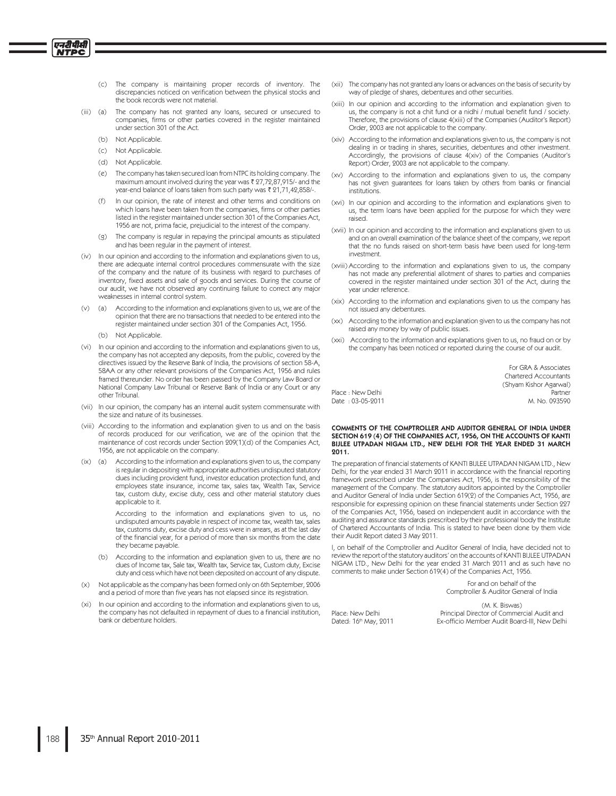- The company is maintaining proper records of inventory. The  $(c)$ discrepancies noticed on verification between the physical stocks and the book records were not material.
- The company has not granted any loans, secured or unsecured to (iii) (a) companies, firms or other parties covered in the register maintained under section 301 of the Act.
	- (b) Not Applicable.

एनदीपीसी **ITPC** 

- (c) Not Applicable.
- (d) Not Applicable.
- The company has taken secured loan from NTPC its holding company. The  $(e)$ maximum amount involved during the year was ₹ 27,72,87,915/- and the year-end balance of loans taken from such party was ₹ 21,71,42,858/-.
- In our opinion, the rate of interest and other terms and conditions on which loans have been taken from the companies, firms or other parties listed in the register maintained under section 301 of the Companies Act, 1956 are not, prima facie, prejudicial to the interest of the company.
- The company is regular in repaying the principal amounts as stipulated  $(q)$ and has been regular in the payment of interest.
- (iv) In our opinion and according to the information and explanations given to us, there are adequate internal control procedures commensurate with the size of the company and the nature of its business with regard to purchases of inventory, fixed assets and sale of goods and services. During the course of our audit, we have not observed any continuing failure to correct any major weaknesses in internal control system.
- (v) (a) According to the information and explanations given to us, we are of the opinion that there are no transactions that needed to be entered into the register maintained under section 301 of the Companies Act, 1956.
	- (b) Not Applicable.
- (vi) In our opinion and according to the information and explanations given to us, the company has not accepted any deposits, from the public, covered by the directives issued by the Reserve Bank of India, the provisions of section 58-A, 58AA or any other relevant provisions of the Companies Act, 1956 and rules framed thereunder. No order has been passed by the Company Law Board or National Company Law Tribunal or Reserve Bank of India or any Court or any other Tribunal.
- (vii) In our opinion, the company has an internal audit system commensurate with the size and nature of its businesses.
- (viii) According to the information and explanation given to us and on the basis of records produced for our verification, we are of the opinion that the maintenance of cost records under Section 209(1)(d) of the Companies Act, 1956, are not applicable on the company
- $(ix)$  (a) According to the information and explanations given to us, the company is regular in depositing with appropriate authorities undisputed statutory dues including provident fund, investor education protection fund, and employees state insurance, income tax, sales tax, Wealth Tax, Service tax, custom duty, excise duty, cess and other material statutory dues applicable to it.

According to the information and explanations given to us, no undisputed amounts payable in respect of income tax, wealth tax, sales tax, customs duty, excise duty and cess were in arrears, as at the last day of the financial year, for a period of more than six months from the date they became payable

- (b) According to the information and explanation given to us, there are no dues of Income tax, Sale tax, Wealth tax, Service tax, Custom duty, Excise duty and cess which have not been deposited on account of any dispute.
- Not applicable as the company has been formed only on 6th September, 2006  $(x)$ and a period of more than five years has not elapsed since its registration.
- In our opinion and according to the information and explanations given to us,  $(x<sub>i</sub>)$ the company has not defaulted in repayment of dues to a financial institution, bank or debenture holders
- (xii) The company has not granted any loans or advances on the basis of security by way of pledge of shares, debentures and other securities.
- (xiii) In our opinion and according to the information and explanation given to us, the company is not a chit fund or a nidhi / mutual benefit fund / society. Therefore, the provisions of clause 4(xiii) of the Companies (Auditor's Report) Order, 2003 are not applicable to the company.
- (xiv) According to the information and explanations given to us, the company is not dealing in or trading in shares, securities, debentures and other investment. Accordingly, the provisions of clause 4(xiv) of the Companies (Auditor's Report) Order, 2003 are not applicable to the company
- (xv) According to the information and explanations given to us, the company has not given guarantees for loans taken by others from banks or financial institutions.
- (xvi) In our opinion and according to the information and explanations given to us, the term loans have been applied for the purpose for which they were raised
- (xvii) In our opinion and according to the information and explanations given to us and on an overall examination of the balance sheet of the company, we report that the no funds raised on short-term basis have been used for long-term investment.
- (xviii) According to the information and explanations given to us, the company has not made any preferential allotment of shares to parties and companies covered in the register maintained under section 301 of the Act, during the year under reference.
- (xix) According to the information and explanations given to us the company has not issued any debentures.
- (xx) According to the information and explanation given to us the company has not raised any money by way of public issues
- (xxi) According to the information and explanations given to us, no fraud on or by the company has been noticed or reported during the course of our audit.

| For GRA & Associates         |
|------------------------------|
| <b>Chartered Accountants</b> |
| (Shyam Kishor Agarwal)       |
| Partner                      |
| M No 093590                  |

# COMMENTS OF THE COMPTROLLER AND AUDITOR GENERAL OF INDIA UNDER SECTION 619 (4) OF THE COMPANIES ACT, 1956, ON THE ACCOUNTS OF KANTIBIJLEE UTPADAN NIGAM LTD., NEW DELHI FOR THE YEAR ENDED 31 MARCH  $2011.$

The preparation of financial statements of KANTI BIJLEE UTPADAN NIGAM LTD., New Delhi, for the year ended 31 March 2011 in accordance with the financial reporting framework prescribed under the Companies Act, 1956, is the responsibility of the management of the Company. The statutory auditors appointed by the Comptroller and Auditor General of India under Section 619(2) of the Companies Act, 1956, are responsible for expressing opinion on these financial statements under Section 227 of the Companies Act, 1956, based on independent audit in accordance with the auditing and assurance standards prescribed by their professional body the Institute of Chartered Accountants of India. This is stated to have been done by them vide their Audit Report dated 3 May 2011.

I, on behalf of the Comptroller and Auditor General of India, have decided not to review the report of the statutory auditors' on the accounts of KANTI BIJLEE UTPADAN NIGAM LTD., New Delhi for the year ended 31 March 2011 and as such have no comments to make under Section 619(4) of the Companies Act, 1956.

> For and on behalf of the Comptroller & Auditor General of India

Place: New Delhi Dated: 16th May, 2011

Place : New Delhi

Date: 03-05-9011

(M. K. Biswas) Principal Director of Commercial Audit and Ex-officio Member Audit Board-III, New Delhi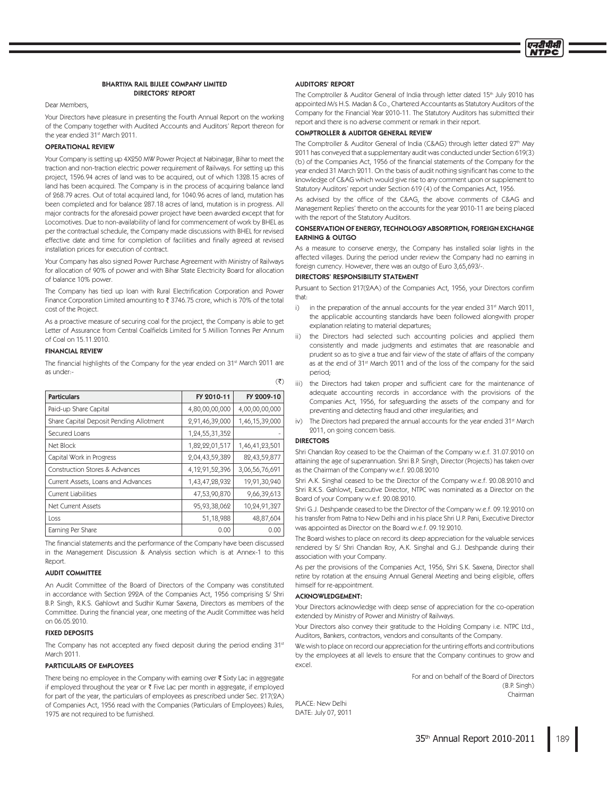

### **BHARTIYA RAIL BIJLEE COMPANY LIMITED DIRECTORS' REPORT**

Dear Members,

Your Directors have pleasure in presenting the Fourth Annual Report on the working of the Company together with Audited Accounts and Auditors' Report thereon for the year ended 31st March 2011.

### **OPERATIONAL REVIEW**

Your Company is setting up 4X250 MW Power Project at Nabinagar, Bihar to meet the traction and non-traction electric power requirement of Railways. For setting up this project, 1596.94 acres of land was to be acquired, out of which 1328.15 acres of land has been acquired. The Company is in the process of acquiring balance land of 268.79 acres. Out of total acquired land, for 1040.96 acres of land, mutation has been completed and for balance 287.18 acres of land, mutation is in progress. All major contracts for the aforesaid power project have been awarded except that for Locomotives. Due to non-availability of land for commencement of work by BHEL as per the contractual schedule, the Company made discussions with BHEL for revised effective date and time for completion of facilities and finally agreed at revised installation prices for execution of contract.

Your Company has also signed Power Purchase Agreement with Ministry of Railways for allocation of 90% of power and with Bihar State Electricity Board for allocation of balance 10% power

The Company has tied up loan with Rural Electrification Corporation and Power Finance Corporation Limited amounting to ₹ 3746.75 crore, which is 70% of the total cost of the Project.

As a proactive measure of securing coal for the project, the Company is able to get Letter of Assurance from Central Coalfields Limited for 5 Million Tonnes Per Annum of Coal on 15.11.2010.

### **FINANCIAL REVIEW**

The financial highlights of the Company for the year ended on 31st March 2011 are as under:-

| <b>Particulars</b>                        | FY 2010-11         | FY 2009-10     |
|-------------------------------------------|--------------------|----------------|
| Paid-up Share Capital                     | 4,80,00,00,000     | 4,00,00,00,000 |
| Share Capital Deposit Pending Allotment   | 2,91,46,39,000     | 1,46,15,39,000 |
| Secured Loans                             | 1,24,55,31,352     |                |
| Net Block                                 | 1,82,22,01,517     | 1,46,41,23,501 |
| Capital Work in Progress                  | 2,04,43,59,389     | 82,43,59,877   |
| <b>Construction Stores &amp; Advances</b> | 4, 12, 91, 52, 396 | 3,06,56,76,691 |
| Current Assets, Loans and Advances        | 1,43,47,28,932     | 19,91,30,940   |
| Current Liabilities                       | 47,53,90,870       | 9,66,39,613    |
| Net Current Assets                        | 95,93,38,062       | 10,24,91,327   |
| Loss                                      | 51,18,988          | 48,87,604      |
| Earning Per Share                         | 0.00               | 0.00           |

The financial statements and the performance of the Company have been discussed in the Management Discussion & Analysis section which is at Annex-1 to this Report.

### **AUDIT COMMITTEE**

An Audit Committee of the Board of Directors of the Company was constituted in accordance with Section 292A of the Companies Act, 1956 comprising S/ Shri B.P. Singh, R.K.S. Gahlowt and Sudhir Kumar Saxena, Directors as members of the Committee. During the financial year, one meeting of the Audit Committee was held on 06.05.2010.

### **FIXED DEPOSITS**

The Company has not accepted any fixed deposit during the period ending 31st March 9011

### **PARTICULARS OF EMPLOYEES**

There being no employee in the Company with earning over ₹ Sixty Lac in aggregate if employed throughout the year or ₹ Five Lac per month in aggregate, if employed for part of the year, the particulars of employees as prescribed under Sec. 217(2A) of Companies Act, 1956 read with the Companies (Particulars of Employees) Rules, 1975 are not required to be furnished

### **AUDITORS' REPORT**

The Comptroller & Auditor General of India through letter dated 15th July 2010 has appointed M's H.S. Madan & Co., Chartered Accountants as Statutory Auditors of the Company for the Financial Year 2010-11. The Statutory Auditors has submitted their report and there is no adverse comment or remark in their report.

### **COMPTROLLER & AUDITOR GENERAL REVIEW**

The Comptroller & Auditor General of India (C&AG) through letter dated 27th May 2011 has conveyed that a supplementary audit was conducted under Section 619(3) (b) of the Companies Act, 1956 of the financial statements of the Company for the year ended 31 March 2011. On the basis of audit nothing significant has come to the knowledge of C&AG which would give rise to any comment upon or supplement to Statutory Auditors' report under Section 619 (4) of the Companies Act, 1956.

As advised by the office of the C&AG, the above comments of C&AG and Management Replies' thereto on the accounts for the year 2010-11 are being placed with the report of the Statutory Auditors.

### CONSERVATION OF ENERGY, TECHNOLOGY ABSORPTION, FOREIGN EXCHANGE **FARNING & OUTGO**

As a measure to conserve energy, the Company has installed solar lights in the affected villages. During the period under review the Company had no earning in foreign currency. However, there was an outgo of Euro 3,65,693/-.

### DIRECTORS' RESPONSIBILITY STATEMENT

Pursuant to Section 217(2AA) of the Companies Act, 1956, your Directors confirm that:

- $\overline{1}$ in the preparation of the annual accounts for the year ended 31<sup>st</sup> March 2011, the applicable accounting standards have been followed alongwith proper explanation relating to material departures;
- $\ddot{\mathbf{I}}$ the Directors had selected such accounting policies and applied them consistently and made judgments and estimates that are reasonable and prudent so as to give a true and fair view of the state of affairs of the company as at the end of 31st March 2011 and of the loss of the company for the said period;
- iii) the Directors had taken proper and sufficient care for the maintenance of adequate accounting records in accordance with the provisions of the Companies Act, 1956, for safeguarding the assets of the company and for preventing and detecting fraud and other irregularities; and
- iv) The Directors had prepared the annual accounts for the year ended 31st March 2011, on going concern basis.

# **DIRECTORS**

 $(\overline{\zeta})$ 

Shri Chandan Roy ceased to be the Chairman of the Company w.e.f. 31.07.2010 on attaining the age of superannuation. Shri B.P. Singh, Director (Projects) has taken over as the Chairman of the Company w.e.f. 20.08.2010

Shri A.K. Singhal ceased to be the Director of the Company w.e.f. 20.08.2010 and Shri R.K.S. Gahlowt, Executive Director, NTPC was nominated as a Director on the Board of your Company w.e.f. 20.08.2010.

Shri G.J. Deshpande ceased to be the Director of the Company w.e.f. 09.12.2010 on his transfer from Patna to New Delhi and in his place Shri U.P. Pani. Executive Director was appointed as Director on the Board w.e.f. 09.12.2010.

The Board wishes to place on record its deep appreciation for the valuable services rendered by S/ Shri Chandan Roy, A.K. Singhal and G.J. Deshpande during their association with your Company

As per the provisions of the Companies Act, 1956, Shri S.K. Saxena, Director shall retire by rotation at the ensuing Annual General Meeting and being eligible, offers himself for re-appointment.

### **ACKNOWLEDGEMENT:**

Your Directors acknowledge with deep sense of appreciation for the co-operation extended by Ministry of Power and Ministry of Railways.

Your Directors also convey their gratitude to the Holding Company i.e. NTPC Ltd., Auditors, Bankers, contractors, vendors and consultants of the Company.

We wish to place on record our appreciation for the untiring efforts and contributions by the employees at all levels to ensure that the Company continues to grow and excel.

> For and on behalf of the Board of Directors  $(B.P.$  Singh) Chairman

PLACE: New Delhi DATE: July 07, 2011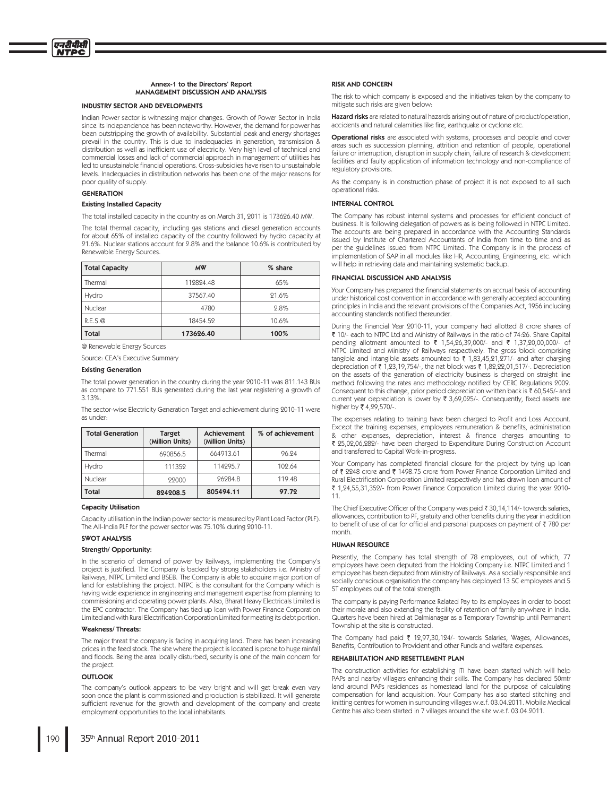### Annex-1 to the Directors' Report MANAGEMENT DISCUSSION AND ANALYSIS

### **INDUSTRY SECTOR AND DEVELOPMENTS**

Indian Power sector is witnessing maior changes. Growth of Power Sector in India since its Independence has been noteworthy. However, the demand for power has been outstripping the growth of availability. Substantial peak and energy shortages prevail in the country. This is due to inadequacies in generation, transmission & distribution as well as inefficient use of electricity. Very high level of technical and commercial losses and lack of commercial approach in management of utilities has led to unsustainable financial operations. Cross-subsidies have risen to unsustainable levels. Inadequacies in distribution networks has been one of the major reasons for poor quality of supply.

### **GENERATION**

एनटीपीसी **ITPC** 

### **Existing Installed Capacity**

The total installed capacity in the country as on March 31, 2011 is 173626.40 MW.

The total thermal capacity, including gas stations and diesel generation accounts<br>for about 65% of installed capacity of the country followed by hydro capacity at 21.6%. Nuclear stations account for 2.8% and the balance 10.6% is contributed by Renewable Energy Sources.

| <b>Total Capacity</b> | <b>MW</b> | % share |
|-----------------------|-----------|---------|
| Thermal               | 119894.48 | 65%     |
| Hydro                 | 37567.40  | 21.6%   |
| Nuclear               | 4780      | 2.8%    |
| R.E.S.Q               | 18454.59  | 10.6%   |
| Total                 | 173626.40 | 100%    |

@ Renewable Energy Sources

Source: CEA's Executive Summary

### **Existing Generation**

The total power generation in the country during the year 2010-11 was 811.143 BUs as compare to 771.551 BUs generated during the last year registering a growth of 3.13%

The sector-wise Electricity Generation Target and achievement during 2010-11 were as under:

| <b>Total Generation</b> | <b>Target</b><br>(Million Units) | <b>Achievement</b><br>(Million Units) | % of achievement |
|-------------------------|----------------------------------|---------------------------------------|------------------|
| Thermal                 | 690856.5                         | 664913.61                             | 96.94            |
| Hydro                   | 111359                           | 114295.7                              | 109.64           |
| Nuclear<br>22000        |                                  | 96984.8                               | 119.48           |
| Total                   | 824208.5                         | 805494.11                             | 97.72            |

### **Capacity Utilisation**

Capacity utilisation in the Indian power sector is measured by Plant Load Factor (PLF). The All-India PLF for the power sector was 75.10% during 2010-11.

### **SWOT ANALYSIS**

### Strength/ Opportunity:

In the scenario of demand of power by Railways, implementing the Company's project is justified. The Company is backed by strong stakeholders i.e. Ministry of Railways, NTPC Limited and BSEB. The Company is able to acquire major portion of land for establishing the project. NTPC is the consultant for the Company which is having wide experience in engineering and management expertise from planning to commissioning and operating power plants. Also, Bharat Heavy Electricals Limited is the EPC contractor. The Company has tied up loan with Power Finance Corporation Limited and with Rural Electrification Corporation Limited for meeting its debt portion.

### **Weakness/Threats:**

The major threat the company is facing in acquiring land. There has been increasing prices in the feed stock. The site where the project is located is prone to huge rainfall and floods. Being the area locally disturbed, security is one of the main concern for the project.

### **OUTLOOK**

The company's outlook appears to be very bright and will get break even very soon once the plant is commissioned and production is stabilized. It will generate sufficient revenue for the growth and development of the company and create employment opportunities to the local inhabitants

### **RISK AND CONCERN**

The risk to which company is exposed and the initiatives taken by the company to mitigate such risks are given below:

Hazard risks are related to natural hazards arising out of nature of product/operation, accidents and natural calamities like fire, earthquake or cyclone etc.

Operational risks are associated with systems, processes and people and cover areas such as succession planning, attrition and retention of people, operational failure or interruption, disruption in supply chain, failure of research & development facilities and faulty application of information technology and non-compliance of regulatory provisions.

As the company is in construction phase of project it is not exposed to all such operational risks.

### **INTERNAL CONTROL**

The Company has robust internal systems and processes for efficient conduct of business. It is following delegation of powers as is being followed in NTPC Limited. The accounts are being prepared in accordance with the Accounting Standards issued by Institute of Chartered Accountants of India from time to time and as per the guidelines issued from NTPC Limited. The Company is in the process of implementation of SAP in all modules like HR, Accounting, Engineering, etc. which will help in retrieving data and maintaining systematic backup.

### FINANCIAL DISCUSSION AND ANALYSIS

Your Company has prepared the financial statements on accrual basis of accounting under historical cost convention in accordance with generally accepted accounting principles in India and the relevant provisions of the Companies Act, 1956 including accounting standards notified thereunder.

During the Financial Year 2010-11, your company had allotted 8 crore shares of ₹ 10/- each to NTPC Ltd and Ministry of Railways in the ratio of 74:26. Share Capital pending allotment amounted to ₹ 1,54,26,39,000/- and ₹ 1,37,20,00,000/- of NTPC Limited and Ministry of Railways respectively. The gross block comprising tangible and intangible assets amounted to ₹ 1,83,45,21,271/- and after charging depreciation of  $\bar{\epsilon}$  1,93,19,754/-, the net block was  $\bar{\epsilon}$  1,89,92,01,517/-. Depreciation on the assets of the generation of electricity business is charged on straight line method following the rates and methodology notified by CERC Regulations 2009. Consequent to this change, prior period depreciation written back is ₹ 60,545/- and current year depreciation is lower by  $\bar{\tau}$  3,69,025/-. Consequently, fixed assets are higher by ₹4.29.570/-.

The expenses relating to training have been charged to Profit and Loss Account. Except the training expenses, employees remuneration & benefits, administration & other expenses, depreciation, interest & finance charges amounting to ₹ 25,02,06,282/- have been charged to Expenditure During Construction Account and transferred to Capital Work-in-progress.

Your Company has completed financial closure for the project by tying up loan of ₹ 2248 crore and ₹ 1498.75 crore from Power Finance Corporation Limited and Rural Electrification Corporation Limited respectively and has drawn loan amount of ₹ 1,24,55,31,352/- from Power Finance Corporation Limited during the year 2010- $11$ 

The Chief Executive Officer of the Company was paid ₹ 30,14,114/- towards salaries, allowances, contribution to PF, gratuity and other benefits during the year in addition to benefit of use of car for official and personal purposes on payment of ₹780 per month.

### **HUMAN RESOURCE**

Presently, the Company has total strength of 78 employees, out of which, 77 employees have been deputed from the Holding Company i.e. NTPC Limited and 1 employee has been deputed from Ministry of Railways. As a socially responsible and socially conscious organisation the company has deployed 13 SC employees and 5 ST employees out of the total strength

The company is paying Performance Related Pay to its employees in order to boost their morale and also extending the facility of retention of family anywhere in India. Quarters have been hired at Dalmianagar as a Temporary Township until Permanent Township at the site is constructed.

The Company had paid ₹ 12,97,30,124/- towards Salaries, Wages, Allowances, Benefits. Contribution to Provident and other Funds and welfare expenses.

### REHABILITATION AND RESETTLEMENT PLAN

The construction activities for establishing ITI have been started which will help PAPs and nearby villagers enhancing their skills. The Company has declared 50mtr land around PAPs residences as homestead land for the purpose of calculating compensation for land acquisition. Your Company has also started stitching and knitting centres for women in surrounding villages w.e.f. 03.04.2011. Mobile Medical Centre has also been started in 7 villages around the site w.e.f. 03.04.2011.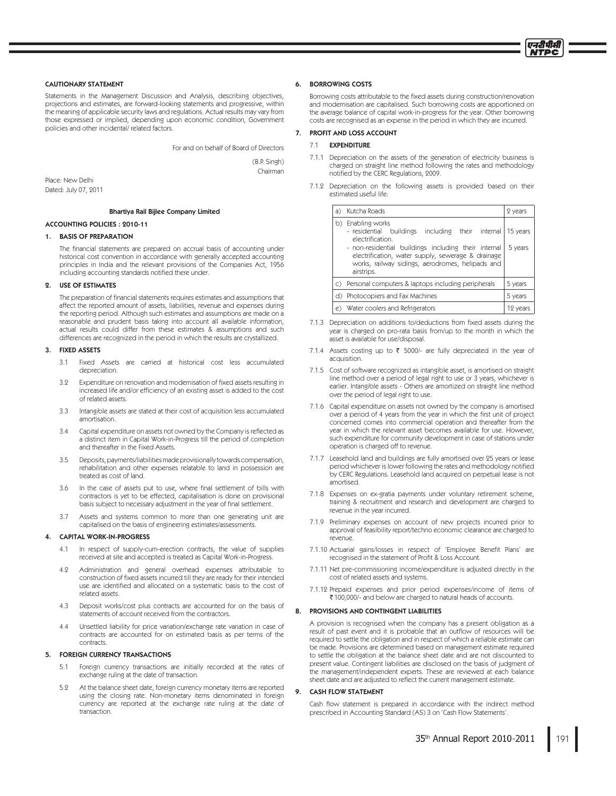

### **CAUTIONARY STATEMENT**

Statements in the Management Discussion and Analysis, describing objectives, projections and estimates, are forward-looking statements and progressive, within the meaning of applicable security laws and regulations. Actual results may vary from those expressed or implied, depending upon economic condition, Government policies and other incidental/ related factors.

For and on behalf of Board of Directors

(B.P. Singh) Chairman

Place: New Delhi Dated: July 07, 2011

### **Bhartiya Rail Bijlee Company Limited**

### **ACCOUNTING POLICIES: 2010-11**

### 1. BASIS OF PREPARATION

The financial statements are prepared on accrual basis of accounting under historical cost convention in accordance with generally accepted accounting principles in India and the relevant provisions of the Companies Act, 1956 including accounting standards notified there under.

### 2. USE OF ESTIMATES

The preparation of financial statements requires estimates and assumptions that affect the reported amount of assets, liabilities, revenue and expenses during the reporting period. Although such estimates and assumptions are made on a reasonable and prudent basis taking into account all available information, actual results could differ from these estimates & assumptions and such differences are recognized in the period in which the results are crystallized.

#### 3. **FIXED ASSETS**

- $31$ Fixed Assets are carried at historical cost less accumulated depreciation.
- 39 Expenditure on renovation and modernisation of fixed assets resulting in increased life and/or efficiency of an existing asset is added to the cost of related assets.
- $3.3$ Intangible assets are stated at their cost of acquisition less accumulated amortisation.
- $3.4$ Capital expenditure on assets not owned by the Company is reflected as a distinct item in Capital Work-in-Progress till the period of completion and thereafter in the Fixed Assets
- Deposits, payments/liabilities made provisionally towards compensation,  $35$ rehabilitation and other expenses relatable to land in possession are treated as cost of land.
- 3.6 In the case of assets put to use, where final settlement of bills with contractors is yet to be effected, capitalisation is done on provisional basis subject to necessary adjustment in the year of final settlement.
- Assets and systems common to more than one generating unit are  $3.7$ capitalised on the basis of engineering estimates/assessments.

### 4. CAPITAL WORK-IN-PROGRESS

- $4.1$ In respect of supply-cum-erection contracts, the value of supplies received at site and accepted is treated as Capital Work-in-Progress.
- 49 Administration and general overhead expenses attributable to construction of fixed assets incurred till they are ready for their intended use are identified and allocated on a systematic basis to the cost of related assets
- 43 Deposit works/cost plus contracts are accounted for on the basis of statements of account received from the contractors
- $4.4$ Unsettled liability for price variation/exchange rate variation in case of contracts are accounted for on estimated basis as per terms of the contracts.

### 5. FOREIGN CURRENCY TRANSACTIONS

- Foreign currency transactions are initially recorded at the rates of  $51$ exchange ruling at the date of transaction.
- 5.2 At the balance sheet date, foreign currency monetary items are reported using the closing rate. Non-monetary items denominated in foreign currency are reported at the exchange rate ruling at the date of transaction

### 6. BORROWING COSTS

Borrowing costs attributable to the fixed assets during construction/renovation and modernisation are capitalised. Such borrowing costs are apportioned on the average balance of capital work-in-progress for the year. Other borrowing costs are recognised as an expense in the period in which they are incurred.

# 7. PROFIT AND LOSS ACCOUNT

# 7.1 EXPENDITURE

- 7.1.1 Depreciation on the assets of the generation of electricity business is charged on straight line method following the rates and methodology notified by the CERC Regulations, 2009
- 7.1.2 Depreciation on the following assets is provided based on their estimated useful life:

|    | a) Kutcha Roads                                                                                                                                                                                                                                                           | 2 years             |
|----|---------------------------------------------------------------------------------------------------------------------------------------------------------------------------------------------------------------------------------------------------------------------------|---------------------|
|    | b) Enabling works<br>- residential buildings including their internal<br>electrification.<br>- non-residential buildings including their internal<br>electrification, water supply, sewerage & drainage<br>works, railway sidings, aerodromes, helipads and<br>airstrips. | 15 years<br>5 years |
|    | c) Personal computers & laptops including peripherals                                                                                                                                                                                                                     | 5 years             |
|    | d) Photocopiers and Fax Machines                                                                                                                                                                                                                                          | 5 years             |
| e) | Water coolers and Refrigerators                                                                                                                                                                                                                                           | 12 vears            |

- 7.1.3 Depreciation on additions to/deductions from fixed assets during the year is charged on pro-rata basis from/up to the month in which the asset is available for use/disposal.
- 7.1.4 Assets costing up to  $\bar{\tau}$  5000/- are fully depreciated in the year of acquisition.
- 7.1.5 Cost of software recognized as intangible asset, is amortised on straight line method over a period of legal right to use or 3 years, whichever is earlier. Intangible assets - Others are amortized on straight line method over the period of legal right to use.
- 7.1.6 Capital expenditure on assets not owned by the company is amortised over a period of 4 years from the year in which the first unit of project concerned comes into commercial operation and thereafter from the year in which the relevant asset becomes available for use. However, such expenditure for community development in case of stations under operation is charged off to revenue.
- 7.1.7 Leasehold land and buildings are fully amortised over 25 years or lease period whichever is lower following the rates and methodology notified by CERC Regulations. Leasehold land acquired on perpetual lease is not amortised.
- 7.1.8 Expenses on ex-gratia payments under voluntary retirement scheme, training & recruitment and research and development are charged to revenue in the year incurred.
- 7.1.9 Preliminary expenses on account of new projects incurred prior to approval of feasibility report/techno economic clearance are charged to revenue.
- 7.1.10 Actuarial gains/losses in respect of 'Employee Benefit Plans' are recognised in the statement of Profit & Loss Account.
- 7.1.11 Net pre-commissioning income/expenditure is adjusted directly in the cost of related assets and systems
- 7.1.12 Prepaid expenses and prior period expenses/income of items of ₹100,000/- and below are charged to natural heads of accounts

### 8. PROVISIONS AND CONTINGENT LIABILITIES

A provision is recognised when the company has a present obligation as a result of past event and it is probable that an outflow of resources will be required to settle the obligation and in respect of which a reliable estimate can be made. Provisions are determined based on management estimate required to settle the obligation at the balance sheet date and are not discounted to present value. Contingent liabilities are disclosed on the basis of judgment of the management/independent experts. These are reviewed at each balance sheet date and are adjusted to reflect the current management estimate.

#### 9. **CASH FLOW STATEMENT**

Cash flow statement is prepared in accordance with the indirect method prescribed in Accounting Standard (AS) 3 on 'Cash Flow Statements'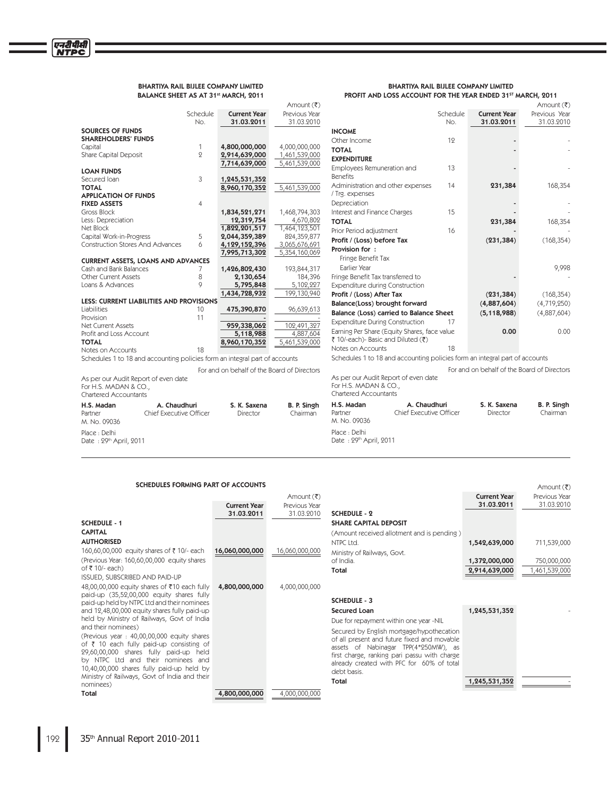### BHARTIYA RAIL BIJLEE COMPANY LIMITED BALANCE SHEET AS AT 31st MARCH, 2011

### BHARTIYA RAIL BIJLEE COMPANY LIMITED PROFIT AND LOSS ACCOUNT FOR THE YEAR ENDED 31ST MARCH, 2011

Amount (₹)

|                                                                             |              |                                             | Amount (そ)    |                                                                             |                         |                                             | Amount (₹)    |
|-----------------------------------------------------------------------------|--------------|---------------------------------------------|---------------|-----------------------------------------------------------------------------|-------------------------|---------------------------------------------|---------------|
|                                                                             | Schedule     | <b>Current Year</b>                         | Previous Year |                                                                             | Schedule                | <b>Current Year</b>                         | Previous Year |
|                                                                             | No.          | 31.03.2011                                  | 31.03.2010    |                                                                             | No.                     | 31.03.2011                                  | 31.03.2010    |
| <b>SOURCES OF FUNDS</b>                                                     |              |                                             |               | <b>INCOME</b>                                                               |                         |                                             |               |
| <b>SHAREHOLDERS' FUNDS</b>                                                  |              |                                             |               | Other Income                                                                | 12                      |                                             |               |
| Capital                                                                     | 1            | 4,800,000,000                               | 4,000,000,000 | <b>TOTAL</b>                                                                |                         |                                             |               |
| Share Capital Deposit                                                       | $\mathbf{Q}$ | 2,914,639,000                               | 1,461,539,000 | <b>EXPENDITURE</b>                                                          |                         |                                             |               |
|                                                                             |              | 7,714,639,000                               | 5,461,539,000 | Employees Remuneration and                                                  | 13                      |                                             |               |
| <b>LOAN FUNDS</b>                                                           |              |                                             |               | <b>Benefits</b>                                                             |                         |                                             |               |
| Secured Ioan<br><b>TOTAL</b>                                                | 3            | 1,245,531,352                               | 5,461,539,000 | Administration and other expenses                                           | 14                      | 231,384                                     | 168,354       |
| <b>APPLICATION OF FUNDS</b>                                                 |              | 8,960,170,352                               |               | / Trg. expenses                                                             |                         |                                             |               |
| <b>FIXED ASSETS</b>                                                         |              |                                             |               | Depreciation                                                                |                         |                                             |               |
| Gross Block                                                                 |              | 1,834,521,271                               | 1,468,794,303 | Interest and Finance Charges                                                | 15                      |                                             |               |
| Less: Depreciation                                                          |              | 12,319,754                                  | 4,670,802     | <b>TOTAL</b>                                                                |                         | 231,384                                     | 168,354       |
| Net Block                                                                   |              | 1,822,201,517                               | 1,464,123,501 |                                                                             |                         |                                             |               |
| Capital Work-in-Progress                                                    | 5            | 2,044,359,389                               | 824,359,877   | Prior Period adjustment                                                     | 16                      |                                             |               |
| <b>Construction Stores And Advances</b>                                     | 6            | 4,129,152,396                               | 3,065,676,691 | Profit / (Loss) before Tax                                                  |                         | (231, 384)                                  | (168, 354)    |
|                                                                             |              | 7,995,713,302                               | 5,354,160,069 | Provision for:                                                              |                         |                                             |               |
| <b>CURRENT ASSETS, LOANS AND ADVANCES</b>                                   |              |                                             |               | Fringe Benefit Tax                                                          |                         |                                             |               |
| Cash and Bank Balances                                                      | 7            | 1,426,802,430                               | 193,844,317   | Earlier Year                                                                |                         |                                             | 9,998         |
| Other Current Assets                                                        | 8            | 2,130,654                                   | 184,396       | Fringe Benefit Tax transferred to                                           |                         |                                             |               |
| Loans & Advances                                                            | $\circ$      | 5,795,848                                   | 5,102,227     | <b>Expenditure during Construction</b>                                      |                         |                                             |               |
|                                                                             |              | 1,434,728,932                               | 199,130,940   | Profit / (Loss) After Tax                                                   |                         | (231, 384)                                  | (168, 354)    |
| <b>LESS: CURRENT LIABILITIES AND PROVISIONS</b>                             |              |                                             |               | Balance(Loss) brought forward                                               |                         | (4,887,604)                                 | (4,719,250)   |
| Liabilities                                                                 | 10           | 475,390,870                                 | 96,639,613    | Balance (Loss) carried to Balance Sheet                                     |                         | (5, 118, 988)                               | (4,887,604)   |
| Provision                                                                   | 11           |                                             |               | <b>Expenditure During Construction</b>                                      | 17                      |                                             |               |
| Net Current Assets                                                          |              | 959,338,062                                 | 102,491,327   | Earning Per Share (Equity Shares, face value                                |                         | 0.00                                        | 0.00          |
| Profit and Loss Account                                                     |              | 5,118,988                                   | 4,887,604     | ₹ 10/-each)- Basic and Diluted (₹)                                          |                         |                                             |               |
| <b>TOTAL</b>                                                                |              | 8,960,170,352                               | 5,461,539,000 | Notes on Accounts                                                           | 18                      |                                             |               |
| Notes on Accounts                                                           | 18           |                                             |               |                                                                             |                         |                                             |               |
| Schedules 1 to 18 and accounting policies form an integral part of accounts |              |                                             |               | Schedules 1 to 18 and accounting policies form an integral part of accounts |                         |                                             |               |
|                                                                             |              | For and on behalf of the Board of Directors |               |                                                                             |                         | For and on behalf of the Board of Directors |               |
| As per our Audit Report of even date                                        |              |                                             |               | As per our Audit Report of even date                                        |                         |                                             |               |
| For H.S. MADAN & CO.,                                                       |              |                                             |               | For H.S. MADAN & CO.,                                                       |                         |                                             |               |
| Chartered Accountants                                                       |              |                                             |               | <b>Chartered Accountants</b>                                                |                         |                                             |               |
| H.S. Madan<br>A. Chaudhuri                                                  |              | S. K. Saxena                                | B. P. Singh   | H.S. Madan                                                                  | A. Chaudhuri            | S. K. Saxena                                | B. P. Singh   |
| Chief Executive Officer<br>Partner                                          |              | Director                                    | Chairman      | Partner                                                                     | Chief Executive Officer | Director                                    | Chairman      |
| M. No. 09036                                                                |              |                                             |               | M. No. 09036                                                                |                         |                                             |               |
| Place : Delhi                                                               |              |                                             |               | Place : Delhi                                                               |                         |                                             |               |
| Date: 29th April, 2011                                                      |              |                                             |               | Date: 29th April, 2011                                                      |                         |                                             |               |
|                                                                             |              |                                             |               |                                                                             |                         |                                             |               |

# SCHEDULES FORMING PART OF ACCOUNTS

|                                                                                             |                     | Amount $(\bar{\zeta})$ |                                                                                     | <b>Current Year</b> | Previous Year |
|---------------------------------------------------------------------------------------------|---------------------|------------------------|-------------------------------------------------------------------------------------|---------------------|---------------|
|                                                                                             | <b>Current Year</b> | Previous Year          |                                                                                     | 31.03.2011          | 31.03.2010    |
|                                                                                             | 31.03.2011          | 31.03.2010             | <b>SCHEDULE - 2</b>                                                                 |                     |               |
| <b>SCHEDULE - 1</b>                                                                         |                     |                        | <b>SHARE CAPITAL DEPOSIT</b>                                                        |                     |               |
| <b>CAPITAL</b>                                                                              |                     |                        | (Amount received allotment and is pending)                                          |                     |               |
| <b>AUTHORISED</b>                                                                           |                     |                        | NTPC Ltd.                                                                           | 1,542,639,000       | 711,539,000   |
| 160,60,00,000 equity shares of ₹10/- each                                                   | 16,060,000,000      | 16,060,000,000         | Ministry of Railways, Govt.                                                         |                     |               |
| (Previous Year: 160,60,00,000 equity shares)                                                |                     |                        | of India.                                                                           | 1,372,000,000       | 750,000,000   |
| of ₹10/-each)                                                                               |                     |                        | Total                                                                               | 2,914,639,000       | 1,461,539,000 |
| <b>ISSUED, SUBSCRIBED AND PAID-UP</b>                                                       |                     |                        |                                                                                     |                     |               |
| 48,00,00,000 equity shares of ₹10 each fully                                                | 4,800,000,000       | 4,000,000,000          |                                                                                     |                     |               |
| paid-up (35,52,00,000 equity shares fully                                                   |                     |                        | <b>SCHEDULE - 3</b>                                                                 |                     |               |
| paid-up held by NTPC Ltd and their nominees<br>and 12,48,00,000 equity shares fully paid-up |                     |                        | <b>Secured Loan</b>                                                                 | 1,245,531,352       |               |
| held by Ministry of Railways, Govt of India                                                 |                     |                        |                                                                                     |                     |               |
| and their nominees)                                                                         |                     |                        | Due for repayment within one year -NIL                                              |                     |               |
| (Previous year: 40,00,00,000 equity shares)                                                 |                     |                        | Secured by English mortgage/hypothecation                                           |                     |               |
| of ₹ 10 each fully paid-up consisting of                                                    |                     |                        | of all present and future fixed and movable<br>assets of Nabinagar TPP(4*250MW), as |                     |               |
| 29,60,00,000 shares fully paid-up held                                                      |                     |                        | first charge, ranking pari passu with charge                                        |                     |               |
| by NTPC Ltd and their nominees and                                                          |                     |                        | already created with PFC for 60% of total                                           |                     |               |
| 10,40,00,000 shares fully paid-up held by                                                   |                     |                        | debt basis.                                                                         |                     |               |
| Ministry of Railways, Govt of India and their                                               |                     |                        | Total                                                                               | 1,245,531,352       |               |
| nominees)                                                                                   |                     |                        |                                                                                     |                     |               |
| Total                                                                                       | 4,800,000,000       | 4,000,000,000          |                                                                                     |                     |               |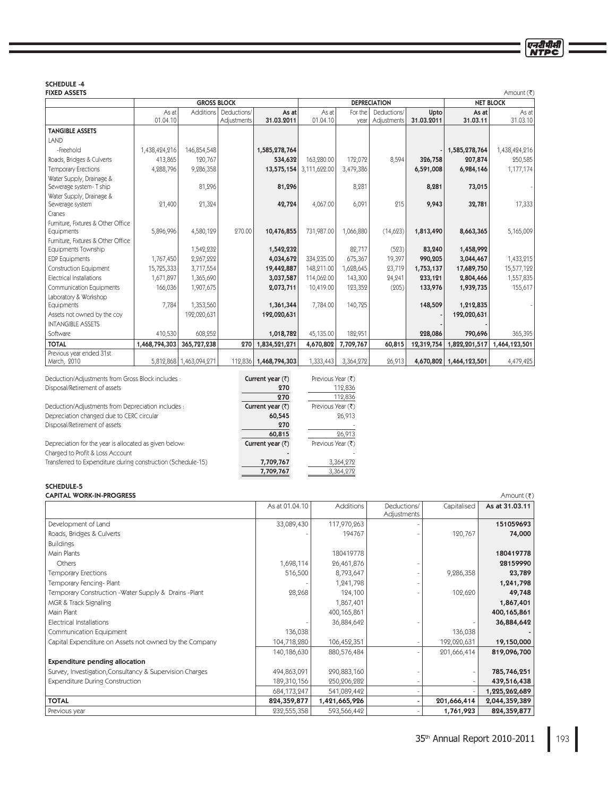# SCHEDULE -4

| <b>FIXED ASSETS</b>                                       |               |                                                               |             |                        |              |           |             |            |                         | Amount (そ)    |
|-----------------------------------------------------------|---------------|---------------------------------------------------------------|-------------|------------------------|--------------|-----------|-------------|------------|-------------------------|---------------|
|                                                           |               | <b>GROSS BLOCK</b><br><b>DEPRECIATION</b><br><b>NET BLOCK</b> |             |                        |              |           |             |            |                         |               |
|                                                           | As at         | <b>Additions</b>                                              | Deductions/ | As at                  | As at        | For the   | Deductions/ | Upto       | As at                   | As at         |
|                                                           | 01.04.10      |                                                               | Adjustments | 31.03.2011             | 01.04.10     | year      | Adjustments | 31.03.2011 | 31.03.11                | 31.03.10      |
| <b>TANGIBLE ASSETS</b>                                    |               |                                                               |             |                        |              |           |             |            |                         |               |
| LAND                                                      |               |                                                               |             |                        |              |           |             |            |                         |               |
| -Freehold                                                 | 1,438,424,216 | 146,854,548                                                   |             | 1,585,278,764          |              |           |             |            | 1,585,278,764           | 1,438,424,216 |
| Roads, Bridges & Culverts                                 | 413,865       | 120,767                                                       |             | 534,632                | 163,280.00   | 172,072   | 8,594       | 326,758    | 207,874                 | 250,585       |
| <b>Temporary Erections</b>                                | 4,288,796     | 9,286,358                                                     |             | 13,575,154             | 3,111,622.00 | 3,479,386 |             | 6,591,008  | 6,984,146               | 1,177,174     |
| Water Supply, Drainage &                                  |               |                                                               |             |                        |              |           |             |            |                         |               |
| Sewerage system- T ship                                   |               | 81,296                                                        |             | 81,296                 |              | 8,281     |             | 8,281      | 73,015                  |               |
| Water Supply, Drainage &                                  |               |                                                               |             |                        |              |           |             |            |                         |               |
| Sewerage system                                           | 21,400        | 21,324                                                        |             | 42,724                 | 4,067.00     | 6,091     | 215         | 9,943      | 32,781                  | 17,333        |
| Cranes                                                    |               |                                                               |             |                        |              |           |             |            |                         |               |
| Furniture, Fixtures & Other Office                        |               |                                                               |             |                        |              |           |             |            |                         |               |
| Equipments                                                | 5,896,996     | 4,580,129                                                     | 270.00      | 10,476,855             | 731,987.00   | 1,066,880 | (14,623)    | 1,813,490  | 8,663,365               | 5,165,009     |
| Furniture, Fixtures & Other Office<br>Equipments Township |               | 1,542,232                                                     |             |                        |              | 82,717    | (523)       | 83,240     | 1,458,992               |               |
| <b>EDP</b> Equipments                                     | 1,767,450     | 2,267,222                                                     |             | 1,542,232<br>4,034,672 | 334,235.00   | 675,367   | 19,397      | 990,205    | 3,044,467               | 1,433,215     |
|                                                           |               |                                                               |             |                        |              |           |             |            |                         |               |
| <b>Construction Equipment</b>                             | 15,725,333    | 3,717,554                                                     |             | 19,442,887             | 148,211.00   | 1,628,645 | 23,719      | 1,753,137  | 17,689,750              | 15,577,122    |
| <b>Electrical Installations</b>                           | 1,671,897     | 1,365,690                                                     |             | 3,037,587              | 114,062.00   | 143,300   | 24,241      | 233,121    | 2,804,466               | 1,557,835     |
| <b>Communication Equipments</b>                           | 166,036       | 1,907,675                                                     |             | 2,073,711              | 10,419.00    | 123,352   | (205)       | 133,976    | 1,939,735               | 155,617       |
| Laboratory & Workshop<br>Equipments                       | 7,784         | 1,353,560                                                     |             | 1,361,344              | 7,784.00     | 140,725   |             | 148,509    | 1,212,835               |               |
| Assets not owned by the coy                               |               | 192,020,631                                                   |             | 192,020,631            |              |           |             |            | 192,020,631             |               |
| <b>INTANGIBLE ASSETS</b>                                  |               |                                                               |             |                        |              |           |             |            |                         |               |
| Software                                                  | 410,530       | 608,252                                                       |             |                        | 45,135.00    | 182,951   |             |            |                         | 365,395       |
|                                                           |               |                                                               |             | 1,018,782              |              |           |             | 228,086    | 790,696                 |               |
| <b>TOTAL</b>                                              | 1,468,794,303 | 365,727,238                                                   | 270         | 1,834,521,271          | 4,670,802    | 7,709,767 | 60,815      | 12,319,754 | 1,822,201,517           | 1,464,123,501 |
| Previous year ended 31st                                  |               |                                                               |             |                        |              |           |             |            |                         |               |
| March, 2010                                               |               | 5,812,868 1,463,094,271                                       |             | 112,836 1,468,794,303  | 1,333,443    | 3,364,272 | 26,913      |            | 4,670,802 1,464,123,501 | 4,479,425     |

| Deduction/Adjustments from Gross Block includes :            | Current year $(\bar{z})$ | Previous Year $(\bar{\zeta})$ |
|--------------------------------------------------------------|--------------------------|-------------------------------|
| Disposal/Retirement of assets                                | 270                      | 112,836                       |
|                                                              | 270                      | 112,836                       |
| Deduction/Adjustments from Depreciation includes :           | Current year $(\bar{z})$ | Previous Year (₹)             |
| Depreciation changed due to CERC circular                    | 60,545                   | 26,913                        |
| Disposal/Retirement of assets                                | 270                      |                               |
|                                                              | 60,815                   | 26,913                        |
| Depreciation for the year is allocated as given below:       | Current year $(\bar{z})$ | Previous Year (₹)             |
| Charged to Profit & Loss Account                             |                          |                               |
| Transferred to Expenditure during construction (Schedule-15) | 7,709,767                | 3,364,272                     |
|                                                              | 7,709,767                | 3,364,272                     |
|                                                              |                          |                               |

# SCHEDULE-5

| <b>CAPITAL WORK-IN-PROGRESS</b>                          |                |                  |                            |             | Amount (そ)     |
|----------------------------------------------------------|----------------|------------------|----------------------------|-------------|----------------|
|                                                          | As at 01.04.10 | <b>Additions</b> | Deductions/<br>Adjustments | Capitalised | As at 31.03.11 |
| Development of Land                                      | 33,089,430     | 117,970,263      |                            |             | 151059693      |
| Roads, Bridges & Culverts                                |                | 194767           |                            | 120,767     | 74,000         |
| <b>Buildings</b>                                         |                |                  |                            |             |                |
| Main Plants                                              |                | 180419778        |                            |             | 180419778      |
| Others                                                   | 1,698,114      | 26,461,876       |                            |             | 28159990       |
| <b>Temporary Erections</b>                               | 516,500        | 8,793,647        |                            | 9,286,358   | 23,789         |
| Temporary Fencing-Plant                                  |                | 1,241,798        |                            |             | 1,241,798      |
| Temporary Construction - Water Supply & Drains - Plant   | 28,268         | 124,100          |                            | 102,620     | 49,748         |
| MGR & Track Signaling                                    |                | 1,867,401        |                            |             | 1,867,401      |
| Main Plant                                               |                | 400,165,861      |                            |             | 400,165,861    |
| Electrical Installations                                 |                | 36,884,642       |                            |             | 36,884,642     |
| Communication Equipment                                  | 136,038        |                  |                            | 136,038     |                |
| Capital Expenditure on Assets not owned by the Company   | 104,718,280    | 106,452,351      |                            | 192,020,631 | 19,150,000     |
|                                                          | 140,186,630    | 880,576,484      |                            | 201,666,414 | 819,096,700    |
| <b>Expenditure pending allocation</b>                    |                |                  |                            |             |                |
| Survey, Investigation, Consultancy & Supervision Charges | 494,863,091    | 290,883,160      |                            |             | 785,746,251    |
| <b>Expenditure During Construction</b>                   | 189,310,156    | 250,206,282      |                            |             | 439,516,438    |
|                                                          | 684,173,247    | 541,089,442      |                            |             | 1,225,262,689  |
| <b>TOTAL</b>                                             | 824,359,877    | 1,421,665,926    |                            | 201,666,414 | 2,044,359,389  |
| Previous year                                            | 232,555,358    | 593,566,442      |                            | 1,761,923   | 824,359,877    |

एनटीपीसी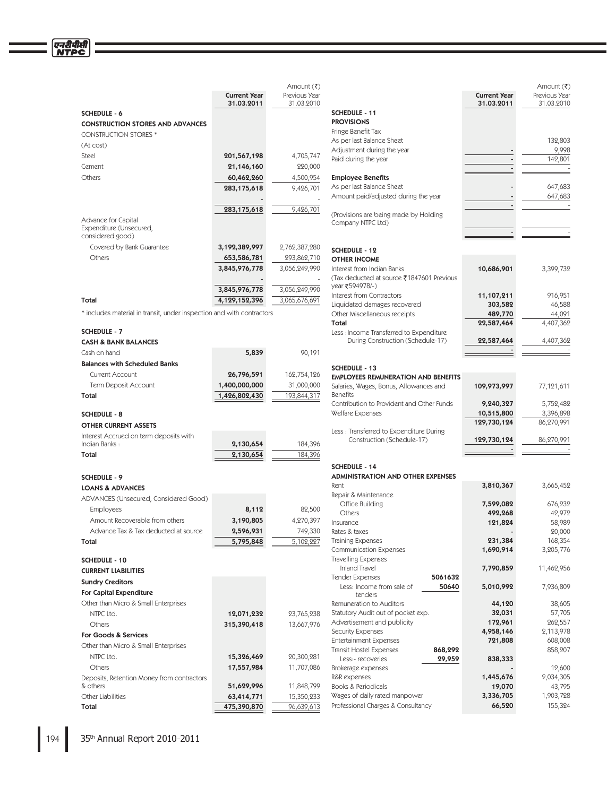|                                                                       | <b>Current Year</b> | Amount (₹)<br>Previous Year |                                        |
|-----------------------------------------------------------------------|---------------------|-----------------------------|----------------------------------------|
| <b>SCHEDULE - 6</b>                                                   | 31.03.2011          | 31.03.2010                  | <b>SCHEDULE</b>                        |
| <b>CONSTRUCTION STORES AND ADVANCES</b>                               |                     |                             | <b>PROVISIOI</b>                       |
| <b>CONSTRUCTION STORES *</b>                                          |                     |                             | Fringe Bene                            |
| (At cost)                                                             |                     |                             | As per last                            |
| Steel                                                                 | 201,567,198         | 4,705,747                   | Adjustmen                              |
| Cement                                                                | 21,146,160          | 220,000                     | Paid during                            |
| Others                                                                | 60,462,260          | 4,500,954                   | <b>Employee</b>                        |
|                                                                       | 283,175,618         | 9,426,701                   | As per last                            |
|                                                                       |                     |                             | Amount pa                              |
|                                                                       | 283,175,618         | 9,426,701                   |                                        |
| Advance for Capital                                                   |                     |                             | (Provisions                            |
| Expenditure (Unsecured,                                               |                     |                             | Company M                              |
| considered good)                                                      |                     |                             |                                        |
| Covered by Bank Guarantee                                             | 3,192,389,997       | 2,762,387,280               | <b>SCHEDULE</b>                        |
| Others                                                                | 653,586,781         | 293,862,710                 | OTHER IN                               |
|                                                                       | 3,845,976,778       | 3,056,249,990               | Interest fro                           |
|                                                                       |                     |                             | (Tax deduc                             |
|                                                                       | 3,845,976,778       | 3,056,249,990               | year ₹5949<br>Interest fro             |
| Total                                                                 | 4,129,152,396       | 3,065,676,691               | Liquidated                             |
| * includes material in transit, under inspection and with contractors |                     |                             | Other Misc                             |
|                                                                       |                     |                             | Total                                  |
| <b>SCHEDULE - 7</b>                                                   |                     |                             | Less : Incor                           |
| <b>CASH &amp; BANK BALANCES</b>                                       |                     |                             | Durin                                  |
| Cash on hand                                                          | 5,839               | 90,191                      |                                        |
| <b>Balances with Scheduled Banks</b>                                  |                     |                             | <b>SCHEDULE</b>                        |
| <b>Current Account</b>                                                | 26,796,591          | 162,754,126                 | <b>EMPLOYEE</b>                        |
| Term Deposit Account                                                  | 1,400,000,000       | 31,000,000                  | Salaries, W                            |
| Total                                                                 | 1,426,802,430       | 193,844,317                 | <b>Benefits</b>                        |
|                                                                       |                     |                             | Contributic<br>Welfare Exp             |
| <b>SCHEDULE - 8</b>                                                   |                     |                             |                                        |
| <b>OTHER CURRENT ASSETS</b>                                           |                     |                             | Less: Trans                            |
| Interest Accrued on term deposits with<br>Indian Banks:               | 2,130,654           | 184,396                     | Cons                                   |
| Total                                                                 | 2,130,654           | 184,396                     |                                        |
|                                                                       |                     |                             | <b>SCHEDULE</b>                        |
| <b>SCHEDULE - 9</b>                                                   |                     |                             | <b>ADMINISTI</b>                       |
| <b>LOANS &amp; ADVANCES</b>                                           |                     |                             | Rent                                   |
| ADVANCES (Unsecured, Considered Good)                                 |                     |                             | Repair & M                             |
| <b>Employees</b>                                                      | 8,112               | 82,500                      | Office B                               |
| Amount Recoverable from others                                        | 3,190,805           | 4,270,397                   | Others                                 |
| Advance Tax & Tax deducted at source                                  | 2,596,931           | 749,330                     | Insurance<br>Rates & tax               |
| Total                                                                 | 5,795,848           | 5,102,227                   | Training Ex                            |
|                                                                       |                     |                             | Communic                               |
| SCHEDULE - 10                                                         |                     |                             | Travelling E                           |
| <b>CURRENT LIABILITIES</b>                                            |                     |                             | Inland T                               |
| <b>Sundry Creditors</b>                                               |                     |                             | <b>Tender Exp</b>                      |
| For Capital Expenditure                                               |                     |                             | Less: Inc                              |
| Other than Micro & Small Enterprises                                  |                     |                             | Remunerati                             |
| NTPC Ltd.                                                             | 12,071,232          | 23,765,238                  | Statutory A                            |
| Others                                                                | 315,390,418         | 13,667,976                  | Advertisen                             |
| For Goods & Services                                                  |                     |                             | Security Ex                            |
| Other than Micro & Small Enterprises                                  |                     |                             | Entertainm                             |
| NTPC Ltd.                                                             | 15,326,469          | 20,300,281                  | <b>Transit Hos</b>                     |
|                                                                       |                     |                             | Less:-re<br>Brokerage (                |
|                                                                       |                     |                             |                                        |
| Others                                                                | 17,557,984          | 11,707,086                  |                                        |
| Deposits, Retention Money from contractors<br>& others                | 51,629,996          | 11,848,799                  |                                        |
| Other Liabilities                                                     | 63,414,771          | 15,350,233                  | R&R expen:<br>Books & Pe<br>Wages of c |

| Amount (₹)<br>Previous Year<br>31.03.2010 |                                                              | <b>Current Year</b><br>31.03.2011 | Amount (₹)<br>Previous Year<br>31.03.2010 |
|-------------------------------------------|--------------------------------------------------------------|-----------------------------------|-------------------------------------------|
|                                           | <b>SCHEDULE - 11</b>                                         |                                   |                                           |
|                                           | <b>PROVISIONS</b>                                            |                                   |                                           |
|                                           | Fringe Benefit Tax                                           |                                   |                                           |
|                                           | As per last Balance Sheet                                    |                                   | 132,803                                   |
| 4,705,747                                 | Adjustment during the year                                   |                                   | 9,998                                     |
| 220,000                                   | Paid during the year                                         |                                   | 142,801                                   |
| 4,500,954                                 | <b>Employee Benefits</b>                                     |                                   |                                           |
| 9,426,701                                 | As per last Balance Sheet                                    |                                   | 647,683                                   |
|                                           | Amount paid/adjusted during the year                         |                                   | 647,683                                   |
| 9,426,701                                 |                                                              |                                   |                                           |
|                                           | (Provisions are being made by Holding                        |                                   |                                           |
|                                           | Company NTPC Ltd)                                            |                                   |                                           |
|                                           |                                                              |                                   |                                           |
| ,762,387,280                              | SCHEDULE - 12                                                |                                   |                                           |
| 293,862,710                               | <b>OTHER INCOME</b>                                          |                                   |                                           |
| ,056,249,990                              | Interest from Indian Banks                                   | 10,686,901                        | 3,399,732                                 |
|                                           | (Tax deducted at source ₹1847601 Previous                    |                                   |                                           |
| 056,249,990                               | year ₹594978/-)                                              |                                   |                                           |
| 065,676,691                               | Interest from Contractors                                    | 11,107,211                        | 916,951                                   |
|                                           | Liquidated damages recovered<br>Other Miscellaneous receipts | 303,582<br>489,770                | 46,588<br>44,091                          |
|                                           | Total                                                        | 22,587,464                        | 4,407,362                                 |
|                                           | Less : Income Transferred to Expenditure                     |                                   |                                           |
|                                           | During Construction (Schedule-17)                            | 22,587,464                        | 4,407,362                                 |
| 90,191                                    |                                                              |                                   |                                           |
|                                           |                                                              |                                   |                                           |
| 162,754,126                               | SCHEDULE - 13<br><b>EMPLOYEES REMUNERATION AND BENEFITS</b>  |                                   |                                           |
| 31,000,000                                | Salaries, Wages, Bonus, Allowances and                       | 109,973,997                       | 77,121,611                                |
| 193,844,317                               | <b>Benefits</b>                                              |                                   |                                           |
|                                           | Contribution to Provident and Other Funds                    | 9,240,327                         | 5,752,482                                 |
|                                           | Welfare Expenses                                             | 10,515,800                        | 3,396,898                                 |
|                                           |                                                              | 129,730,124                       | 86,270,991                                |
|                                           | Less: Transferred to Expenditure During                      |                                   |                                           |
| 184,396                                   | Construction (Schedule-17)                                   | 129,730,124                       | 86,270,991                                |
| 184,396                                   |                                                              |                                   |                                           |
|                                           | <b>SCHEDULE - 14</b>                                         |                                   |                                           |
|                                           | <b>ADMINISTRATION AND OTHER EXPENSES</b>                     |                                   |                                           |
|                                           | Rent                                                         | 3,810,367                         | 3,665,452                                 |
|                                           | Repair & Maintenance                                         |                                   |                                           |
| 82,500                                    | Office Building<br>Others                                    | 7,599,082                         | 676,232                                   |
| 4,270,397                                 | Insurance                                                    | 492,268<br>121,824                | 42,972<br>58,989                          |
| 749,330                                   | Rates & taxes                                                |                                   | 20,000                                    |
| 5,102,227                                 | Training Expenses                                            | 231,384                           | 168,354                                   |
|                                           | <b>Communication Expenses</b>                                | 1,690,914                         | 3,205,776                                 |
|                                           | <b>Travelling Expenses</b>                                   |                                   |                                           |
|                                           | <b>Inland Travel</b>                                         | 7,790,859                         | 11,462,956                                |
|                                           | Tender Expenses<br>5061632                                   |                                   |                                           |
|                                           | Less: Income from sale of<br>50640<br>tenders                | 5,010,992                         | 7,936,809                                 |
|                                           | Remuneration to Auditors                                     | 44,120                            | 38,605                                    |
| 23,765,238                                | Statutory Audit out of pocket exp.                           | 32,031                            | 57,705                                    |
| 13,667,976                                | Advertisement and publicity                                  | 172,961                           | 262,557                                   |
|                                           | <b>Security Expenses</b>                                     | 4,958,146                         | 2,113,978                                 |
|                                           | <b>Entertainment Expenses</b>                                | 721,808                           | 608,008                                   |
|                                           | <b>Transit Hostel Expenses</b><br>868,292                    |                                   | 858,207                                   |
| 20,300,281                                | Less:-recoveries<br>29,959                                   | 838,333                           |                                           |
| 11,707,086                                | Brokerage expenses                                           |                                   | 12,600                                    |
| 11,848,799                                | R&R expenses<br>Books & Periodicals                          | 1,445,676<br>19,070               | 2,034,305<br>43,795                       |
| 15,350,233                                | Wages of daily rated manpower                                | 3,336,705                         | 1,903,728                                 |
| 96,639,613                                | Professional Charges & Consultancy                           | 66,520                            | 155,324                                   |
|                                           |                                                              |                                   |                                           |

एनदीपीसी<br>NTPC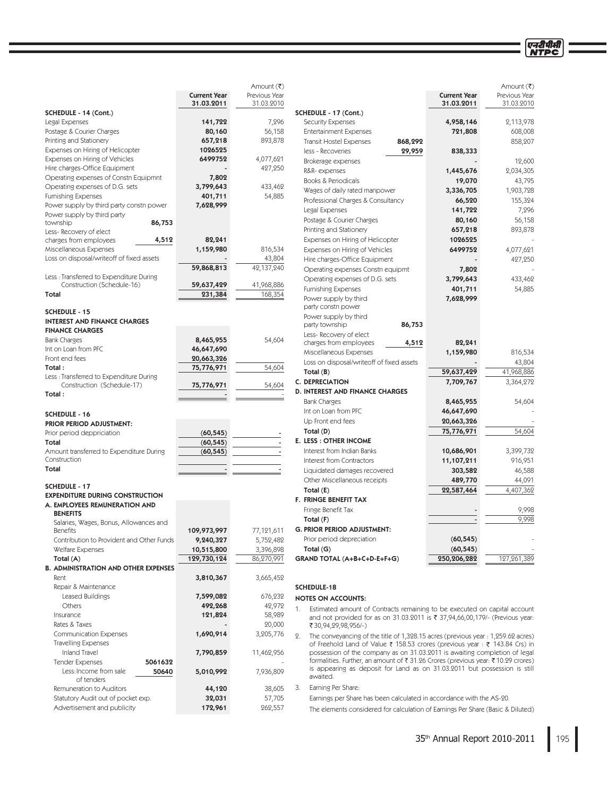|                                                                        |                                   | Amount (₹)              |                                                                                       |                     | Amount (₹)                  |
|------------------------------------------------------------------------|-----------------------------------|-------------------------|---------------------------------------------------------------------------------------|---------------------|-----------------------------|
|                                                                        | <b>Current Year</b><br>31.03.2011 | Previous Year           |                                                                                       | <b>Current Year</b> | Previous Year<br>31.03.2010 |
| SCHEDULE - 14 (Cont.)                                                  |                                   | 31.03.2010              | SCHEDULE - 17 (Cont.)                                                                 | 31.03.2011          |                             |
| Legal Expenses                                                         | 141,722                           | 7,296                   | <b>Security Expenses</b>                                                              | 4,958,146           | 2,113,978                   |
| Postage & Courier Charges                                              | 80,160                            | 56,158                  | <b>Entertainment Expenses</b>                                                         | 721,808             | 608,008                     |
| Printing and Stationery                                                | 657,218                           | 893,878                 | 868,292<br><b>Transit Hostel Expenses</b>                                             |                     | 858,207                     |
| Expenses on Hiring of Helicopter                                       | 1026525                           |                         | less - Recoveries<br>29,959                                                           | 838,333             |                             |
| Expenses on Hiring of Vehicles                                         | 6499752                           | 4,077,621               |                                                                                       |                     |                             |
| Hire charges-Office Equipment                                          |                                   | 427,250                 | Brokerage expenses                                                                    |                     | 12,600                      |
| Operating expenses of Constn Equipmnt                                  | 7,802                             |                         | R&R-expenses<br>Books & Periodicals                                                   | 1,445,676           | 2,034,305                   |
| Operating expenses of D.G. sets                                        | 3,799,643                         | 433,462                 |                                                                                       | 19,070              | 43,795                      |
| <b>Furnishing Expenses</b>                                             | 401,711                           | 54,885                  | Wages of daily rated manpower                                                         | 3,336,705           | 1,903,728                   |
| Power supply by third party constn power                               | 7,628,999                         |                         | Professional Charges & Consultancy                                                    | 66,520              | 155,324                     |
| Power supply by third party                                            |                                   |                         | Legal Expenses                                                                        | 141,722             | 7,296                       |
| 86,753<br>township                                                     |                                   |                         | Postage & Courier Charges                                                             | 80,160              | 56,158                      |
| Less-Recovery of elect                                                 |                                   |                         | Printing and Stationery                                                               | 657,218             | 893,878                     |
| charges from employees<br>4,512                                        | 82,241                            |                         | Expenses on Hiring of Helicopter                                                      | 1026525             |                             |
| Miscellaneous Expenses                                                 | 1,159,980                         | 816,534                 | Expenses on Hiring of Vehicles                                                        | 6499752             | 4,077,621                   |
| Loss on disposal/writeoff of fixed assets                              |                                   | 43,804                  | Hire charges-Office Equipment                                                         |                     | 427,250                     |
|                                                                        | 59,868,813                        | 42,137,240              | Operating expenses Constn equipmt                                                     | 7,802               |                             |
| Less : Transferred to Expenditure During<br>Construction (Schedule-16) | 59,637,429                        | 41,968,886              | Operating expenses of D.G. sets                                                       | 3,799,643           | 433,462                     |
| Total                                                                  | 231,384                           | 168,354                 | <b>Furnishing Expenses</b>                                                            | 401,711             | 54,885                      |
|                                                                        |                                   |                         | Power supply by third                                                                 | 7,628,999           |                             |
| <b>SCHEDULE - 15</b>                                                   |                                   |                         | party constn power                                                                    |                     |                             |
| <b>INTEREST AND FINANCE CHARGES</b>                                    |                                   |                         | Power supply by third<br>86,753<br>party township                                     |                     |                             |
| <b>FINANCE CHARGES</b>                                                 |                                   |                         |                                                                                       |                     |                             |
| <b>Bank Charges</b>                                                    | 8,465,955                         | 54,604                  | Less-Recovery of elect<br>charges from employees<br>4,512                             | 82,241              |                             |
| Int on Loan from PFC                                                   | 46,647,690                        |                         | Miscellaneous Expenses                                                                | 1,159,980           | 816,534                     |
| Front end fees                                                         | 20,663,326                        |                         | Loss on disposal/writeoff of fixed assets                                             |                     | 43,804                      |
| Total:                                                                 | 75,776,971                        | 54,604                  | Total $(B)$                                                                           | 59,637,429          | 41,968,886                  |
| Less: Transferred to Expenditure During                                |                                   |                         | <b>C. DEPRECIATION</b>                                                                | 7,709,767           | 3,364,272                   |
| Construction (Schedule-17)                                             | 75,776,971                        | 54,604                  | D. INTEREST AND FINANCE CHARGES                                                       |                     |                             |
| Total:                                                                 |                                   |                         | <b>Bank Charges</b>                                                                   | 8,465,955           | 54,604                      |
|                                                                        |                                   |                         | Int on Loan from PFC                                                                  | 46,647,690          |                             |
| <b>SCHEDULE - 16</b>                                                   |                                   |                         | Up Front end fees                                                                     | 20,663,326          |                             |
| PRIOR PERIOD ADJUSTMENT:                                               |                                   |                         | Total (D)                                                                             | 75,776,971          | 54,604                      |
| Prior period deppriciation                                             | (60, 545)<br>(60, 545)            |                         | E. LESS : OTHER INCOME                                                                |                     |                             |
| Total<br>Amount transferred to Expenditure During                      | (60, 545)                         |                         | Interest from Indian Banks                                                            | 10,686,901          | 3,399,732                   |
| Construction                                                           |                                   |                         | Interest from Contractors                                                             | 11,107,211          | 916,951                     |
| Total                                                                  |                                   |                         | Liquidated damages recovered                                                          | 303,582             | 46,588                      |
|                                                                        |                                   |                         | Other Miscellaneous receipts                                                          | 489,770             | 44,091                      |
| <b>SCHEDULE - 17</b>                                                   |                                   |                         | Total (E)                                                                             | 22,587,464          | 4,407,362                   |
| <b>EXPENDITURE DURING CONSTRUCTION</b>                                 |                                   |                         | <b>F. FRINGE BENEFIT TAX</b>                                                          |                     |                             |
| A. EMPLOYEES REMUNERATION AND                                          |                                   |                         | Fringe Benefit Tax                                                                    |                     | 9,998                       |
| <b>BENEFITS</b>                                                        |                                   |                         | Total (F)                                                                             |                     | 9,998                       |
| Salaries, Wages, Bonus, Allowances and                                 | 109,973,997                       |                         | <b>G. PRIOR PERIOD ADJUSTMENT:</b>                                                    |                     |                             |
| <b>Benefits</b><br>Contribution to Provident and Other Funds           | 9,240,327                         | 77,121,611<br>5,752,482 | Prior period depreciation                                                             | (60, 545)           |                             |
| Welfare Expenses                                                       | 10,515,800                        | 3,396,898               | Total $(G)$                                                                           | (60, 545)           |                             |
| Total (A)                                                              | 129,730,124                       | 86,270,991              | GRAND TOTAL (A+B+C+D-E+F+G)                                                           | 250,206,282         | 127,261,389                 |
| <b>B. ADMINISTRATION AND OTHER EXPENSES</b>                            |                                   |                         |                                                                                       |                     |                             |
| Rent                                                                   | 3,810,367                         | 3,665,452               |                                                                                       |                     |                             |
| Repair & Maintenance                                                   |                                   |                         | SCHEDULE-18                                                                           |                     |                             |
| Leased Buildings                                                       | 7,599,082                         | 676,232                 | <b>NOTES ON ACCOUNTS:</b>                                                             |                     |                             |
| Others                                                                 | 492,268                           | 42,972                  | Estimated amount of Contracts remaining to be executed on capital account<br>1.       |                     |                             |
| Insurance                                                              | 121,824                           | 58,989                  | and not provided for as on 31.03.2011 is ₹ 37,94,66,00,179/- (Previous year:          |                     |                             |
| Rates & Taxes                                                          |                                   | 20,000                  | ₹30,94,29,98,956/-)                                                                   |                     |                             |
| <b>Communication Expenses</b>                                          | 1,690,914                         | 3,205,776               | 2.<br>The conveyancing of the title of 1,328.15 acres (previous year: 1,259.62 acres) |                     |                             |
| <b>Travelling Expenses</b>                                             |                                   |                         | of Freehold Land of Value ₹ 158.53 crores (previous year: ₹ 143.84 Crs) in            |                     |                             |
| Inland Travel                                                          | 7,790,859                         | 11,462,956              | possession of the company as on 31.03.2011 is awaiting completion of legal            |                     |                             |
| <b>Tender Expenses</b><br>5061632                                      |                                   |                         | formalities. Further, an amount of ₹ 31.26 Crores (previous year: ₹ 10.29 crores)     |                     |                             |
| Less: Income from sale<br>50640                                        | 5,010,992                         | 7,936,809               | is appearing as deposit for Land as on 31.03.2011 but possession is still<br>awaited. |                     |                             |
| of tenders                                                             |                                   |                         |                                                                                       |                     |                             |
| Remuneration to Auditors                                               | 44,120                            | 38,605                  | Earning Per Share:<br>3.                                                              |                     |                             |
| Statutory Audit out of pocket exp.                                     | 32,031                            | 57,705                  | Earnings per Share has been calculated in accordance with the AS-20.                  |                     |                             |
| Advertisement and publicity                                            | 172,961                           | 262,557                 | The elements considered for calculation of Earnings Per Share (Basic & Diluted)       |                     |                             |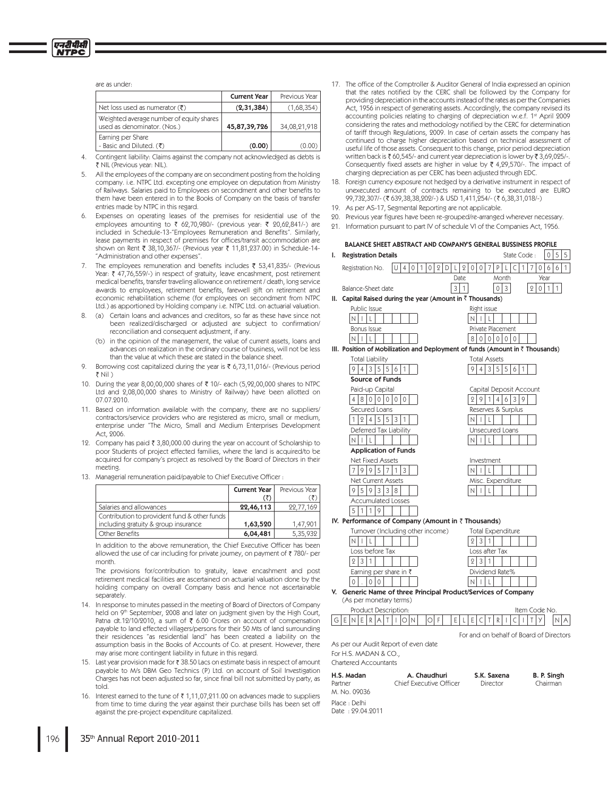### are as under-

|                                                                         | <b>Current Year</b> | Previous Year |
|-------------------------------------------------------------------------|---------------------|---------------|
| Net loss used as numerator $(\overline{\tau})$                          | (2,31,384)          | (1,68,354)    |
| Weighted average number of equity shares<br>used as denominator. (Nos.) | 45,87,39,726        | 34,08,21,918  |
| Earning per Share<br>- Basic and Diluted. (₹)                           | (0.00)              | (0.00)        |

Contingent liability: Claims against the company not acknowledged as debts is  $4.$ ₹ NIL (Previous vear: NIL).

- All the employees of the company are on secondment posting from the holding company. i.e. NTPC Ltd. excepting one employee on deputation from Ministry of Railways. Salaries paid to Employees on secondment and other benefits to them have been entered in to the Books of Company on the basis of transfer entries made by NTPC in this regard.
- Expenses on operating leases of the premises for residential use of the employees amounting to ₹ 62,70,980/- (previous year: ₹ 20,62,841/-) are included in Schedule-13-"Employees Remuneration and Benefits". Similarly, lease payments in respect of premises for offices/transit accommodation are shown on Rent ₹ 38,10,367/- (Previous year ₹ 11,81,237.00) in Schedule-14-"Administration and other expenses"
- $7.$ The employees remuneration and benefits includes ₹ 53.41.835/- (Previous Year: ₹ 47,76,559/-) in respect of gratuity, leave encashment, post retirement medical benefits, transfer traveling allowance on retirement / death, long service awards to employees, retirement benefits, farewell gift on retirement and economic rehabilitation scheme (for employees on secondment from NTPC Ltd.) as apportioned by Holding company i.e. NTPC Ltd. on actuarial valuation.
- (a) Certain loans and advances and creditors, so far as these have since not been realized/discharged or adjusted are subject to confirmation/ reconciliation and consequent adjustment, if any.
	- (b) in the opinion of the management, the value of current assets, loans and advances on realization in the ordinary course of business, will not be less than the value at which these are stated in the balance sheet.
- 9. Borrowing cost capitalized during the year is ₹ 6,73,11,016/- (Previous period ₹ Nil )
- 10. During the year 8,00,00,000 shares of ₹ 10/- each (5,92,00,000 shares to NTPC Ltd and 2,08,00,000 shares to Ministry of Railway) have been allotted on 07.07.2010.
- 11. Based on information available with the company, there are no suppliers/ contractors/service providers who are registered as micro, small or medium. enterprise under "The Micro, Small and Medium Enterprises Development Act, 2006.
- 12. Company has paid ₹ 3,80,000.00 during the year on account of Scholarship to poor Students of project effected families, where the land is acquired/to be acquired for company's project as resolved by the Board of Directors in their meeting
- 13. Managerial remuneration paid/payable to Chief Executive Officer :

|                                              | <b>Current Year</b> | Previous Year |
|----------------------------------------------|---------------------|---------------|
|                                              |                     |               |
| Salaries and allowances                      | 22,46,113           | 22.77.169     |
| Contribution to provident fund & other funds |                     |               |
| including gratuity & group insurance         | 1,63,520            | 1.47.901      |
| Other Benefits                               | 6,04,481            | 5.35.932      |

In addition to the above remuneration, the Chief Executive Officer has been allowed the use of car including for private journey, on payment of ₹780/- per month.

The provisions for/contribution to gratuity, leave encashment and post retirement medical facilities are ascertained on actuarial valuation done by the holding company on overall Company basis and hence not ascertainable separately

- 14. In response to minutes passed in the meeting of Board of Directors of Company held on 9<sup>th</sup> September, 2008 and later on judgment given by the High Court, Patna dt.12/10/2010, a sum of ₹ 6.00 Crores on account of compensation payable to land effected villagers/persons for their 50 Mts of land surrounding their residences "as residential land" has been created a liability on the assumption basis in the Books of Accounts of Co. at present. However, there may arise more contingent liability in future in this regard.
- 15. Last year provision made for ₹ 38.50 Lacs on estimate basis in respect of amount payable to M/s DBM Geo Technics (P) Ltd. on account of Soil Investigation Charges has not been adjusted so far, since final bill not submitted by party, as told.
- 16. Interest earned to the tune of ₹1,11,07,211.00 on advances made to suppliers from time to time during the year against their purchase bills has been set off against the pre-project expenditure capitalized.
- 17. The office of the Comptroller & Auditor General of India expressed an opinion that the rates notified by the CERC shall be followed by the Company for providing depreciation in the accounts instead of the rates as per the Companies Act, 1956 in respect of generating assets. Accordingly, the company revised its accounting policies relating to charging of depreciation w.e.f. 1st April 2009 considering the rates and methodology notified by the CERC for determination of tariff through Regulations, 2009. In case of certain assets the company has continued to charge higher depreciation based on technical assessment of useful life of those assets. Consequent to this change, prior period depreciation written back is ₹60,545/- and current year depreciation is lower by ₹3,69,025/-. Consequently fixed assets are higher in value by  $\bar{\tau}$  4,29,570/-. The impact of charging depreciation as per CERC has been adjusted through EDC.
- 18. Foreign currency exposure not hedged by a derivative instrument in respect of unexecuted amount of contracts remaining to be executed are EURO 99,732,307/- (₹ 639,38,38,202/-) & USD 1,411,254/- (₹ 6,38,31,018/-)
- 19. As per AS-17, Segmental Reporting are not applicable.
- 20. Previous year figures have been re-grouped/re-arranged wherever necessary.
- 21. Information pursuant to part IV of schedule VI of the Companies Act. 1956.

|    | BALANCE SHEET ABSTRACT AND COMPANY'S GENERAL BUSSINESS PROFILE                            |             |                   |              |          |         |      |              |              |                |                          |                |          |   |   |                |             |              |                                         |
|----|-------------------------------------------------------------------------------------------|-------------|-------------------|--------------|----------|---------|------|--------------|--------------|----------------|--------------------------|----------------|----------|---|---|----------------|-------------|--------------|-----------------------------------------|
| I. | <b>Registration Details</b>                                                               |             |                   |              |          |         |      |              |              |                |                          |                |          |   |   | State Code:    |             | 0            | 5<br>5                                  |
|    | Registration No.                                                                          | U           | 4<br>$\mathbf{0}$ | $\mathbf{1}$ | 0        | $2$ D L |      | $\Omega$     | 0            | 0              | 7                        | P              | L        | C | 1 | 7              | 0           | 6            | 6<br>1                                  |
|    |                                                                                           |             |                   |              |          |         | Date |              |              |                |                          |                | Month    |   |   |                | Year        |              |                                         |
|    | Balance-Sheet date                                                                        |             |                   |              |          |         | 3    | $\mathbf{1}$ |              |                |                          | 0              | 3        |   |   | $\overline{2}$ | $\mathbf 0$ | $\mathbf{1}$ | 1                                       |
| Ш. | Capital Raised during the year (Amount in ₹ Thousands)                                    |             |                   |              |          |         |      |              |              |                |                          |                |          |   |   |                |             |              |                                         |
|    | Public Issue                                                                              |             |                   |              |          |         |      |              |              |                | Right issue              |                |          |   |   |                |             |              |                                         |
|    | ı<br>N                                                                                    |             |                   |              |          |         |      |              | N            |                |                          |                |          |   |   |                |             |              |                                         |
|    | Bonus Issue                                                                               |             |                   |              |          |         |      |              |              |                | Private Placement        |                |          |   |   |                |             |              |                                         |
|    | N<br>L                                                                                    |             |                   |              |          |         |      |              | 8            |                | $010101$                 |                | $\Omega$ |   |   |                |             |              |                                         |
|    | III. Position of Mobilization and Deployment of funds (Amount in $\bar{z}$ Thousands)     |             |                   |              |          |         |      |              |              |                |                          |                |          |   |   |                |             |              |                                         |
|    | <b>Total Liability</b>                                                                    |             |                   |              |          |         |      |              |              |                | <b>Total Assets</b>      |                |          |   |   |                |             |              |                                         |
|    | 3 <br>5<br>5<br>914                                                                       | 6           | 1                 |              |          |         |      |              |              | $\overline{4}$ |                          |                | 3 5 5    | 6 | 1 |                |             |              |                                         |
|    | Source of Funds                                                                           |             |                   |              |          |         |      |              |              |                |                          |                |          |   |   |                |             |              |                                         |
|    | Paid-up Capital                                                                           |             |                   |              |          |         |      |              |              |                | Capital Deposit Account  |                |          |   |   |                |             |              |                                         |
|    | 4<br>8<br>0<br>$\Omega$<br>0                                                              | $\mathbf 0$ | $\mathbf 0$       |              |          |         |      |              | 9            | 9              | 1                        | $\overline{4}$ | 6        | 3 | 9 |                |             |              |                                         |
|    | Secured Loans<br>5<br>5<br>1<br>21<br>4 <sup>1</sup>                                      |             |                   |              |          |         |      |              | ΝI           | ı              | Reserves & Surplus       |                |          |   |   |                |             |              |                                         |
|    | Deferred Tax Liability                                                                    | 3           |                   |              |          |         |      |              |              |                | L<br>Unsecured Loans     |                |          |   |   |                |             |              |                                         |
|    | N<br>L<br>ı                                                                               |             |                   |              |          |         |      |              |              | ı              | L                        |                |          |   |   |                |             |              |                                         |
|    | <b>Application of Funds</b>                                                               |             |                   |              |          |         |      |              |              |                |                          |                |          |   |   |                |             |              |                                         |
|    | <b>Net Fixed Assets</b>                                                                   |             |                   |              |          |         |      |              |              |                | Investment               |                |          |   |   |                |             |              |                                         |
|    | 5<br>9<br>9<br>7<br>7                                                                     | 1           | 3                 |              |          |         |      |              | N I          | I              | L                        |                |          |   |   |                |             |              |                                         |
|    | Net Current Assets                                                                        |             |                   |              |          |         |      |              |              |                | Misc. Expenditure        |                |          |   |   |                |             |              |                                         |
|    | 9593<br>$3 8$                                                                             |             |                   |              |          |         |      |              | N            | Т              | L                        |                |          |   |   |                |             |              |                                         |
|    | Accumulated Losses                                                                        |             |                   |              |          |         |      |              |              |                |                          |                |          |   |   |                |             |              |                                         |
|    | 51<br>  1<br>1<br>9                                                                       |             |                   |              |          |         |      |              |              |                |                          |                |          |   |   |                |             |              |                                         |
|    | IV. Performance of Company (Amount in $\bar{z}$ Thousands)                                |             |                   |              |          |         |      |              |              |                |                          |                |          |   |   |                |             |              |                                         |
|    | Turnover (Including other income)                                                         |             |                   |              |          |         |      |              |              |                | <b>Total Expenditure</b> |                |          |   |   |                |             |              |                                         |
|    | N<br>L                                                                                    |             |                   |              |          |         |      |              | 2            | 3              | 1                        |                |          |   |   |                |             |              |                                         |
|    | Loss before Tax                                                                           |             |                   |              |          |         |      |              |              |                | Loss after Tax           |                |          |   |   |                |             |              |                                         |
|    | 3<br>1<br>2                                                                               |             |                   |              |          |         |      |              | 2            | 3              | 1                        |                |          |   |   |                |             |              |                                         |
|    | Earning per share in $\bar{\tau}$                                                         |             |                   |              |          |         |      |              |              |                | Dividend Rate%           |                |          |   |   |                |             |              |                                         |
|    | 0                                                                                         |             |                   |              |          |         |      |              | $\mathsf{N}$ |                |                          |                |          |   |   |                |             |              |                                         |
|    | V. Generic Name of three Principal Product/Services of Company<br>(As per monetary terms) |             |                   |              |          |         |      |              |              |                |                          |                |          |   |   |                |             |              |                                         |
|    | Product Description:                                                                      |             |                   |              |          |         |      |              |              |                |                          |                |          |   |   | Item Code No.  |             |              |                                         |
|    | GIE<br>ΝI<br>E<br>R I<br>Α<br>Τ                                                           | ı           | OIN               |              | l F<br>Ω |         | Ε    |              | Ε            | C              | Τ                        | R              |          |   |   |                |             |              |                                         |
|    |                                                                                           |             |                   |              |          |         |      |              |              |                |                          |                |          |   |   |                |             |              |                                         |
|    | As per our Audit Report of even date                                                      |             |                   |              |          |         |      |              |              |                |                          |                |          |   |   |                |             |              | For and on behalf of Board of Directors |
|    | For H.S. MADAN & CO.,                                                                     |             |                   |              |          |         |      |              |              |                |                          |                |          |   |   |                |             |              |                                         |

Chartered Accountants

| H.S. Madan                        | A. Chaudhuri            | S.K. Saxena | B. P. Singh |
|-----------------------------------|-------------------------|-------------|-------------|
| Partner                           | Chief Executive Officer | Director    | Chairman    |
| M. No. 09036                      |                         |             |             |
| Place : Delhi<br>Date: 29.04.2011 |                         |             |             |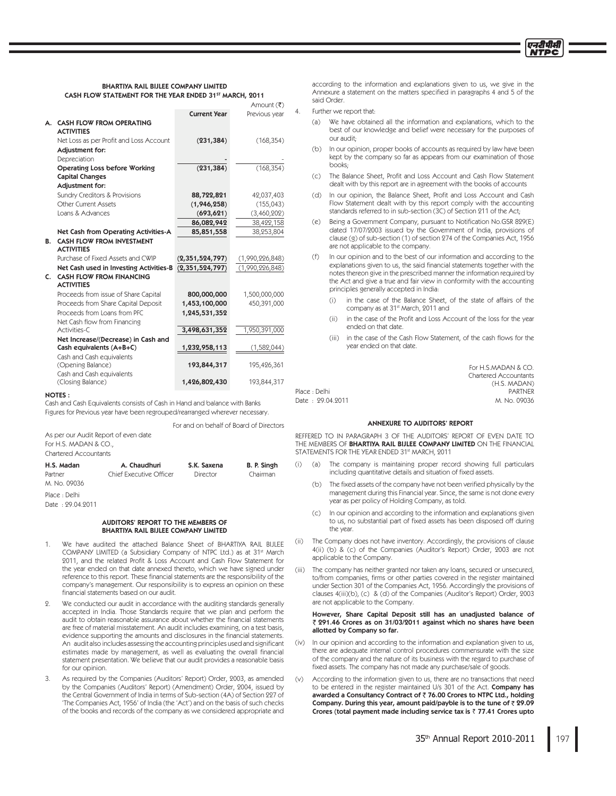

### BHARTIYA RAIL BIJLEE COMPANY LIMITED CASH FLOW STATEMENT FOR THE YEAR ENDED 31ST MARCH, 2011

|    |                                                                            |                     | Amount (₹)      |  |
|----|----------------------------------------------------------------------------|---------------------|-----------------|--|
|    |                                                                            | <b>Current Year</b> | Previous year   |  |
| А. | <b>CASH FLOW FROM OPERATING</b><br><b>ACTIVITIES</b>                       |                     |                 |  |
|    | Net Loss as per Profit and Loss Account<br>Adjustment for:<br>Depreciation | (231, 384)          | (168, 354)      |  |
|    | <b>Operating Loss before Working</b>                                       | (231, 384)          | (168, 354)      |  |
|    | <b>Capital Changes</b>                                                     |                     |                 |  |
|    | Adjustment for:                                                            |                     |                 |  |
|    | Sundry Creditors & Provisions                                              | 88,722,821          | 42,037,403      |  |
|    | Other Current Assets                                                       | (1,946,258)         | (155, 043)      |  |
|    | Loans & Advances                                                           | (693, 621)          | (3,460,202)     |  |
|    |                                                                            | 86,082,942          | 38,422,158      |  |
|    | Net Cash from Operating Activities-A                                       | 85,851,558          | 38,253,804      |  |
| В. | <b>CASH FLOW FROM INVESTMENT</b><br><b>ACTIVITIES</b>                      |                     |                 |  |
|    | Purchase of Fixed Assets and CWIP                                          | (2, 351, 524, 797)  | (1,990,226,848) |  |
|    | Net Cash used in Investing Activities-B                                    | (2, 351, 524, 797)  | (1,990,226,848) |  |
| C. | <b>CASH FLOW FROM FINANCING</b><br><b>ACTIVITIES</b>                       |                     |                 |  |
|    | Proceeds from issue of Share Capital                                       | 800,000,000         | 1,500,000,000   |  |
|    | Proceeds from Share Capital Deposit                                        | 1,453,100,000       | 450,391,000     |  |
|    | Proceeds from Loans from PFC<br>Net Cash flow from Financing               | 1,245,531,352       |                 |  |
|    | Activities-C                                                               | 3,498,631,352       | 1,950,391,000   |  |
|    | Net Increase/(Decrease) in Cash and                                        |                     |                 |  |
|    | Cash equivalents (A+B+C)                                                   | 1,232,958,113       | (1,582,044)     |  |
|    | Cash and Cash equivalents<br>(Opening Balance)                             | 193,844,317         | 195,426,361     |  |
|    | Cash and Cash equivalents<br>(Closing Balance)                             | 1,426,802,430       | 193,844,317     |  |
|    |                                                                            |                     |                 |  |

### NOTES :

Cash and Cash Equivalents consists of Cash in Hand and balance with Banks Figures for Previous year have been regrouped/rearranged wherever necessary.

|                                      | For and on behalf of Board of Directors |             |             |
|--------------------------------------|-----------------------------------------|-------------|-------------|
| As per our Audit Report of even date |                                         |             |             |
| For H.S. MADAN & CO.,                |                                         |             |             |
| Chartered Accountants                |                                         |             |             |
| H.S. Madan                           | A. Chaudhuri                            | S.K. Saxena | B. P. Singh |
| Partner                              | Chief Executive Officer                 | Director    | Chairman    |
| M. No. 09036                         |                                         |             |             |
| Place : Delhi                        |                                         |             |             |
| Date: 99.04.9011                     |                                         |             |             |

### AUDITORS' REPORT TO THE MEMBERS OF BHARTIYA RAIL BIJLEE COMPANY LIMITED

- 1. We have audited the attached Balance Sheet of BHARTIYA RAIL BIJLEE COMPANY LIMITED (a Subsidiary Company of NTPC Ltd.) as at 31<sup>st</sup> March 2011, and the related Profit & Loss Account and Cash Flow Statement for the year ended on that date annexed thereto, which we have signed under reference to this report. These financial statements are the responsibility of the company's management. Our responsibility is to express an opinion on these financial statements based on our audit.
- 2. We conducted our audit in accordance with the auditing standards generally accepted in India. Those Standards require that we plan and perform the audit to obtain reasonable assurance about whether the financial statements are free of material misstatement. An audit includes examining, on a test basis, evidence supporting the amounts and disclosures in the financial statements. An audit also includes assessing the accounting principles used and significant estimates made by management, as well as evaluating the overall financial statement presentation. We believe that our audit provides a reasonable basis for our opinion.
- 3. As required by the Companies (Auditors' Report) Order, 2003, as amended by the Companies (Auditors' Report) (Amendment) Order, 2004, issued by the Central Government of India in terms of Sub-section (4A) of Section 227 of 'The Companies Act, 1956' of India (the 'Act') and on the basis of such checks of the books and records of the company as we considered appropriate and

according to the information and explanations given to us, we give in the Annexure a statement on the matters specified in paragraphs 4 and 5 of the said Order

### Further we report that:

- (a) We have obtained all the information and explanations, which to the best of our knowledge and belief were necessary for the purposes of our audit:
- $(b)$ In our opinion, proper books of accounts as required by law have been kept by the company so far as appears from our examination of those  $h\no$
- $(C)$ The Balance Sheet, Profit and Loss Account and Cash Flow Statement dealt with by this report are in agreement with the books of accounts
- (d) In our opinion, the Balance Sheet, Profit and Loss Account and Cash Flow Statement dealt with by this report comply with the accounting standards referred to in sub-section (3C) of Section 211 of the Act;
- (e) Being a Government Company, pursuant to Notification No.GSR 829(E) dated 17/07/2003 issued by the Government of India, provisions of clause (g) of sub-section (1) of section 274 of the Companies Act, 1956 are not applicable to the company.
- (f) In our opinion and to the best of our information and according to the explanations given to us, the said financial statements together with the notes thereon give in the prescribed manner the information required by the Act and give a true and fair view in conformity with the accounting principles generally accepted in India:
	- $(i)$ in the case of the Balance Sheet, of the state of affairs of the company as at 31<sup>st</sup> March, 2011 and
	- $(i)$ in the case of the Profit and Loss Account of the loss for the year ended on that date.
	- $(iii)$ in the case of the Cash Flow Statement, of the cash flows for the year ended on that date.

For H S MADAN  $& CO$ Chartered Accountants (H.S. MADAN)<br>PARTNFR 1MBDF%FMIJ 1"35/&3 Date: 29.04.2011

### ANNEXURE TO AUDITORS' REPORT

REFFERED TO IN PARAGRAPH 3 OF THE AUDITORS' REPORT OF EVEN DATE TO THE MEMBERS OF BHARTIYA RAIL BIJLEE COMPANY LIMITED ON THE FINANCIAL STATEMENTS FOR THE YEAR ENDED 31st MARCH 9011

- $(i)$ (a) The company is maintaining proper record showing full particulars including quantitative details and situation of fixed assets.
- (b) The fixed assets of the company have not been verified physically by the management during this Financial year. Since, the same is not done every year as per policy of Holding Company, as told.
- (c) In our opinion and according to the information and explanations given to us, no substantial part of fixed assets has been disposed off during the year
- $(ii)$ The Company does not have inventory. Accordingly, the provisions of clause 4(ii) (b) & (c) of the Companies (Auditor's Report) Order, 2003 are not applicable to the Company.
- $(iii)$ The company has neither granted nor taken any loans, secured or unsecured, to/from companies, firms or other parties covered in the register maintained under Section 301 of the Companies Act, 1956. Accordingly the provisions of clauses 4(iii)(b), (c) & (d) of the Companies (Auditor's Report) Order, 2003 are not applicable to the Company.

### However, Share Capital Deposit still has an unadjusted balance of 291.46 Crores as on 31/03/2011 against which no shares have been allotted by Company so far.

- $(iv)$ In our opinion and according to the information and explanation given to us, there are adequate internal control procedures commensurate with the size of the company and the nature of its business with the regard to purchase of fixed assets. The company has not made any purchase/sale of goods.
- $(v)$ According to the information given to us, there are no transactions that need to be entered in the register maintained U/s 301 of the Act. Company has awarded a Consultancy Contract of ₹ 76.00 Crores to NTPC Ltd., holding Company. During this year, amount paid/payble is to the tune of  $\bar{z}$  29.09 Crores (total payment made including service tax is  $\bar{z}$  77.41 Crores upto